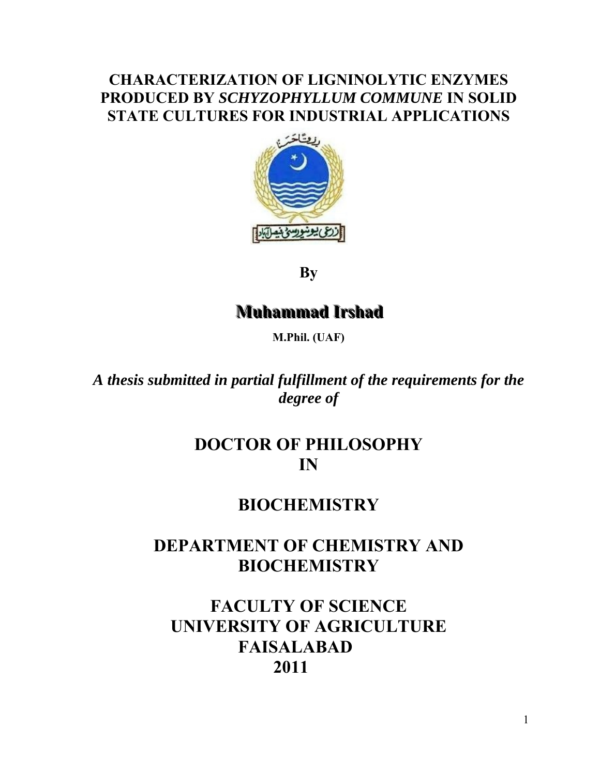### **CHARACTERIZATION OF LIGNINOLYTIC ENZYMES PRODUCED BY** *SCHYZOPHYLLUM COMMUNE* **IN SOLID STATE CULTURES FOR INDUSTRIAL APPLICATIONS**



**By** 

## **Muhammad Irshad**

**M.Phil. (UAF)** 

*A thesis submitted in partial fulfillment of the requirements for the degree of* 

### **DOCTOR OF PHILOSOPHY IN**

### **BIOCHEMISTRY**

## **DEPARTMENT OF CHEMISTRY AND BIOCHEMISTRY**

## **FACULTY OF SCIENCE UNIVERSITY OF AGRICULTURE FAISALABAD 2011**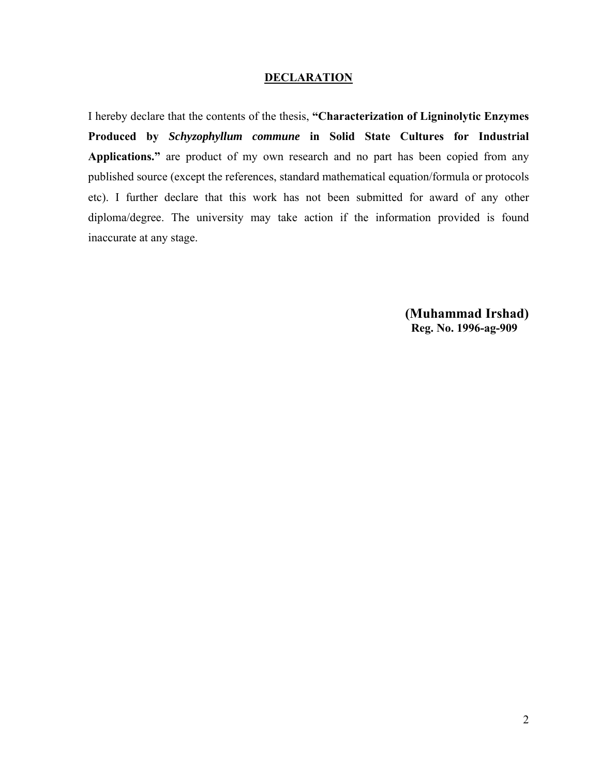#### **DECLARATION**

I hereby declare that the contents of the thesis, **"Characterization of Ligninolytic Enzymes Produced by** *Schyzophyllum commune* **in Solid State Cultures for Industrial Applications."** are product of my own research and no part has been copied from any published source (except the references, standard mathematical equation/formula or protocols etc). I further declare that this work has not been submitted for award of any other diploma/degree. The university may take action if the information provided is found inaccurate at any stage.

> **(Muhammad Irshad) Reg. No. 1996-ag-909**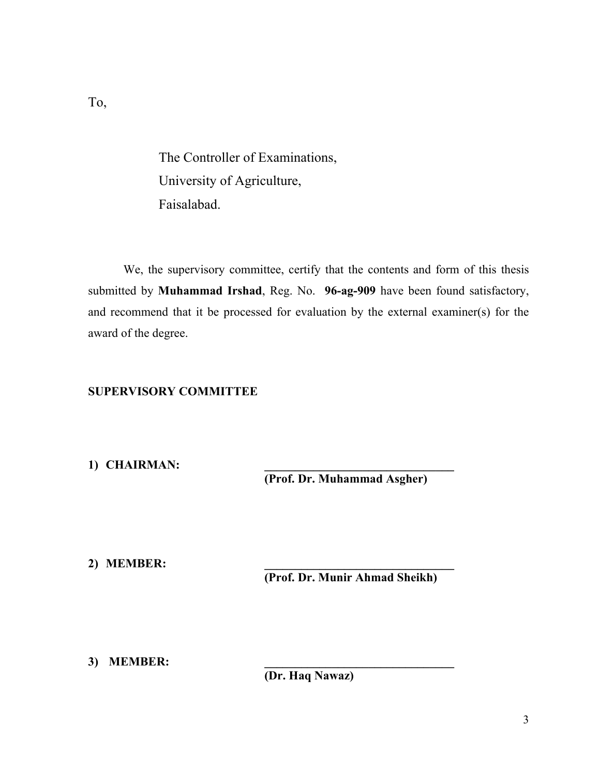The Controller of Examinations, University of Agriculture,

Faisalabad.

 We, the supervisory committee, certify that the contents and form of this thesis submitted by **Muhammad Irshad**, Reg. No. **96-ag-909** have been found satisfactory, and recommend that it be processed for evaluation by the external examiner(s) for the award of the degree.

#### **SUPERVISORY COMMITTEE**

1) **CHAIRMAN:** 

**(Prof. Dr. Muhammad Asgher)** 

**2) MEMBER: \_\_\_\_\_\_\_\_\_\_\_\_\_\_\_\_\_\_\_\_\_\_\_\_\_\_\_\_\_\_\_** 

**(Prof. Dr. Munir Ahmad Sheikh)** 

3) **MEMBER:** 

**(Dr. Haq Nawaz)**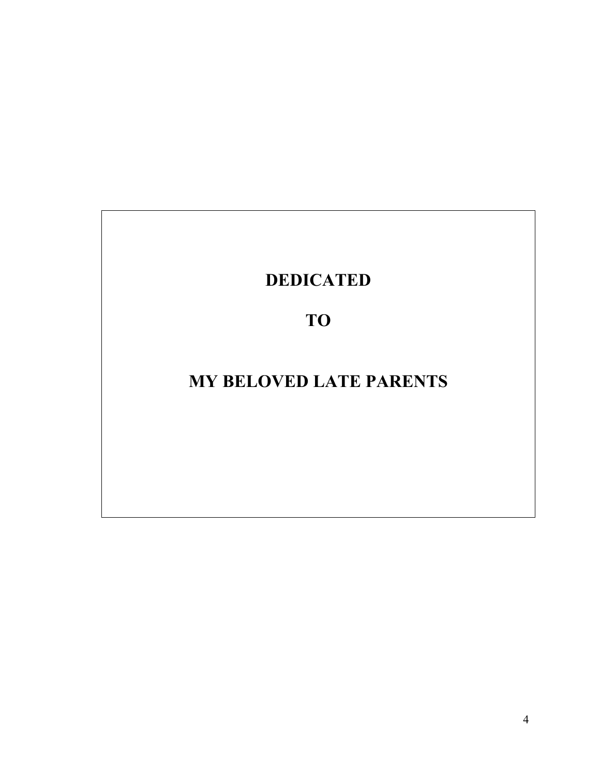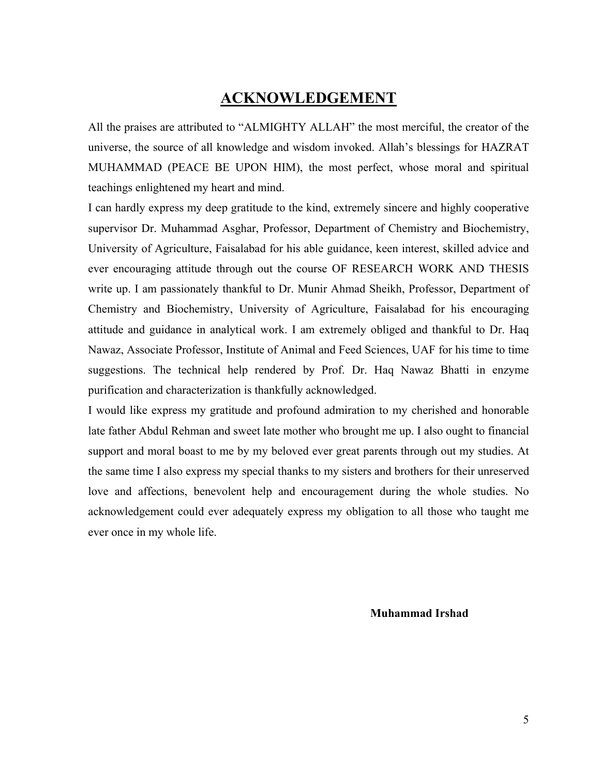#### **ACKNOWLEDGEMENT**

All the praises are attributed to "ALMIGHTY ALLAH" the most merciful, the creator of the universe, the source of all knowledge and wisdom invoked. Allah's blessings for HAZRAT MUHAMMAD (PEACE BE UPON HIM), the most perfect, whose moral and spiritual teachings enlightened my heart and mind.

I can hardly express my deep gratitude to the kind, extremely sincere and highly cooperative supervisor Dr. Muhammad Asghar, Professor, Department of Chemistry and Biochemistry, University of Agriculture, Faisalabad for his able guidance, keen interest, skilled advice and ever encouraging attitude through out the course OF RESEARCH WORK AND THESIS write up. I am passionately thankful to Dr. Munir Ahmad Sheikh, Professor, Department of Chemistry and Biochemistry, University of Agriculture, Faisalabad for his encouraging attitude and guidance in analytical work. I am extremely obliged and thankful to Dr. Haq Nawaz, Associate Professor, Institute of Animal and Feed Sciences, UAF for his time to time suggestions. The technical help rendered by Prof. Dr. Haq Nawaz Bhatti in enzyme purification and characterization is thankfully acknowledged.

I would like express my gratitude and profound admiration to my cherished and honorable late father Abdul Rehman and sweet late mother who brought me up. I also ought to financial support and moral boast to me by my beloved ever great parents through out my studies. At the same time I also express my special thanks to my sisters and brothers for their unreserved love and affections, benevolent help and encouragement during the whole studies. No acknowledgement could ever adequately express my obligation to all those who taught me ever once in my whole life.

**Muhammad Irshad**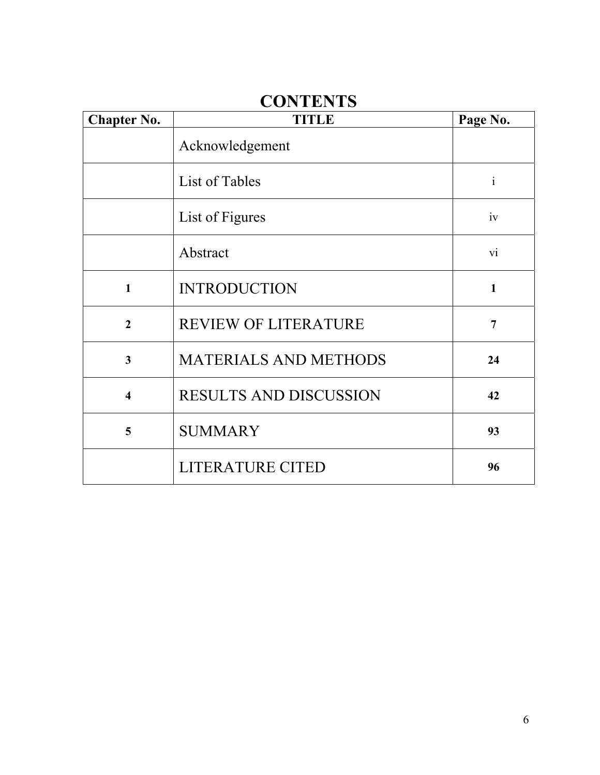## **CONTENTS**

| <b>Chapter No.</b>      | <b>TITLE</b>                  | Page No.       |
|-------------------------|-------------------------------|----------------|
|                         | Acknowledgement               |                |
|                         | List of Tables                | $\mathbf{i}$   |
|                         | List of Figures               | iv             |
|                         | Abstract                      | V1             |
| $\mathbf{1}$            | <b>INTRODUCTION</b>           | $\mathbf{1}$   |
| $\overline{2}$          | <b>REVIEW OF LITERATURE</b>   | $\overline{7}$ |
| $\overline{\mathbf{3}}$ | <b>MATERIALS AND METHODS</b>  | 24             |
| $\overline{\mathbf{4}}$ | <b>RESULTS AND DISCUSSION</b> | 42             |
| 5                       | <b>SUMMARY</b>                | 93             |
|                         | LITERATURE CITED              | 96             |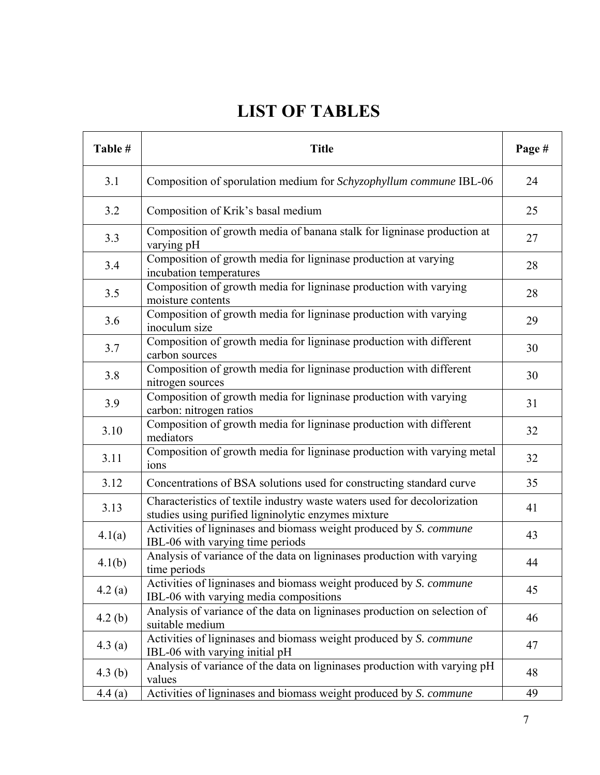# **LIST OF TABLES**

| Table #   | <b>Title</b>                                                                                                                    | Page # |
|-----------|---------------------------------------------------------------------------------------------------------------------------------|--------|
| 3.1       | Composition of sporulation medium for Schyzophyllum commune IBL-06                                                              | 24     |
| 3.2       | Composition of Krik's basal medium                                                                                              | 25     |
| 3.3       | Composition of growth media of banana stalk for ligninase production at<br>varying pH                                           | 27     |
| 3.4       | Composition of growth media for ligninase production at varying<br>incubation temperatures                                      | 28     |
| 3.5       | Composition of growth media for ligninase production with varying<br>moisture contents                                          | 28     |
| 3.6       | Composition of growth media for ligninase production with varying<br>inoculum size                                              | 29     |
| 3.7       | Composition of growth media for ligninase production with different<br>carbon sources                                           | 30     |
| 3.8       | Composition of growth media for ligninase production with different<br>nitrogen sources                                         | 30     |
| 3.9       | Composition of growth media for ligninase production with varying<br>carbon: nitrogen ratios                                    | 31     |
| 3.10      | Composition of growth media for ligninase production with different<br>mediators                                                | 32     |
| 3.11      | Composition of growth media for ligninase production with varying metal<br>ions                                                 | 32     |
| 3.12      | Concentrations of BSA solutions used for constructing standard curve                                                            | 35     |
| 3.13      | Characteristics of textile industry waste waters used for decolorization<br>studies using purified ligninolytic enzymes mixture | 41     |
| 4.1(a)    | Activities of ligninases and biomass weight produced by S. commune<br>IBL-06 with varying time periods                          | 43     |
| 4.1(b)    | Analysis of variance of the data on ligninases production with varying<br>time periods                                          | 44     |
| 4.2(a)    | Activities of ligninases and biomass weight produced by S. commune<br>IBL-06 with varying media compositions                    | 45     |
| 4.2(b)    | Analysis of variance of the data on ligninases production on selection of<br>suitable medium                                    | 46     |
| 4.3(a)    | Activities of ligninases and biomass weight produced by S. commune<br>IBL-06 with varying initial pH                            | 47     |
| 4.3 $(b)$ | Analysis of variance of the data on ligninases production with varying pH<br>values                                             | 48     |
| 4.4(a)    | Activities of ligninases and biomass weight produced by S. commune                                                              | 49     |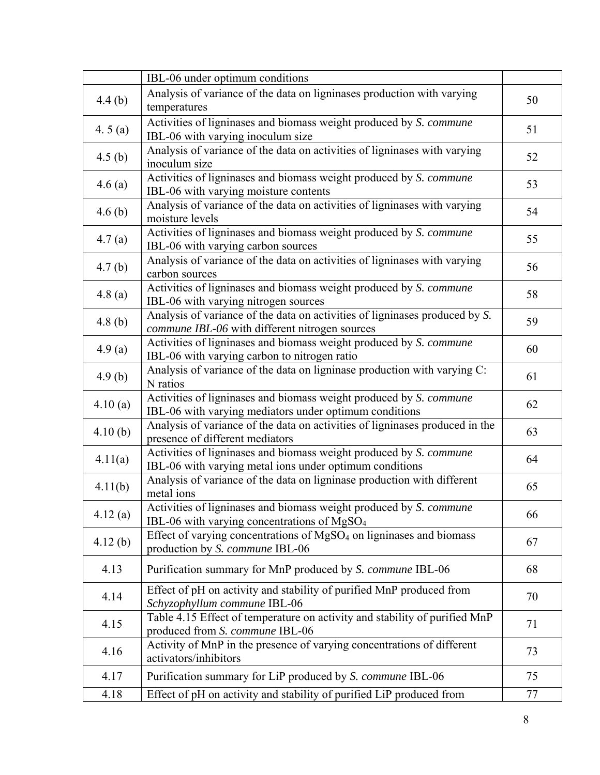|           | IBL-06 under optimum conditions                                                                                               |    |
|-----------|-------------------------------------------------------------------------------------------------------------------------------|----|
| 4.4(b)    | Analysis of variance of the data on ligninases production with varying<br>temperatures                                        | 50 |
| 4.5 $(a)$ | Activities of ligninases and biomass weight produced by S. commune<br>IBL-06 with varying inoculum size                       | 51 |
| 4.5(b)    | Analysis of variance of the data on activities of ligninases with varying<br>inoculum size                                    | 52 |
| 4.6(a)    | Activities of ligninases and biomass weight produced by S. commune<br>IBL-06 with varying moisture contents                   | 53 |
| 4.6(b)    | Analysis of variance of the data on activities of ligninases with varying<br>moisture levels                                  | 54 |
| 4.7(a)    | Activities of ligninases and biomass weight produced by S. commune<br>IBL-06 with varying carbon sources                      | 55 |
| 4.7(b)    | Analysis of variance of the data on activities of ligninases with varying<br>carbon sources                                   | 56 |
| 4.8(a)    | Activities of ligninases and biomass weight produced by S. commune<br>IBL-06 with varying nitrogen sources                    | 58 |
| 4.8(b)    | Analysis of variance of the data on activities of ligninases produced by S.<br>commune IBL-06 with different nitrogen sources | 59 |
| 4.9(a)    | Activities of ligninases and biomass weight produced by S. commune<br>IBL-06 with varying carbon to nitrogen ratio            | 60 |
| 4.9(b)    | Analysis of variance of the data on ligninase production with varying C:<br>N ratios                                          | 61 |
| 4.10(a)   | Activities of ligninases and biomass weight produced by S. commune<br>IBL-06 with varying mediators under optimum conditions  | 62 |
| 4.10(b)   | Analysis of variance of the data on activities of ligninases produced in the<br>presence of different mediators               | 63 |
| 4.11(a)   | Activities of ligninases and biomass weight produced by S. commune<br>IBL-06 with varying metal ions under optimum conditions | 64 |
| 4.11(b)   | Analysis of variance of the data on ligninase production with different<br>metal ions                                         | 65 |
| 4.12(a)   | Activities of ligninases and biomass weight produced by S. commune<br>IBL-06 with varying concentrations of $MgSO4$           | 66 |
| 4.12(b)   | Effect of varying concentrations of MgSO <sub>4</sub> on ligninases and biomass<br>production by S. commune IBL-06            | 67 |
| 4.13      | Purification summary for MnP produced by S. commune IBL-06                                                                    | 68 |
| 4.14      | Effect of pH on activity and stability of purified MnP produced from<br>Schyzophyllum commune IBL-06                          | 70 |
| 4.15      | Table 4.15 Effect of temperature on activity and stability of purified MnP<br>produced from S. commune IBL-06                 | 71 |
| 4.16      | Activity of MnP in the presence of varying concentrations of different<br>activators/inhibitors                               | 73 |
| 4.17      | Purification summary for LiP produced by S. commune IBL-06                                                                    | 75 |
| 4.18      | Effect of pH on activity and stability of purified LiP produced from                                                          | 77 |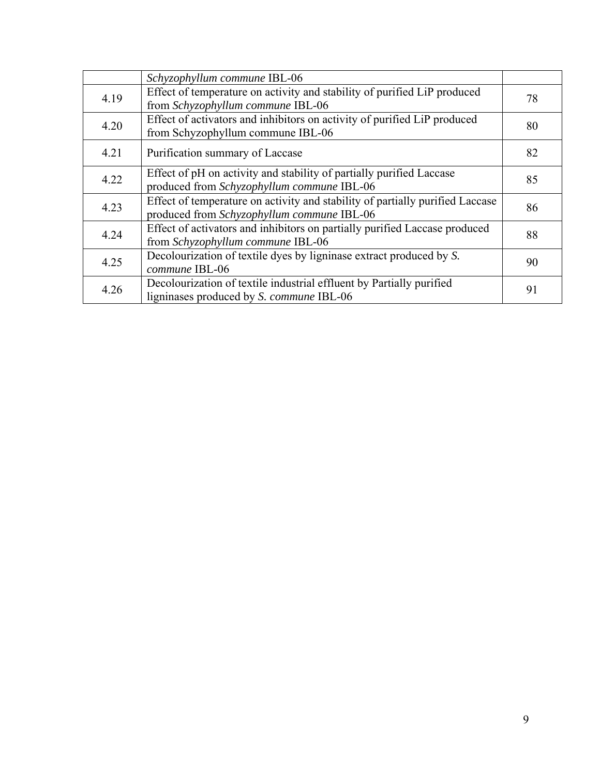|      | Schyzophyllum commune IBL-06                                                                                                |    |
|------|-----------------------------------------------------------------------------------------------------------------------------|----|
| 4.19 | Effect of temperature on activity and stability of purified LiP produced<br>from Schyzophyllum commune IBL-06               | 78 |
| 4.20 | Effect of activators and inhibitors on activity of purified LiP produced<br>from Schyzophyllum commune IBL-06               | 80 |
| 4.21 | Purification summary of Laccase                                                                                             | 82 |
| 4.22 | Effect of pH on activity and stability of partially purified Laccase<br>produced from Schyzophyllum commune IBL-06          | 85 |
| 4.23 | Effect of temperature on activity and stability of partially purified Laccase<br>produced from Schyzophyllum commune IBL-06 | 86 |
| 4.24 | Effect of activators and inhibitors on partially purified Laccase produced<br>from Schyzophyllum commune IBL-06             | 88 |
| 4.25 | Decolourization of textile dyes by ligninase extract produced by S.<br>commune IBL-06                                       | 90 |
| 4.26 | Decolourization of textile industrial effluent by Partially purified<br>ligninases produced by <i>S. commune</i> IBL-06     | 91 |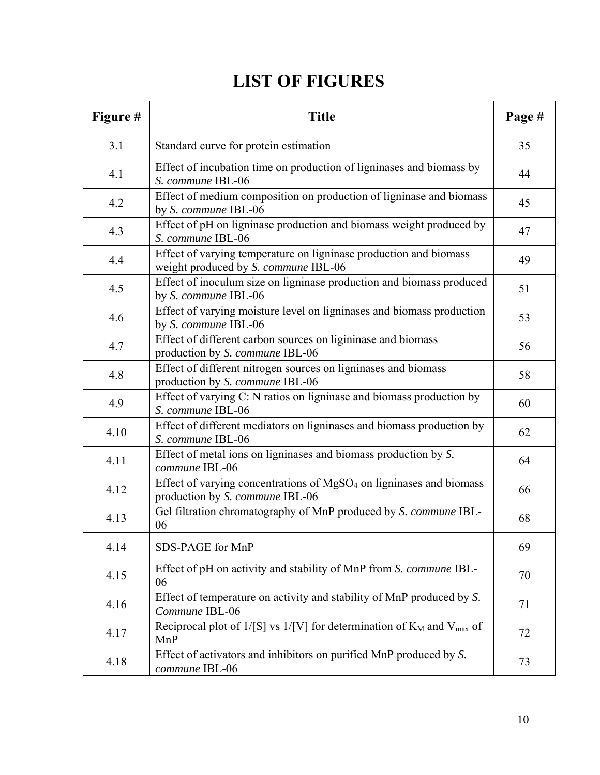# **LIST OF FIGURES**

| Figure # | <b>Title</b>                                                                                                       | Page # |
|----------|--------------------------------------------------------------------------------------------------------------------|--------|
| 3.1      | Standard curve for protein estimation                                                                              | 35     |
| 4.1      | Effect of incubation time on production of ligninases and biomass by<br>S. commune IBL-06                          | 44     |
| 4.2      | Effect of medium composition on production of ligninase and biomass<br>by S. commune IBL-06                        | 45     |
| 4.3      | Effect of pH on ligninase production and biomass weight produced by<br>S. commune IBL-06                           | 47     |
| 4.4      | Effect of varying temperature on ligninase production and biomass<br>weight produced by S. commune IBL-06          | 49     |
| 4.5      | Effect of inoculum size on ligninase production and biomass produced<br>by S. commune IBL-06                       | 51     |
| 4.6      | Effect of varying moisture level on ligninases and biomass production<br>by S. commune IBL-06                      | 53     |
| 4.7      | Effect of different carbon sources on ligininase and biomass<br>production by S. commune IBL-06                    | 56     |
| 4.8      | Effect of different nitrogen sources on ligninases and biomass<br>production by S. commune IBL-06                  | 58     |
| 4.9      | Effect of varying C: N ratios on ligninase and biomass production by<br>S. commune IBL-06                          | 60     |
| 4.10     | Effect of different mediators on ligninases and biomass production by<br>S. commune IBL-06                         | 62     |
| 4.11     | Effect of metal ions on ligninases and biomass production by S.<br>commune IBL-06                                  | 64     |
| 4.12     | Effect of varying concentrations of MgSO <sub>4</sub> on ligninases and biomass<br>production by S. commune IBL-06 | 66     |
| 4.13     | Gel filtration chromatography of MnP produced by S. commune IBL-<br>06                                             | 68     |
| 4.14     | SDS-PAGE for MnP                                                                                                   | 69     |
| 4.15     | Effect of pH on activity and stability of MnP from S. commune IBL-<br>06                                           | 70     |
| 4.16     | Effect of temperature on activity and stability of MnP produced by S.<br>Commune IBL-06                            | 71     |
| 4.17     | Reciprocal plot of $1/[S]$ vs $1/[V]$ for determination of $K_M$ and $V_{max}$ of<br>MnP                           | 72     |
| 4.18     | Effect of activators and inhibitors on purified MnP produced by S.<br>commune IBL-06                               | 73     |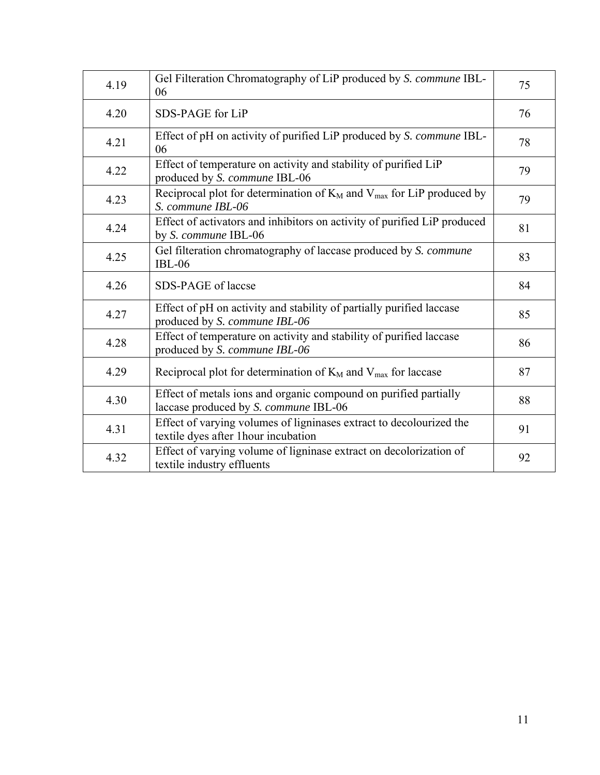| 4.19 | Gel Filteration Chromatography of LiP produced by S. commune IBL-<br>06                                     | 75 |
|------|-------------------------------------------------------------------------------------------------------------|----|
| 4.20 | SDS-PAGE for LiP                                                                                            | 76 |
| 4.21 | Effect of pH on activity of purified LiP produced by S. commune IBL-<br>06                                  | 78 |
| 4.22 | Effect of temperature on activity and stability of purified LiP<br>produced by S. commune IBL-06            | 79 |
| 4.23 | Reciprocal plot for determination of $K_M$ and $V_{max}$ for LiP produced by<br>S. commune IBL-06           | 79 |
| 4.24 | Effect of activators and inhibitors on activity of purified LiP produced<br>by S. commune IBL-06            | 81 |
| 4.25 | Gel filteration chromatography of laccase produced by S. commune<br>$IBL-06$                                | 83 |
| 4.26 | SDS-PAGE of laccse                                                                                          | 84 |
| 4.27 | Effect of pH on activity and stability of partially purified laccase<br>produced by S. commune IBL-06       | 85 |
| 4.28 | Effect of temperature on activity and stability of purified laccase<br>produced by S. commune IBL-06        | 86 |
| 4.29 | Reciprocal plot for determination of $K_M$ and $V_{max}$ for laccase                                        | 87 |
| 4.30 | Effect of metals ions and organic compound on purified partially<br>laccase produced by S. commune IBL-06   | 88 |
| 4.31 | Effect of varying volumes of ligninases extract to decolourized the<br>textile dyes after 1 hour incubation | 91 |
| 4.32 | Effect of varying volume of ligninase extract on decolorization of<br>textile industry effluents            | 92 |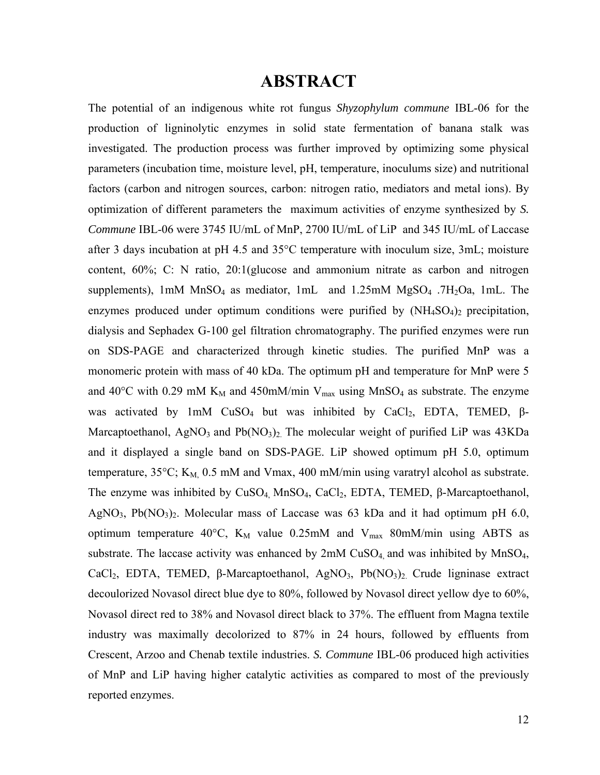### **ABSTRACT**

The potential of an indigenous white rot fungus *Shyzophylum commune* IBL-06 for the production of ligninolytic enzymes in solid state fermentation of banana stalk was investigated. The production process was further improved by optimizing some physical parameters (incubation time, moisture level, pH, temperature, inoculums size) and nutritional factors (carbon and nitrogen sources, carbon: nitrogen ratio, mediators and metal ions). By optimization of different parameters the maximum activities of enzyme synthesized by *S. Commune* IBL-06 were 3745 IU/mL of MnP, 2700 IU/mL of LiP and 345 IU/mL of Laccase after 3 days incubation at pH 4.5 and 35°C temperature with inoculum size, 3mL; moisture content, 60%; C: N ratio, 20:1(glucose and ammonium nitrate as carbon and nitrogen supplements),  $1 \text{m}$ M MnSO<sub>4</sub> as mediator,  $1 \text{m}$  and  $1.25 \text{m}$ M MgSO<sub>4</sub> .7H<sub>2</sub>Oa,  $1 \text{m}$ L. The enzymes produced under optimum conditions were purified by  $(NH_4SO_4)_2$  precipitation, dialysis and Sephadex G-100 gel filtration chromatography. The purified enzymes were run on SDS-PAGE and characterized through kinetic studies. The purified MnP was a monomeric protein with mass of 40 kDa. The optimum pH and temperature for MnP were 5 and 40°C with 0.29 mM  $K_M$  and 450mM/min  $V_{max}$  using MnSO<sub>4</sub> as substrate. The enzyme was activated by 1mM CuSO<sub>4</sub> but was inhibited by CaCl<sub>2</sub>, EDTA, TEMED,  $\beta$ -Marcaptoethanol, AgNO<sub>3</sub> and Pb $(NO<sub>3</sub>)<sub>2</sub>$ . The molecular weight of purified LiP was 43KDa and it displayed a single band on SDS-PAGE. LiP showed optimum pH 5.0, optimum temperature,  $35^{\circ}$ C; K<sub>M</sub>, 0.5 mM and Vmax, 400 mM/min using varatryl alcohol as substrate. The enzyme was inhibited by  $CuSO_4$  Mn $SO_4$ ,  $CaCl_2$ , EDTA, TEMED,  $\beta$ -Marcaptoethanol, AgNO<sub>3</sub>, Pb(NO<sub>3</sub>)<sub>2</sub>. Molecular mass of Laccase was 63 kDa and it had optimum pH 6.0, optimum temperature 40°C,  $K_M$  value 0.25mM and  $V_{max}$  80mM/min using ABTS as substrate. The laccase activity was enhanced by  $2mM$  CuSO<sub>4</sub> and was inhibited by  $MnSO<sub>4</sub>$ , CaCl<sub>2</sub>, EDTA, TEMED, β-Marcaptoethanol, AgNO<sub>3</sub>, Pb(NO<sub>3</sub>)<sub>2</sub>. Crude ligninase extract decoulorized Novasol direct blue dye to 80%, followed by Novasol direct yellow dye to 60%, Novasol direct red to 38% and Novasol direct black to 37%. The effluent from Magna textile industry was maximally decolorized to 87% in 24 hours, followed by effluents from Crescent, Arzoo and Chenab textile industries. *S. Commune* IBL-06 produced high activities of MnP and LiP having higher catalytic activities as compared to most of the previously reported enzymes.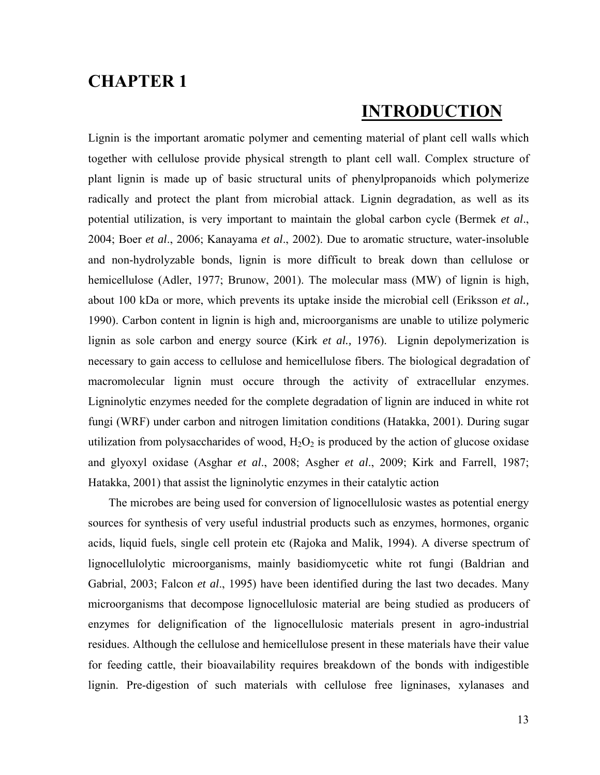### **CHAPTER 1**

### **INTRODUCTION**

Lignin is the important aromatic polymer and cementing material of plant cell walls which together with cellulose provide physical strength to plant cell wall. Complex structure of plant lignin is made up of basic structural units of phenylpropanoids which polymerize radically and protect the plant from microbial attack. Lignin degradation, as well as its potential utilization, is very important to maintain the global carbon cycle (Bermek *et al*., 2004; Boer *et al*., 2006; Kanayama *et al*., 2002). Due to aromatic structure, water-insoluble and non-hydrolyzable bonds, lignin is more difficult to break down than cellulose or hemicellulose (Adler, 1977; Brunow, 2001). The molecular mass (MW) of lignin is high, about 100 kDa or more, which prevents its uptake inside the microbial cell (Eriksson *et al.,*  1990). Carbon content in lignin is high and, microorganisms are unable to utilize polymeric lignin as sole carbon and energy source (Kirk *et al.,* 1976). Lignin depolymerization is necessary to gain access to cellulose and hemicellulose fibers. The biological degradation of macromolecular lignin must occure through the activity of extracellular enzymes. Ligninolytic enzymes needed for the complete degradation of lignin are induced in white rot fungi (WRF) under carbon and nitrogen limitation conditions (Hatakka, 2001). During sugar utilization from polysaccharides of wood,  $H_2O_2$  is produced by the action of glucose oxidase and glyoxyl oxidase (Asghar *et al*., 2008; Asgher *et al*., 2009; Kirk and Farrell, 1987; Hatakka, 2001) that assist the ligninolytic enzymes in their catalytic action

 The microbes are being used for conversion of lignocellulosic wastes as potential energy sources for synthesis of very useful industrial products such as enzymes, hormones, organic acids, liquid fuels, single cell protein etc (Rajoka and Malik, 1994). A diverse spectrum of lignocellulolytic microorganisms, mainly basidiomycetic white rot fungi (Baldrian and Gabrial, 2003; Falcon *et al*., 1995) have been identified during the last two decades. Many microorganisms that decompose lignocellulosic material are being studied as producers of enzymes for delignification of the lignocellulosic materials present in agro-industrial residues. Although the cellulose and hemicellulose present in these materials have their value for feeding cattle, their bioavailability requires breakdown of the bonds with indigestible lignin. Pre-digestion of such materials with cellulose free ligninases, xylanases and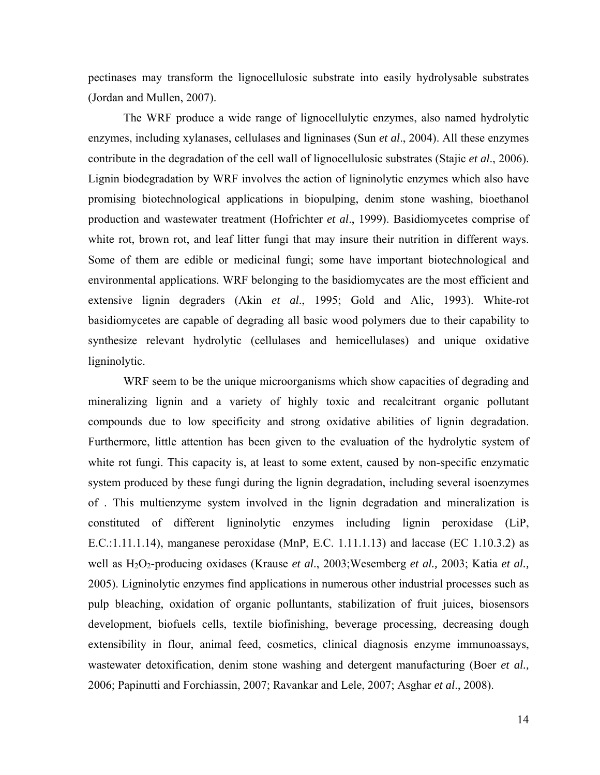pectinases may transform the lignocellulosic substrate into easily hydrolysable substrates (Jordan and Mullen, 2007).

The WRF produce a wide range of lignocellulytic enzymes, also named hydrolytic enzymes, including xylanases, cellulases and ligninases (Sun *et al*., 2004). All these enzymes contribute in the degradation of the cell wall of lignocellulosic substrates (Stajic *et al*., 2006). Lignin biodegradation by WRF involves the action of ligninolytic enzymes which also have promising biotechnological applications in biopulping, denim stone washing, bioethanol production and wastewater treatment (Hofrichter *et al*., 1999). Basidiomycetes comprise of white rot, brown rot, and leaf litter fungi that may insure their nutrition in different ways. Some of them are edible or medicinal fungi; some have important biotechnological and environmental applications. WRF belonging to the basidiomycates are the most efficient and extensive lignin degraders (Akin *et al*., 1995; Gold and Alic, 1993). White-rot basidiomycetes are capable of degrading all basic wood polymers due to their capability to synthesize relevant hydrolytic (cellulases and hemicellulases) and unique oxidative ligninolytic.

WRF seem to be the unique microorganisms which show capacities of degrading and mineralizing lignin and a variety of highly toxic and recalcitrant organic pollutant compounds due to low specificity and strong oxidative abilities of lignin degradation. Furthermore, little attention has been given to the evaluation of the hydrolytic system of white rot fungi. This capacity is, at least to some extent, caused by non-specific enzymatic system produced by these fungi during the lignin degradation, including several isoenzymes of . This multienzyme system involved in the lignin degradation and mineralization is constituted of different ligninolytic enzymes including lignin peroxidase (LiP, E.C.:1.11.1.14), manganese peroxidase (MnP, E.C. 1.11.1.13) and laccase (EC 1.10.3.2) as well as H<sub>2</sub>O<sub>2</sub>-producing oxidases (Krause *et al.*, 2003;Wesemberg *et al.*, 2003; Katia *et al.*, 2005). Ligninolytic enzymes find applications in numerous other industrial processes such as pulp bleaching, oxidation of organic polluntants, stabilization of fruit juices, biosensors development, biofuels cells, textile biofinishing, beverage processing, decreasing dough extensibility in flour, animal feed, cosmetics, clinical diagnosis enzyme immunoassays, wastewater detoxification, denim stone washing and detergent manufacturing (Boer *et al.,* 2006; Papinutti and Forchiassin, 2007; Ravankar and Lele, 2007; Asghar *et al*., 2008).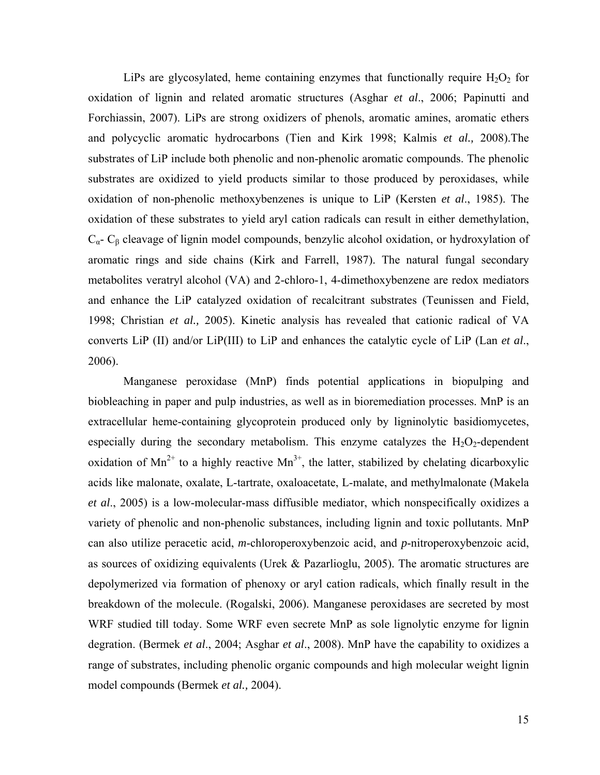LiPs are glycosylated, heme containing enzymes that functionally require  $H_2O_2$  for oxidation of lignin and related aromatic structures (Asghar *et al*., 2006; Papinutti and Forchiassin, 2007). LiPs are strong oxidizers of phenols, aromatic amines, aromatic ethers and polycyclic aromatic hydrocarbons (Tien and Kirk 1998; Kalmis *et al.,* 2008).The substrates of LiP include both phenolic and non-phenolic aromatic compounds. The phenolic substrates are oxidized to yield products similar to those produced by peroxidases, while oxidation of non-phenolic methoxybenzenes is unique to LiP (Kersten *et al*., 1985). The oxidation of these substrates to yield aryl cation radicals can result in either demethylation,  $C_{\alpha}$ -  $C_{\beta}$  cleavage of lignin model compounds, benzylic alcohol oxidation, or hydroxylation of aromatic rings and side chains (Kirk and Farrell, 1987). The natural fungal secondary metabolites veratryl alcohol (VA) and 2-chloro-1, 4-dimethoxybenzene are redox mediators and enhance the LiP catalyzed oxidation of recalcitrant substrates (Teunissen and Field, 1998; Christian *et al.,* 2005). Kinetic analysis has revealed that cationic radical of VA converts LiP (II) and/or LiP(III) to LiP and enhances the catalytic cycle of LiP (Lan *et al*., 2006).

Manganese peroxidase (MnP) finds potential applications in biopulping and biobleaching in paper and pulp industries, as well as in bioremediation processes. MnP is an extracellular heme-containing glycoprotein produced only by ligninolytic basidiomycetes, especially during the secondary metabolism. This enzyme catalyzes the  $H_2O_2$ -dependent oxidation of  $Mn^{2+}$  to a highly reactive  $Mn^{3+}$ , the latter, stabilized by chelating dicarboxylic acids like malonate, oxalate, L-tartrate, oxaloacetate, L-malate, and methylmalonate (Makela *et al*., 2005) is a low-molecular-mass diffusible mediator, which nonspecifically oxidizes a variety of phenolic and non-phenolic substances, including lignin and toxic pollutants. MnP can also utilize peracetic acid, *m*-chloroperoxybenzoic acid, and *p*-nitroperoxybenzoic acid, as sources of oxidizing equivalents (Urek & Pazarlioglu, 2005). The aromatic structures are depolymerized via formation of phenoxy or aryl cation radicals, which finally result in the breakdown of the molecule. (Rogalski, 2006). Manganese peroxidases are secreted by most WRF studied till today. Some WRF even secrete MnP as sole lignolytic enzyme for lignin degration. (Bermek *et al*., 2004; Asghar *et al*., 2008). MnP have the capability to oxidizes a range of substrates, including phenolic organic compounds and high molecular weight lignin model compounds (Bermek *et al.,* 2004).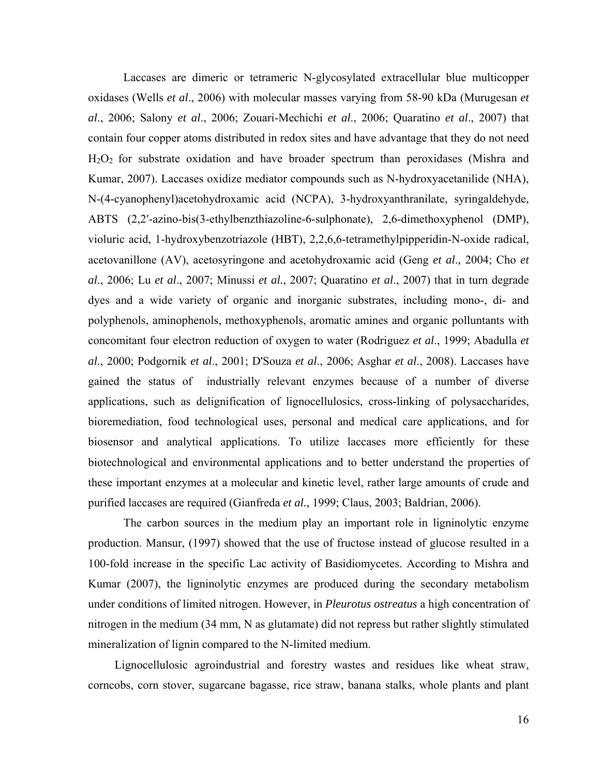Laccases are dimeric or tetrameric N-glycosylated extracellular blue multicopper oxidases (Wells *et al*., 2006) with molecular masses varying from 58-90 kDa (Murugesan *et al*., 2006; Salony *et al*., 2006; Zouari-Mechichi *et al*., 2006; Quaratino *et al*., 2007) that contain four copper atoms distributed in redox sites and have advantage that they do not need  $H<sub>2</sub>O<sub>2</sub>$  for substrate oxidation and have broader spectrum than peroxidases (Mishra and Kumar, 2007). Laccases oxidize mediator compounds such as N-hydroxyacetanilide (NHA), N-(4-cyanophenyl)acetohydroxamic acid (NCPA), 3-hydroxyanthranilate, syringaldehyde, ABTS (2,2′-azino-bis(3-ethylbenzthiazoline-6-sulphonate), 2,6-dimethoxyphenol (DMP), violuric acid, 1-hydroxybenzotriazole (HBT), 2,2,6,6-tetramethylpipperidin-N-oxide radical, acetovanillone (AV), acetosyringone and acetohydroxamic acid (Geng *et al*., 2004; Cho *et al*., 2006; Lu *et al*., 2007; Minussi *et al.*, 2007; Quaratino *et al*., 2007) that in turn degrade dyes and a wide variety of organic and inorganic substrates, including mono-, di- and polyphenols, aminophenols, methoxyphenols, aromatic amines and organic polluntants with concomitant four electron reduction of oxygen to water (Rodriguez *et al*., 1999; Abadulla *et al*., 2000; Podgornik *et al*., 2001; D'Souza *et al*., 2006; Asghar *et al*., 2008). Laccases have gained the status of industrially relevant enzymes because of a number of diverse applications, such as delignification of lignocellulosics, cross-linking of polysaccharides, bioremediation, food technological uses, personal and medical care applications, and for biosensor and analytical applications. To utilize laccases more efficiently for these biotechnological and environmental applications and to better understand the properties of these important enzymes at a molecular and kinetic level, rather large amounts of crude and purified laccases are required (Gianfreda *et al.,* 1999; Claus, 2003; Baldrian, 2006).

The carbon sources in the medium play an important role in ligninolytic enzyme production. Mansur, (1997) showed that the use of fructose instead of glucose resulted in a 100-fold increase in the specific Lac activity of Basidiomycetes. According to Mishra and Kumar (2007), the ligninolytic enzymes are produced during the secondary metabolism under conditions of limited nitrogen. However, in *Pleurotus ostreatus* a high concentration of nitrogen in the medium (34 mm, N as glutamate) did not repress but rather slightly stimulated mineralization of lignin compared to the N-limited medium.

 Lignocellulosic agroindustrial and forestry wastes and residues like wheat straw, corncobs, corn stover, sugarcane bagasse, rice straw, banana stalks, whole plants and plant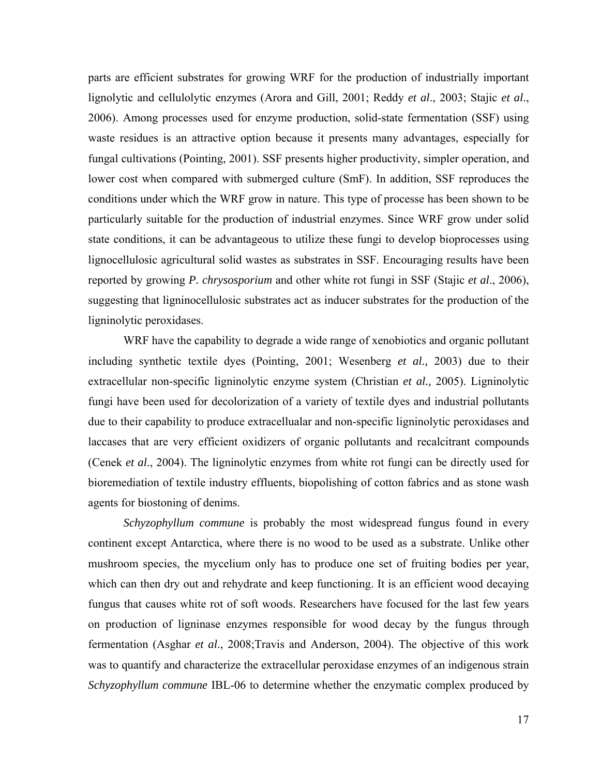parts are efficient substrates for growing WRF for the production of industrially important lignolytic and cellulolytic enzymes (Arora and Gill, 2001; Reddy *et al*., 2003; Stajic *et al*., 2006). Among processes used for enzyme production, solid-state fermentation (SSF) using waste residues is an attractive option because it presents many advantages, especially for fungal cultivations (Pointing, 2001). SSF presents higher productivity, simpler operation, and lower cost when compared with submerged culture (SmF). In addition, SSF reproduces the conditions under which the WRF grow in nature. This type of processe has been shown to be particularly suitable for the production of industrial enzymes. Since WRF grow under solid state conditions, it can be advantageous to utilize these fungi to develop bioprocesses using lignocellulosic agricultural solid wastes as substrates in SSF. Encouraging results have been reported by growing *P. chrysosporium* and other white rot fungi in SSF (Stajic *et al*., 2006), suggesting that ligninocellulosic substrates act as inducer substrates for the production of the ligninolytic peroxidases.

WRF have the capability to degrade a wide range of xenobiotics and organic pollutant including synthetic textile dyes (Pointing, 2001; Wesenberg *et al.,* 2003) due to their extracellular non-specific ligninolytic enzyme system (Christian *et al.,* 2005). Ligninolytic fungi have been used for decolorization of a variety of textile dyes and industrial pollutants due to their capability to produce extracellualar and non-specific ligninolytic peroxidases and laccases that are very efficient oxidizers of organic pollutants and recalcitrant compounds (Cenek *et al*., 2004). The ligninolytic enzymes from white rot fungi can be directly used for bioremediation of textile industry effluents, biopolishing of cotton fabrics and as stone wash agents for biostoning of denims.

*Schyzophyllum commune* is probably the most widespread fungus found in every continent except Antarctica, where there is no wood to be used as a substrate. Unlike other mushroom species, the mycelium only has to produce one set of fruiting bodies per year, which can then dry out and rehydrate and keep functioning. It is an efficient wood decaying fungus that causes white rot of soft woods. Researchers have focused for the last few years on production of ligninase enzymes responsible for wood decay by the fungus through fermentation (Asghar *et al*., 2008;Travis and Anderson, 2004). The objective of this work was to quantify and characterize the extracellular peroxidase enzymes of an indigenous strain *Schyzophyllum commune* IBL-06 to determine whether the enzymatic complex produced by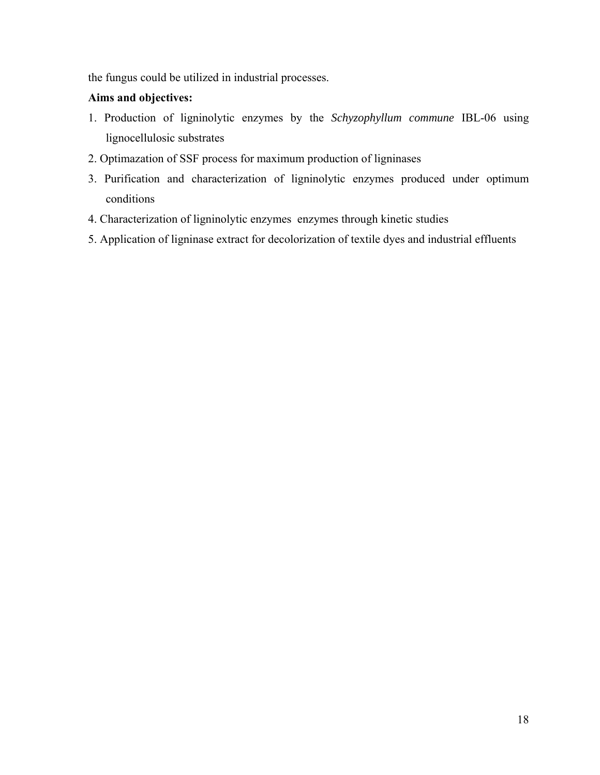the fungus could be utilized in industrial processes.

#### **Aims and objectives:**

- 1. Production of ligninolytic enzymes by the *Schyzophyllum commune* IBL-06 using lignocellulosic substrates
- 2. Optimazation of SSF process for maximum production of ligninases
- 3. Purification and characterization of ligninolytic enzymes produced under optimum conditions
- 4. Characterization of ligninolytic enzymes enzymes through kinetic studies
- 5. Application of ligninase extract for decolorization of textile dyes and industrial effluents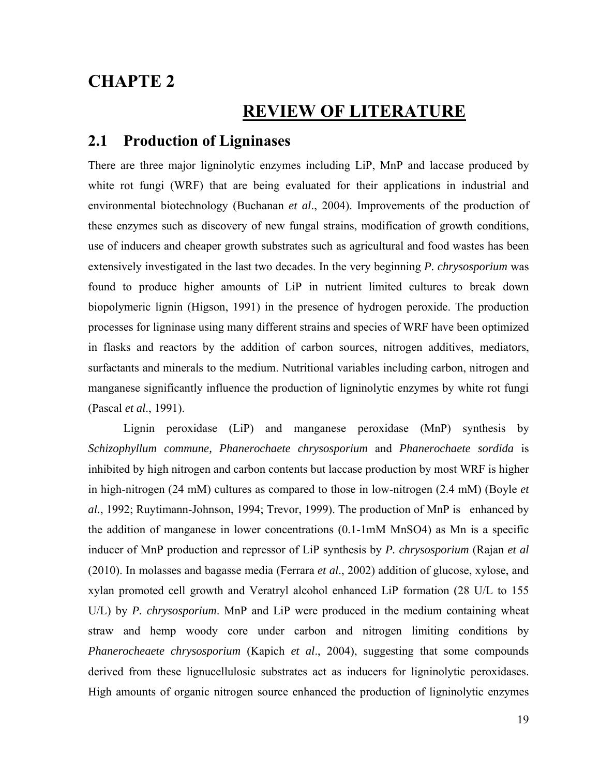### **CHAPTE 2**

### **REVIEW OF LITERATURE**

#### **2.1 Production of Ligninases**

There are three major ligninolytic enzymes including LiP, MnP and laccase produced by white rot fungi (WRF) that are being evaluated for their applications in industrial and environmental biotechnology (Buchanan *et al*., 2004). Improvements of the production of these enzymes such as discovery of new fungal strains, modification of growth conditions, use of inducers and cheaper growth substrates such as agricultural and food wastes has been extensively investigated in the last two decades. In the very beginning *P. chrysosporium* was found to produce higher amounts of LiP in nutrient limited cultures to break down biopolymeric lignin (Higson, 1991) in the presence of hydrogen peroxide. The production processes for ligninase using many different strains and species of WRF have been optimized in flasks and reactors by the addition of carbon sources, nitrogen additives, mediators, surfactants and minerals to the medium. Nutritional variables including carbon, nitrogen and manganese significantly influence the production of ligninolytic enzymes by white rot fungi (Pascal *et al*., 1991).

Lignin peroxidase (LiP) and manganese peroxidase (MnP) synthesis by *Schizophyllum commune, Phanerochaete chrysosporium* and *Phanerochaete sordida* is inhibited by high nitrogen and carbon contents but laccase production by most WRF is higher in high-nitrogen (24 mM) cultures as compared to those in low-nitrogen (2.4 mM) (Boyle *et al.*, 1992; Ruytimann-Johnson, 1994; Trevor, 1999). The production of MnP is enhanced by the addition of manganese in lower concentrations (0.1-1mM MnSO4) as Mn is a specific inducer of MnP production and repressor of LiP synthesis by *P. chrysosporium* (Rajan *et al* (2010). In molasses and bagasse media (Ferrara *et al*., 2002) addition of glucose, xylose, and xylan promoted cell growth and Veratryl alcohol enhanced LiP formation (28 U/L to 155 U/L) by *P. chrysosporium*. MnP and LiP were produced in the medium containing wheat straw and hemp woody core under carbon and nitrogen limiting conditions by *Phanerocheaete chrysosporium* (Kapich *et al*., 2004), suggesting that some compounds derived from these lignucellulosic substrates act as inducers for ligninolytic peroxidases. High amounts of organic nitrogen source enhanced the production of ligninolytic enzymes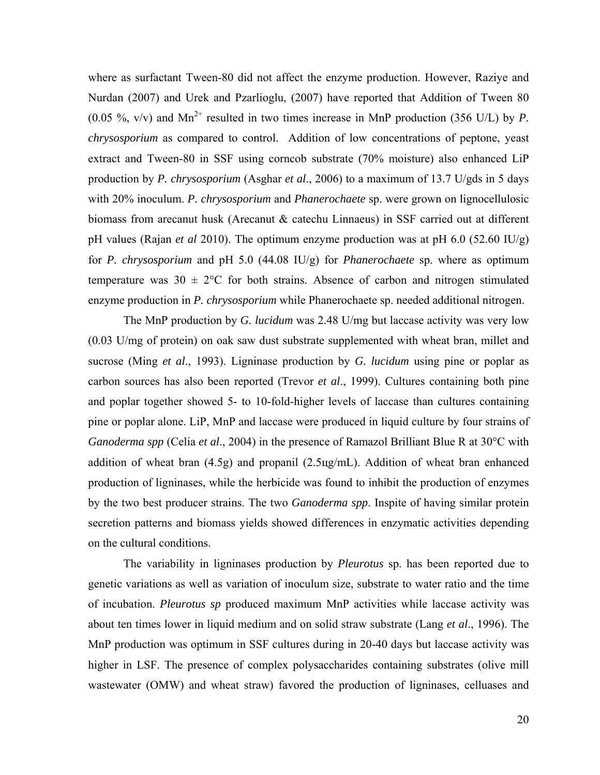where as surfactant Tween-80 did not affect the enzyme production. However, Raziye and Nurdan (2007) and Urek and Pzarlioglu, (2007) have reported that Addition of Tween 80 (0.05  $\%$ , v/v) and Mn<sup>2+</sup> resulted in two times increase in MnP production (356 U/L) by *P*. *chrysosporium* as compared to control. Addition of low concentrations of peptone, yeast extract and Tween-80 in SSF using corncob substrate (70% moisture) also enhanced LiP production by *P. chrysosporium* (Asghar *et al*., 2006) to a maximum of 13.7 U/gds in 5 days with 20% inoculum. *P. chrysosporium* and *Phanerochaete* sp. were grown on lignocellulosic biomass from arecanut husk (Arecanut & catechu Linnaeus) in SSF carried out at different pH values (Rajan *et al* 2010). The optimum enzyme production was at pH 6.0 (52.60 IU/g) for *P. chrysosporium* and pH 5.0 (44.08 IU/g) for *Phanerochaete* sp. where as optimum temperature was  $30 \pm 2^{\circ}$ C for both strains. Absence of carbon and nitrogen stimulated enzyme production in *P. chrysosporium* while Phanerochaete sp. needed additional nitrogen.

The MnP production by *G. lucidum* was 2.48 U/mg but laccase activity was very low (0.03 U/mg of protein) on oak saw dust substrate supplemented with wheat bran, millet and sucrose (Ming *et al*., 1993). Ligninase production by *G. lucidum* using pine or poplar as carbon sources has also been reported (Trevor *et al*., 1999). Cultures containing both pine and poplar together showed 5- to 10-fold-higher levels of laccase than cultures containing pine or poplar alone. LiP, MnP and laccase were produced in liquid culture by four strains of *Ganoderma spp* (Celia *et al*., 2004) in the presence of Ramazol Brilliant Blue R at 30°C with addition of wheat bran (4.5g) and propanil (2.5цg/mL). Addition of wheat bran enhanced production of ligninases, while the herbicide was found to inhibit the production of enzymes by the two best producer strains. The two *Ganoderma spp*. Inspite of having similar protein secretion patterns and biomass yields showed differences in enzymatic activities depending on the cultural conditions.

The variability in ligninases production by *Pleurotus* sp. has been reported due to genetic variations as well as variation of inoculum size, substrate to water ratio and the time of incubation. *Pleurotus sp* produced maximum MnP activities while laccase activity was about ten times lower in liquid medium and on solid straw substrate (Lang *et al*., 1996). The MnP production was optimum in SSF cultures during in 20-40 days but laccase activity was higher in LSF. The presence of complex polysaccharides containing substrates (olive mill wastewater (OMW) and wheat straw) favored the production of ligninases, celluases and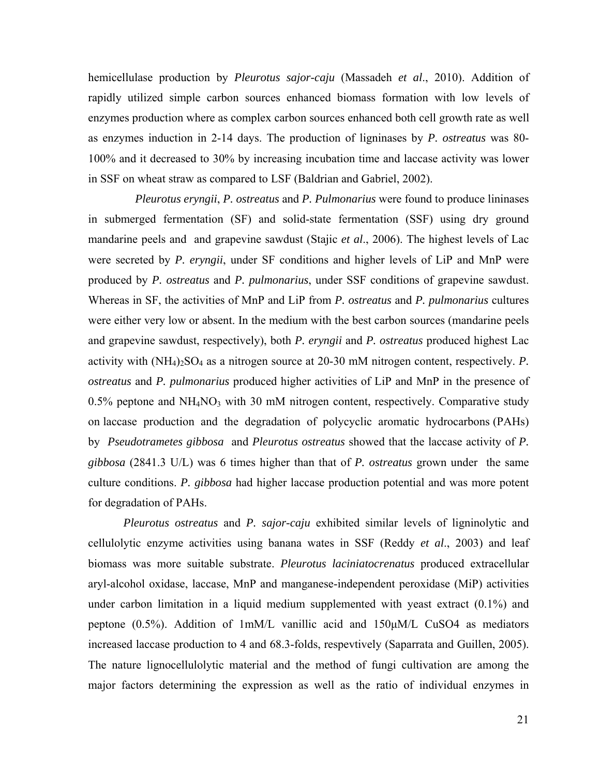hemicellulase production by *Pleurotus sajor-caju* (Massadeh *et al*., 2010). Addition of rapidly utilized simple carbon sources enhanced biomass formation with low levels of enzymes production where as complex carbon sources enhanced both cell growth rate as well as enzymes induction in 2-14 days. The production of ligninases by *P. ostreatus* was 80- 100% and it decreased to 30% by increasing incubation time and laccase activity was lower in SSF on wheat straw as compared to LSF (Baldrian and Gabriel, 2002).

 *Pleurotus eryngii*, *P. ostreatus* and *P. Pulmonarius* were found to produce lininases in submerged fermentation (SF) and solid-state fermentation (SSF) using dry ground mandarine peels and and grapevine sawdust (Stajic *et al*., 2006). The highest levels of Lac were secreted by *P. eryngii*, under SF conditions and higher levels of LiP and MnP were produced by *P. ostreatus* and *P. pulmonarius*, under SSF conditions of grapevine sawdust. Whereas in SF, the activities of MnP and LiP from *P. ostreatus* and *P. pulmonarius* cultures were either very low or absent. In the medium with the best carbon sources (mandarine peels and grapevine sawdust, respectively), both *P. eryngii* and *P. ostreatus* produced highest Lac activity with  $(NH_4)$ <sub>2</sub>SO<sub>4</sub> as a nitrogen source at 20-30 mM nitrogen content, respectively. *P*. *ostreatus* and *P. pulmonarius* produced higher activities of LiP and MnP in the presence of  $0.5\%$  peptone and NH<sub>4</sub>NO<sub>3</sub> with 30 mM nitrogen content, respectively. Comparative study on laccase production and the degradation of polycyclic aromatic hydrocarbons (PAHs) by *Pseudotrametes gibbosa* and *Pleurotus ostreatus* showed that the laccase activity of *P. gibbosa* (2841.3 U/L) was 6 times higher than that of *P. ostreatus* grown under the same culture conditions. *P. gibbosa* had higher laccase production potential and was more potent for degradation of PAHs.

*Pleurotus ostreatus* and *P. sajor-caju* exhibited similar levels of ligninolytic and cellulolytic enzyme activities using banana wates in SSF (Reddy *et al*., 2003) and leaf biomass was more suitable substrate. *Pleurotus laciniatocrenatus* produced extracellular aryl-alcohol oxidase, laccase, MnP and manganese-independent peroxidase (MiP) activities under carbon limitation in a liquid medium supplemented with yeast extract (0.1%) and peptone (0.5%). Addition of 1mM/L vanillic acid and 150μM/L CuSO4 as mediators increased laccase production to 4 and 68.3-folds, respevtively (Saparrata and Guillen, 2005). The nature lignocellulolytic material and the method of fungi cultivation are among the major factors determining the expression as well as the ratio of individual enzymes in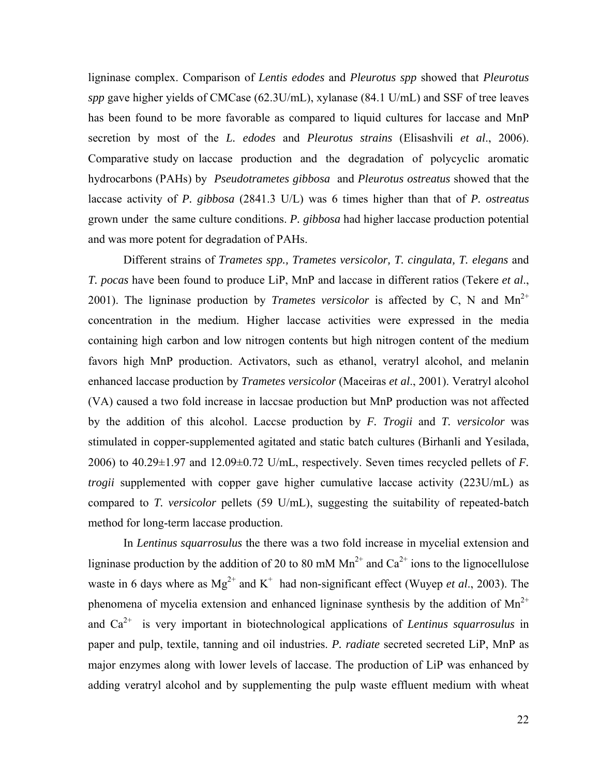ligninase complex. Comparison of *Lentis edodes* and *Pleurotus spp* showed that *Pleurotus spp* gave higher yields of CMCase (62.3U/mL), xylanase (84.1 U/mL) and SSF of tree leaves has been found to be more favorable as compared to liquid cultures for laccase and MnP secretion by most of the *L. edodes* and *Pleurotus strains* (Elisashvili *et al*., 2006). Comparative study on laccase production and the degradation of polycyclic aromatic hydrocarbons (PAHs) by *Pseudotrametes gibbosa* and *Pleurotus ostreatus* showed that the laccase activity of *P. gibbosa* (2841.3 U/L) was 6 times higher than that of *P. ostreatus* grown under the same culture conditions. *P. gibbosa* had higher laccase production potential and was more potent for degradation of PAHs.

Different strains of *Trametes spp., Trametes versicolor, T. cingulata, T. elegans* and *T. pocas* have been found to produce LiP, MnP and laccase in different ratios (Tekere *et al*., 2001). The ligninase production by *Trametes versicolor* is affected by C, N and  $Mn^{2+}$ concentration in the medium. Higher laccase activities were expressed in the media containing high carbon and low nitrogen contents but high nitrogen content of the medium favors high MnP production. Activators, such as ethanol, veratryl alcohol, and melanin enhanced laccase production by *Trametes versicolor* (Maceiras *et al*., 2001). Veratryl alcohol (VA) caused a two fold increase in laccsae production but MnP production was not affected by the addition of this alcohol. Laccse production by *F. Trogii* and *T. versicolor* was stimulated in copper-supplemented agitated and static batch cultures (Birhanli and Yesilada, 2006) to 40.29±1.97 and 12.09±0.72 U/mL, respectively. Seven times recycled pellets of *F. trogii* supplemented with copper gave higher cumulative laccase activity (223U/mL) as compared to *T. versicolor* pellets (59 U/mL), suggesting the suitability of repeated-batch method for long-term laccase production.

In *Lentinus squarrosulus* the there was a two fold increase in mycelial extension and ligninase production by the addition of 20 to 80 mM  $Mn^{2+}$  and  $Ca^{2+}$  ions to the lignocellulose waste in 6 days where as  $Mg^{2+}$  and K<sup>+</sup> had non-significant effect (Wuyep *et al.*, 2003). The phenomena of mycelia extension and enhanced ligninase synthesis by the addition of  $Mn^{2+}$ and Ca<sup>2+</sup> is very important in biotechnological applications of *Lentinus squarrosulus* in paper and pulp, textile, tanning and oil industries. *P. radiate* secreted secreted LiP, MnP as major enzymes along with lower levels of laccase. The production of LiP was enhanced by adding veratryl alcohol and by supplementing the pulp waste effluent medium with wheat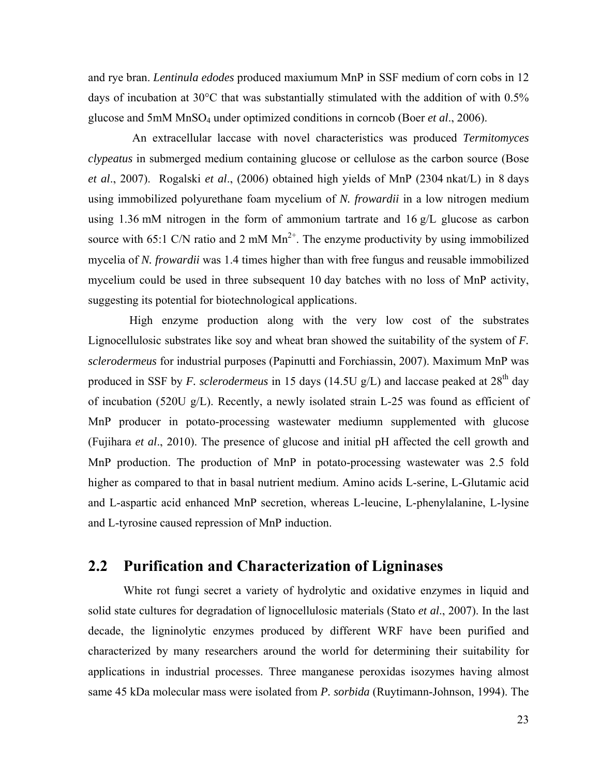and rye bran. *Lentinula edodes* produced maxiumum MnP in SSF medium of corn cobs in 12 days of incubation at  $30^{\circ}$ C that was substantially stimulated with the addition of with 0.5% glucose and 5mM MnSO4 under optimized conditions in corncob (Boer *et al*., 2006).

 An extracellular laccase with novel characteristics was produced *Termitomyces clypeatus* in submerged medium containing glucose or cellulose as the carbon source (Bose *et al*., 2007). Rogalski *et al*., (2006) obtained high yields of MnP (2304 nkat/L) in 8 days using immobilized polyurethane foam mycelium of *N. frowardii* in a low nitrogen medium using 1.36 mM nitrogen in the form of ammonium tartrate and 16 g/L glucose as carbon source with 65:1 C/N ratio and 2 mM  $Mn^{2+}$ . The enzyme productivity by using immobilized mycelia of *N. frowardii* was 1.4 times higher than with free fungus and reusable immobilized mycelium could be used in three subsequent 10 day batches with no loss of MnP activity, suggesting its potential for biotechnological applications.

 High enzyme production along with the very low cost of the substrates Lignocellulosic substrates like soy and wheat bran showed the suitability of the system of *F. sclerodermeus* for industrial purposes (Papinutti and Forchiassin, 2007). Maximum MnP was produced in SSF by *F. sclerodermeus* in 15 days (14.5U g/L) and laccase peaked at 28<sup>th</sup> day of incubation (520U g/L). Recently, a newly isolated strain L-25 was found as efficient of MnP producer in potato-processing wastewater mediumn supplemented with glucose (Fujihara *et al*., 2010). The presence of glucose and initial pH affected the cell growth and MnP production. The production of MnP in potato-processing wastewater was 2.5 fold higher as compared to that in basal nutrient medium. Amino acids L-serine, L-Glutamic acid and L-aspartic acid enhanced MnP secretion, whereas L-leucine, L-phenylalanine, L-lysine and L-tyrosine caused repression of MnP induction.

#### **2.2 Purification and Characterization of Ligninases**

White rot fungi secret a variety of hydrolytic and oxidative enzymes in liquid and solid state cultures for degradation of lignocellulosic materials (Stato *et al*., 2007). In the last decade, the ligninolytic enzymes produced by different WRF have been purified and characterized by many researchers around the world for determining their suitability for applications in industrial processes. Three manganese peroxidas isozymes having almost same 45 kDa molecular mass were isolated from *P. sorbida* (Ruytimann-Johnson, 1994). The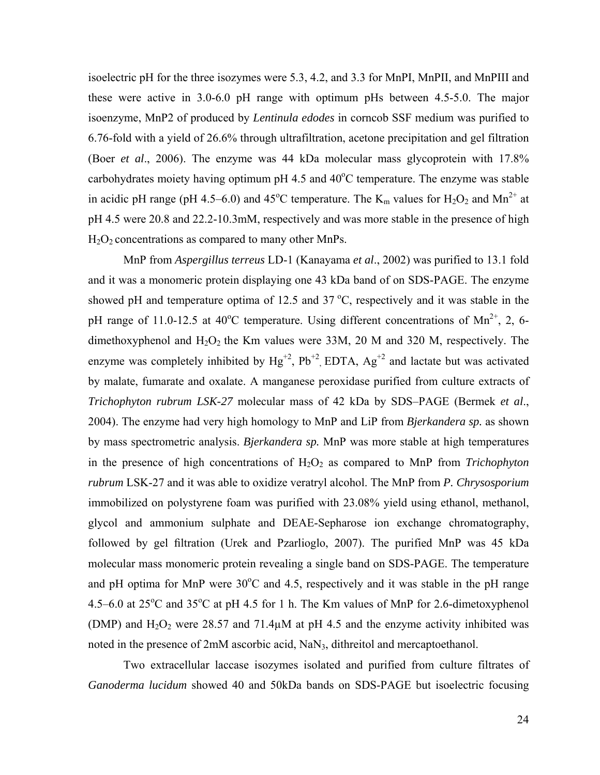isoelectric pH for the three isozymes were 5.3, 4.2, and 3.3 for MnPI, MnPII, and MnPIII and these were active in 3.0-6.0 pH range with optimum pHs between 4.5-5.0. The major isoenzyme, MnP2 of produced by *Lentinula edodes* in corncob SSF medium was purified to 6.76-fold with a yield of 26.6% through ultrafiltration, acetone precipitation and gel filtration (Boer *et al*., 2006). The enzyme was 44 kDa molecular mass glycoprotein with 17.8% carbohydrates moiety having optimum pH 4.5 and  $40^{\circ}$ C temperature. The enzyme was stable in acidic pH range (pH 4.5–6.0) and 45<sup>o</sup>C temperature. The  $K_m$  values for  $H_2O_2$  and  $Mn^{2+}$  at pH 4.5 were 20.8 and 22.2-10.3mM, respectively and was more stable in the presence of high  $H<sub>2</sub>O<sub>2</sub>$  concentrations as compared to many other MnPs.

MnP from *Aspergillus terreus* LD-1 (Kanayama *et al*., 2002) was purified to 13.1 fold and it was a monomeric protein displaying one 43 kDa band of on SDS-PAGE. The enzyme showed pH and temperature optima of 12.5 and  $37^{\circ}$ C, respectively and it was stable in the pH range of 11.0-12.5 at 40<sup>o</sup>C temperature. Using different concentrations of Mn<sup>2+</sup>, 2, 6dimethoxyphenol and  $H_2O_2$  the Km values were 33M, 20 M and 320 M, respectively. The enzyme was completely inhibited by  $Hg^{+2}$ ,  $Pb^{+2}$  EDTA,  $Ag^{+2}$  and lactate but was activated by malate, fumarate and oxalate. A manganese peroxidase purified from culture extracts of *Trichophyton rubrum LSK-27* molecular mass of 42 kDa by SDS–PAGE (Bermek *et al*., 2004). The enzyme had very high homology to MnP and LiP from *Bjerkandera sp.* as shown by mass spectrometric analysis. *Bjerkandera sp.* MnP was more stable at high temperatures in the presence of high concentrations of  $H_2O_2$  as compared to MnP from *Trichophyton rubrum* LSK-27 and it was able to oxidize veratryl alcohol. The MnP from *P. Chrysosporium* immobilized on polystyrene foam was purified with 23.08% yield using ethanol, methanol, glycol and ammonium sulphate and DEAE-Sepharose ion exchange chromatography, followed by gel filtration (Urek and Pzarlioglo, 2007). The purified MnP was 45 kDa molecular mass monomeric protein revealing a single band on SDS-PAGE. The temperature and pH optima for MnP were  $30^{\circ}$ C and 4.5, respectively and it was stable in the pH range  $4.5-6.0$  at  $25^{\circ}$ C and  $35^{\circ}$ C at pH 4.5 for 1 h. The Km values of MnP for 2.6-dimetoxyphenol (DMP) and  $H_2O_2$  were 28.57 and 71.4 $\mu$ M at pH 4.5 and the enzyme activity inhibited was noted in the presence of 2mM ascorbic acid, NaN<sub>3</sub>, dithreitol and mercaptoethanol.

Two extracellular laccase isozymes isolated and purified from culture filtrates of *Ganoderma lucidum* showed 40 and 50kDa bands on SDS-PAGE but isoelectric focusing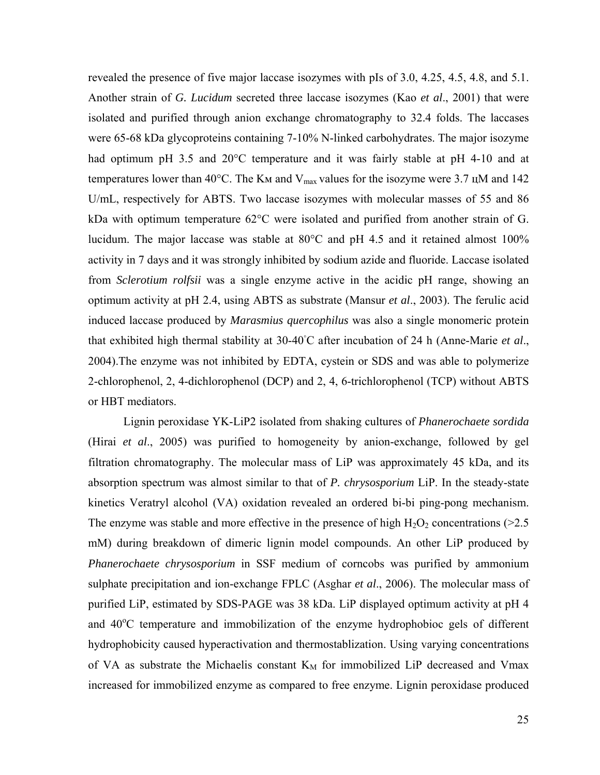revealed the presence of five major laccase isozymes with pIs of 3.0, 4.25, 4.5, 4.8, and 5.1. Another strain of *G. Lucidum* secreted three laccase isozymes (Kao *et al*., 2001) that were isolated and purified through anion exchange chromatography to 32.4 folds. The laccases were 65-68 kDa glycoproteins containing 7-10% N-linked carbohydrates. The major isozyme had optimum pH 3.5 and 20°C temperature and it was fairly stable at pH 4-10 and at temperatures lower than 40°C. The K<sub>M</sub> and V<sub>max</sub> values for the isozyme were 3.7  $\mu$ M and 142 U/mL, respectively for ABTS. Two laccase isozymes with molecular masses of 55 and 86 kDa with optimum temperature 62°C were isolated and purified from another strain of G. lucidum. The major laccase was stable at 80°C and pH 4.5 and it retained almost 100% activity in 7 days and it was strongly inhibited by sodium azide and fluoride. Laccase isolated from *Sclerotium rolfsii* was a single enzyme active in the acidic pH range, showing an optimum activity at pH 2.4, using ABTS as substrate (Mansur *et al*., 2003). The ferulic acid induced laccase produced by *Marasmius quercophilus* was also a single monomeric protein that exhibited high thermal stability at 30-40◦ C after incubation of 24 h (Anne-Marie *et al*., 2004).The enzyme was not inhibited by EDTA, cystein or SDS and was able to polymerize 2-chlorophenol, 2, 4-dichlorophenol (DCP) and 2, 4, 6-trichlorophenol (TCP) without ABTS or HBT mediators.

Lignin peroxidase YK-LiP2 isolated from shaking cultures of *Phanerochaete sordida* (Hirai *et al*., 2005) was purified to homogeneity by anion-exchange, followed by gel filtration chromatography. The molecular mass of LiP was approximately 45 kDa, and its absorption spectrum was almost similar to that of *P. chrysosporium* LiP. In the steady-state kinetics Veratryl alcohol (VA) oxidation revealed an ordered bi-bi ping-pong mechanism. The enzyme was stable and more effective in the presence of high  $H_2O_2$  concentrations (>2.5) mM) during breakdown of dimeric lignin model compounds. An other LiP produced by *Phanerochaete chrysosporium* in SSF medium of corncobs was purified by ammonium sulphate precipitation and ion-exchange FPLC (Asghar *et al*., 2006). The molecular mass of purified LiP, estimated by SDS-PAGE was 38 kDa. LiP displayed optimum activity at pH 4 and  $40^{\circ}$ C temperature and immobilization of the enzyme hydrophobioc gels of different hydrophobicity caused hyperactivation and thermostablization. Using varying concentrations of VA as substrate the Michaelis constant  $K_M$  for immobilized LiP decreased and Vmax increased for immobilized enzyme as compared to free enzyme. Lignin peroxidase produced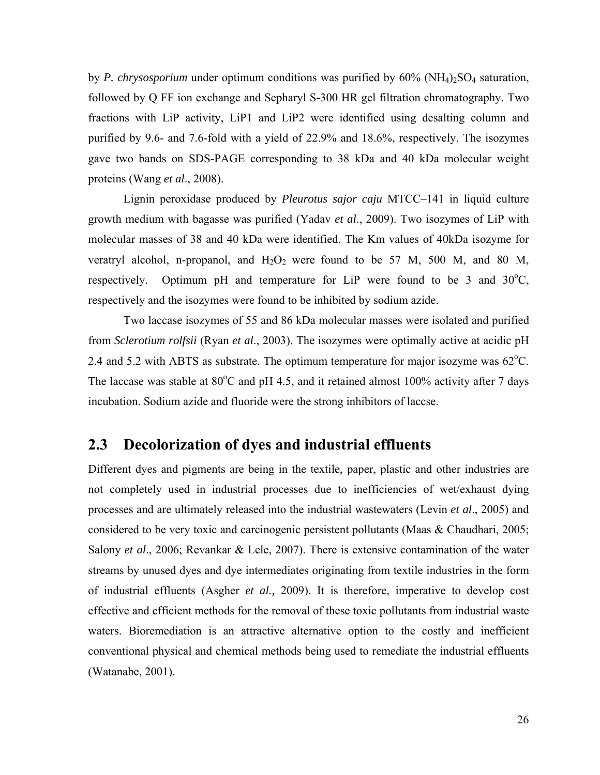by *P. chrysosporium* under optimum conditions was purified by  $60\%$  (NH<sub>4</sub>)<sub>2</sub>SO<sub>4</sub> saturation, followed by Q FF ion exchange and Sepharyl S-300 HR gel filtration chromatography. Two fractions with LiP activity, LiP1 and LiP2 were identified using desalting column and purified by 9.6- and 7.6-fold with a yield of 22.9% and 18.6%, respectively. The isozymes gave two bands on SDS-PAGE corresponding to 38 kDa and 40 kDa molecular weight proteins (Wang *et al*., 2008).

Lignin peroxidase produced by *Pleurotus sajor caju* MTCC–141 in liquid culture growth medium with bagasse was purified (Yadav *et al*., 2009). Two isozymes of LiP with molecular masses of 38 and 40 kDa were identified. The Km values of 40kDa isozyme for veratryl alcohol, n-propanol, and  $H_2O_2$  were found to be 57 M, 500 M, and 80 M, respectively. Optimum pH and temperature for LiP were found to be  $3$  and  $30^{\circ}$ C, respectively and the isozymes were found to be inhibited by sodium azide.

Two laccase isozymes of 55 and 86 kDa molecular masses were isolated and purified from *Sclerotium rolfsii* (Ryan *et al*., 2003). The isozymes were optimally active at acidic pH 2.4 and 5.2 with ABTS as substrate. The optimum temperature for major isozyme was  $62^{\circ}$ C. The laccase was stable at  $80^{\circ}$ C and pH 4.5, and it retained almost 100% activity after 7 days incubation. Sodium azide and fluoride were the strong inhibitors of laccse.

#### **2.3 Decolorization of dyes and industrial effluents**

Different dyes and pigments are being in the textile, paper, plastic and other industries are not completely used in industrial processes due to inefficiencies of wet/exhaust dying processes and are ultimately released into the industrial wastewaters (Levin *et al*., 2005) and considered to be very toxic and carcinogenic persistent pollutants (Maas & Chaudhari, 2005; Salony *et al*., 2006; Revankar & Lele, 2007). There is extensive contamination of the water streams by unused dyes and dye intermediates originating from textile industries in the form of industrial effluents (Asgher *et al.,* 2009). It is therefore, imperative to develop cost effective and efficient methods for the removal of these toxic pollutants from industrial waste waters. Bioremediation is an attractive alternative option to the costly and inefficient conventional physical and chemical methods being used to remediate the industrial effluents (Watanabe, 2001).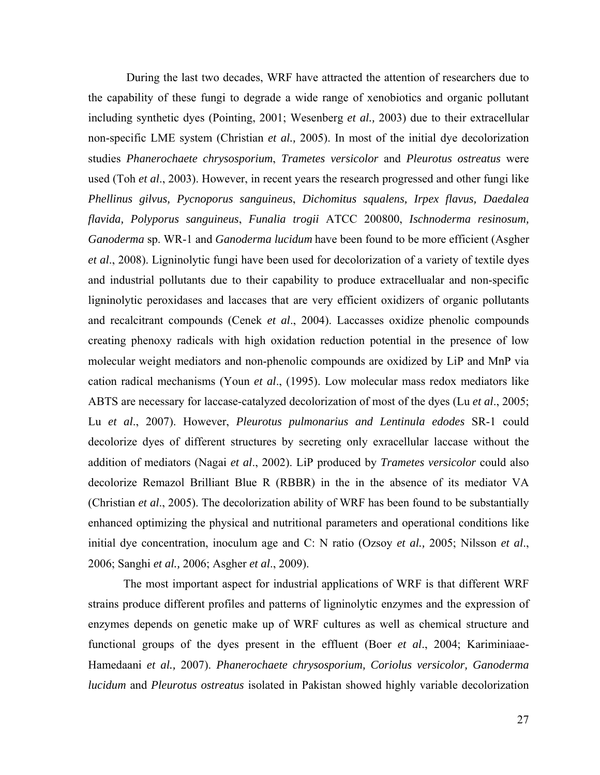During the last two decades, WRF have attracted the attention of researchers due to the capability of these fungi to degrade a wide range of xenobiotics and organic pollutant including synthetic dyes (Pointing, 2001; Wesenberg *et al.,* 2003) due to their extracellular non-specific LME system (Christian *et al.,* 2005). In most of the initial dye decolorization studies *Phanerochaete chrysosporium*, *Trametes versicolor* and *Pleurotus ostreatus* were used (Toh *et al*., 2003). However, in recent years the research progressed and other fungi like *Phellinus gilvus, Pycnoporus sanguineus*, *Dichomitus squalens, Irpex flavus, Daedalea flavida, Polyporus sanguineus*, *Funalia trogii* ATCC 200800, *Ischnoderma resinosum, Ganoderma* sp. WR-1 and *Ganoderma lucidum* have been found to be more efficient (Asgher *et al*., 2008). Ligninolytic fungi have been used for decolorization of a variety of textile dyes and industrial pollutants due to their capability to produce extracellualar and non-specific ligninolytic peroxidases and laccases that are very efficient oxidizers of organic pollutants and recalcitrant compounds (Cenek *et al*., 2004). Laccasses oxidize phenolic compounds creating phenoxy radicals with high oxidation reduction potential in the presence of low molecular weight mediators and non-phenolic compounds are oxidized by LiP and MnP via cation radical mechanisms (Youn *et al*., (1995). Low molecular mass redox mediators like ABTS are necessary for laccase-catalyzed decolorization of most of the dyes (Lu *et al*., 2005; Lu *et al*., 2007). However, *Pleurotus pulmonarius and Lentinula edodes* SR-1 could decolorize dyes of different structures by secreting only exracellular laccase without the addition of mediators (Nagai *et al*., 2002). LiP produced by *Trametes versicolor* could also decolorize Remazol Brilliant Blue R (RBBR) in the in the absence of its mediator VA (Christian *et al*., 2005). The decolorization ability of WRF has been found to be substantially enhanced optimizing the physical and nutritional parameters and operational conditions like initial dye concentration, inoculum age and C: N ratio (Ozsoy *et al.,* 2005; Nilsson *et al*., 2006; Sanghi *et al.,* 2006; Asgher *et al*., 2009).

The most important aspect for industrial applications of WRF is that different WRF strains produce different profiles and patterns of ligninolytic enzymes and the expression of enzymes depends on genetic make up of WRF cultures as well as chemical structure and functional groups of the dyes present in the effluent (Boer *et al*., 2004; Kariminiaae-Hamedaani *et al.,* 2007). *Phanerochaete chrysosporium, Coriolus versicolor, Ganoderma lucidum* and *Pleurotus ostreatus* isolated in Pakistan showed highly variable decolorization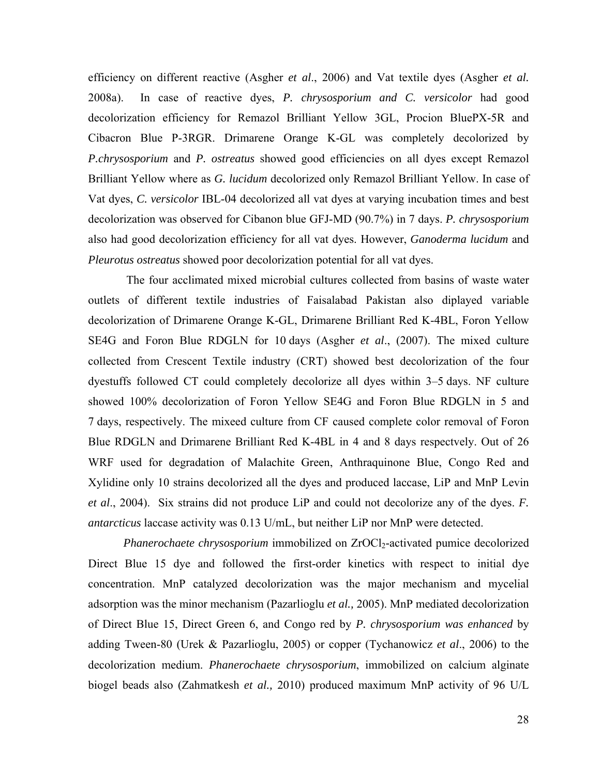efficiency on different reactive (Asgher *et al*., 2006) and Vat textile dyes (Asgher *et al.* 2008a). In case of reactive dyes, *P. chrysosporium and C. versicolor* had good decolorization efficiency for Remazol Brilliant Yellow 3GL, Procion BluePX-5R and Cibacron Blue P-3RGR. Drimarene Orange K-GL was completely decolorized by *P.chrysosporium* and *P. ostreatus* showed good efficiencies on all dyes except Remazol Brilliant Yellow where as *G. lucidum* decolorized only Remazol Brilliant Yellow. In case of Vat dyes, *C. versicolor* IBL-04 decolorized all vat dyes at varying incubation times and best decolorization was observed for Cibanon blue GFJ-MD (90.7%) in 7 days. *P. chrysosporium*  also had good decolorization efficiency for all vat dyes. However, *Ganoderma lucidum* and *Pleurotus ostreatus* showed poor decolorization potential for all vat dyes.

 The four acclimated mixed microbial cultures collected from basins of waste water outlets of different textile industries of Faisalabad Pakistan also diplayed variable decolorization of Drimarene Orange K-GL, Drimarene Brilliant Red K-4BL, Foron Yellow SE4G and Foron Blue RDGLN for 10 days (Asgher *et al*., (2007). The mixed culture collected from Crescent Textile industry (CRT) showed best decolorization of the four dyestuffs followed CT could completely decolorize all dyes within 3–5 days. NF culture showed 100% decolorization of Foron Yellow SE4G and Foron Blue RDGLN in 5 and 7 days, respectively. The mixeed culture from CF caused complete color removal of Foron Blue RDGLN and Drimarene Brilliant Red K-4BL in 4 and 8 days respectvely. Out of 26 WRF used for degradation of Malachite Green, Anthraquinone Blue, Congo Red and Xylidine only 10 strains decolorized all the dyes and produced laccase, LiP and MnP Levin *et al*., 2004). Six strains did not produce LiP and could not decolorize any of the dyes. *F. antarcticus* laccase activity was 0.13 U/mL, but neither LiP nor MnP were detected.

*Phanerochaete chrysosporium* immobilized on ZrOCl<sub>2</sub>-activated pumice decolorized Direct Blue 15 dye and followed the first-order kinetics with respect to initial dye concentration. MnP catalyzed decolorization was the major mechanism and mycelial adsorption was the minor mechanism (Pazarlioglu *et al.,* 2005). MnP mediated decolorization of Direct Blue 15, Direct Green 6, and Congo red by *P. chrysosporium was enhanced* by adding Tween-80 (Urek & Pazarlioglu, 2005) or copper (Tychanowicz *et al*., 2006) to the decolorization medium. *Phanerochaete chrysosporium*, immobilized on calcium alginate biogel beads also (Zahmatkesh *et al.,* 2010) produced maximum MnP activity of 96 U/L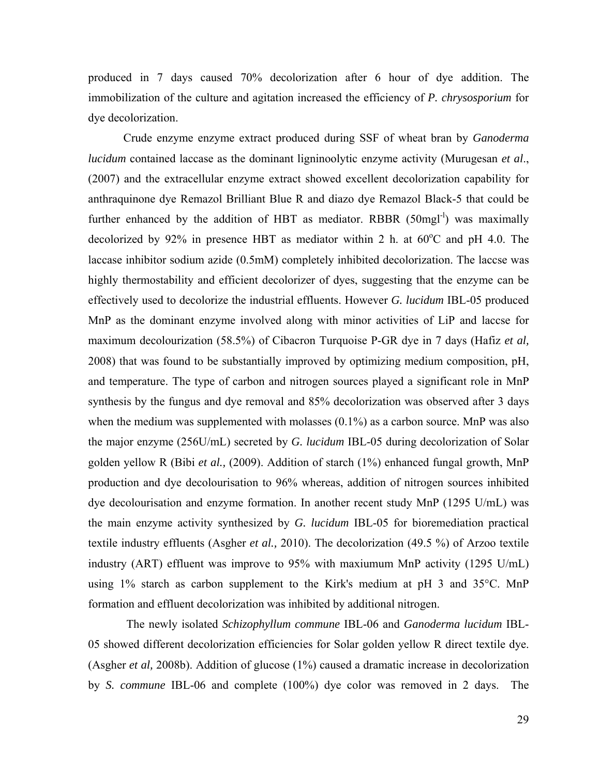produced in 7 days caused 70% decolorization after 6 hour of dye addition. The immobilization of the culture and agitation increased the efficiency of *P. chrysosporium* for dye decolorization.

Crude enzyme enzyme extract produced during SSF of wheat bran by *Ganoderma lucidum* contained laccase as the dominant ligninoolytic enzyme activity (Murugesan *et al*., (2007) and the extracellular enzyme extract showed excellent decolorization capability for anthraquinone dye Remazol Brilliant Blue R and diazo dye Remazol Black-5 that could be further enhanced by the addition of HBT as mediator. RBBR  $(50mgl<sup>-1</sup>)$  was maximally decolorized by 92% in presence HBT as mediator within 2 h. at  $60^{\circ}$ C and pH 4.0. The laccase inhibitor sodium azide (0.5mM) completely inhibited decolorization. The laccse was highly thermostability and efficient decolorizer of dyes, suggesting that the enzyme can be effectively used to decolorize the industrial effluents. However *G. lucidum* IBL-05 produced MnP as the dominant enzyme involved along with minor activities of LiP and laccse for maximum decolourization (58.5%) of Cibacron Turquoise P-GR dye in 7 days (Hafiz *et al,* 2008) that was found to be substantially improved by optimizing medium composition, pH, and temperature. The type of carbon and nitrogen sources played a significant role in MnP synthesis by the fungus and dye removal and 85% decolorization was observed after 3 days when the medium was supplemented with molasses (0.1%) as a carbon source. MnP was also the major enzyme (256U/mL) secreted by *G. lucidum* IBL-05 during decolorization of Solar golden yellow R (Bibi *et al.,* (2009). Addition of starch (1%) enhanced fungal growth, MnP production and dye decolourisation to 96% whereas, addition of nitrogen sources inhibited dye decolourisation and enzyme formation. In another recent study MnP (1295 U/mL) was the main enzyme activity synthesized by *G. lucidum* IBL-05 for bioremediation practical textile industry effluents (Asgher *et al.,* 2010). The decolorization (49.5 %) of Arzoo textile industry (ART) effluent was improve to 95% with maxiumum MnP activity (1295 U/mL) using 1% starch as carbon supplement to the Kirk's medium at pH 3 and  $35^{\circ}$ C. MnP formation and effluent decolorization was inhibited by additional nitrogen.

 The newly isolated *Schizophyllum commune* IBL-06 and *Ganoderma lucidum* IBL-05 showed different decolorization efficiencies for Solar golden yellow R direct textile dye. (Asgher *et al,* 2008b). Addition of glucose (1%) caused a dramatic increase in decolorization by *S. commune* IBL-06 and complete (100%) dye color was removed in 2 days. The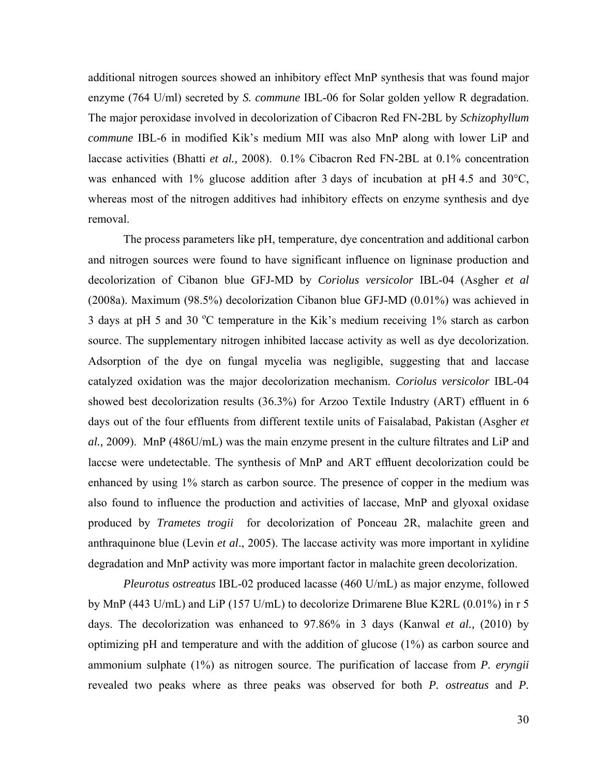additional nitrogen sources showed an inhibitory effect MnP synthesis that was found major enzyme (764 U/ml) secreted by *S. commune* IBL-06 for Solar golden yellow R degradation. The major peroxidase involved in decolorization of Cibacron Red FN-2BL by *Schizophyllum commune* IBL-6 in modified Kik's medium MII was also MnP along with lower LiP and laccase activities (Bhatti *et al.,* 2008). 0.1% Cibacron Red FN-2BL at 0.1% concentration was enhanced with 1% glucose addition after 3 days of incubation at pH 4.5 and 30°C, whereas most of the nitrogen additives had inhibitory effects on enzyme synthesis and dye removal.

The process parameters like pH, temperature, dye concentration and additional carbon and nitrogen sources were found to have significant influence on ligninase production and decolorization of Cibanon blue GFJ-MD by *Coriolus versicolor* IBL-04 (Asgher *et al* (2008a). Maximum (98.5%) decolorization Cibanon blue GFJ-MD (0.01%) was achieved in 3 days at pH 5 and 30  $\rm{^{\circ}C}$  temperature in the Kik's medium receiving 1% starch as carbon source. The supplementary nitrogen inhibited laccase activity as well as dye decolorization. Adsorption of the dye on fungal mycelia was negligible, suggesting that and laccase catalyzed oxidation was the major decolorization mechanism. *Coriolus versicolor* IBL-04 showed best decolorization results (36.3%) for Arzoo Textile Industry (ART) effluent in 6 days out of the four effluents from different textile units of Faisalabad, Pakistan (Asgher *et al.,* 2009). MnP (486U/mL) was the main enzyme present in the culture filtrates and LiP and laccse were undetectable. The synthesis of MnP and ART effluent decolorization could be enhanced by using 1% starch as carbon source. The presence of copper in the medium was also found to influence the production and activities of laccase, MnP and glyoxal oxidase produced by *Trametes trogii* for decolorization of Ponceau 2R, malachite green and anthraquinone blue (Levin *et al*., 2005). The laccase activity was more important in xylidine degradation and MnP activity was more important factor in malachite green decolorization.

*Pleurotus ostreatus* IBL-02 produced lacasse (460 U/mL) as major enzyme, followed by MnP (443 U/mL) and LiP (157 U/mL) to decolorize Drimarene Blue K2RL (0.01%) in r 5 days. The decolorization was enhanced to 97.86% in 3 days (Kanwal *et al.,* (2010) by optimizing pH and temperature and with the addition of glucose (1%) as carbon source and ammonium sulphate (1%) as nitrogen source. The purification of laccase from *P. eryngii* revealed two peaks where as three peaks was observed for both *P. ostreatus* and *P.*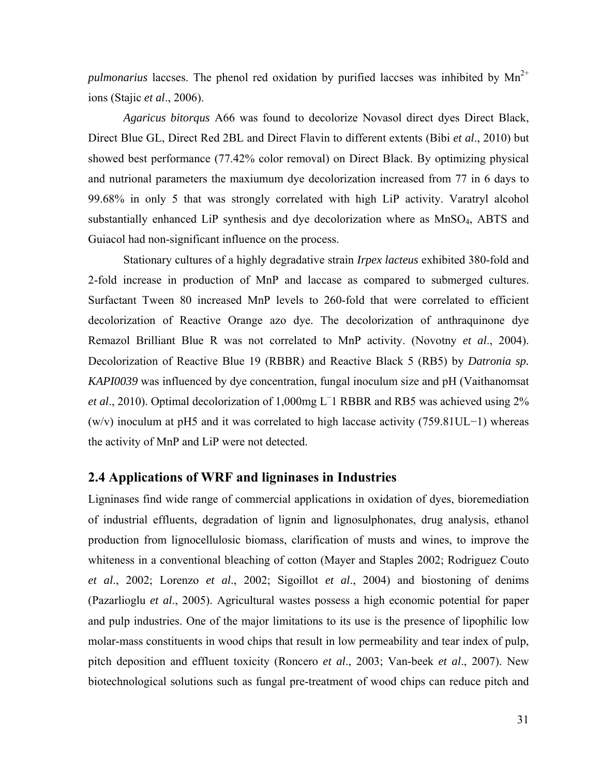*pulmonarius* laccses. The phenol red oxidation by purified laccses was inhibited by  $Mn^{2+}$ ions (Stajic *et al*., 2006).

*Agaricus bitorqus* A66 was found to decolorize Novasol direct dyes Direct Black, Direct Blue GL, Direct Red 2BL and Direct Flavin to different extents (Bibi *et al*., 2010) but showed best performance (77.42% color removal) on Direct Black. By optimizing physical and nutrional parameters the maxiumum dye decolorization increased from 77 in 6 days to 99.68% in only 5 that was strongly correlated with high LiP activity. Varatryl alcohol substantially enhanced LiP synthesis and dye decolorization where as MnSO4, ABTS and Guiacol had non-significant influence on the process.

Stationary cultures of a highly degradative strain *Irpex lacteus* exhibited 380-fold and 2-fold increase in production of MnP and laccase as compared to submerged cultures. Surfactant Tween 80 increased MnP levels to 260-fold that were correlated to efficient decolorization of Reactive Orange azo dye. The decolorization of anthraquinone dye Remazol Brilliant Blue R was not correlated to MnP activity. (Novotny *et al*., 2004). Decolorization of Reactive Blue 19 (RBBR) and Reactive Black 5 (RB5) by *Datronia sp. KAPI0039* was influenced by dye concentration, fungal inoculum size and pH (Vaithanomsat *et al.*, 2010). Optimal decolorization of 1,000mg L<sup>-</sup>1 RBBR and RB5 was achieved using 2% (w/v) inoculum at pH5 and it was correlated to high laccase activity (759.81UL−1) whereas the activity of MnP and LiP were not detected.

#### **2.4 Applications of WRF and ligninases in Industries**

Ligninases find wide range of commercial applications in oxidation of dyes, bioremediation of industrial effluents, degradation of lignin and lignosulphonates, drug analysis, ethanol production from lignocellulosic biomass, clarification of musts and wines, to improve the whiteness in a conventional bleaching of cotton (Mayer and Staples 2002; Rodriguez Couto *et al*., 2002; Lorenzo *et al*., 2002; Sigoillot *et al*., 2004) and biostoning of denims (Pazarlioglu *et al*., 2005). Agricultural wastes possess a high economic potential for paper and pulp industries. One of the major limitations to its use is the presence of lipophilic low molar-mass constituents in wood chips that result in low permeability and tear index of pulp, pitch deposition and effluent toxicity (Roncero *et al*., 2003; Van-beek *et al*., 2007). New biotechnological solutions such as fungal pre-treatment of wood chips can reduce pitch and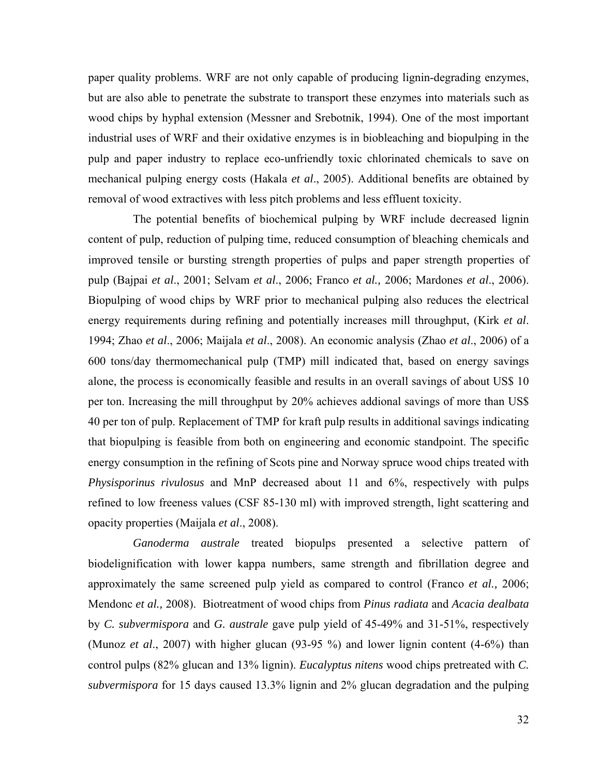paper quality problems. WRF are not only capable of producing lignin-degrading enzymes, but are also able to penetrate the substrate to transport these enzymes into materials such as wood chips by hyphal extension (Messner and Srebotnik, 1994). One of the most important industrial uses of WRF and their oxidative enzymes is in biobleaching and biopulping in the pulp and paper industry to replace eco-unfriendly toxic chlorinated chemicals to save on mechanical pulping energy costs (Hakala *et al*., 2005). Additional benefits are obtained by removal of wood extractives with less pitch problems and less effluent toxicity.

 The potential benefits of biochemical pulping by WRF include decreased lignin content of pulp, reduction of pulping time, reduced consumption of bleaching chemicals and improved tensile or bursting strength properties of pulps and paper strength properties of pulp (Bajpai *et al*., 2001; Selvam *et al*., 2006; Franco *et al.,* 2006; Mardones *et al*., 2006). Biopulping of wood chips by WRF prior to mechanical pulping also reduces the electrical energy requirements during refining and potentially increases mill throughput, (Kirk *et al*. 1994; Zhao *et al*., 2006; Maijala *et al*., 2008). An economic analysis (Zhao *et al*., 2006) of a 600 tons/day thermomechanical pulp (TMP) mill indicated that, based on energy savings alone, the process is economically feasible and results in an overall savings of about US\$ 10 per ton. Increasing the mill throughput by 20% achieves addional savings of more than US\$ 40 per ton of pulp. Replacement of TMP for kraft pulp results in additional savings indicating that biopulping is feasible from both on engineering and economic standpoint. The specific energy consumption in the refining of Scots pine and Norway spruce wood chips treated with *Physisporinus rivulosus* and MnP decreased about 11 and 6%, respectively with pulps refined to low freeness values (CSF 85-130 ml) with improved strength, light scattering and opacity properties (Maijala *et al*., 2008).

*Ganoderma australe* treated biopulps presented a selective pattern of biodelignification with lower kappa numbers, same strength and fibrillation degree and approximately the same screened pulp yield as compared to control (Franco *et al.,* 2006; Mendonc *et al.,* 2008). Biotreatment of wood chips from *Pinus radiata* and *Acacia dealbata* by *C. subvermispora* and *G. australe* gave pulp yield of 45-49% and 31-51%, respectively (Munoz *et al*., 2007) with higher glucan (93-95 %) and lower lignin content (4-6%) than control pulps (82% glucan and 13% lignin). *Eucalyptus nitens* wood chips pretreated with *C. subvermispora* for 15 days caused 13.3% lignin and 2% glucan degradation and the pulping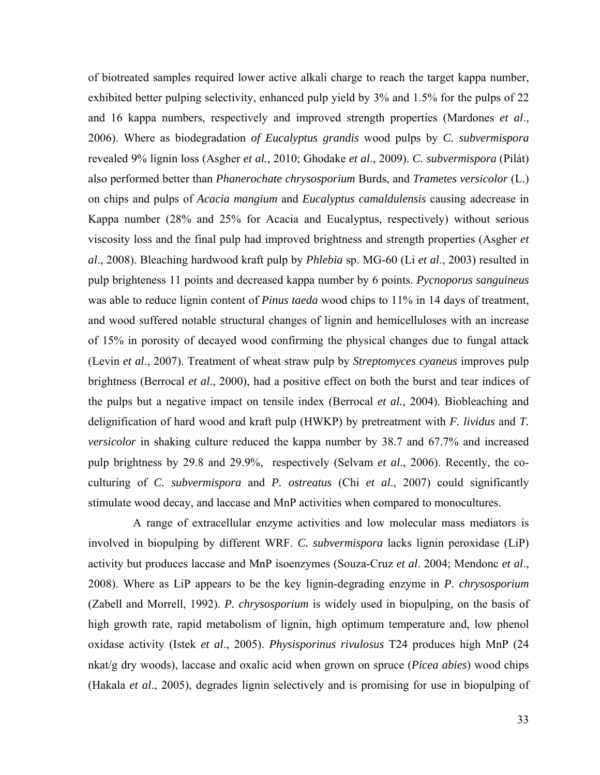of biotreated samples required lower active alkali charge to reach the target kappa number, exhibited better pulping selectivity, enhanced pulp yield by 3% and 1.5% for the pulps of 22 and 16 kappa numbers, respectively and improved strength properties (Mardones *et al*., 2006). Where as biodegradation *of Eucalyptus grandis* wood pulps by *C. subvermispora* revealed 9% lignin loss (Asgher *et al.,* 2010; Ghodake *et al*., 2009). *C. subvermispora* (Pilát) also performed better than *Phanerochate chrysosporium* Burds, and *Trametes versicolor* (L.) on chips and pulps of *Acacia mangium* and *Eucalyptus camaldulensis* causing adecrease in Kappa number (28% and 25% for Acacia and Eucalyptus, respectively) without serious viscosity loss and the final pulp had improved brightness and strength properties (Asgher *et al*., 2008). Bleaching hardwood kraft pulp by *Phlebia* sp. MG-60 (Li *et al*., 2003) resulted in pulp brighteness 11 points and decreased kappa number by 6 points. *Pycnoporus sanguineus* was able to reduce lignin content of *Pinus taeda* wood chips to 11% in 14 days of treatment, and wood suffered notable structural changes of lignin and hemicelluloses with an increase of 15% in porosity of decayed wood confirming the physical changes due to fungal attack (Levin *et al*., 2007). Treatment of wheat straw pulp by *Streptomyces cyaneus* improves pulp brightness (Berrocal *et al*., 2000), had a positive effect on both the burst and tear indices of the pulps but a negative impact on tensile index (Berrocal *et al.,* 2004). Biobleaching and delignification of hard wood and kraft pulp (HWKP) by pretreatment with *F. lividus* and *T. versicolor* in shaking culture reduced the kappa number by 38.7 and 67.7% and increased pulp brightness by 29.8 and 29.9%, respectively (Selvam *et al*., 2006). Recently, the coculturing of *C. subvermispora* and *P. ostreatus* (Chi *et al*., 2007) could significantly stimulate wood decay, and laccase and MnP activities when compared to monocultures.

A range of extracellular enzyme activities and low molecular mass mediators is involved in biopulping by different WRF. *C. subvermispora* lacks lignin peroxidase (LiP) activity but produces laccase and MnP isoenzymes (Souza-Cruz *et al*. 2004; Mendonc *et al*., 2008). Where as LiP appears to be the key lignin-degrading enzyme in *P. chrysosporium* (Zabell and Morrell, 1992). *P. chrysosporium* is widely used in biopulping, on the basis of high growth rate, rapid metabolism of lignin, high optimum temperature and, low phenol oxidase activity (Istek *et al*., 2005). *Physisporinus rivulosus* T24 produces high MnP (24 nkat/g dry woods), laccase and oxalic acid when grown on spruce (*Picea abies*) wood chips (Hakala *et al*., 2005), degrades lignin selectively and is promising for use in biopulping of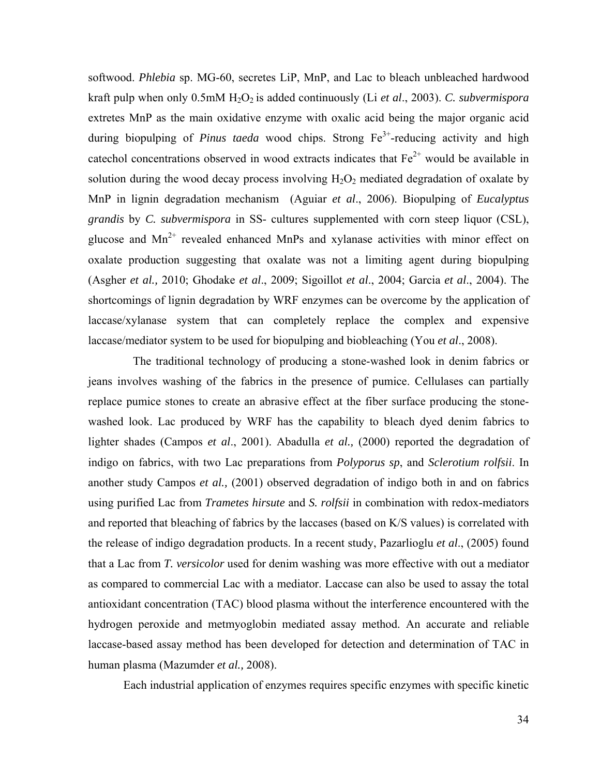softwood. *Phlebia* sp. MG-60, secretes LiP, MnP, and Lac to bleach unbleached hardwood kraft pulp when only 0.5mM H<sub>2</sub>O<sub>2</sub> is added continuously (Li *et al., 2003). C. subvermispora* extretes MnP as the main oxidative enzyme with oxalic acid being the major organic acid during biopulping of *Pinus taeda* wood chips. Strong Fe<sup>3+</sup>-reducing activity and high cate chol concentrations observed in wood extracts indicates that  $Fe^{2+}$  would be available in solution during the wood decay process involving  $H_2O_2$  mediated degradation of oxalate by MnP in lignin degradation mechanism (Aguiar *et al*., 2006). Biopulping of *Eucalyptus grandis* by *C. subvermispora* in SS- cultures supplemented with corn steep liquor (CSL), glucose and  $Mn^{2+}$  revealed enhanced MnPs and xylanase activities with minor effect on oxalate production suggesting that oxalate was not a limiting agent during biopulping (Asgher *et al.,* 2010; Ghodake *et al*., 2009; Sigoillot *et al*., 2004; Garcia *et al*., 2004). The shortcomings of lignin degradation by WRF enzymes can be overcome by the application of laccase/xylanase system that can completely replace the complex and expensive laccase/mediator system to be used for biopulping and biobleaching (You *et al*., 2008).

 The traditional technology of producing a stone-washed look in denim fabrics or jeans involves washing of the fabrics in the presence of pumice. Cellulases can partially replace pumice stones to create an abrasive effect at the fiber surface producing the stonewashed look. Lac produced by WRF has the capability to bleach dyed denim fabrics to lighter shades (Campos *et al*., 2001). Abadulla *et al.,* (2000) reported the degradation of indigo on fabrics, with two Lac preparations from *Polyporus sp*, and *Sclerotium rolfsii*. In another study Campos *et al.,* (2001) observed degradation of indigo both in and on fabrics using purified Lac from *Trametes hirsute* and *S. rolfsii* in combination with redox-mediators and reported that bleaching of fabrics by the laccases (based on K/S values) is correlated with the release of indigo degradation products. In a recent study, Pazarlioglu *et al*., (2005) found that a Lac from *T. versicolor* used for denim washing was more effective with out a mediator as compared to commercial Lac with a mediator. Laccase can also be used to assay the total antioxidant concentration (TAC) blood plasma without the interference encountered with the hydrogen peroxide and metmyoglobin mediated assay method. An accurate and reliable laccase-based assay method has been developed for detection and determination of TAC in human plasma (Mazumder *et al.,* 2008).

Each industrial application of enzymes requires specific enzymes with specific kinetic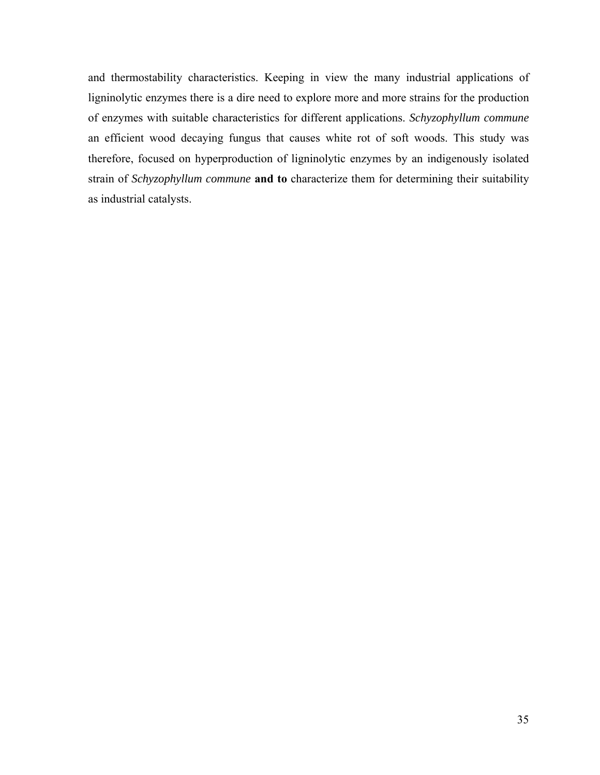and thermostability characteristics. Keeping in view the many industrial applications of ligninolytic enzymes there is a dire need to explore more and more strains for the production of enzymes with suitable characteristics for different applications. *Schyzophyllum commune* an efficient wood decaying fungus that causes white rot of soft woods. This study was therefore, focused on hyperproduction of ligninolytic enzymes by an indigenously isolated strain of *Schyzophyllum commune* **and to** characterize them for determining their suitability as industrial catalysts.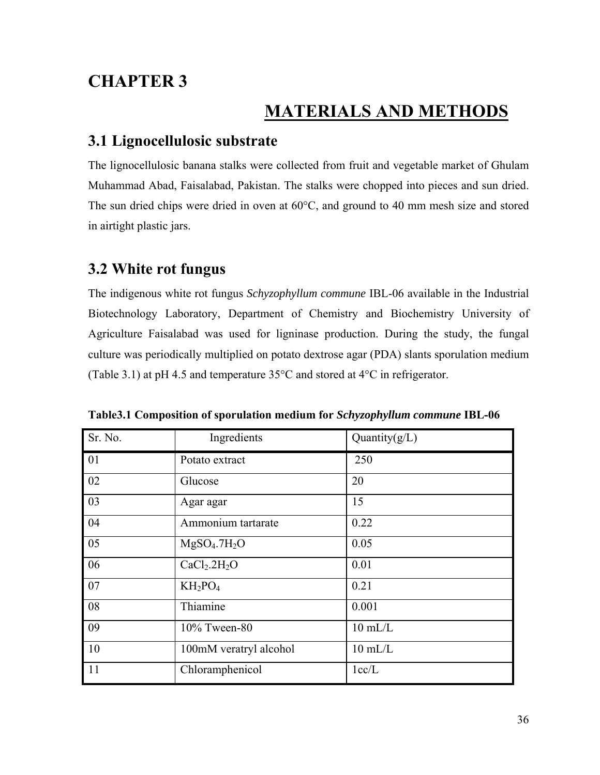## **CHAPTER 3**

## **MATERIALS AND METHODS**

### **3.1 Lignocellulosic substrate**

The lignocellulosic banana stalks were collected from fruit and vegetable market of Ghulam Muhammad Abad, Faisalabad, Pakistan. The stalks were chopped into pieces and sun dried. The sun dried chips were dried in oven at 60°C, and ground to 40 mm mesh size and stored in airtight plastic jars.

### **3.2 White rot fungus**

The indigenous white rot fungus *Schyzophyllum commune* IBL-06 available in the Industrial Biotechnology Laboratory, Department of Chemistry and Biochemistry University of Agriculture Faisalabad was used for ligninase production. During the study, the fungal culture was periodically multiplied on potato dextrose agar (PDA) slants sporulation medium (Table 3.1) at pH 4.5 and temperature 35°C and stored at 4°C in refrigerator.

| Sr. No. | Ingredients                          | Quantity $(g/L)$ |
|---------|--------------------------------------|------------------|
| 01      | Potato extract                       | 250              |
| 02      | Glucose                              | 20               |
| 03      | Agar agar                            | 15               |
| 04      | Ammonium tartarate                   | 0.22             |
| 05      | MgSO <sub>4</sub> .7H <sub>2</sub> O | 0.05             |
| 06      | CaCl <sub>2</sub> .2H <sub>2</sub> O | 0.01             |
| 07      | $KH_2PO_4$                           | 0.21             |
| 08      | Thiamine                             | 0.001            |
| 09      | 10% Tween-80                         | $10$ mL/L        |
| 10      | 100mM veratryl alcohol               | $10$ mL/L        |
| 11      | Chloramphenicol                      | 1cc/L            |

**Table3.1 Composition of sporulation medium for** *Schyzophyllum commune* **IBL-06**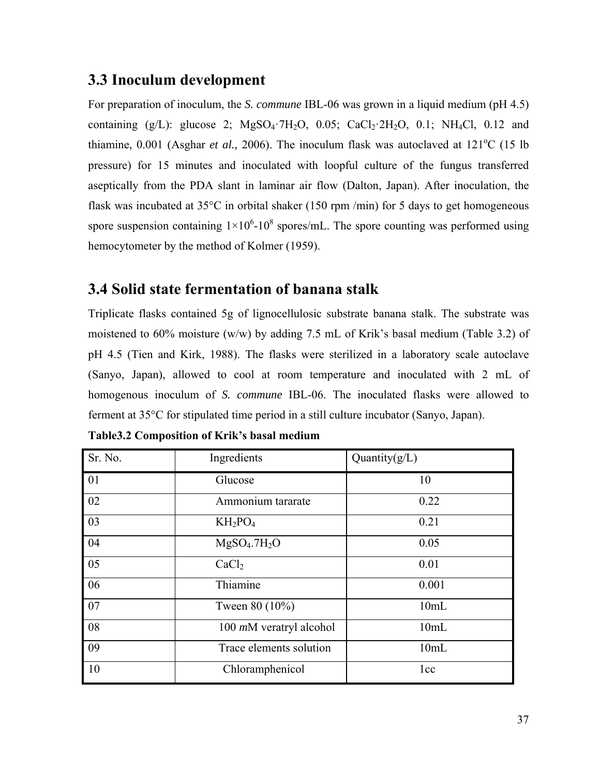# **3.3 Inoculum development**

For preparation of inoculum, the *S. commune* IBL-06 was grown in a liquid medium (pH 4.5) containing  $(g/L)$ : glucose 2;  $MgSO<sub>4</sub>·7H<sub>2</sub>O$ , 0.05;  $CaCl<sub>2</sub>·2H<sub>2</sub>O$ , 0.1;  $NH<sub>4</sub>Cl$ , 0.12 and thiamine,  $0.001$  (Asghar *et al.*, 2006). The inoculum flask was autoclaved at  $121^{\circ}$ C (15 lb) pressure) for 15 minutes and inoculated with loopful culture of the fungus transferred aseptically from the PDA slant in laminar air flow (Dalton, Japan). After inoculation, the flask was incubated at  $35^{\circ}$ C in orbital shaker (150 rpm /min) for 5 days to get homogeneous spore suspension containing  $1 \times 10^6$ -10<sup>8</sup> spores/mL. The spore counting was performed using hemocytometer by the method of Kolmer (1959).

# **3.4 Solid state fermentation of banana stalk**

Triplicate flasks contained 5g of lignocellulosic substrate banana stalk. The substrate was moistened to 60% moisture (w/w) by adding 7.5 mL of Krik's basal medium (Table 3.2) of pH 4.5 (Tien and Kirk, 1988). The flasks were sterilized in a laboratory scale autoclave (Sanyo, Japan), allowed to cool at room temperature and inoculated with 2 mL of homogenous inoculum of *S. commune* IBL-06. The inoculated flasks were allowed to ferment at 35°C for stipulated time period in a still culture incubator (Sanyo, Japan).

| Sr. No. | Ingredients                          | Quantity $(g/L)$ |
|---------|--------------------------------------|------------------|
| 01      | Glucose                              | 10               |
| 02      | Ammonium tararate                    | 0.22             |
| 03      | $KH_2PO_4$                           | 0.21             |
| 04      | MgSO <sub>4</sub> .7H <sub>2</sub> O | 0.05             |
| 05      | CaCl <sub>2</sub>                    | 0.01             |
| 06      | Thiamine                             | 0.001            |
| 07      | Tween 80 (10%)                       | 10mL             |
| 08      | $100$ mM veratryl alcohol            | 10mL             |
| 09      | Trace elements solution              | 10mL             |
| 10      | Chloramphenicol                      | 1cc              |

| Table3.2 Composition of Krik's basal medium |  |  |  |
|---------------------------------------------|--|--|--|
|---------------------------------------------|--|--|--|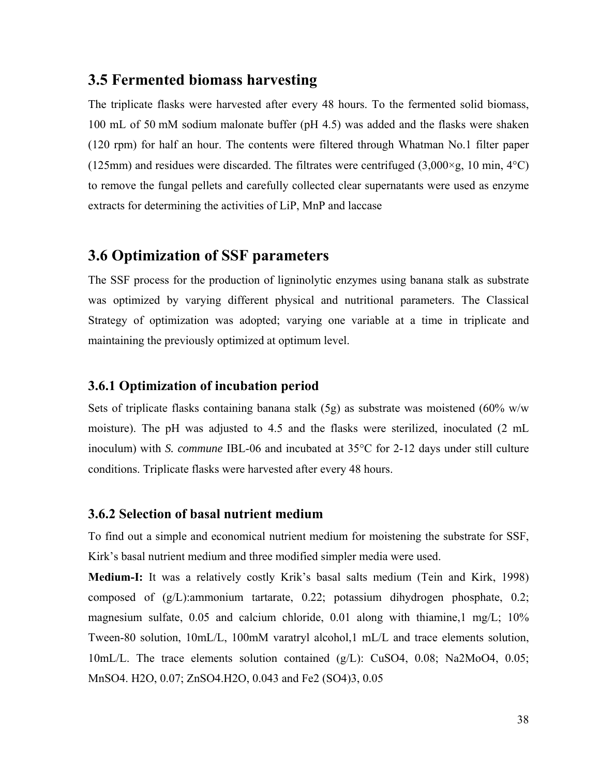### **3.5 Fermented biomass harvesting**

The triplicate flasks were harvested after every 48 hours. To the fermented solid biomass, 100 mL of 50 mM sodium malonate buffer (pH 4.5) was added and the flasks were shaken (120 rpm) for half an hour. The contents were filtered through Whatman No.1 filter paper (125mm) and residues were discarded. The filtrates were centrifuged (3,000 $\times$ g, 10 min, 4 $\textdegree$ C) to remove the fungal pellets and carefully collected clear supernatants were used as enzyme extracts for determining the activities of LiP, MnP and laccase

## **3.6 Optimization of SSF parameters**

The SSF process for the production of ligninolytic enzymes using banana stalk as substrate was optimized by varying different physical and nutritional parameters. The Classical Strategy of optimization was adopted; varying one variable at a time in triplicate and maintaining the previously optimized at optimum level.

#### **3.6.1 Optimization of incubation period**

Sets of triplicate flasks containing banana stalk  $(5g)$  as substrate was moistened  $(60\%$  w/w moisture). The pH was adjusted to 4.5 and the flasks were sterilized, inoculated (2 mL inoculum) with *S. commune* IBL-06 and incubated at 35°C for 2-12 days under still culture conditions. Triplicate flasks were harvested after every 48 hours.

#### **3.6.2 Selection of basal nutrient medium**

To find out a simple and economical nutrient medium for moistening the substrate for SSF, Kirk's basal nutrient medium and three modified simpler media were used.

**Medium-I:** It was a relatively costly Krik's basal salts medium (Tein and Kirk, 1998) composed of (g/L):ammonium tartarate, 0.22; potassium dihydrogen phosphate, 0.2; magnesium sulfate,  $0.05$  and calcium chloride,  $0.01$  along with thiamine,  $1 \text{ mg/L}$ ;  $10\%$ Tween-80 solution, 10mL/L, 100mM varatryl alcohol,1 mL/L and trace elements solution, 10mL/L. The trace elements solution contained (g/L): CuSO4, 0.08; Na2MoO4, 0.05; MnSO4. H2O, 0.07; ZnSO4.H2O, 0.043 and Fe2 (SO4)3, 0.05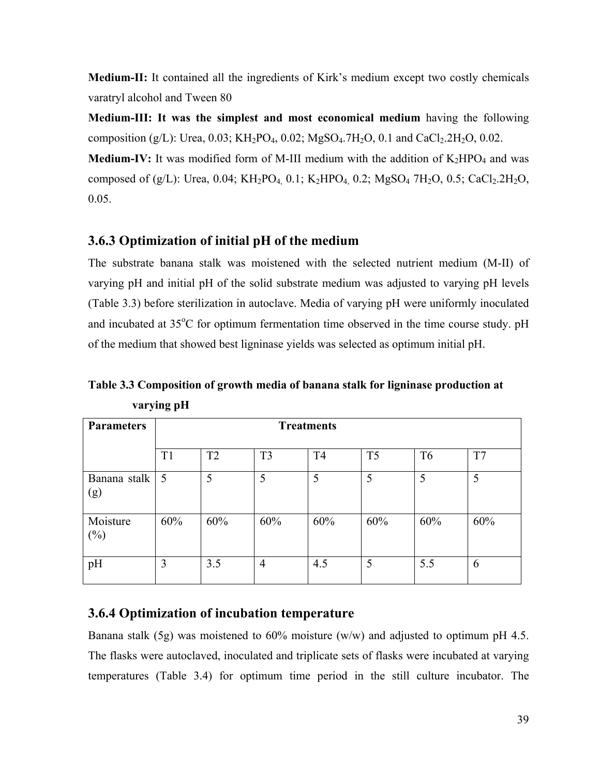**Medium-II:** It contained all the ingredients of Kirk's medium except two costly chemicals varatryl alcohol and Tween 80

**Medium-III: It was the simplest and most economical medium** having the following composition (g/L): Urea, 0.03; KH<sub>2</sub>PO<sub>4</sub>, 0.02; MgSO<sub>4</sub>.7H<sub>2</sub>O, 0.1 and CaCl<sub>2</sub>.2H<sub>2</sub>O, 0.02. **Medium-IV:** It was modified form of M-III medium with the addition of  $K_2HPO_4$  and was composed of (g/L): Urea, 0.04; KH<sub>2</sub>PO<sub>4,</sub> 0.1; K<sub>2</sub>HPO<sub>4</sub>, 0.2; MgSO<sub>4</sub> 7H<sub>2</sub>O, 0.5; CaCl<sub>2</sub>.2H<sub>2</sub>O,

 $0.05.$ 

### **3.6.3 Optimization of initial pH of the medium**

The substrate banana stalk was moistened with the selected nutrient medium (M-II) of varying pH and initial pH of the solid substrate medium was adjusted to varying pH levels (Table 3.3) before sterilization in autoclave. Media of varying pH were uniformly inoculated and incubated at 35°C for optimum fermentation time observed in the time course study. pH of the medium that showed best ligninase yields was selected as optimum initial pH.

**Table 3.3 Composition of growth media of banana stalk for ligninase production at varying pH** 

| <b>Parameters</b>   | <b>Treatments</b> |                |                |                |                |                |     |  |
|---------------------|-------------------|----------------|----------------|----------------|----------------|----------------|-----|--|
|                     | T <sub>1</sub>    | T <sub>2</sub> | T <sub>3</sub> | T <sub>4</sub> | T <sub>5</sub> | T <sub>6</sub> | T7  |  |
| Banana stalk<br>(g) | $\overline{5}$    | 5              | 5              | 5              | 5              | 5              | 5   |  |
| Moisture<br>$(\%)$  | 60%               | 60%            | 60%            | 60%            | 60%            | 60%            | 60% |  |
| pH                  | 3                 | 3.5            | $\overline{4}$ | 4.5            | 5              | 5.5            | 6   |  |

### **3.6.4 Optimization of incubation temperature**

Banana stalk (5g) was moistened to  $60\%$  moisture (w/w) and adjusted to optimum pH 4.5. The flasks were autoclaved, inoculated and triplicate sets of flasks were incubated at varying temperatures (Table 3.4) for optimum time period in the still culture incubator. The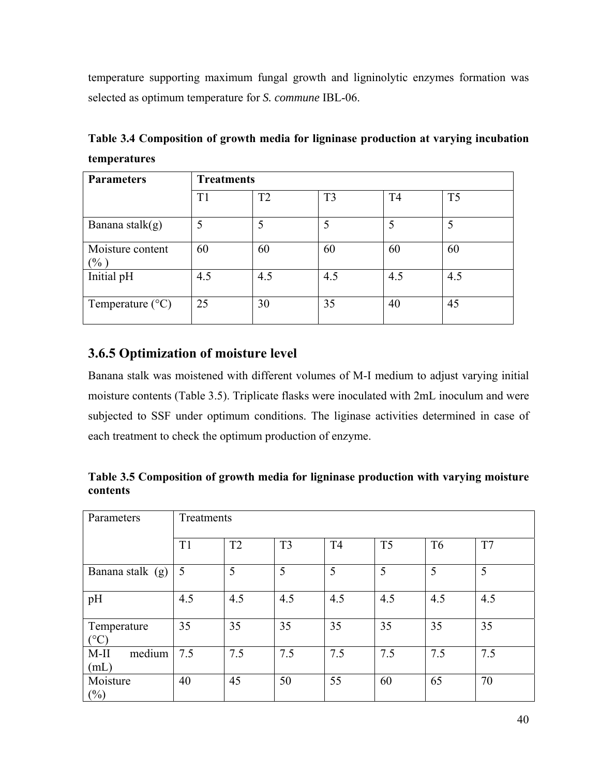temperature supporting maximum fungal growth and ligninolytic enzymes formation was selected as optimum temperature for *S. commune* IBL-06.

| Table 3.4 Composition of growth media for ligninase production at varying incubation |  |  |  |
|--------------------------------------------------------------------------------------|--|--|--|
| <b>temperatures</b>                                                                  |  |  |  |

| <b>Parameters</b>           | <b>Treatments</b> |     |                |                |                |  |  |
|-----------------------------|-------------------|-----|----------------|----------------|----------------|--|--|
|                             | T1                | T2  | T <sub>3</sub> | T <sub>4</sub> | T <sub>5</sub> |  |  |
| Banana stalk $(g)$          |                   |     |                |                |                |  |  |
| Moisture content<br>$(\% )$ | 60                | 60  | 60             | 60             | 60             |  |  |
| Initial pH                  | 4.5               | 4.5 | 4.5            | 4.5            | 4.5            |  |  |
| Temperature $(^{\circ}C)$   | 25                | 30  | 35             | 40             | 45             |  |  |

### **3.6.5 Optimization of moisture level**

Banana stalk was moistened with different volumes of M-I medium to adjust varying initial moisture contents (Table 3.5). Triplicate flasks were inoculated with 2mL inoculum and were subjected to SSF under optimum conditions. The liginase activities determined in case of each treatment to check the optimum production of enzyme.

**Table 3.5 Composition of growth media for ligninase production with varying moisture contents** 

| Parameters                     | Treatments |     |                |                |                |                |     |
|--------------------------------|------------|-----|----------------|----------------|----------------|----------------|-----|
|                                | T1         | T2  | T <sub>3</sub> | T <sub>4</sub> | T <sub>5</sub> | T <sub>6</sub> | T7  |
| Banana stalk (g)               | 5          | 5   | 5              | 5              | 5              | 5              | 5   |
| pH                             | 4.5        | 4.5 | 4.5            | 4.5            | 4.5            | 4.5            | 4.5 |
| Temperature<br>$({}^{\circ}C)$ | 35         | 35  | 35             | 35             | 35             | 35             | 35  |
| medium<br>$M-II$<br>(mL)       | 7.5        | 7.5 | 7.5            | 7.5            | 7.5            | 7.5            | 7.5 |
| Moisture<br>$(\%)$             | 40         | 45  | 50             | 55             | 60             | 65             | 70  |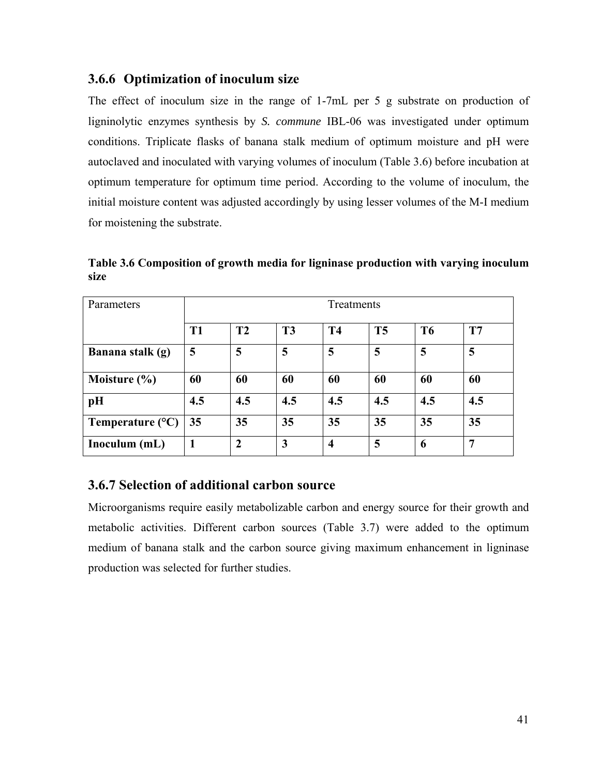### **3.6.6 Optimization of inoculum size**

The effect of inoculum size in the range of 1-7mL per 5 g substrate on production of ligninolytic enzymes synthesis by *S. commune* IBL-06 was investigated under optimum conditions. Triplicate flasks of banana stalk medium of optimum moisture and pH were autoclaved and inoculated with varying volumes of inoculum (Table 3.6) before incubation at optimum temperature for optimum time period. According to the volume of inoculum, the initial moisture content was adjusted accordingly by using lesser volumes of the M-I medium for moistening the substrate.

**Table 3.6 Composition of growth media for ligninase production with varying inoculum size** 

| Parameters                | Treatments      |                                                                             |     |                    |     |     |     |  |  |  |
|---------------------------|-----------------|-----------------------------------------------------------------------------|-----|--------------------|-----|-----|-----|--|--|--|
|                           | T <sub>1</sub>  | T2<br>T <sub>3</sub><br>T <sub>5</sub><br>T7<br><b>T4</b><br>T <sub>6</sub> |     |                    |     |     |     |  |  |  |
| Banana stalk (g)          | 5               | 5                                                                           | 5   | 5                  | 5   | 5   | 5   |  |  |  |
| Moisture $(\% )$          | 60              | 60                                                                          | 60  | 60                 | 60  | 60  | 60  |  |  |  |
| pH                        | 4.5             | 4.5                                                                         | 4.5 | 4.5                | 4.5 | 4.5 | 4.5 |  |  |  |
| Temperature $(^{\circ}C)$ | 35 <sub>5</sub> | 35                                                                          | 35  | 35                 | 35  | 35  | 35  |  |  |  |
| Inoculum (mL)             |                 | 2                                                                           | 3   | $\overline{\bf 4}$ | 5   | 6   | 7   |  |  |  |

### **3.6.7 Selection of additional carbon source**

Microorganisms require easily metabolizable carbon and energy source for their growth and metabolic activities. Different carbon sources (Table 3.7) were added to the optimum medium of banana stalk and the carbon source giving maximum enhancement in ligninase production was selected for further studies.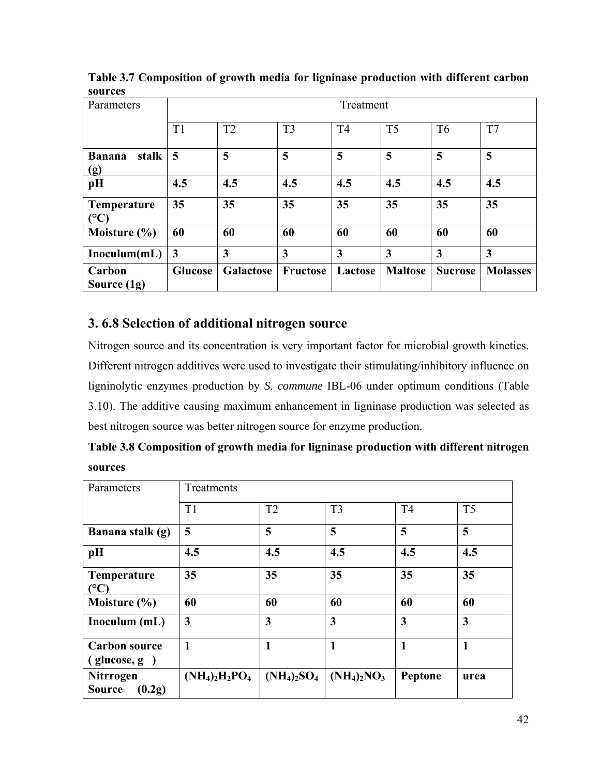| ,,,,,,,,<br>Parameters        |                         | Treatment        |                |                |                |                |                 |  |  |
|-------------------------------|-------------------------|------------------|----------------|----------------|----------------|----------------|-----------------|--|--|
|                               | T1                      | T2               | T <sub>3</sub> | T <sub>4</sub> | T <sub>5</sub> | T <sub>6</sub> | T7              |  |  |
| stalk<br><b>Banana</b><br>(g) | 5                       | 5                | 5              | 5              | 5              | 5              | 5               |  |  |
| pH                            | 4.5                     | 4.5              | 4.5            | 4.5            | 4.5            | 4.5            | 4.5             |  |  |
| <b>Temperature</b><br>(°C)    | 35                      | 35               | 35             | 35             | 35             | 35             | 35              |  |  |
| Moisture $(\% )$              | 60                      | 60               | 60             | 60             | 60             | 60             | 60              |  |  |
| Inoculum(mL)                  | $\overline{\mathbf{3}}$ | 3                | 3              | 3              | $\overline{3}$ | 3              | $\overline{3}$  |  |  |
| Carbon<br>Source $(1g)$       | <b>Glucose</b>          | <b>Galactose</b> | Fructose       | Lactose        | <b>Maltose</b> | <b>Sucrose</b> | <b>Molasses</b> |  |  |

**Table 3.7 Composition of growth media for ligninase production with different carbon sources**

### **3. 6.8 Selection of additional nitrogen source**

Nitrogen source and its concentration is very important factor for microbial growth kinetics. Different nitrogen additives were used to investigate their stimulating/inhibitory influence on ligninolytic enzymes production by *S. commune* IBL-06 under optimum conditions (Table 3.10). The additive causing maximum enhancement in ligninase production was selected as best nitrogen source was better nitrogen source for enzyme production.

| Table 3.8 Composition of growth media for ligninase production with different nitrogen |  |
|----------------------------------------------------------------------------------------|--|
| sources                                                                                |  |

| Parameters                                  | Treatments        |     |                               |                         |                |  |  |
|---------------------------------------------|-------------------|-----|-------------------------------|-------------------------|----------------|--|--|
|                                             | T1                | T2  | T <sub>3</sub>                | T <sub>4</sub>          | T <sub>5</sub> |  |  |
| Banana stalk (g)                            | 5                 | 5   | 5                             | 5                       | 5              |  |  |
| pH                                          | 4.5               | 4.5 | 4.5                           | 4.5                     | 4.5            |  |  |
| <b>Temperature</b><br>(°C)                  | 35                | 35  | 35                            | 35                      | 35             |  |  |
| Moisture $(\% )$                            | 60                | 60  | 60                            | 60                      | 60             |  |  |
| Inoculum (mL)                               | 3                 | 3   | $\overline{\mathbf{3}}$       | $\overline{\mathbf{3}}$ | $\mathbf{3}$   |  |  |
| <b>Carbon source</b><br>$(glu\cos e, g)$    | 1                 | 1   | $\mathbf{1}$                  | $\mathbf{1}$            | $\mathbf{1}$   |  |  |
| <b>Nitrrogen</b><br><b>Source</b><br>(0.2g) | $(NH_4)_2H_2PO_4$ |     | $(NH_4)_2SO_4$ $(NH_4)_2NO_3$ | Peptone                 | urea           |  |  |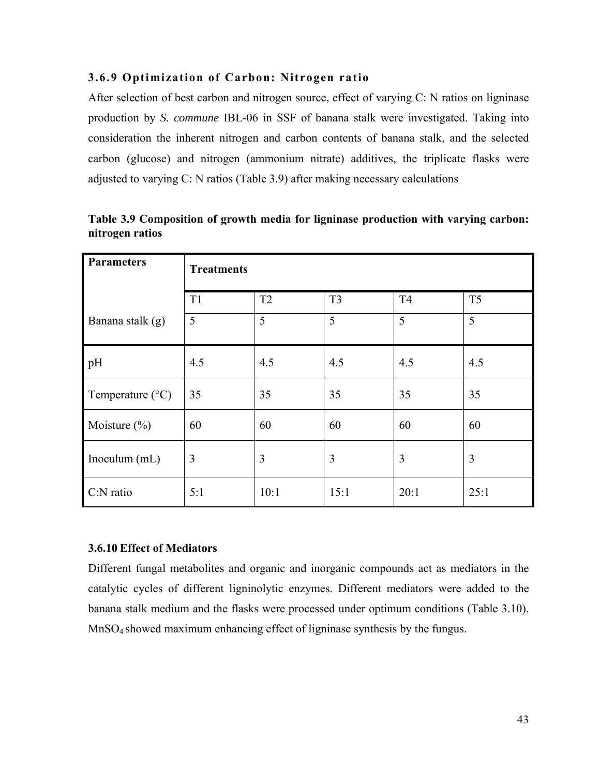#### **3.6.9 Optimization of Carbon: Nitrogen ratio**

After selection of best carbon and nitrogen source, effect of varying C: N ratios on ligninase production by *S. commune* IBL-06 in SSF of banana stalk were investigated. Taking into consideration the inherent nitrogen and carbon contents of banana stalk, and the selected carbon (glucose) and nitrogen (ammonium nitrate) additives, the triplicate flasks were adjusted to varying C: N ratios (Table 3.9) after making necessary calculations

| <b>Parameters</b>         | <b>Treatments</b> |                |                |                |                |  |  |  |
|---------------------------|-------------------|----------------|----------------|----------------|----------------|--|--|--|
|                           | T1                | T <sub>2</sub> | T <sub>3</sub> | T <sub>4</sub> | T <sub>5</sub> |  |  |  |
| Banana stalk (g)          | 5                 | 5              | 5              | 5              | 5              |  |  |  |
| pH                        | 4.5               | 4.5            | 4.5            | 4.5            | 4.5            |  |  |  |
| Temperature $(^{\circ}C)$ | 35                | 35             | 35             | 35             | 35             |  |  |  |
| Moisture $(\% )$          | 60                | 60             | 60             | 60             | 60             |  |  |  |
| Inoculum (mL)             | 3                 | 3              | 3              | 3              | 3              |  |  |  |
| $C:N$ ratio               | 5:1               | 10:1           | 15:1           | 20:1           | 25:1           |  |  |  |

**Table 3.9 Composition of growth media for ligninase production with varying carbon: nitrogen ratios** 

#### **3.6.10 Effect of Mediators**

Different fungal metabolites and organic and inorganic compounds act as mediators in the catalytic cycles of different ligninolytic enzymes. Different mediators were added to the banana stalk medium and the flasks were processed under optimum conditions (Table 3.10). MnSO4 showed maximum enhancing effect of ligninase synthesis by the fungus.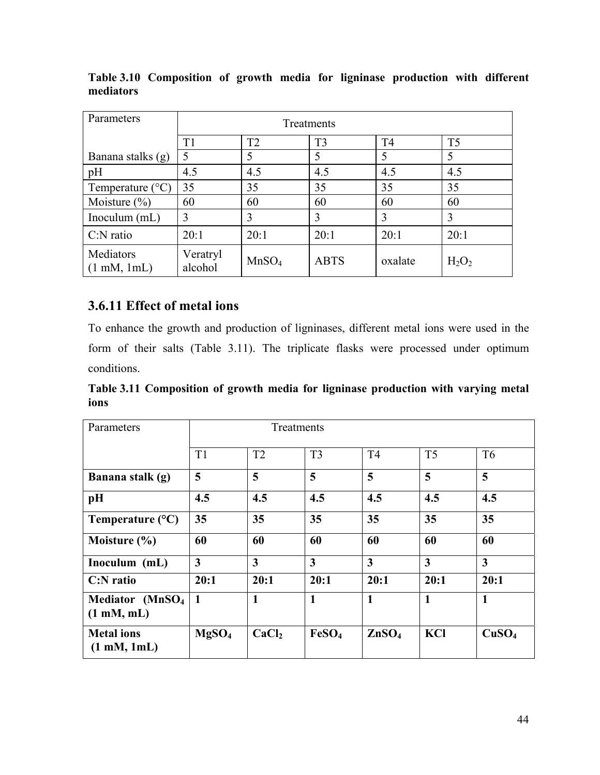| Parameters                                  | Treatments          |                   |                |                |                |  |  |
|---------------------------------------------|---------------------|-------------------|----------------|----------------|----------------|--|--|
|                                             | T1                  | T <sub>2</sub>    | T <sub>3</sub> | T <sub>4</sub> | T <sub>5</sub> |  |  |
| Banana stalks (g)                           | 5                   |                   | 5              | 5              | 5              |  |  |
| pH                                          | 4.5                 | 4.5               | 4.5            | 4.5            | 4.5            |  |  |
| Temperature $(^{\circ}C)$                   | 35                  | 35                | 35             | 35             | 35             |  |  |
| Moisture $(\% )$                            | 60                  | 60                | 60             | 60             | 60             |  |  |
| Inoculum $(mL)$                             | 3                   | 3                 | 3              | 3              | 3              |  |  |
| $C:N$ ratio                                 | 20:1                | 20:1              | 20:1           | 20:1           | 20:1           |  |  |
| Mediators<br>$(1 \text{ mM}, 1 \text{ mL})$ | Veratryl<br>alcohol | MnSO <sub>4</sub> | <b>ABTS</b>    | oxalate        | $H_2O_2$       |  |  |

**Table 3.10 Composition of growth media for ligninase production with different mediators** 

# **3.6.11 Effect of metal ions**

To enhance the growth and production of ligninases, different metal ions were used in the form of their salts (Table 3.11). The triplicate flasks were processed under optimum conditions.

**Table 3.11 Composition of growth media for ligninase production with varying metal ions** 

| Parameters                                                 | Treatments              |                   |                         |                         |                         |                   |
|------------------------------------------------------------|-------------------------|-------------------|-------------------------|-------------------------|-------------------------|-------------------|
|                                                            | T1                      | T2                | T <sub>3</sub>          | T <sub>4</sub>          | T <sub>5</sub>          | T <sub>6</sub>    |
| Banana stalk (g)                                           | 5                       | 5                 | 5                       | 5                       | 5                       | 5                 |
| pH                                                         | 4.5                     | 4.5               | 4.5                     | 4.5                     | 4.5                     | 4.5               |
| Temperature $(^{\circ}C)$                                  | 35                      | 35                | 35                      | 35                      | 35                      | 35                |
| Moisture $(\% )$                                           | 60                      | 60                | 60                      | 60                      | 60                      | 60                |
| Inoculum (mL)                                              | $\overline{\mathbf{3}}$ | 3                 | $\overline{\mathbf{3}}$ | $\overline{\mathbf{3}}$ | $\overline{\mathbf{3}}$ | $\overline{3}$    |
| $C: N$ ratio                                               | 20:1                    | 20:1              | 20:1                    | 20:1                    | 20:1                    | 20:1              |
| Mediator (MnSO <sub>4</sub><br>$(1 \text{ mM}, \text{mL})$ | $\blacksquare$          | $\mathbf{1}$      | $\mathbf{1}$            | $\mathbf{1}$            | $\mathbf{1}$            | $\mathbf{1}$      |
| <b>Metal</b> ions<br>$(1 \text{ mM}, 1 \text{ mL})$        | MgSO <sub>4</sub>       | CaCl <sub>2</sub> | FeSO <sub>4</sub>       | ZnSO <sub>4</sub>       | KCI                     | CuSO <sub>4</sub> |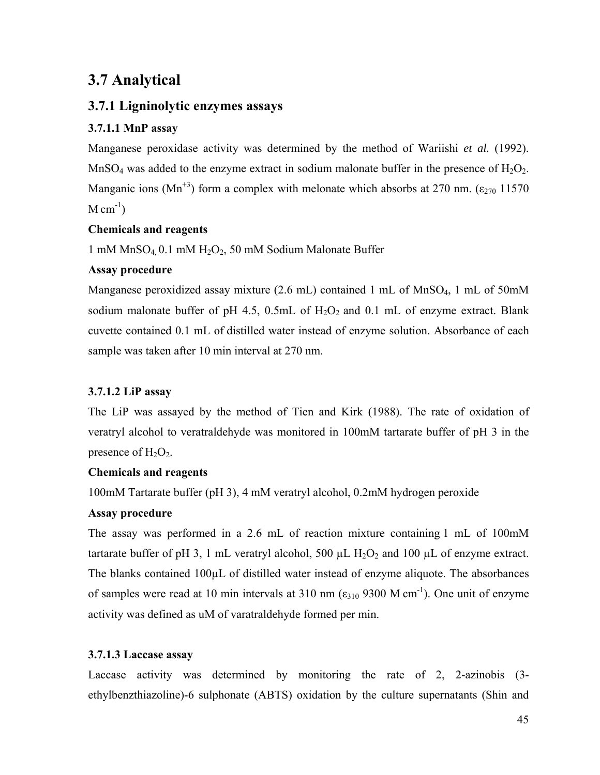# **3.7 Analytical**

### **3.7.1 Ligninolytic enzymes assays**

### **3.7.1.1 MnP assay**

Manganese peroxidase activity was determined by the method of Wariishi *et al.* (1992). MnSO<sub>4</sub> was added to the enzyme extract in sodium malonate buffer in the presence of  $H_2O_2$ . Manganic ions (Mn<sup>+3</sup>) form a complex with melonate which absorbs at 270 nm. ( $\epsilon_{270}$  11570  $M \text{ cm}^{-1}$ )

#### **Chemicals and reagents**

1 mM  $MnSO<sub>4</sub>$  0.1 mM  $H<sub>2</sub>O<sub>2</sub>$ , 50 mM Sodium Malonate Buffer

### **Assay procedure**

Manganese peroxidized assay mixture  $(2.6 \text{ mL})$  contained 1 mL of MnSO<sub>4</sub>, 1 mL of 50mM sodium malonate buffer of pH 4.5, 0.5mL of  $H_2O_2$  and 0.1 mL of enzyme extract. Blank cuvette contained 0.1 mL of distilled water instead of enzyme solution. Absorbance of each sample was taken after 10 min interval at 270 nm.

### **3.7.1.2 LiP assay**

The LiP was assayed by the method of Tien and Kirk (1988). The rate of oxidation of veratryl alcohol to veratraldehyde was monitored in 100mM tartarate buffer of pH 3 in the presence of  $H_2O_2$ .

### **Chemicals and reagents**

100mM Tartarate buffer (pH 3), 4 mM veratryl alcohol, 0.2mM hydrogen peroxide

### **Assay procedure**

The assay was performed in a 2.6 mL of reaction mixture containing 1 mL of 100mM tartarate buffer of pH 3, 1 mL veratryl alcohol, 500  $\mu$ L H<sub>2</sub>O<sub>2</sub> and 100  $\mu$ L of enzyme extract. The blanks contained 100µL of distilled water instead of enzyme aliquote. The absorbances of samples were read at 10 min intervals at 310 nm  $(\epsilon_{310}$  9300 M cm<sup>-1</sup>). One unit of enzyme activity was defined as uM of varatraldehyde formed per min.

### **3.7.1.3 Laccase assay**

Laccase activity was determined by monitoring the rate of 2, 2-azinobis (3 ethylbenzthiazoline)-6 sulphonate (ABTS) oxidation by the culture supernatants (Shin and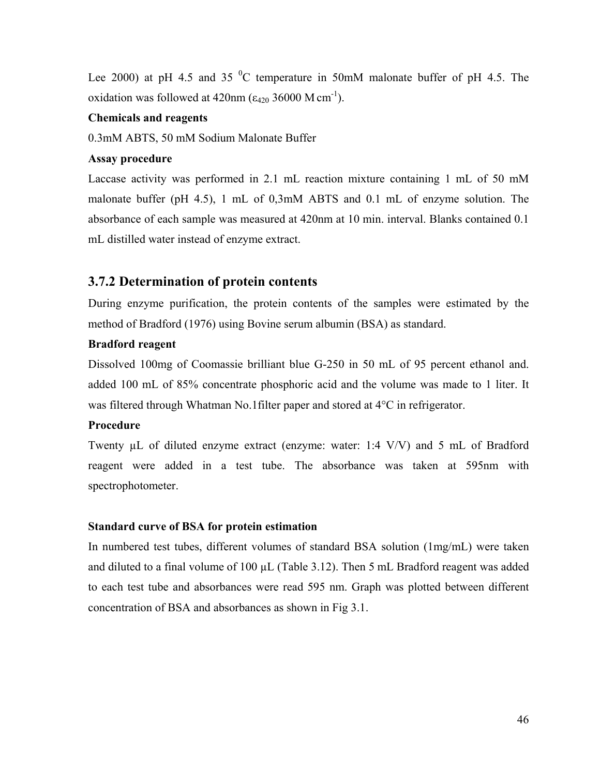Lee 2000) at pH 4.5 and 35  $^{\circ}$ C temperature in 50mM malonate buffer of pH 4.5. The oxidation was followed at  $420$ nm ( $\varepsilon_{420}$  36000 M cm<sup>-1</sup>).

#### **Chemicals and reagents**

0.3mM ABTS, 50 mM Sodium Malonate Buffer

#### **Assay procedure**

Laccase activity was performed in 2.1 mL reaction mixture containing 1 mL of 50 mM malonate buffer (pH 4.5), 1 mL of 0,3mM ABTS and 0.1 mL of enzyme solution. The absorbance of each sample was measured at 420nm at 10 min. interval. Blanks contained 0.1 mL distilled water instead of enzyme extract.

### **3.7.2 Determination of protein contents**

During enzyme purification, the protein contents of the samples were estimated by the method of Bradford (1976) using Bovine serum albumin (BSA) as standard.

#### **Bradford reagent**

Dissolved 100mg of Coomassie brilliant blue G-250 in 50 mL of 95 percent ethanol and. added 100 mL of 85% concentrate phosphoric acid and the volume was made to 1 liter. It was filtered through Whatman No.1filter paper and stored at 4°C in refrigerator.

#### **Procedure**

Twenty µL of diluted enzyme extract (enzyme: water: 1:4 V/V) and 5 mL of Bradford reagent were added in a test tube. The absorbance was taken at 595nm with spectrophotometer.

#### **Standard curve of BSA for protein estimation**

In numbered test tubes, different volumes of standard BSA solution (1mg/mL) were taken and diluted to a final volume of  $100 \mu L$  (Table 3.12). Then 5 mL Bradford reagent was added to each test tube and absorbances were read 595 nm. Graph was plotted between different concentration of BSA and absorbances as shown in Fig 3.1.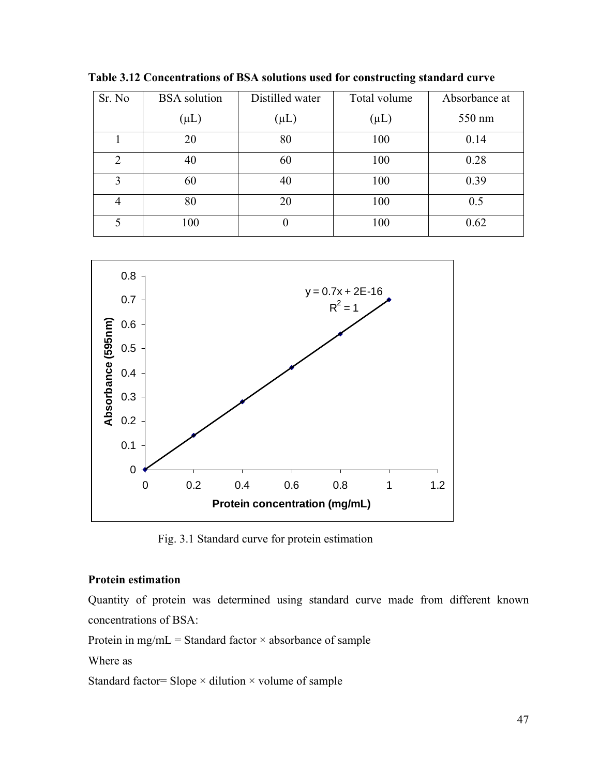| Sr. No         | <b>BSA</b> solution | Distilled water | Total volume | Absorbance at |
|----------------|---------------------|-----------------|--------------|---------------|
|                | $(\mu L)$           | $(\mu L)$       | $(\mu L)$    | 550 nm        |
|                | 20                  | 80              | 100          | 0.14          |
| 2              | 40                  | 60              | 100          | 0.28          |
| 3              | 60                  | 40              | 100          | 0.39          |
| $\overline{4}$ | 80                  | 20              | 100          | 0.5           |
| 5              | 100                 | $\theta$        | 100          | 0.62          |

**Table 3.12 Concentrations of BSA solutions used for constructing standard curve** 



Fig. 3.1 Standard curve for protein estimation

#### **Protein estimation**

Quantity of protein was determined using standard curve made from different known concentrations of BSA:

Protein in mg/mL = Standard factor  $\times$  absorbance of sample

Where as

Standard factor= Slope  $\times$  dilution  $\times$  volume of sample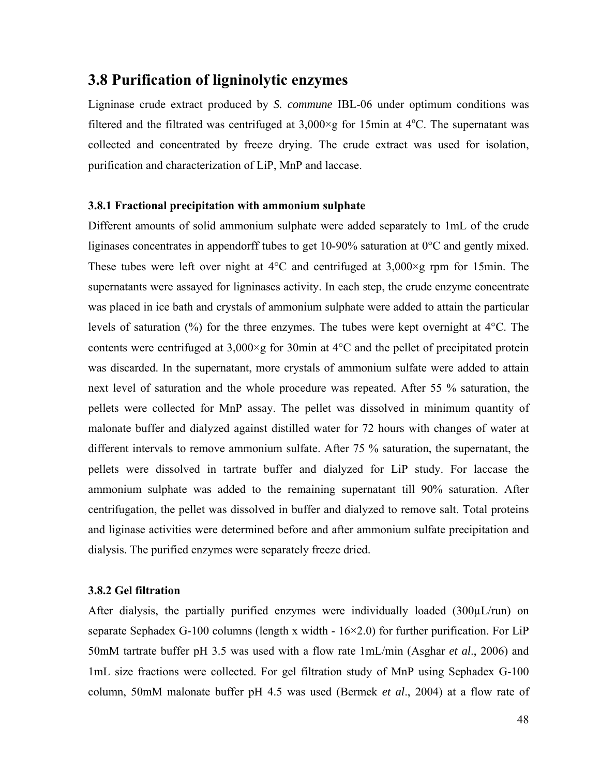# **3.8 Purification of ligninolytic enzymes**

Ligninase crude extract produced by *S. commune* IBL-06 under optimum conditions was filtered and the filtrated was centrifuged at  $3,000 \times g$  for 15min at 4°C. The supernatant was collected and concentrated by freeze drying. The crude extract was used for isolation, purification and characterization of LiP, MnP and laccase.

#### **3.8.1 Fractional precipitation with ammonium sulphate**

Different amounts of solid ammonium sulphate were added separately to 1mL of the crude liginases concentrates in appendorff tubes to get 10-90% saturation at 0°C and gently mixed. These tubes were left over night at  $4^{\circ}$ C and centrifuged at  $3,000 \times g$  rpm for 15min. The supernatants were assayed for ligninases activity. In each step, the crude enzyme concentrate was placed in ice bath and crystals of ammonium sulphate were added to attain the particular levels of saturation (%) for the three enzymes. The tubes were kept overnight at 4°C. The contents were centrifuged at  $3,000 \times g$  for 30min at 4 $\degree$ C and the pellet of precipitated protein was discarded. In the supernatant, more crystals of ammonium sulfate were added to attain next level of saturation and the whole procedure was repeated. After 55 % saturation, the pellets were collected for MnP assay. The pellet was dissolved in minimum quantity of malonate buffer and dialyzed against distilled water for 72 hours with changes of water at different intervals to remove ammonium sulfate. After 75 % saturation, the supernatant, the pellets were dissolved in tartrate buffer and dialyzed for LiP study. For laccase the ammonium sulphate was added to the remaining supernatant till 90% saturation. After centrifugation, the pellet was dissolved in buffer and dialyzed to remove salt. Total proteins and liginase activities were determined before and after ammonium sulfate precipitation and dialysis. The purified enzymes were separately freeze dried.

#### **3.8.2 Gel filtration**

After dialysis, the partially purified enzymes were individually loaded (300µL/run) on separate Sephadex G-100 columns (length x width -  $16\times2.0$ ) for further purification. For LiP 50mM tartrate buffer pH 3.5 was used with a flow rate 1mL/min (Asghar *et al*., 2006) and 1mL size fractions were collected. For gel filtration study of MnP using Sephadex G-100 column, 50mM malonate buffer pH 4.5 was used (Bermek *et al*., 2004) at a flow rate of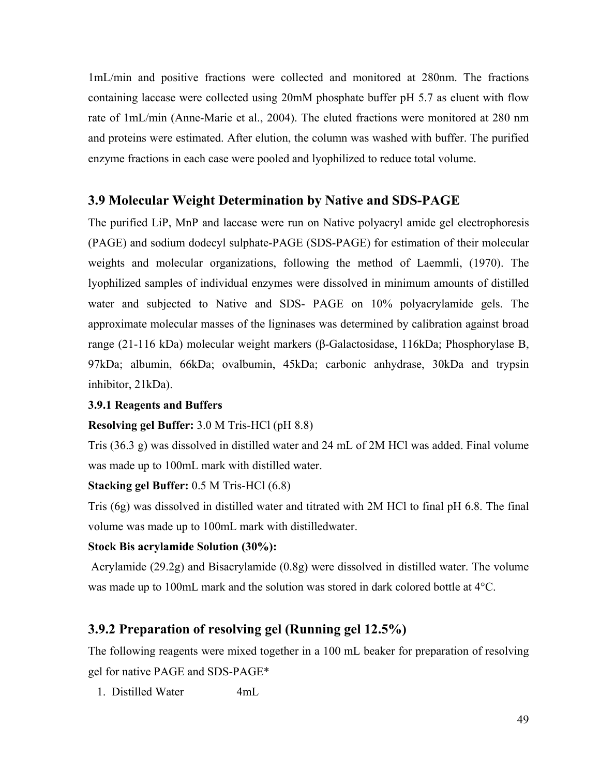1mL/min and positive fractions were collected and monitored at 280nm. The fractions containing laccase were collected using 20mM phosphate buffer pH 5.7 as eluent with flow rate of 1mL/min (Anne-Marie et al., 2004). The eluted fractions were monitored at 280 nm and proteins were estimated. After elution, the column was washed with buffer. The purified enzyme fractions in each case were pooled and lyophilized to reduce total volume.

### **3.9 Molecular Weight Determination by Native and SDS-PAGE**

The purified LiP, MnP and laccase were run on Native polyacryl amide gel electrophoresis (PAGE) and sodium dodecyl sulphate-PAGE (SDS-PAGE) for estimation of their molecular weights and molecular organizations, following the method of Laemmli, (1970). The lyophilized samples of individual enzymes were dissolved in minimum amounts of distilled water and subjected to Native and SDS- PAGE on 10% polyacrylamide gels. The approximate molecular masses of the ligninases was determined by calibration against broad range (21-116 kDa) molecular weight markers (β-Galactosidase, 116kDa; Phosphorylase B, 97kDa; albumin, 66kDa; ovalbumin, 45kDa; carbonic anhydrase, 30kDa and trypsin inhibitor, 21kDa).

#### **3.9.1 Reagents and Buffers**

#### **Resolving gel Buffer:** 3.0 M Tris-HCl (pH 8.8)

Tris (36.3 g) was dissolved in distilled water and 24 mL of 2M HCl was added. Final volume was made up to 100mL mark with distilled water.

#### **Stacking gel Buffer:** 0.5 M Tris-HCl (6.8)

Tris (6g) was dissolved in distilled water and titrated with 2M HCl to final pH 6.8. The final volume was made up to 100mL mark with distilledwater.

#### **Stock Bis acrylamide Solution (30%):**

 Acrylamide (29.2g) and Bisacrylamide (0.8g) were dissolved in distilled water. The volume was made up to 100mL mark and the solution was stored in dark colored bottle at 4°C.

### **3.9.2 Preparation of resolving gel (Running gel 12.5%)**

The following reagents were mixed together in a 100 mL beaker for preparation of resolving gel for native PAGE and SDS-PAGE\*

1. Distilled Water 4mL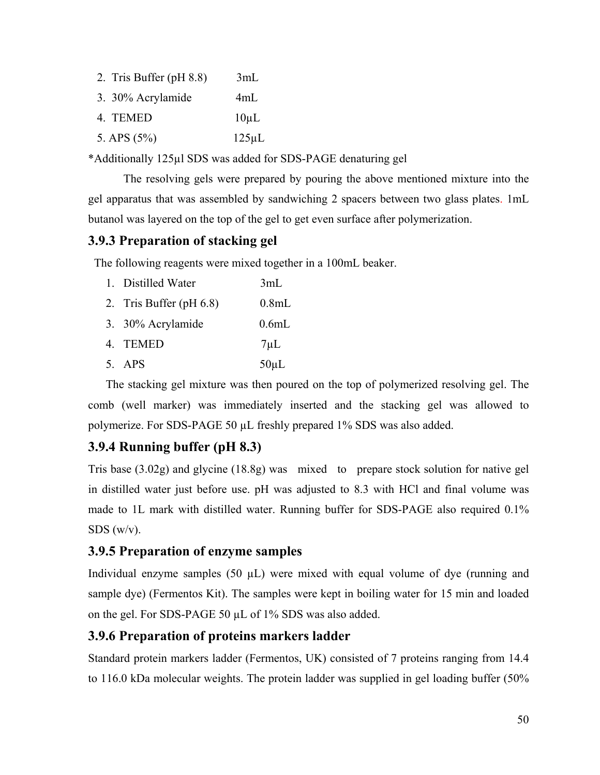| 2. Tris Buffer $(pH 8.8)$ | 3mL         |
|---------------------------|-------------|
| 3. 30% Acrylamide         | 4mL         |
| 4. TEMED                  | $10\mu L$   |
| 5. APS $(5\%)$            | $125 \mu L$ |

\*Additionally 125µl SDS was added for SDS-PAGE denaturing gel

The resolving gels were prepared by pouring the above mentioned mixture into the gel apparatus that was assembled by sandwiching 2 spacers between two glass plates. 1mL butanol was layered on the top of the gel to get even surface after polymerization.

### **3.9.3 Preparation of stacking gel**

The following reagents were mixed together in a 100mL beaker.

| 1. Distilled Water         | 3mL               |
|----------------------------|-------------------|
| 2. Tris Buffer (pH $6.8$ ) | 0.8 <sub>mL</sub> |
| 3. 30% Acrylamide          | 0.6mL             |
| 4. TEMED                   | $7 \mu L$         |
| 5. APS                     | $50 \mu L$        |

The stacking gel mixture was then poured on the top of polymerized resolving gel. The comb (well marker) was immediately inserted and the stacking gel was allowed to polymerize. For SDS-PAGE 50 µL freshly prepared 1% SDS was also added.

# **3.9.4 Running buffer (pH 8.3)**

Tris base (3.02g) and glycine (18.8g) was mixed to prepare stock solution for native gel in distilled water just before use. pH was adjusted to 8.3 with HCl and final volume was made to 1L mark with distilled water. Running buffer for SDS-PAGE also required 0.1% SDS (w/v).

### **3.9.5 Preparation of enzyme samples**

Individual enzyme samples  $(50 \mu L)$  were mixed with equal volume of dye (running and sample dye) (Fermentos Kit). The samples were kept in boiling water for 15 min and loaded on the gel. For SDS-PAGE 50 µL of 1% SDS was also added.

### **3.9.6 Preparation of proteins markers ladder**

Standard protein markers ladder (Fermentos, UK) consisted of 7 proteins ranging from 14.4 to 116.0 kDa molecular weights. The protein ladder was supplied in gel loading buffer (50%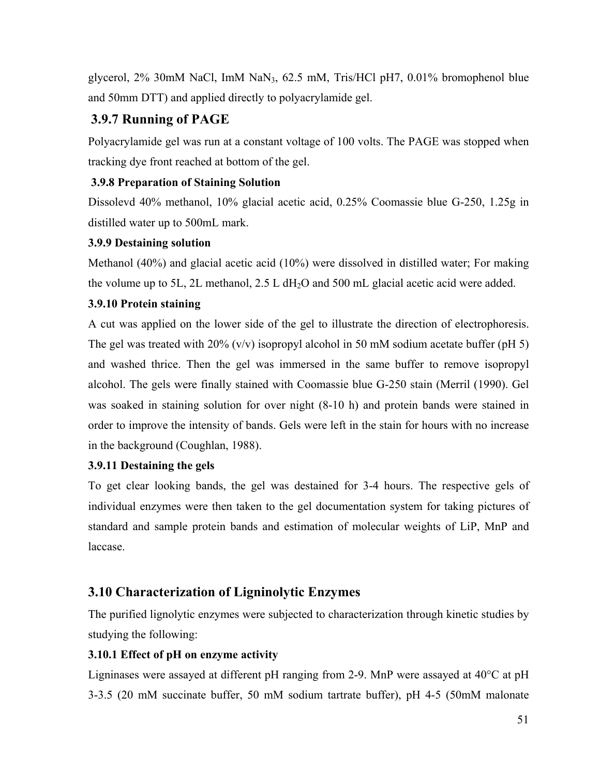glycerol, 2% 30mM NaCl, ImM NaN3, 62.5 mM, Tris/HCl pH7, 0.01% bromophenol blue and 50mm DTT) and applied directly to polyacrylamide gel.

# **3.9.7 Running of PAGE**

Polyacrylamide gel was run at a constant voltage of 100 volts. The PAGE was stopped when tracking dye front reached at bottom of the gel.

### **3.9.8 Preparation of Staining Solution**

Dissolevd 40% methanol, 10% glacial acetic acid, 0.25% Coomassie blue G-250, 1.25g in distilled water up to 500mL mark.

### **3.9.9 Destaining solution**

Methanol (40%) and glacial acetic acid (10%) were dissolved in distilled water; For making the volume up to 5L, 2L methanol,  $2.5$  L dH<sub>2</sub>O and 500 mL glacial acetic acid were added.

### **3.9.10 Protein staining**

A cut was applied on the lower side of the gel to illustrate the direction of electrophoresis. The gel was treated with  $20\%$  (v/v) isopropyl alcohol in 50 mM sodium acetate buffer (pH 5) and washed thrice. Then the gel was immersed in the same buffer to remove isopropyl alcohol. The gels were finally stained with Coomassie blue G-250 stain (Merril (1990). Gel was soaked in staining solution for over night (8-10 h) and protein bands were stained in order to improve the intensity of bands. Gels were left in the stain for hours with no increase in the background (Coughlan, 1988).

### **3.9.11 Destaining the gels**

To get clear looking bands, the gel was destained for 3-4 hours. The respective gels of individual enzymes were then taken to the gel documentation system for taking pictures of standard and sample protein bands and estimation of molecular weights of LiP, MnP and laccase.

# **3.10 Characterization of Ligninolytic Enzymes**

The purified lignolytic enzymes were subjected to characterization through kinetic studies by studying the following:

### **3.10.1 Effect of pH on enzyme activity**

Ligninases were assayed at different pH ranging from 2-9. MnP were assayed at  $40^{\circ}$ C at pH 3-3.5 (20 mM succinate buffer, 50 mM sodium tartrate buffer), pH 4-5 (50mM malonate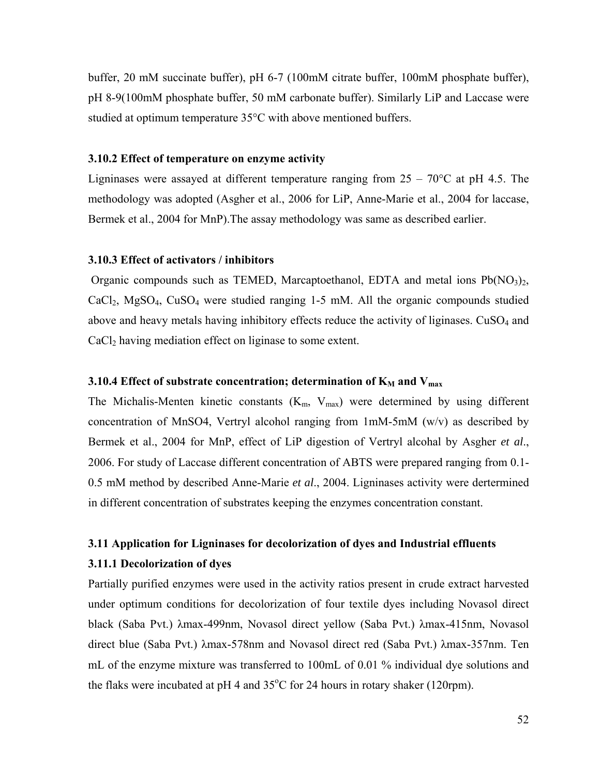buffer, 20 mM succinate buffer), pH 6-7 (100mM citrate buffer, 100mM phosphate buffer), pH 8-9(100mM phosphate buffer, 50 mM carbonate buffer). Similarly LiP and Laccase were studied at optimum temperature 35°C with above mentioned buffers.

#### **3.10.2 Effect of temperature on enzyme activity**

Ligninases were assayed at different temperature ranging from  $25 - 70^{\circ}$ C at pH 4.5. The methodology was adopted (Asgher et al., 2006 for LiP, Anne-Marie et al., 2004 for laccase, Bermek et al., 2004 for MnP).The assay methodology was same as described earlier.

#### **3.10.3 Effect of activators / inhibitors**

Organic compounds such as TEMED, Marcaptoethanol, EDTA and metal ions  $Pb(NO<sub>3</sub>)<sub>2</sub>$ ,  $CaCl<sub>2</sub>$ , MgSO<sub>4</sub>, CuSO<sub>4</sub> were studied ranging 1-5 mM. All the organic compounds studied above and heavy metals having inhibitory effects reduce the activity of liginases.  $CuSO<sub>4</sub>$  and CaCl<sub>2</sub> having mediation effect on liginase to some extent.

#### **3.10.4 Effect of substrate concentration; determination of**  $K_M$  **and**  $V_{max}$

The Michalis-Menten kinetic constants  $(K_m, V_{max})$  were determined by using different concentration of MnSO4, Vertryl alcohol ranging from  $1 \text{mM}$ -5mM (w/v) as described by Bermek et al., 2004 for MnP, effect of LiP digestion of Vertryl alcohal by Asgher *et al*., 2006. For study of Laccase different concentration of ABTS were prepared ranging from 0.1- 0.5 mM method by described Anne-Marie *et al*., 2004. Ligninases activity were dertermined in different concentration of substrates keeping the enzymes concentration constant.

# **3.11 Application for Ligninases for decolorization of dyes and Industrial effluents 3.11.1 Decolorization of dyes**

Partially purified enzymes were used in the activity ratios present in crude extract harvested under optimum conditions for decolorization of four textile dyes including Novasol direct black (Saba Pvt.) λmax-499nm, Novasol direct yellow (Saba Pvt.) λmax-415nm, Novasol direct blue (Saba Pvt.) λmax-578nm and Novasol direct red (Saba Pvt.) λmax-357nm. Ten mL of the enzyme mixture was transferred to 100mL of 0.01 % individual dye solutions and the flaks were incubated at pH 4 and  $35^{\circ}$ C for 24 hours in rotary shaker (120rpm).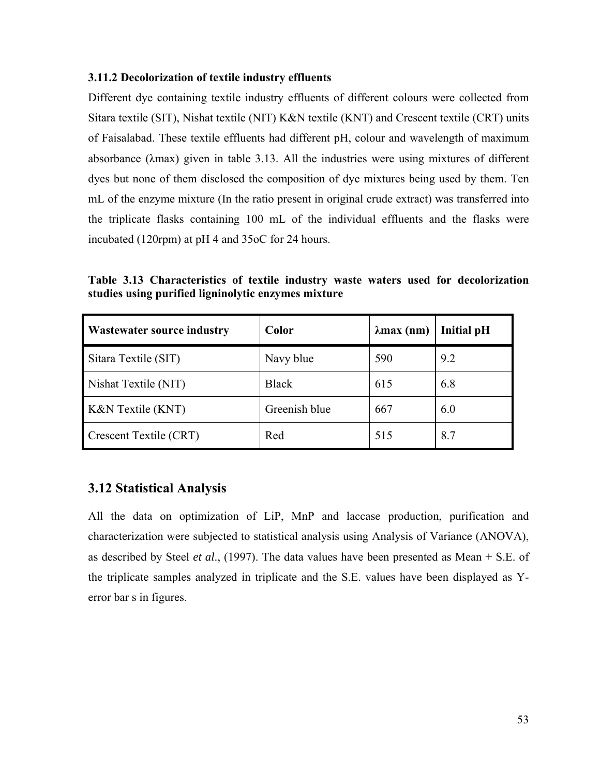#### **3.11.2 Decolorization of textile industry effluents**

Different dye containing textile industry effluents of different colours were collected from Sitara textile (SIT), Nishat textile (NIT) K&N textile (KNT) and Crescent textile (CRT) units of Faisalabad. These textile effluents had different pH, colour and wavelength of maximum absorbance (λmax) given in table 3.13. All the industries were using mixtures of different dyes but none of them disclosed the composition of dye mixtures being used by them. Ten mL of the enzyme mixture (In the ratio present in original crude extract) was transferred into the triplicate flasks containing 100 mL of the individual effluents and the flasks were incubated (120rpm) at pH 4 and 35oC for 24 hours.

**Table 3.13 Characteristics of textile industry waste waters used for decolorization studies using purified ligninolytic enzymes mixture** 

| <b>Wastewater source industry</b> | Color         | $\lambda$ max (nm) | <b>Initial pH</b> |
|-----------------------------------|---------------|--------------------|-------------------|
| Sitara Textile (SIT)              | Navy blue     | 590                | 9.2               |
| Nishat Textile (NIT)              | <b>Black</b>  | 615                | 6.8               |
| K&N Textile (KNT)                 | Greenish blue | 667                | 6.0               |
| <b>Crescent Textile (CRT)</b>     | Red           | 515                | 8.7               |

### **3.12 Statistical Analysis**

All the data on optimization of LiP, MnP and laccase production, purification and characterization were subjected to statistical analysis using Analysis of Variance (ANOVA), as described by Steel *et al*., (1997). The data values have been presented as Mean + S.E. of the triplicate samples analyzed in triplicate and the S.E. values have been displayed as Yerror bar s in figures.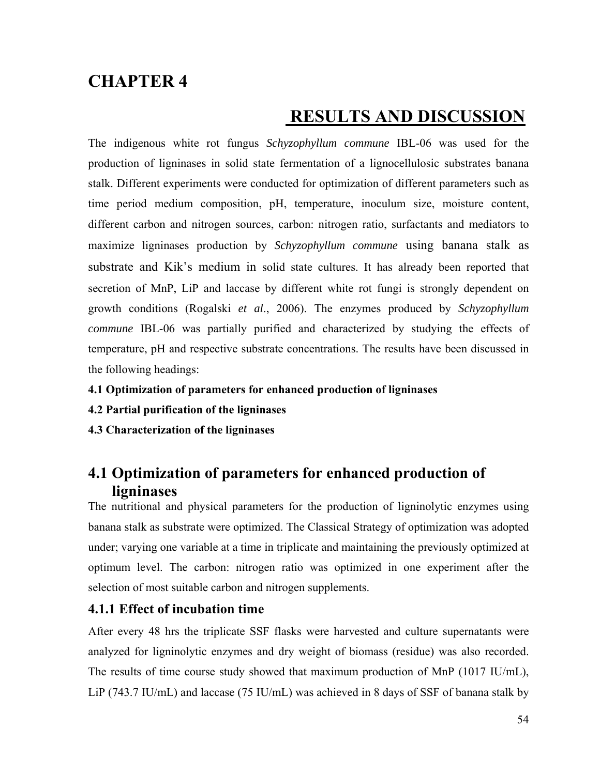# **CHAPTER 4**

# **RESULTS AND DISCUSSION**

The indigenous white rot fungus *Schyzophyllum commune* IBL-06 was used for the production of ligninases in solid state fermentation of a lignocellulosic substrates banana stalk. Different experiments were conducted for optimization of different parameters such as time period medium composition, pH, temperature, inoculum size, moisture content, different carbon and nitrogen sources, carbon: nitrogen ratio, surfactants and mediators to maximize ligninases production by *Schyzophyllum commune* using banana stalk as substrate and Kik's medium in solid state cultures. It has already been reported that secretion of MnP, LiP and laccase by different white rot fungi is strongly dependent on growth conditions (Rogalski *et al*., 2006). The enzymes produced by *Schyzophyllum commune* IBL-06 was partially purified and characterized by studying the effects of temperature, pH and respective substrate concentrations. The results have been discussed in the following headings:

- **4.1 Optimization of parameters for enhanced production of ligninases**
- **4.2 Partial purification of the ligninases**
- **4.3 Characterization of the ligninases**

# **4.1 Optimization of parameters for enhanced production of ligninases**

The nutritional and physical parameters for the production of ligninolytic enzymes using banana stalk as substrate were optimized. The Classical Strategy of optimization was adopted under; varying one variable at a time in triplicate and maintaining the previously optimized at optimum level. The carbon: nitrogen ratio was optimized in one experiment after the selection of most suitable carbon and nitrogen supplements.

### **4.1.1 Effect of incubation time**

After every 48 hrs the triplicate SSF flasks were harvested and culture supernatants were analyzed for ligninolytic enzymes and dry weight of biomass (residue) was also recorded. The results of time course study showed that maximum production of MnP (1017 IU/mL), LiP (743.7 IU/mL) and laccase (75 IU/mL) was achieved in 8 days of SSF of banana stalk by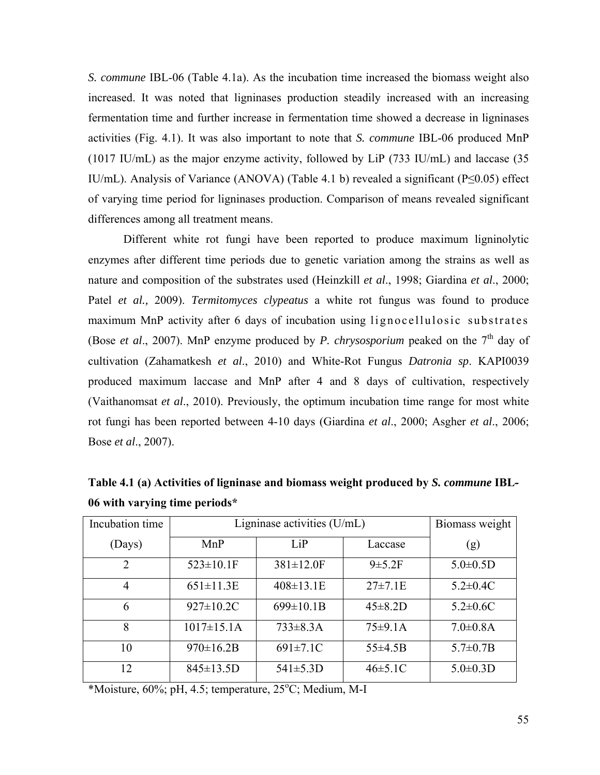*S. commune* IBL-06 (Table 4.1a). As the incubation time increased the biomass weight also increased. It was noted that ligninases production steadily increased with an increasing fermentation time and further increase in fermentation time showed a decrease in ligninases activities (Fig. 4.1). It was also important to note that *S. commune* IBL-06 produced MnP (1017 IU/mL) as the major enzyme activity, followed by LiP (733 IU/mL) and laccase (35 IU/mL). Analysis of Variance (ANOVA) (Table 4.1 b) revealed a significant (P≤0.05) effect of varying time period for ligninases production. Comparison of means revealed significant differences among all treatment means.

Different white rot fungi have been reported to produce maximum ligninolytic enzymes after different time periods due to genetic variation among the strains as well as nature and composition of the substrates used (Heinzkill *et al*., 1998; Giardina *et al*., 2000; Patel *et al.,* 2009). *Termitomyces clypeatus* a white rot fungus was found to produce maximum MnP activity after 6 days of incubation using lignocellulosic substrates (Bose *et al.*, 2007). MnP enzyme produced by *P. chrysosporium* peaked on the  $7<sup>th</sup>$  day of cultivation (Zahamatkesh *et al*., 2010) and White-Rot Fungus *Datronia sp*. KAPI0039 produced maximum laccase and MnP after 4 and 8 days of cultivation, respectively (Vaithanomsat *et al*., 2010). Previously, the optimum incubation time range for most white rot fungi has been reported between 4-10 days (Giardina *et al*., 2000; Asgher *et al*., 2006; Bose *et al*., 2007).

| Incubation time | Ligninase activities $(U/mL)$ | Biomass weight   |                |                 |
|-----------------|-------------------------------|------------------|----------------|-----------------|
| (Days)          | MnP                           | LiP              | Laccase        | (g)             |
| $\overline{2}$  | $523 \pm 10.1$ F              | 381±12.0F        | 9 ± 5.2F       | $5.0 \pm 0.5$ D |
| $\overline{4}$  | $651 \pm 11.3E$               | $408 \pm 13.1$ E | $27 \pm 7.1 E$ | $5.2 \pm 0.4$ C |
| 6               | $927 \pm 10.2$ C              | $699 \pm 10.1B$  | $45 \pm 8.2$ D | $5.2 \pm 0.6C$  |
| 8               | $1017 \pm 15.1$ A             | $733\pm8.3A$     | 75±9.1A        | $7.0 \pm 0.8$ A |
| 10              | $970 \pm 16.2B$               | $691 \pm 7.1$ C  | $55\pm4.5B$    | $5.7 \pm 0.7 B$ |
| 12              | $845 \pm 13.5D$               | $541 \pm 5.3D$   | $46 \pm 5.1$ C | $5.0 \pm 0.3$ D |

**Table 4.1 (a) Activities of ligninase and biomass weight produced by** *S. commune* **IBL-06 with varying time periods\*** 

\*Moisture, 60%; pH, 4.5; temperature, 25°C; Medium, M-I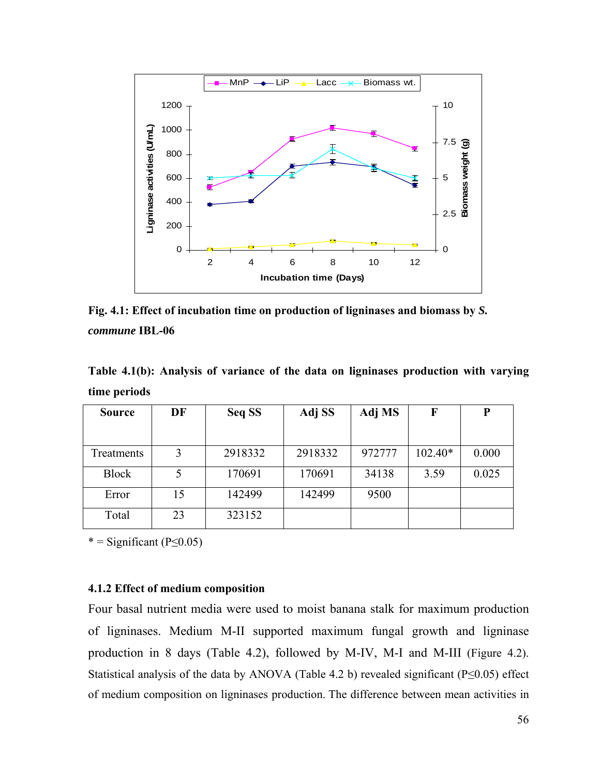

**Fig. 4.1: Effect of incubation time on production of ligninases and biomass by** *S. commune* **IBL-06** 

**Table 4.1(b): Analysis of variance of the data on ligninases production with varying time periods**

| <b>Source</b> | DF | Seq SS  | Adj SS  | Adj MS | F         | P     |
|---------------|----|---------|---------|--------|-----------|-------|
|               |    |         |         |        |           |       |
| Treatments    | 3  | 2918332 | 2918332 | 972777 | $102.40*$ | 0.000 |
| <b>Block</b>  |    | 170691  | 170691  | 34138  | 3.59      | 0.025 |
| Error         | 15 | 142499  | 142499  | 9500   |           |       |
| Total         | 23 | 323152  |         |        |           |       |

#### **4.1.2 Effect of medium composition**

Four basal nutrient media were used to moist banana stalk for maximum production of ligninases. Medium M-II supported maximum fungal growth and ligninase production in 8 days (Table 4.2), followed by M-IV, M-I and M-III (Figure 4.2). Statistical analysis of the data by ANOVA (Table 4.2 b) revealed significant (P≤0.05) effect of medium composition on ligninases production. The difference between mean activities in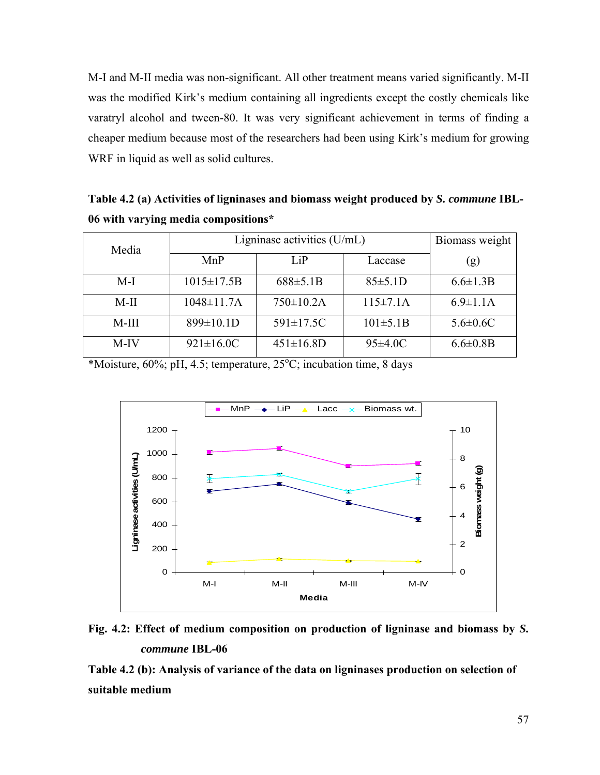M-I and M-II media was non-significant. All other treatment means varied significantly. M-II was the modified Kirk's medium containing all ingredients except the costly chemicals like varatryl alcohol and tween-80. It was very significant achievement in terms of finding a cheaper medium because most of the researchers had been using Kirk's medium for growing WRF in liquid as well as solid cultures.

**Table 4.2 (a) Activities of ligninases and biomass weight produced by** *S. commune* **IBL-06 with varying media compositions\*** 

| Media   | Ligninase activities (U/mL) | Biomass weight   |                 |                 |
|---------|-----------------------------|------------------|-----------------|-----------------|
|         | MnP                         | LiP              | Laccase         | (g)             |
| $M-I$   | $1015 \pm 17.5B$            | 688±5.1B         | 85±5.1D         | $6.6 \pm 1.3 B$ |
| $M-II$  | $1048 \pm 11.7$ A           | $750 \pm 10.2$ A | $115 \pm 7.1$ A | $6.9 \pm 1.1$ A |
| $M-III$ | $899 \pm 10.1$ D            | $591 \pm 17.5C$  | $101 \pm 5.1B$  | $5.6 \pm 0.6$ C |
| M-IV    | $921 \pm 16.0$ C            | $451 \pm 16.8$ D | $95\pm4.0$ C    | $6.6 \pm 0.8$ B |

\*Moisture,  $60\%$ ; pH, 4.5; temperature,  $25\textdegree C$ ; incubation time, 8 days



**Fig. 4.2: Effect of medium composition on production of ligninase and biomass by** *S. commune* **IBL-06** 

**Table 4.2 (b): Analysis of variance of the data on ligninases production on selection of suitable medium**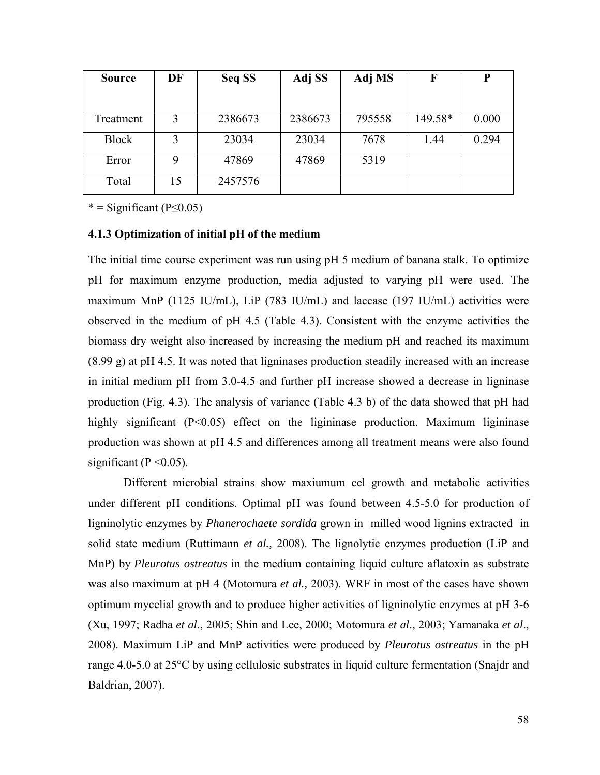| <b>Source</b> | DF | Seq SS  | Adj SS  | Adj MS | F       | P     |
|---------------|----|---------|---------|--------|---------|-------|
|               |    |         |         |        |         |       |
| Treatment     | 3  | 2386673 | 2386673 | 795558 | 149.58* | 0.000 |
| <b>Block</b>  | 3  | 23034   | 23034   | 7678   | 1.44    | 0.294 |
| Error         | 9  | 47869   | 47869   | 5319   |         |       |
| Total         | 15 | 2457576 |         |        |         |       |

#### **4.1.3 Optimization of initial pH of the medium**

The initial time course experiment was run using pH 5 medium of banana stalk. To optimize pH for maximum enzyme production, media adjusted to varying pH were used. The maximum MnP (1125 IU/mL), LiP (783 IU/mL) and laccase (197 IU/mL) activities were observed in the medium of pH 4.5 (Table 4.3). Consistent with the enzyme activities the biomass dry weight also increased by increasing the medium pH and reached its maximum (8.99 g) at pH 4.5. It was noted that ligninases production steadily increased with an increase in initial medium pH from 3.0-4.5 and further pH increase showed a decrease in ligninase production (Fig. 4.3). The analysis of variance (Table 4.3 b) of the data showed that pH had highly significant (P<0.05) effect on the ligininase production. Maximum ligininase production was shown at pH 4.5 and differences among all treatment means were also found significant ( $P \le 0.05$ ).

Different microbial strains show maxiumum cel growth and metabolic activities under different pH conditions. Optimal pH was found between 4.5-5.0 for production of ligninolytic enzymes by *Phanerochaete sordida* grown in milled wood lignins extracted in solid state medium (Ruttimann *et al.,* 2008). The lignolytic enzymes production (LiP and MnP) by *Pleurotus ostreatus* in the medium containing liquid culture aflatoxin as substrate was also maximum at pH 4 (Motomura *et al.,* 2003). WRF in most of the cases have shown optimum mycelial growth and to produce higher activities of ligninolytic enzymes at pH 3-6 (Xu, 1997; Radha *et al*., 2005; Shin and Lee, 2000; Motomura *et al*., 2003; Yamanaka *et al*., 2008). Maximum LiP and MnP activities were produced by *Pleurotus ostreatus* in the pH range 4.0-5.0 at 25°C by using cellulosic substrates in liquid culture fermentation (Snajdr and Baldrian, 2007).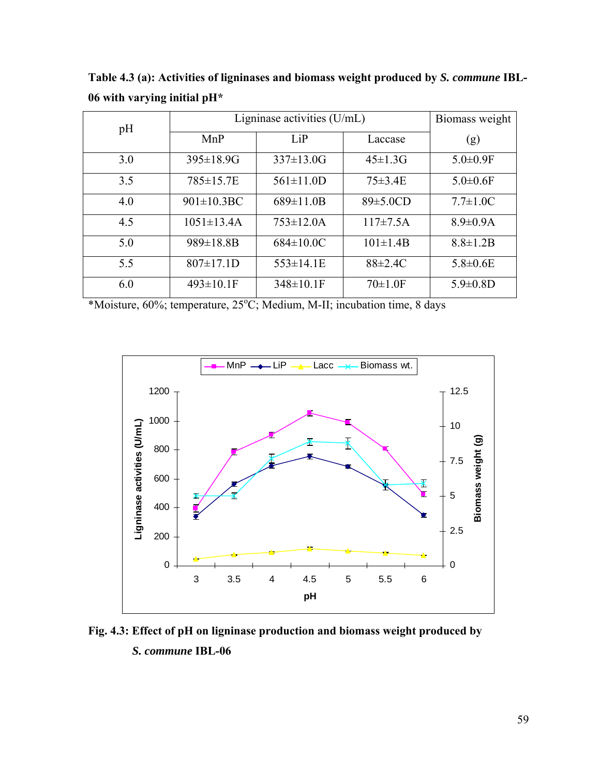| pH  | Ligninase activities $(U/mL)$ | Biomass weight   |                |                 |
|-----|-------------------------------|------------------|----------------|-----------------|
|     | MnP                           | LiP              | Laccase        | (g)             |
| 3.0 | $395 \pm 18.9$ G              | $337 \pm 13.0$ G | $45 \pm 1.3$ G | $5.0 \pm 0.9$ F |
| 3.5 | 785±15.7E                     | $561 \pm 11.0$ D | $75 \pm 3.4$ E | $5.0 \pm 0.6$ F |
| 4.0 | 901±10.3BC                    | $689 \pm 11.0 B$ | $89\pm5.0CD$   | $7.7 \pm 1.0 C$ |
| 4.5 | $1051 \pm 13.4$ A             | $753 \pm 12.0$ A | $117\pm7.5A$   | $8.9 \pm 0.9$ A |
| 5.0 | $989 \pm 18.8 B$              | $684 \pm 10.0 C$ | $101 \pm 1.4B$ | $8.8 \pm 1.2 B$ |
| 5.5 | $807 \pm 17.1$ D              | $553 \pm 14.1$ E | $88 \pm 2.4$ C | $5.8 \pm 0.6$ E |
| 6.0 | $493 \pm 10.1$ F              | $348 \pm 10.1$ F | $70 \pm 1.0$ F | $5.9 \pm 0.8$ D |

**Table 4.3 (a): Activities of ligninases and biomass weight produced by** *S. commune* **IBL-06 with varying initial pH\*** 

\*Moisture, 60%; temperature, 25°C; Medium, M-II; incubation time, 8 days



**Fig. 4.3: Effect of pH on ligninase production and biomass weight produced by** *S. commune* **IBL-06**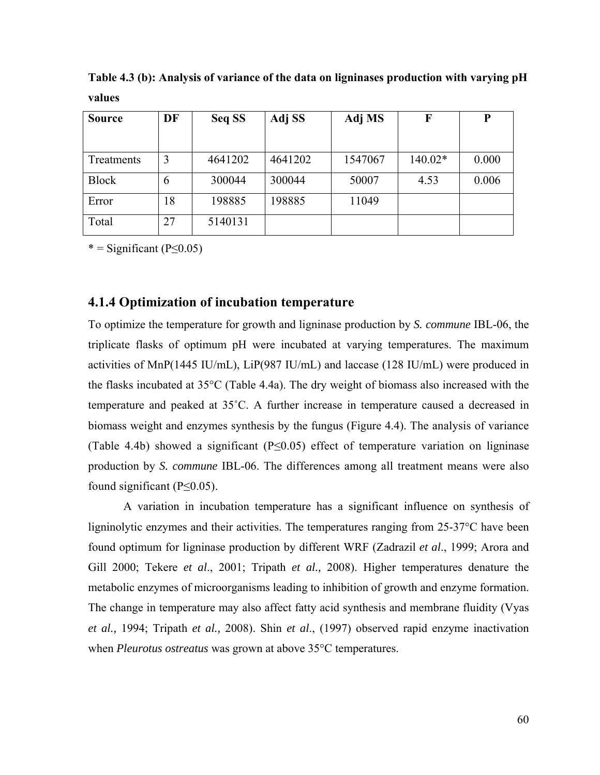| <b>Source</b> | DF | Seq SS  | Adj SS  | Adj MS  | F         | P     |
|---------------|----|---------|---------|---------|-----------|-------|
|               |    |         |         |         |           |       |
| Treatments    | 3  | 4641202 | 4641202 | 1547067 | $140.02*$ | 0.000 |
| <b>Block</b>  | 6  | 300044  | 300044  | 50007   | 4.53      | 0.006 |
| Error         | 18 | 198885  | 198885  | 11049   |           |       |
| Total         | 27 | 5140131 |         |         |           |       |

**Table 4.3 (b): Analysis of variance of the data on ligninases production with varying pH values** 

#### **4.1.4 Optimization of incubation temperature**

To optimize the temperature for growth and ligninase production by *S. commune* IBL-06, the triplicate flasks of optimum pH were incubated at varying temperatures. The maximum activities of MnP(1445 IU/mL), LiP(987 IU/mL) and laccase (128 IU/mL) were produced in the flasks incubated at 35°C (Table 4.4a). The dry weight of biomass also increased with the temperature and peaked at 35˚C. A further increase in temperature caused a decreased in biomass weight and enzymes synthesis by the fungus (Figure 4.4). The analysis of variance (Table 4.4b) showed a significant (P≤0.05) effect of temperature variation on ligninase production by *S. commune* IBL-06. The differences among all treatment means were also found significant  $(P \le 0.05)$ .

A variation in incubation temperature has a significant influence on synthesis of ligninolytic enzymes and their activities. The temperatures ranging from 25-37°C have been found optimum for ligninase production by different WRF (Zadrazil *et al*., 1999; Arora and Gill 2000; Tekere *et al*., 2001; Tripath *et al.,* 2008). Higher temperatures denature the metabolic enzymes of microorganisms leading to inhibition of growth and enzyme formation. The change in temperature may also affect fatty acid synthesis and membrane fluidity (Vyas *et al.,* 1994; Tripath *et al.,* 2008). Shin *et al*., (1997) observed rapid enzyme inactivation when *Pleurotus ostreatus* was grown at above 35°C temperatures.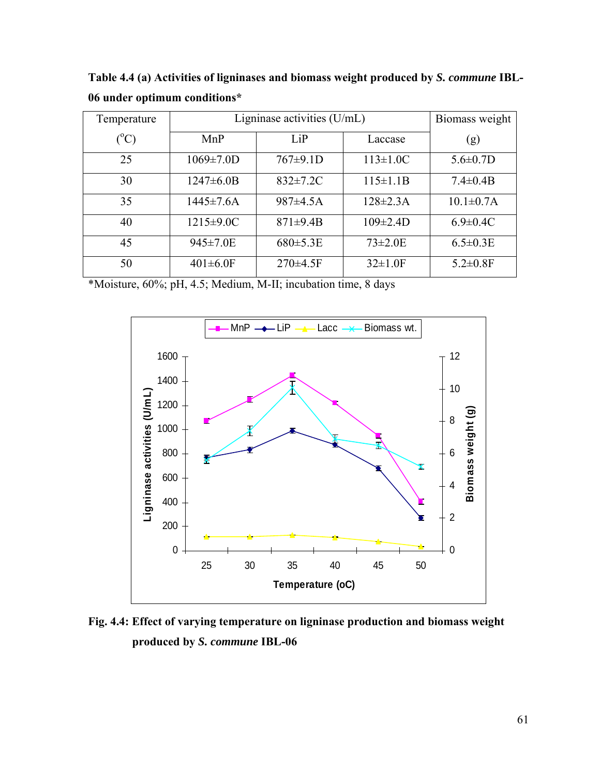**Table 4.4 (a) Activities of ligninases and biomass weight produced by** *S. commune* **IBL-06 under optimum conditions\*** 

| Temperature     | Ligninase activities $(U/mL)$ | Biomass weight  |                 |                  |
|-----------------|-------------------------------|-----------------|-----------------|------------------|
| $({}^{\circ}C)$ | MnP                           | LiP             | Laccase         | (g)              |
| 25              | $1069 \pm 7.0$ D              | 767±9.1D        | $113 \pm 1.0 C$ | $5.6 \pm 0.7$ D  |
| 30              | $1247 \pm 6.0B$               | $832 \pm 7.2$ C | $115 \pm 1.1B$  | $7.4 \pm 0.4 B$  |
| 35              | $1445 \pm 7.6A$               | 987±4.5A        | $128 \pm 2.3$ A | $10.1 \pm 0.7$ A |
| 40              | $1215 \pm 9.0 C$              | $871 \pm 9.4B$  | $109 \pm 2.4 D$ | $6.9 \pm 0.4$ C  |
| 45              | $945 \pm 7.0E$                | $680 \pm 5.3E$  | $73 \pm 2.0 E$  | $6.5 \pm 0.3$ E  |
| 50              | $401 \pm 6.0$ F               | $270\pm4.5$ F   | $32 \pm 1.0$ F  | $5.2 \pm 0.8$ F  |

\*Moisture, 60%; pH, 4.5; Medium, M-II; incubation time, 8 days



**Fig. 4.4: Effect of varying temperature on ligninase production and biomass weight produced by** *S. commune* **IBL-06**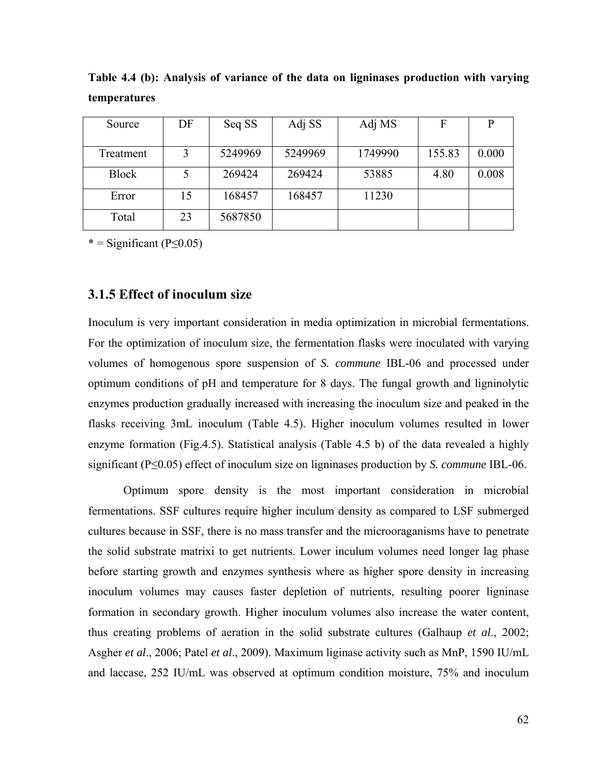| Source       | DF | Seq SS  | Adj SS  | Adj MS  | F      |       |
|--------------|----|---------|---------|---------|--------|-------|
|              |    |         |         |         |        |       |
| Treatment    |    | 5249969 | 5249969 | 1749990 | 155.83 | 0.000 |
| <b>Block</b> |    | 269424  | 269424  | 53885   | 4.80   | 0.008 |
| Error        | 15 | 168457  | 168457  | 11230   |        |       |
| Total        | 23 | 5687850 |         |         |        |       |

**Table 4.4 (b): Analysis of variance of the data on ligninases production with varying temperatures** 

#### **3.1.5 Effect of inoculum size**

Inoculum is very important consideration in media optimization in microbial fermentations. For the optimization of inoculum size, the fermentation flasks were inoculated with varying volumes of homogenous spore suspension of *S. commune* IBL-06 and processed under optimum conditions of pH and temperature for 8 days. The fungal growth and ligninolytic enzymes production gradually increased with increasing the inoculum size and peaked in the flasks receiving 3mL inoculum (Table 4.5). Higher inoculum volumes resulted in lower enzyme formation (Fig.4.5). Statistical analysis (Table 4.5 b) of the data revealed a highly significant (P≤0.05) effect of inoculum size on ligninases production by *S. commune* IBL-06.

 Optimum spore density is the most important consideration in microbial fermentations. SSF cultures require higher inculum density as compared to LSF submerged cultures because in SSF, there is no mass transfer and the microoraganisms have to penetrate the solid substrate matrixi to get nutrients. Lower inculum volumes need longer lag phase before starting growth and enzymes synthesis where as higher spore density in increasing inoculum volumes may causes faster depletion of nutrients, resulting poorer ligninase formation in secondary growth. Higher inoculum volumes also increase the water content, thus creating problems of aeration in the solid substrate cultures (Galhaup *et al*., 2002; Asgher *et al*., 2006; Patel *et al*., 2009). Maximum liginase activity such as MnP, 1590 IU/mL and laccase, 252 IU/mL was observed at optimum condition moisture, 75% and inoculum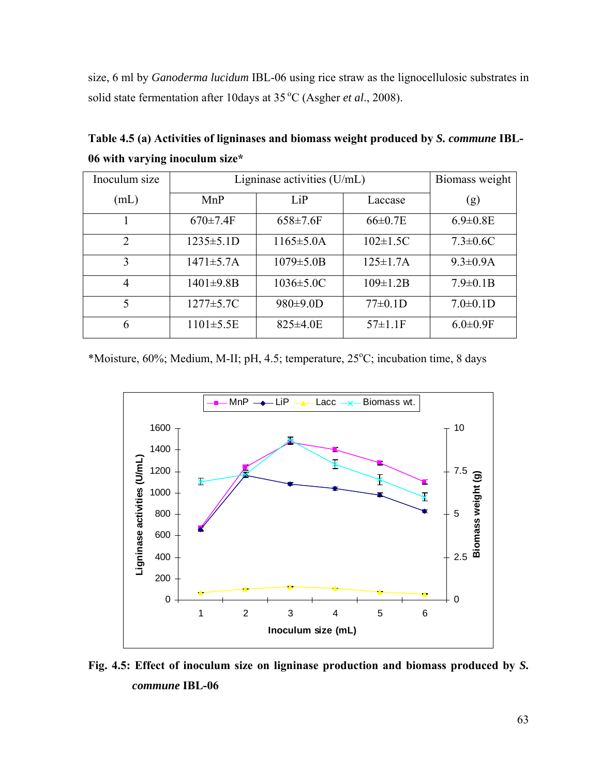size, 6 ml by *Ganoderma lucidum* IBL-06 using rice straw as the lignocellulosic substrates in solid state fermentation after 10days at 35 °C (Asgher *et al.*, 2008).

| Inoculum size  | Ligninase activities $(U/mL)$ | Biomass weight   |                 |                 |
|----------------|-------------------------------|------------------|-----------------|-----------------|
| (mL)           | MnP                           | LiP              | Laccase         | (g)             |
|                | $670 \pm 7.4$ F               | $658 \pm 7.6$ F  | $66 \pm 0.7$ E  | $6.9 \pm 0.8$ E |
| $\overline{2}$ | $1235 \pm 5.1D$               | $1165 \pm 5.0$ A | $102 \pm 1.5C$  | $7.3 \pm 0.6C$  |
| 3              | $1471 \pm 5.7A$               | $1079 \pm 5.0B$  | $125 \pm 1.7$ A | $9.3 \pm 0.9$ A |
| 4              | $1401 \pm 9.8B$               | $1036 \pm 5.0 C$ | $109 \pm 1.2 B$ | $7.9 \pm 0.1 B$ |
| 5              | $1277 \pm 5.7C$               | 980±9.0D         | $77\pm0.1D$     | $7.0 \pm 0.1$ D |
| 6              | $1101 \pm 5.5E$               | $825 \pm 4.0E$   | $57 \pm 1.1$ F  | $6.0 \pm 0.9$ F |

**Table 4.5 (a) Activities of ligninases and biomass weight produced by** *S. commune* **IBL-06 with varying inoculum size\*** 

\*Moisture, 60%; Medium, M-II; pH, 4.5; temperature, 25°C; incubation time, 8 days



**Fig. 4.5: Effect of inoculum size on ligninase production and biomass produced by** *S. commune* **IBL-06**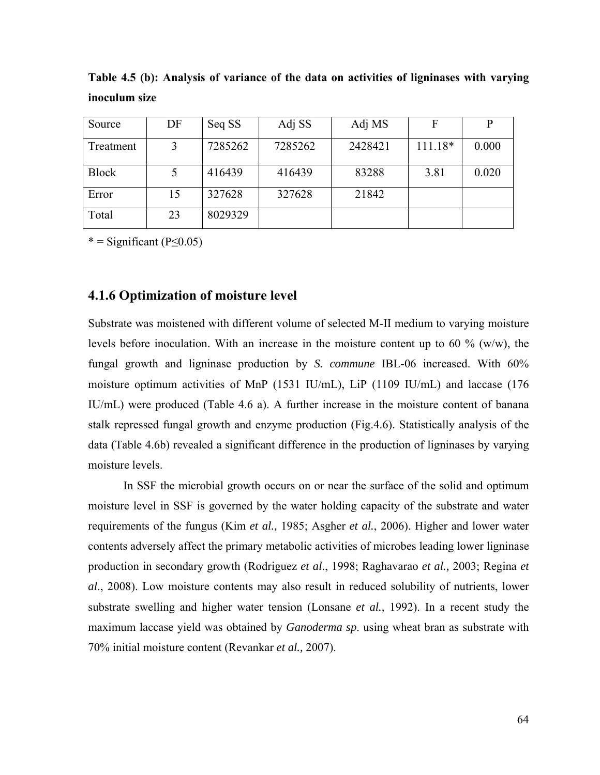| Source       | DF | Seq SS  | Adj SS  | Adj MS  | F         |       |
|--------------|----|---------|---------|---------|-----------|-------|
| Treatment    | 3  | 7285262 | 7285262 | 2428421 | $111.18*$ | 0.000 |
| <b>Block</b> |    | 416439  | 416439  | 83288   | 3.81      | 0.020 |
| Error        | 15 | 327628  | 327628  | 21842   |           |       |
| Total        | 23 | 8029329 |         |         |           |       |

**Table 4.5 (b): Analysis of variance of the data on activities of ligninases with varying inoculum size** 

#### **4.1.6 Optimization of moisture level**

Substrate was moistened with different volume of selected M-II medium to varying moisture levels before inoculation. With an increase in the moisture content up to 60  $\%$  (w/w), the fungal growth and ligninase production by *S. commune* IBL-06 increased. With 60% moisture optimum activities of MnP (1531 IU/mL), LiP (1109 IU/mL) and laccase (176 IU/mL) were produced (Table 4.6 a). A further increase in the moisture content of banana stalk repressed fungal growth and enzyme production (Fig.4.6). Statistically analysis of the data (Table 4.6b) revealed a significant difference in the production of ligninases by varying moisture levels.

 In SSF the microbial growth occurs on or near the surface of the solid and optimum moisture level in SSF is governed by the water holding capacity of the substrate and water requirements of the fungus (Kim *et al.,* 1985; Asgher *et al.*, 2006). Higher and lower water contents adversely affect the primary metabolic activities of microbes leading lower ligninase production in secondary growth (Rodriguez *et al*., 1998; Raghavarao *et al.,* 2003; Regina *et al*., 2008). Low moisture contents may also result in reduced solubility of nutrients, lower substrate swelling and higher water tension (Lonsane *et al.,* 1992). In a recent study the maximum laccase yield was obtained by *Ganoderma sp*. using wheat bran as substrate with 70% initial moisture content (Revankar *et al.,* 2007).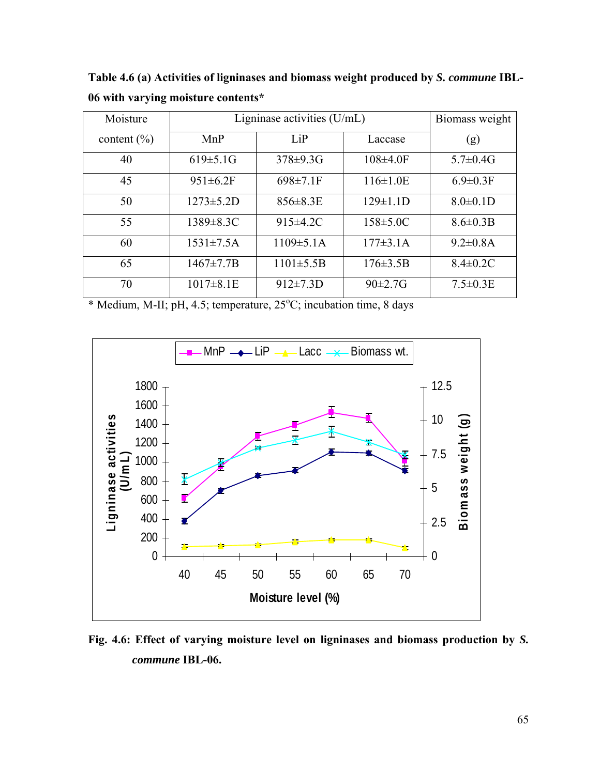**Table 4.6 (a) Activities of ligninases and biomass weight produced by** *S. commune* **IBL-06 with varying moisture contents\*** 

| Moisture        | Ligninase activities $(U/mL)$ | Biomass weight   |                 |                 |
|-----------------|-------------------------------|------------------|-----------------|-----------------|
| content $(\% )$ | MnP                           | LiP              | Laccase         | (g)             |
| 40              | $619 \pm 5.1$ G               | $378 \pm 9.3$ G  | $108\pm4.0$ F   | $5.7 \pm 0.4 G$ |
| 45              | $951 \pm 6.2$ F               | $698 \pm 7.1$ F  | $116 \pm 1.0E$  | $6.9 \pm 0.3$ F |
| 50              | $1273 \pm 5.2D$               | $856 \pm 8.3E$   | $129 \pm 1.1$ D | $8.0 \pm 0.1$ D |
| 55              | $1389 \pm 8.3C$               | $915\pm4.2C$     | $158 \pm 5.0 C$ | $8.6 \pm 0.3 B$ |
| 60              | $1531 \pm 7.5A$               | $1109 \pm 5.1$ A | $177\pm3.1A$    | $9.2 \pm 0.8$ A |
| 65              | $1467 \pm 7.7B$               | $1101 \pm 5.5B$  | $176 \pm 3.5B$  | $8.4 \pm 0.2$ C |
| 70              | $1017 \pm 8.1E$               | $912 \pm 7.3D$   | $90 \pm 2.7 G$  | $7.5 \pm 0.3$ E |

\* Medium, M-II; pH, 4.5; temperature, 25°C; incubation time, 8 days



**Fig. 4.6: Effect of varying moisture level on ligninases and biomass production by** *S. commune* **IBL-06.**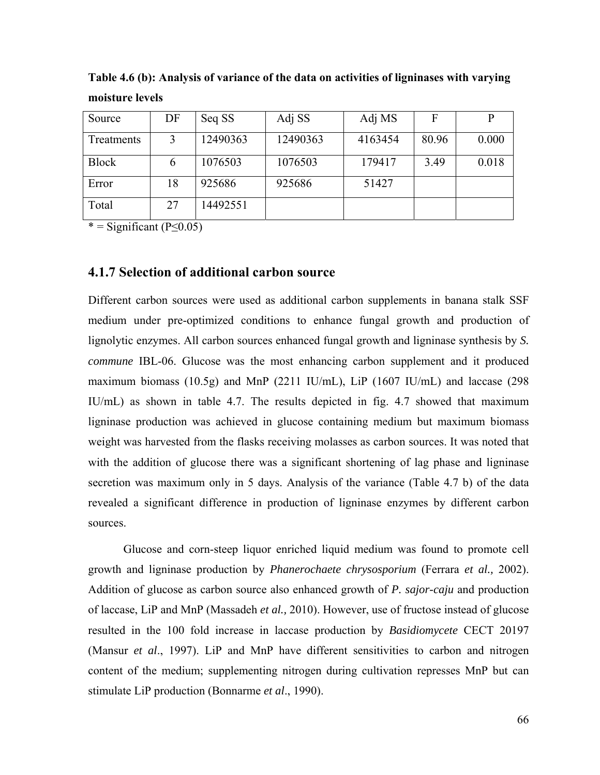| Source       | DF | Seq SS   | Adj SS   | Adj MS  | F     |       |
|--------------|----|----------|----------|---------|-------|-------|
| Treatments   |    | 12490363 | 12490363 | 4163454 | 80.96 | 0.000 |
| <b>Block</b> | 6  | 1076503  | 1076503  | 179417  | 3.49  | 0.018 |
| Error        | 18 | 925686   | 925686   | 51427   |       |       |
| Total        | 27 | 14492551 |          |         |       |       |

**Table 4.6 (b): Analysis of variance of the data on activities of ligninases with varying moisture levels** 

#### **4.1.7 Selection of additional carbon source**

Different carbon sources were used as additional carbon supplements in banana stalk SSF medium under pre-optimized conditions to enhance fungal growth and production of lignolytic enzymes. All carbon sources enhanced fungal growth and ligninase synthesis by *S. commune* IBL-06. Glucose was the most enhancing carbon supplement and it produced maximum biomass (10.5g) and MnP (2211 IU/mL), LiP (1607 IU/mL) and laccase (298 IU/mL) as shown in table 4.7. The results depicted in fig. 4.7 showed that maximum ligninase production was achieved in glucose containing medium but maximum biomass weight was harvested from the flasks receiving molasses as carbon sources. It was noted that with the addition of glucose there was a significant shortening of lag phase and ligninase secretion was maximum only in 5 days. Analysis of the variance (Table 4.7 b) of the data revealed a significant difference in production of ligninase enzymes by different carbon sources.

Glucose and corn-steep liquor enriched liquid medium was found to promote cell growth and ligninase production by *Phanerochaete chrysosporium* (Ferrara *et al.,* 2002). Addition of glucose as carbon source also enhanced growth of *P. sajor-caju* and production of laccase, LiP and MnP (Massadeh *et al.,* 2010). However, use of fructose instead of glucose resulted in the 100 fold increase in laccase production by *Basidiomycete* CECT 20197 (Mansur *et al*., 1997). LiP and MnP have different sensitivities to carbon and nitrogen content of the medium; supplementing nitrogen during cultivation represses MnP but can stimulate LiP production (Bonnarme *et al*., 1990).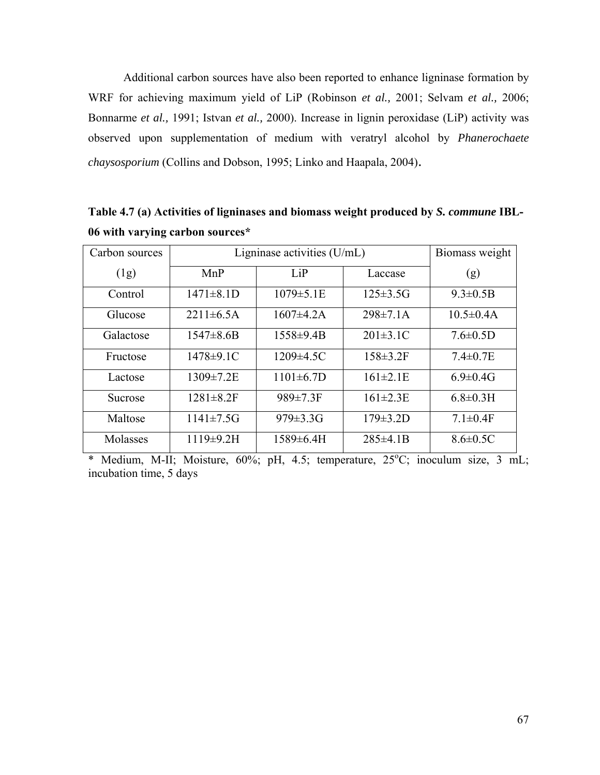Additional carbon sources have also been reported to enhance ligninase formation by WRF for achieving maximum yield of LiP (Robinson *et al.,* 2001; Selvam *et al.,* 2006; Bonnarme *et al.,* 1991; Istvan *et al.,* 2000). Increase in lignin peroxidase (LiP) activity was observed upon supplementation of medium with veratryl alcohol by *Phanerochaete chaysosporium* (Collins and Dobson, 1995; Linko and Haapala, 2004).

| Carbon sources | Ligninase activities $(U/mL)$ | Biomass weight   |                 |                  |
|----------------|-------------------------------|------------------|-----------------|------------------|
| (1g)           | MnP                           | LiP              | Laccase         | (g)              |
| Control        | $1471 \pm 8.1D$               | $1079 \pm 5.1E$  | $125 \pm 3.5$ G | $9.3 \pm 0.5 B$  |
| Glucose        | $2211 \pm 6.5A$               | $1607 \pm 4.2$ A | $298 \pm 7.1$ A | $10.5 \pm 0.4$ A |
| Galactose      | $1547 \pm 8.6B$               | $1558 \pm 9.4B$  | $201 \pm 3.1$ C | $7.6 \pm 0.5D$   |
| Fructose       | $1478 \pm 9.1$ C              | $1209 \pm 4.5C$  | $158 \pm 3.2$ F | $7.4 \pm 0.7$ E  |
| Lactose        | $1309 \pm 7.2 E$              | $1101 \pm 6.7D$  | $161 \pm 2.1E$  | $6.9 \pm 0.4$ G  |
| Sucrose        | $1281 \pm 8.2$ F              | $989 \pm 7.3$ F  | $161 \pm 2.3E$  | $6.8 \pm 0.3$ H  |
| Maltose        | $1141 \pm 7.5$ G              | $979 \pm 3.3$ G  | $179 \pm 3.2 D$ | $7.1 \pm 0.4$ F  |
| Molasses       | $1119\pm9.2H$                 | 1589±6.4H        | $285 \pm 4.1 B$ | $8.6 \pm 0.5C$   |

**Table 4.7 (a) Activities of ligninases and biomass weight produced by** *S. commune* **IBL-06 with varying carbon sources\*** 

\* Medium, M-II; Moisture, 60%; pH, 4.5; temperature, 25°C; inoculum size, 3 mL; incubation time, 5 days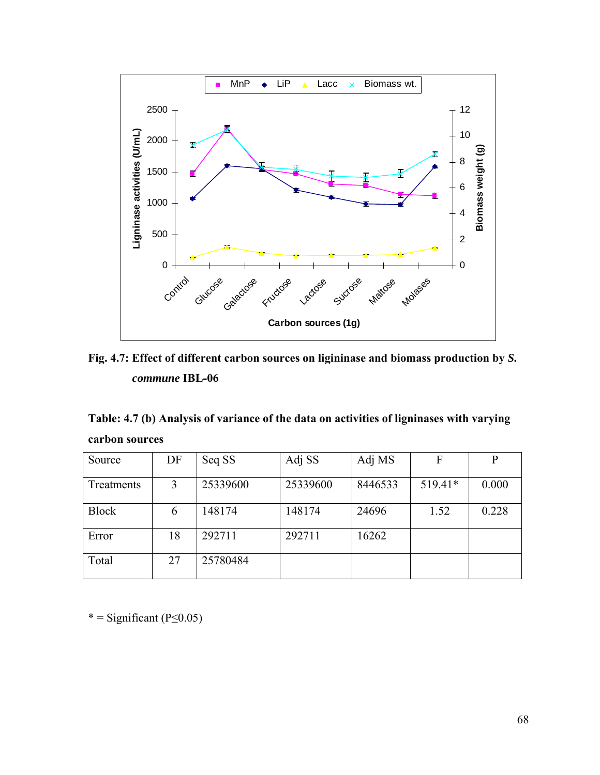

**Fig. 4.7: Effect of different carbon sources on ligininase and biomass production by** *S. commune* **IBL-06** 

**Table: 4.7 (b) Analysis of variance of the data on activities of ligninases with varying carbon sources** 

| Source       | DF | Seq SS   | Adj SS   | Adj MS  | F       | P     |
|--------------|----|----------|----------|---------|---------|-------|
| Treatments   | 3  | 25339600 | 25339600 | 8446533 | 519.41* | 0.000 |
| <b>Block</b> | 6  | 148174   | 148174   | 24696   | 1.52    | 0.228 |
| Error        | 18 | 292711   | 292711   | 16262   |         |       |
| Total        | 27 | 25780484 |          |         |         |       |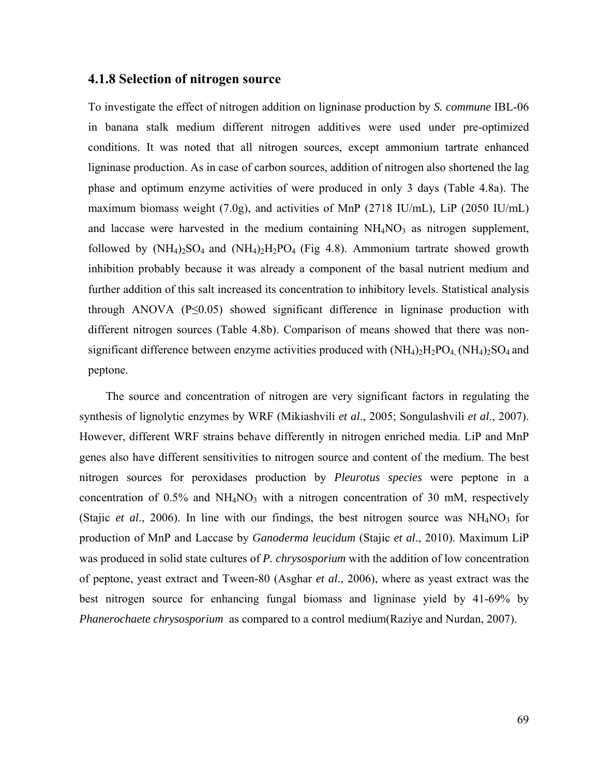#### **4.1.8 Selection of nitrogen source**

To investigate the effect of nitrogen addition on ligninase production by *S. commune* IBL-06 in banana stalk medium different nitrogen additives were used under pre-optimized conditions. It was noted that all nitrogen sources, except ammonium tartrate enhanced ligninase production. As in case of carbon sources, addition of nitrogen also shortened the lag phase and optimum enzyme activities of were produced in only 3 days (Table 4.8a). The maximum biomass weight (7.0g), and activities of MnP (2718 IU/mL), LiP (2050 IU/mL) and laccase were harvested in the medium containing  $NH<sub>4</sub>NO<sub>3</sub>$  as nitrogen supplement, followed by  $(NH_4)_2SO_4$  and  $(NH_4)_2H_2PO_4$  (Fig 4.8). Ammonium tartrate showed growth inhibition probably because it was already a component of the basal nutrient medium and further addition of this salt increased its concentration to inhibitory levels. Statistical analysis through ANOVA ( $P \leq 0.05$ ) showed significant difference in ligninase production with different nitrogen sources (Table 4.8b). Comparison of means showed that there was nonsignificant difference between enzyme activities produced with  $(NH_4)_2H_2PO_4$ ,  $(NH_4)_2SO_4$  and peptone.

 The source and concentration of nitrogen are very significant factors in regulating the synthesis of lignolytic enzymes by WRF (Mikiashvili *et al*., 2005; Songulashvili *et al*., 2007). However, different WRF strains behave differently in nitrogen enriched media. LiP and MnP genes also have different sensitivities to nitrogen source and content of the medium. The best nitrogen sources for peroxidases production by *Pleurotus species* were peptone in a concentration of  $0.5\%$  and  $NH<sub>4</sub>NO<sub>3</sub>$  with a nitrogen concentration of 30 mM, respectively (Stajic *et al.*, 2006). In line with our findings, the best nitrogen source was  $NH<sub>4</sub>NO<sub>3</sub>$  for production of MnP and Laccase by *Ganoderma leucidum* (Stajic *et al*., 2010). Maximum LiP was produced in solid state cultures of *P. chrysosporium* with the addition of low concentration of peptone, yeast extract and Tween-80 (Asghar *et al*., 2006), where as yeast extract was the best nitrogen source for enhancing fungal biomass and ligninase yield by 41-69% by *Phanerochaete chrysosporium* as compared to a control medium(Raziye and Nurdan, 2007).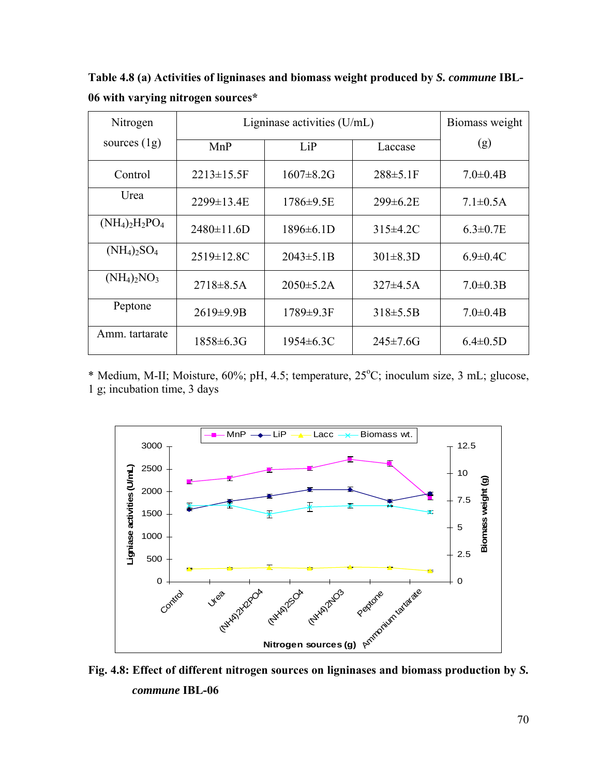**Table 4.8 (a) Activities of ligninases and biomass weight produced by** *S. commune* **IBL-06 with varying nitrogen sources\*** 

| Nitrogen          | Ligninase activities $(U/mL)$ | Biomass weight   |                 |                 |
|-------------------|-------------------------------|------------------|-----------------|-----------------|
| sources $(1g)$    | MnP                           | LiP              | Laccase         | (g)             |
| Control           | $2213 \pm 15.5$ F             | $1607 \pm 8.2$ G | $288 \pm 5.1$ F | $7.0 \pm 0.4 B$ |
| Urea              | 2299±13.4E                    | 1786±9.5E        | $299 \pm 6.2 E$ | $7.1 \pm 0.5$ A |
| $(NH_4)_2H_2PO_4$ | $2480 \pm 11.6$ D             | $1896 \pm 6.1D$  | $315\pm4.2C$    | $6.3 \pm 0.7$ E |
| $(NH_4)_2SO_4$    | $2519 \pm 12.8$ C             | $2043 \pm 5.1B$  | $301 \pm 8.3D$  | $6.9 \pm 0.4$ C |
| $(NH_4)_2NO_3$    | $2718 \pm 8.5A$               | $2050 \pm 5.2$ A | $327\pm4.5A$    | $7.0 \pm 0.3 B$ |
| Peptone           | $2619 \pm 9.9B$               | 1789±9.3F        | $318 \pm 5.5B$  | $7.0 \pm 0.4 B$ |
| Amm. tartarate    | $1858 \pm 6.3$ G              | $1954 \pm 6.3C$  | $245 \pm 7.6$ G | $6.4 \pm 0.5$ D |

\* Medium, M-II; Moisture, 60%; pH, 4.5; temperature, 25°C; inoculum size, 3 mL; glucose, 1 g; incubation time, 3 days



**Fig. 4.8: Effect of different nitrogen sources on ligninases and biomass production by** *S. commune* **IBL-06**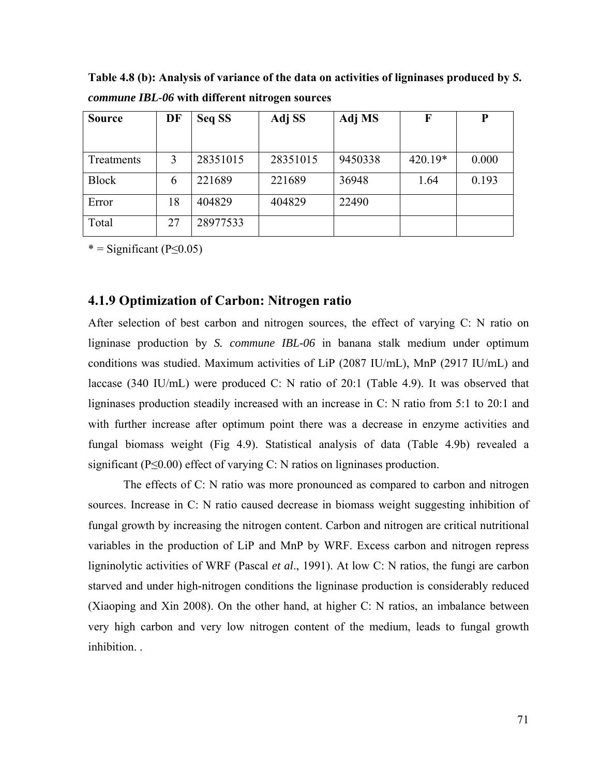Source | DF | Seq SS | Adj SS | Adj MS | F | P Treatments 3 28351015 28351015 9450338 420.19<sup>\*</sup> 0.000 Block 6 221689 221689 36948 1.64 0.193 Error 18 404829 404829 22490 Total 27 28977533

**Table 4.8 (b): Analysis of variance of the data on activities of ligninases produced by** *S. commune IBL-06* **with different nitrogen sources** 

#### **4.1.9 Optimization of Carbon: Nitrogen ratio**

After selection of best carbon and nitrogen sources, the effect of varying C: N ratio on ligninase production by *S. commune IBL-06* in banana stalk medium under optimum conditions was studied. Maximum activities of LiP (2087 IU/mL), MnP (2917 IU/mL) and laccase (340 IU/mL) were produced C: N ratio of 20:1 (Table 4.9). It was observed that ligninases production steadily increased with an increase in C: N ratio from 5:1 to 20:1 and with further increase after optimum point there was a decrease in enzyme activities and fungal biomass weight (Fig 4.9). Statistical analysis of data (Table 4.9b) revealed a significant (P≤0.00) effect of varying C: N ratios on ligninases production.

The effects of C: N ratio was more pronounced as compared to carbon and nitrogen sources. Increase in C: N ratio caused decrease in biomass weight suggesting inhibition of fungal growth by increasing the nitrogen content. Carbon and nitrogen are critical nutritional variables in the production of LiP and MnP by WRF. Excess carbon and nitrogen repress ligninolytic activities of WRF (Pascal *et al*., 1991). At low C: N ratios, the fungi are carbon starved and under high-nitrogen conditions the ligninase production is considerably reduced (Xiaoping and Xin 2008). On the other hand, at higher C: N ratios, an imbalance between very high carbon and very low nitrogen content of the medium, leads to fungal growth inhibition. .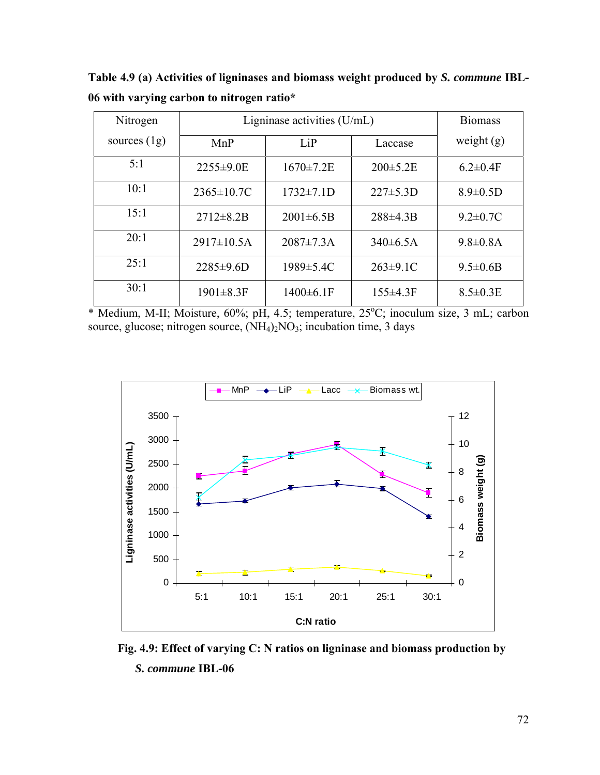**Table 4.9 (a) Activities of ligninases and biomass weight produced by** *S. commune* **IBL-06 with varying carbon to nitrogen ratio\*** 

| Nitrogen       | Ligninase activities $(U/mL)$ | <b>Biomass</b>   |                 |                 |
|----------------|-------------------------------|------------------|-----------------|-----------------|
| sources $(1g)$ | MnP                           | LiP              | Laccase         | weight $(g)$    |
| 5:1            | 2255±9.0E                     | $1670 \pm 7.2 E$ | $200 \pm 5.2 E$ | $6.2 \pm 0.4$ F |
| 10:1           | $2365 \pm 10.7C$              | $1732 \pm 7.1D$  | $227 \pm 5.3D$  | $8.9 \pm 0.5$ D |
| 15:1           | $2712 \pm 8.2B$               | $2001 \pm 6.5B$  | $288\pm4.3B$    | $9.2 \pm 0.7C$  |
| 20:1           | $2917 \pm 10.5A$              | $2087 \pm 7.3$ A | $340\pm 6.5A$   | $9.8 \pm 0.8$ A |
| 25:1           | $2285 \pm 9.6D$               | $1989 \pm 5.4C$  | $263 \pm 9.1$ C | $9.5 \pm 0.6B$  |
| 30:1           | $1901 \pm 8.3F$               | $1400 \pm 6.1$ F | $155\pm4.3F$    | $8.5 \pm 0.3$ E |

\* Medium, M-II; Moisture, 60%; pH, 4.5; temperature, 25°C; inoculum size, 3 mL; carbon source, glucose; nitrogen source,  $(NH<sub>4</sub>)<sub>2</sub>NO<sub>3</sub>$ ; incubation time, 3 days



 **Fig. 4.9: Effect of varying C: N ratios on ligninase and biomass production by**  *S. commune* **IBL-06**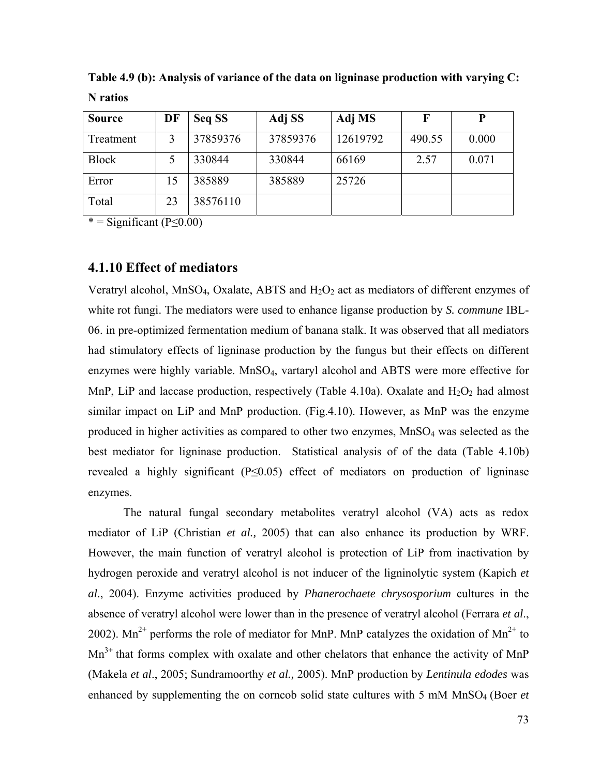| <b>Source</b> | DF | Seq SS   | Adj SS   | Adj MS   | F      | P     |
|---------------|----|----------|----------|----------|--------|-------|
| Treatment     |    | 37859376 | 37859376 | 12619792 | 490.55 | 0.000 |
| <b>Block</b>  |    | 330844   | 330844   | 66169    | 2.57   | 0.071 |
| Error         | 15 | 385889   | 385889   | 25726    |        |       |
| Total         | 23 | 38576110 |          |          |        |       |

**Table 4.9 (b): Analysis of variance of the data on ligninase production with varying C: N ratios** 

 $* =$  Significant (P≤0.00)

## **4.1.10 Effect of mediators**

Veratryl alcohol, MnSO<sub>4</sub>, Oxalate, ABTS and  $H_2O_2$  act as mediators of different enzymes of white rot fungi. The mediators were used to enhance liganse production by *S. commune* IBL-06. in pre-optimized fermentation medium of banana stalk. It was observed that all mediators had stimulatory effects of ligninase production by the fungus but their effects on different enzymes were highly variable. MnSO<sub>4</sub>, vartaryl alcohol and ABTS were more effective for MnP, LiP and laccase production, respectively (Table 4.10a). Oxalate and  $H_2O_2$  had almost similar impact on LiP and MnP production. (Fig.4.10). However, as MnP was the enzyme produced in higher activities as compared to other two enzymes,  $MnSO<sub>4</sub>$  was selected as the best mediator for ligninase production. Statistical analysis of of the data (Table 4.10b) revealed a highly significant (P≤0.05) effect of mediators on production of ligninase enzymes.

The natural fungal secondary metabolites veratryl alcohol (VA) acts as redox mediator of LiP (Christian *et al.,* 2005) that can also enhance its production by WRF. However, the main function of veratryl alcohol is protection of LiP from inactivation by hydrogen peroxide and veratryl alcohol is not inducer of the ligninolytic system (Kapich *et al*., 2004). Enzyme activities produced by *Phanerochaete chrysosporium* cultures in the absence of veratryl alcohol were lower than in the presence of veratryl alcohol (Ferrara *et al*., 2002). Mn<sup>2+</sup> performs the role of mediator for MnP. MnP catalyzes the oxidation of Mn<sup>2+</sup> to  $Mn<sup>3+</sup>$  that forms complex with oxalate and other chelators that enhance the activity of MnP (Makela *et al*., 2005; Sundramoorthy *et al.,* 2005). MnP production by *Lentinula edodes* was enhanced by supplementing the on corncob solid state cultures with 5 mM MnSO<sub>4</sub> (Boer *et*)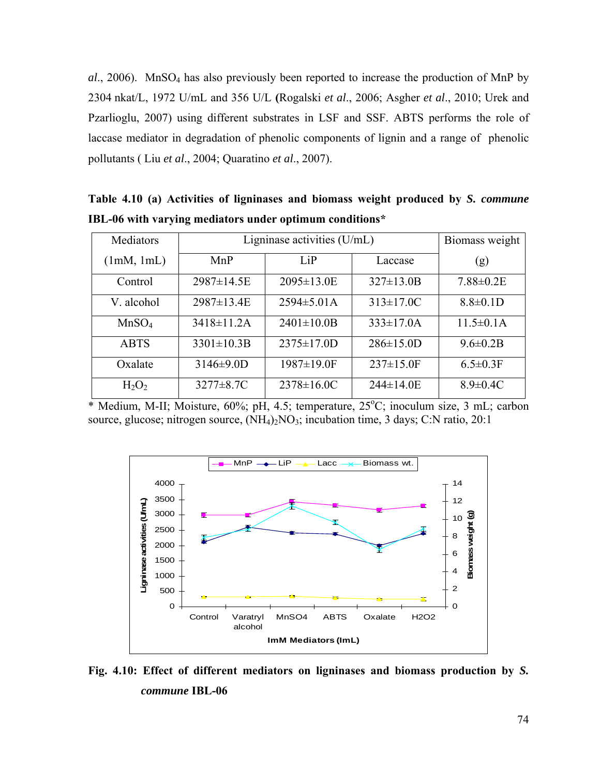*al*., 2006). MnSO4 has also previously been reported to increase the production of MnP by 2304 nkat/L, 1972 U/mL and 356 U/L **(**Rogalski *et al*., 2006; Asgher *et al*., 2010; Urek and Pzarlioglu, 2007) using different substrates in LSF and SSF. ABTS performs the role of laccase mediator in degradation of phenolic components of lignin and a range of phenolic pollutants ( Liu *et al*., 2004; Quaratino *et al*., 2007).

**Mediators** (1mM, 1mL) Ligninase activities  $(U/mL)$  Biomass weight MnP LiP Laccase (g) Control 2987±14.5E 2095±13.0E 327±13.0B 7.88±0.2E V. alcohol  $\vert$  2987 $\pm$ 13.4E  $\vert$  2594 $\pm$ 5.01A  $\vert$  313 $\pm$ 17.0C  $\vert$  8.8 $\pm$ 0.1D MnSO<sub>4</sub> | 3418 $\pm$ 11.2A | 2401 $\pm$ 10.0B | 333 $\pm$ 17.0A | 11.5 $\pm$ 0.1A ABTS 3301±10.3B 2375±17.0D 286±15.0D 9.6±0.2B Oxalate 3146±9.0D 1987±19.0F 237±15.0F 6.5±0.3F  $H_2O_2$  | 3277±8.7C | 2378±16.0C | 244±14.0E | 8.9±0.4C

**Table 4.10 (a) Activities of ligninases and biomass weight produced by** *S. commune* **IBL-06 with varying mediators under optimum conditions\*** 

\* Medium, M-II; Moisture, 60%; pH, 4.5; temperature, 25°C; inoculum size, 3 mL; carbon source, glucose; nitrogen source,  $(NH<sub>4</sub>)<sub>2</sub>NO<sub>3</sub>$ ; incubation time, 3 days; C:N ratio, 20:1



**Fig. 4.10: Effect of different mediators on ligninases and biomass production by** *S. commune* **IBL-06**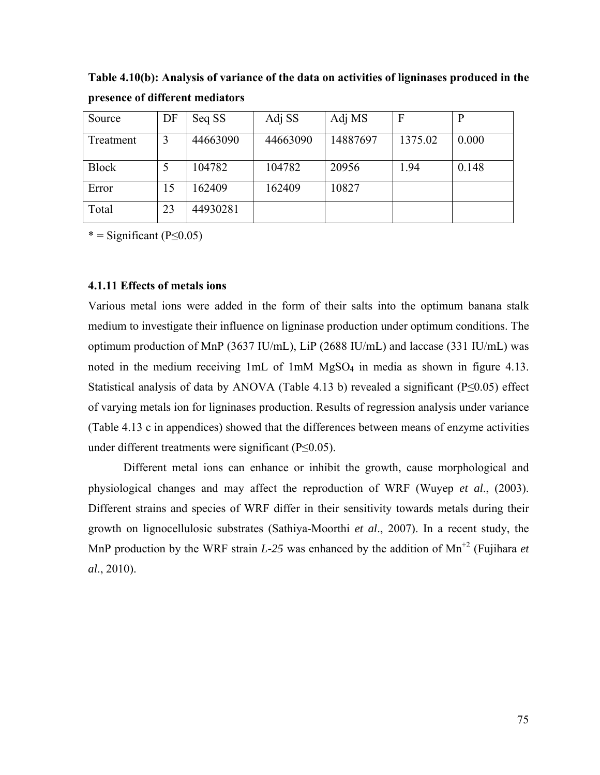**Table 4.10(b): Analysis of variance of the data on activities of ligninases produced in the presence of different mediators** 

| Source       | DF | Seq SS   | Adj SS   | Adj MS   | F       | P     |
|--------------|----|----------|----------|----------|---------|-------|
| Treatment    | 3  | 44663090 | 44663090 | 14887697 | 1375.02 | 0.000 |
| <b>Block</b> | 5  | 104782   | 104782   | 20956    | 1.94    | 0.148 |
| Error        | 15 | 162409   | 162409   | 10827    |         |       |
| Total        | 23 | 44930281 |          |          |         |       |

 $* =$  Significant (P $\leq$ 0.05)

## **4.1.11 Effects of metals ions**

Various metal ions were added in the form of their salts into the optimum banana stalk medium to investigate their influence on ligninase production under optimum conditions. The optimum production of MnP (3637 IU/mL), LiP (2688 IU/mL) and laccase (331 IU/mL) was noted in the medium receiving  $1mL$  of  $1mM MgSO<sub>4</sub>$  in media as shown in figure 4.13. Statistical analysis of data by ANOVA (Table 4.13 b) revealed a significant ( $P \le 0.05$ ) effect of varying metals ion for ligninases production. Results of regression analysis under variance (Table 4.13 c in appendices) showed that the differences between means of enzyme activities under different treatments were significant (P≤0.05).

Different metal ions can enhance or inhibit the growth, cause morphological and physiological changes and may affect the reproduction of WRF (Wuyep *et al*., (2003). Different strains and species of WRF differ in their sensitivity towards metals during their growth on lignocellulosic substrates (Sathiya-Moorthi *et al*., 2007). In a recent study, the MnP production by the WRF strain  $L-25$  was enhanced by the addition of Mn<sup>+2</sup> (Fujihara *et al*., 2010).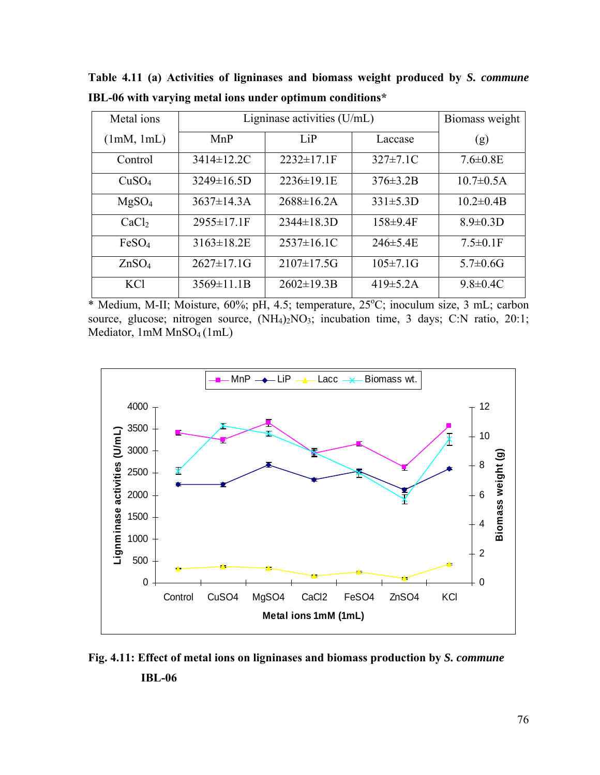| Metal ions        | Ligninase activities $(U/mL)$ | Biomass weight    |                 |                  |
|-------------------|-------------------------------|-------------------|-----------------|------------------|
| (1mM, 1mL)        | MnP                           | LiP               | Laccase         | (g)              |
| Control           | 3414±12.2C                    | $2232 \pm 17.1$ F | $327 \pm 7.1$ C | $7.6 \pm 0.8$ E  |
| CuSO <sub>4</sub> | $3249 \pm 16.5D$              | $2236 \pm 19.1$ E | $376 \pm 3.2B$  | $10.7 \pm 0.5$ A |
| MgSO <sub>4</sub> | $3637 \pm 14.3$ A             | $2688 \pm 16.2$ A | $331 \pm 5.3D$  | $10.2 \pm 0.4 B$ |
| CaCl <sub>2</sub> | 2955±17.1F                    | $2344 \pm 18.3D$  | $158 \pm 9.4$ F | $8.9 \pm 0.3$ D  |
| FeSO <sub>4</sub> | $3163 \pm 18.2 E$             | $2537 \pm 16.1$ C | $246 \pm 5.4E$  | $7.5 \pm 0.1$ F  |
| ZnSO <sub>4</sub> | $2627 \pm 17.1$ G             | $2107 \pm 17.5$ G | $105 \pm 7.1$ G | $5.7 \pm 0.6$ G  |
| <b>KCl</b>        | $3569 \pm 11.1B$              | $2602 \pm 19.3B$  | $419\pm 5.2A$   | $9.8 \pm 0.4$ C  |

**Table 4.11 (a) Activities of ligninases and biomass weight produced by** *S. commune* **IBL-06 with varying metal ions under optimum conditions\*** 

\* Medium, M-II; Moisture, 60%; pH, 4.5; temperature, 25°C; inoculum size, 3 mL; carbon source, glucose; nitrogen source,  $(NH_4)_2NO_3$ ; incubation time, 3 days; C:N ratio, 20:1; Mediator, 1mM MnSO<sub>4</sub> (1mL)



**Fig. 4.11: Effect of metal ions on ligninases and biomass production by** *S. commune*  **IBL-06**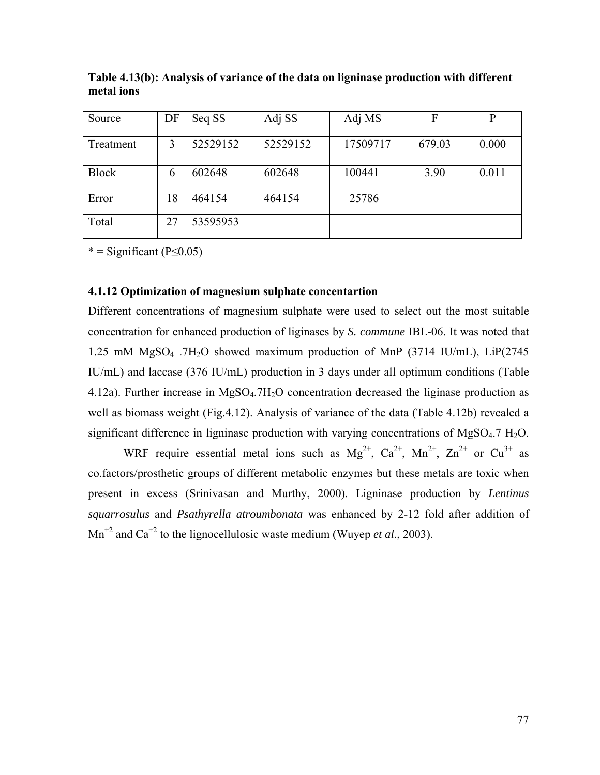| Source       | DF | Seq SS   | Adj SS   | Adj MS   | F      | P     |
|--------------|----|----------|----------|----------|--------|-------|
| Treatment    | 3  | 52529152 | 52529152 | 17509717 | 679.03 | 0.000 |
| <b>Block</b> | 6  | 602648   | 602648   | 100441   | 3.90   | 0.011 |
| Error        | 18 | 464154   | 464154   | 25786    |        |       |
| Total        | 27 | 53595953 |          |          |        |       |

**Table 4.13(b): Analysis of variance of the data on ligninase production with different metal ions** 

 $* =$  Significant (P $\leq$ 0.05)

### **4.1.12 Optimization of magnesium sulphate concentartion**

Different concentrations of magnesium sulphate were used to select out the most suitable concentration for enhanced production of liginases by *S. commune* IBL-06. It was noted that 1.25 mM MgSO4 .7H2O showed maximum production of MnP (3714 IU/mL), LiP(2745 IU/mL) and laccase (376 IU/mL) production in 3 days under all optimum conditions (Table 4.12a). Further increase in MgSO<sub>4</sub>.7H<sub>2</sub>O concentration decreased the liginase production as well as biomass weight (Fig.4.12). Analysis of variance of the data (Table 4.12b) revealed a significant difference in ligninase production with varying concentrations of MgSO $_4$ .7 H<sub>2</sub>O.

WRF require essential metal ions such as  $Mg^{2+}$ ,  $Ca^{2+}$ ,  $Mn^{2+}$ ,  $Zn^{2+}$  or  $Cu^{3+}$  as co.factors/prosthetic groups of different metabolic enzymes but these metals are toxic when present in excess (Srinivasan and Murthy, 2000). Ligninase production by *Lentinus squarrosulus* and *Psathyrella atroumbonata* was enhanced by 2-12 fold after addition of  $Mn^{2}$  and Ca<sup>+2</sup> to the lignocellulosic waste medium (Wuyep *et al.*, 2003).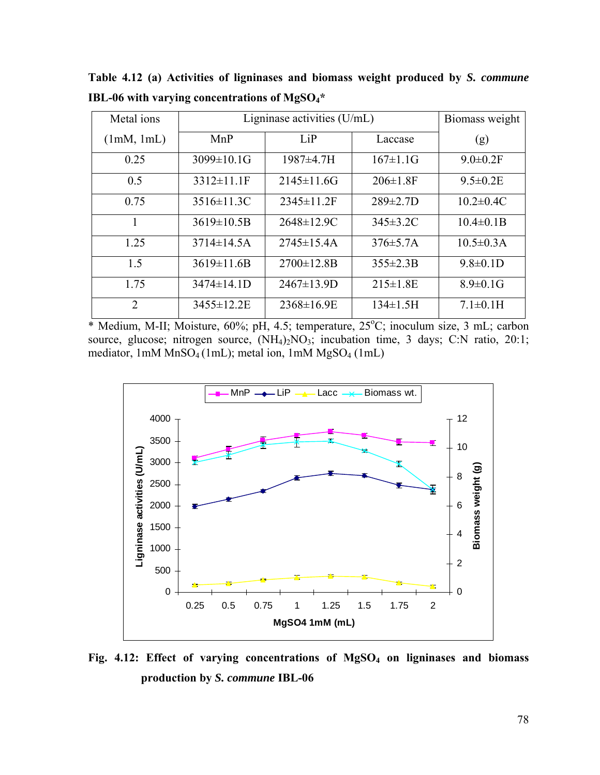| Metal ions | Ligninase activities $(U/mL)$ | Biomass weight    |                 |                  |
|------------|-------------------------------|-------------------|-----------------|------------------|
| (1mM, 1mL) | MnP                           | LiP               | Laccase         | (g)              |
| 0.25       | 3099±10.1G                    | 1987±4.7H         | $167 \pm 1.1$ G | $9.0 \pm 0.2$ F  |
| 0.5        | $3312 \pm 11.1$ F             | $2145 \pm 11.6$ G | $206 \pm 1.8$ F | $9.5 \pm 0.2$ E  |
| 0.75       | $3516 \pm 11.3C$              | $2345 \pm 11.2$ F | $289 \pm 2.7D$  | $10.2 \pm 0.4$ C |
|            | $3619 \pm 10.5B$              | $2648 \pm 12.9C$  | $345\pm3.2$ C   | $10.4 \pm 0.1 B$ |
| 1.25       | $3714 \pm 14.5A$              | $2745 \pm 15.4A$  | $376 \pm 5.7$ A | $10.5 \pm 0.3$ A |
| 1.5        | $3619 \pm 11.6B$              | $2700 \pm 12.8B$  | $355 \pm 2.3 B$ | $9.8 \pm 0.1$ D  |
| 1.75       | 3474±14.1D                    | $2467 \pm 13.9D$  | $215 \pm 1.8$ E | $8.9 \pm 0.1$ G  |
| 2          | 3455±12.2E                    | $2368 \pm 16.9E$  | $134 \pm 1.5$ H | $7.1 \pm 0.1$ H  |

**Table 4.12 (a) Activities of ligninases and biomass weight produced by** *S. commune* **IBL-06 with varying concentrations of MgSO4\*** 

\* Medium, M-II; Moisture, 60%; pH, 4.5; temperature, 25°C; inoculum size, 3 mL; carbon source, glucose; nitrogen source,  $(NH_4)_2NO_3$ ; incubation time, 3 days; C:N ratio, 20:1; mediator,  $1 \text{m} \text{M} \text{Mn} \text{SO}_4 (1 \text{m})$ ; metal ion,  $1 \text{m} \text{M} \text{Mg} \text{SO}_4 (1 \text{m})$ 



Fig. 4.12: Effect of varying concentrations of MgSO<sub>4</sub> on ligninases and biomass **production by** *S. commune* **IBL-06**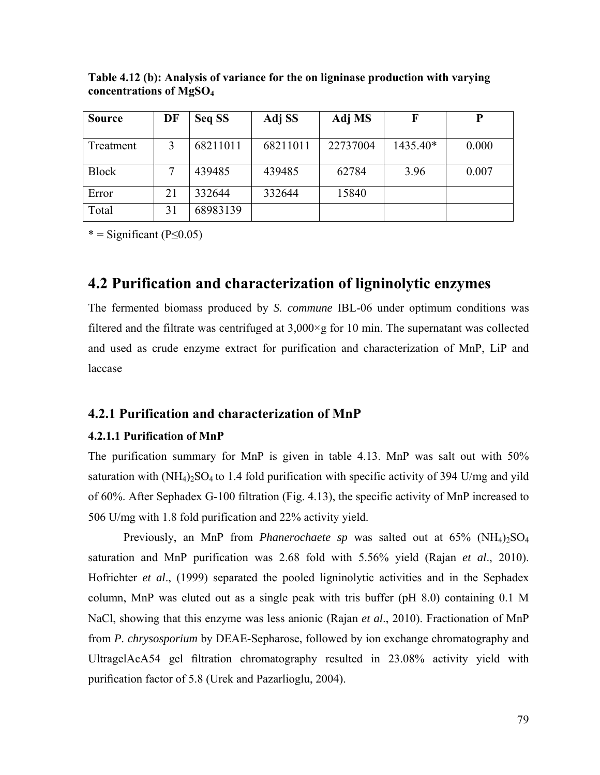| <b>Source</b> | DF | Seq SS   | Adj SS   | Adj MS   | F        | D     |
|---------------|----|----------|----------|----------|----------|-------|
|               |    |          |          |          |          |       |
| Treatment     | 3  | 68211011 | 68211011 | 22737004 | 1435.40* | 0.000 |
|               |    |          |          |          |          |       |
| Block         |    | 439485   | 439485   | 62784    | 3.96     | 0.007 |
|               |    |          |          |          |          |       |
| Error         | 21 | 332644   | 332644   | 15840    |          |       |
| Total         | 31 | 68983139 |          |          |          |       |

**Table 4.12 (b): Analysis of variance for the on ligninase production with varying concentrations of MgSO4** 

 $* =$  Significant (P $\leq$ 0.05)

# **4.2 Purification and characterization of ligninolytic enzymes**

The fermented biomass produced by *S. commune* IBL-06 under optimum conditions was filtered and the filtrate was centrifuged at  $3,000 \times g$  for 10 min. The supernatant was collected and used as crude enzyme extract for purification and characterization of MnP, LiP and laccase

## **4.2.1 Purification and characterization of MnP**

## **4.2.1.1 Purification of MnP**

The purification summary for MnP is given in table 4.13. MnP was salt out with 50% saturation with  $(NH_4)_2SO_4$  to 1.4 fold purification with specific activity of 394 U/mg and yild of 60%. After Sephadex G-100 filtration (Fig. 4.13), the specific activity of MnP increased to 506 U/mg with 1.8 fold purification and 22% activity yield.

 Previously, an MnP from *Phanerochaete sp* was salted out at 65% (NH4)2SO4 saturation and MnP purification was 2.68 fold with 5.56% yield (Rajan *et al*., 2010). Hofrichter *et al*., (1999) separated the pooled ligninolytic activities and in the Sephadex column, MnP was eluted out as a single peak with tris buffer (pH 8.0) containing 0.1 M NaCl, showing that this enzyme was less anionic (Rajan *et al*., 2010). Fractionation of MnP from *P. chrysosporium* by DEAE-Sepharose, followed by ion exchange chromatography and UltragelAcA54 gel filtration chromatography resulted in 23.08% activity yield with purification factor of 5.8 (Urek and Pazarlioglu, 2004).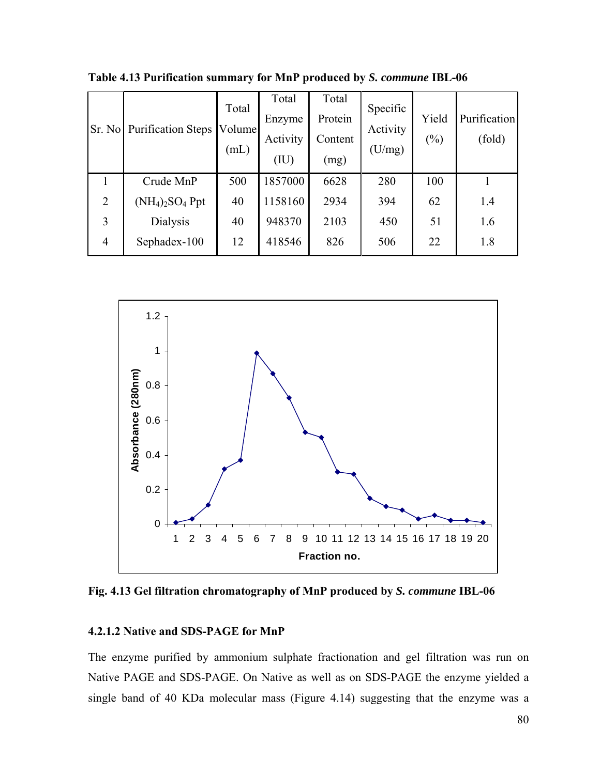| Sr. No         | <b>Purification Steps</b> | Total<br>Volume<br>(mL) | Total<br>Enzyme<br>Activity<br>(IU) | Total<br>Protein<br>Content<br>(mg) | Specific<br>Activity<br>(U/mg) | Yield<br>$(\%)$ | Purification<br>(fold) |
|----------------|---------------------------|-------------------------|-------------------------------------|-------------------------------------|--------------------------------|-----------------|------------------------|
| 1              | Crude MnP                 | 500                     | 1857000                             | 6628                                | 280                            | 100             |                        |
| $\overline{2}$ | $(NH_4)_2SO_4$ Ppt        | 40                      | 1158160                             | 2934                                | 394                            | 62              | 1.4                    |
| 3              | <b>Dialysis</b>           | 40                      | 948370                              | 2103                                | 450                            | 51              | 1.6                    |
| $\overline{4}$ | Sephadex-100              | 12                      | 418546                              | 826                                 | 506                            | 22              | 1.8                    |

**Table 4.13 Purification summary for MnP produced by** *S. commune* **IBL-06** 



**Fig. 4.13 Gel filtration chromatography of MnP produced by** *S. commune* **IBL-06** 

### **4.2.1.2 Native and SDS-PAGE for MnP**

The enzyme purified by ammonium sulphate fractionation and gel filtration was run on Native PAGE and SDS-PAGE. On Native as well as on SDS-PAGE the enzyme yielded a single band of 40 KDa molecular mass (Figure 4.14) suggesting that the enzyme was a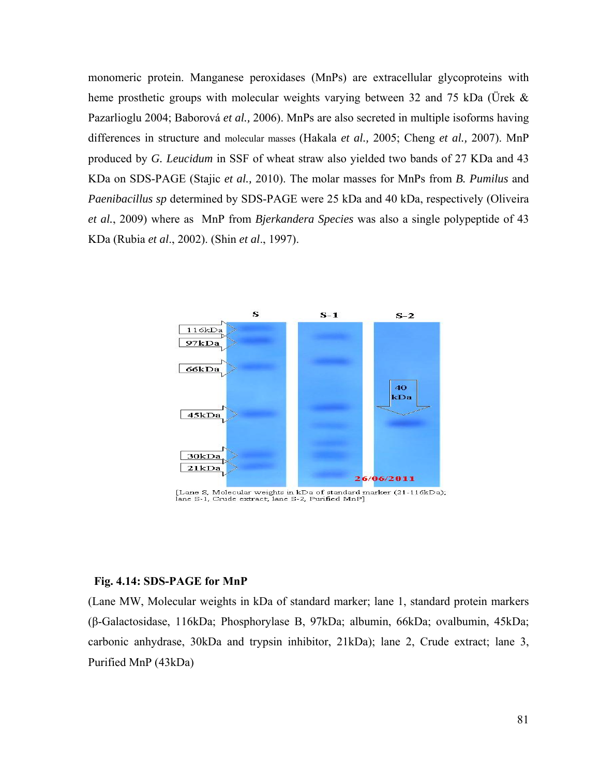monomeric protein. Manganese peroxidases (MnPs) are extracellular glycoproteins with heme prosthetic groups with molecular weights varying between 32 and 75 kDa (Ürek  $\&$ Pazarlioglu 2004; Baborová *et al.,* 2006). MnPs are also secreted in multiple isoforms having differences in structure and molecular masses (Hakala *et al.,* 2005; Cheng *et al.,* 2007). MnP produced by *G. Leucidum* in SSF of wheat straw also yielded two bands of 27 KDa and 43 KDa on SDS-PAGE (Stajic *et al.,* 2010). The molar masses for MnPs from *B. Pumilus* and *Paenibacillus sp* determined by SDS-PAGE were 25 kDa and 40 kDa, respectively (Oliveira *et al.*, 2009) where as MnP from *Bjerkandera Species* was also a single polypeptide of 43 KDa (Rubia *et al*., 2002). (Shin *et al*., 1997).



[Lane S, Molecular weights in kDa of standard marker (21-116kDa);<br>lane S-1, Crude extract; lane S-2, Purified MnP]

#### **Fig. 4.14: SDS-PAGE for MnP**

(Lane MW, Molecular weights in kDa of standard marker; lane 1, standard protein markers (β-Galactosidase, 116kDa; Phosphorylase B, 97kDa; albumin, 66kDa; ovalbumin, 45kDa; carbonic anhydrase, 30kDa and trypsin inhibitor, 21kDa); lane 2, Crude extract; lane 3, Purified MnP (43kDa)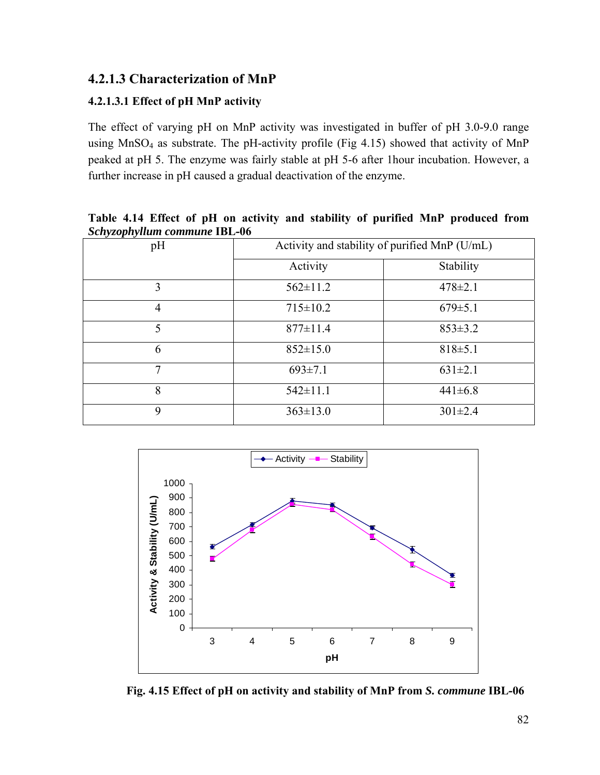# **4.2.1.3 Characterization of MnP**

## **4.2.1.3.1 Effect of pH MnP activity**

The effect of varying pH on MnP activity was investigated in buffer of pH 3.0-9.0 range using MnSO<sub>4</sub> as substrate. The pH-activity profile (Fig 4.15) showed that activity of MnP peaked at pH 5. The enzyme was fairly stable at pH 5-6 after 1hour incubation. However, a further increase in pH caused a gradual deactivation of the enzyme.

**Table 4.14 Effect of pH on activity and stability of purified MnP produced from**  *Schyzophyllum commune* **IBL-06** 

| pH             | Activity and stability of purified MnP (U/mL) |               |  |
|----------------|-----------------------------------------------|---------------|--|
|                | Activity                                      | Stability     |  |
| 3              | $562 \pm 11.2$                                | $478 \pm 2.1$ |  |
| $\overline{4}$ | $715 \pm 10.2$                                | $679 \pm 5.1$ |  |
| 5              | $877 \pm 11.4$                                | $853 \pm 3.2$ |  |
| 6              | $852 \pm 15.0$                                | $818 \pm 5.1$ |  |
| 7              | $693 \pm 7.1$                                 | $631 \pm 2.1$ |  |
| 8              | $542 \pm 11.1$                                | $441 \pm 6.8$ |  |
| 9              | $363 \pm 13.0$                                | $301 \pm 2.4$ |  |



**Fig. 4.15 Effect of рH on activity and stability of MnP from** *S. commune* **IBL-06**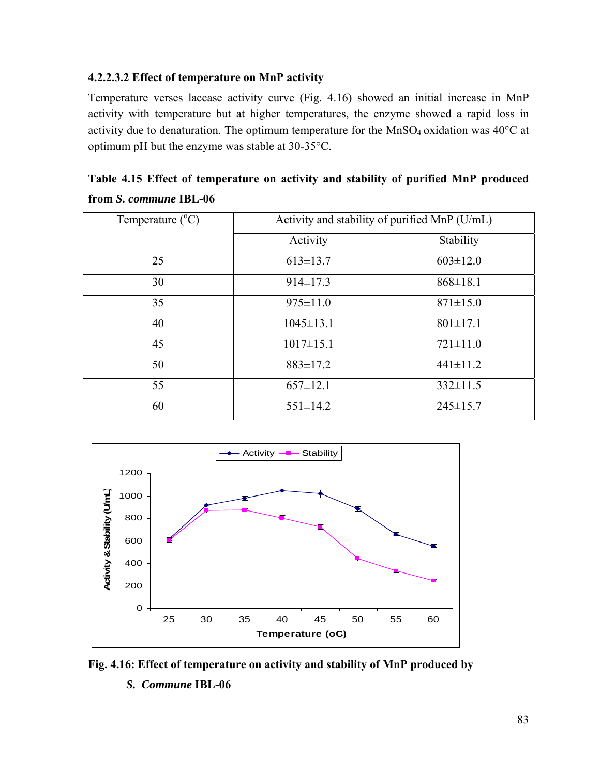## **4.2.2.3.2 Effect of temperature on MnP activity**

Temperature verses laccase activity curve (Fig. 4.16) showed an initial increase in MnP activity with temperature but at higher temperatures, the enzyme showed a rapid loss in activity due to denaturation. The optimum temperature for the  $MnSO_4$  oxidation was 40 $^{\circ}$ C at optimum pH but the enzyme was stable at 30-35°C.

**Table 4.15 Effect of temperature on activity and stability of purified MnP produced from** *S. commune* **IBL-06** 

| Temperature $(^{\circ}C)$ | Activity and stability of purified MnP (U/mL) |                |  |
|---------------------------|-----------------------------------------------|----------------|--|
|                           | Activity                                      | Stability      |  |
| 25                        | $613 \pm 13.7$                                | $603 \pm 12.0$ |  |
| 30                        | $914 \pm 17.3$                                | $868 \pm 18.1$ |  |
| 35                        | $975 \pm 11.0$                                | $871 \pm 15.0$ |  |
| 40                        | $1045 \pm 13.1$                               | $801 \pm 17.1$ |  |
| 45                        | $1017 \pm 15.1$                               | $721 \pm 11.0$ |  |
| 50                        | $883 \pm 17.2$                                | $441 \pm 11.2$ |  |
| 55                        | $657 \pm 12.1$                                | $332 \pm 11.5$ |  |
| 60                        | $551 \pm 14.2$                                | $245 \pm 15.7$ |  |



**Fig. 4.16: Effect of temperature on activity and stability of MnP produced by** *S. Commune* **IBL-06**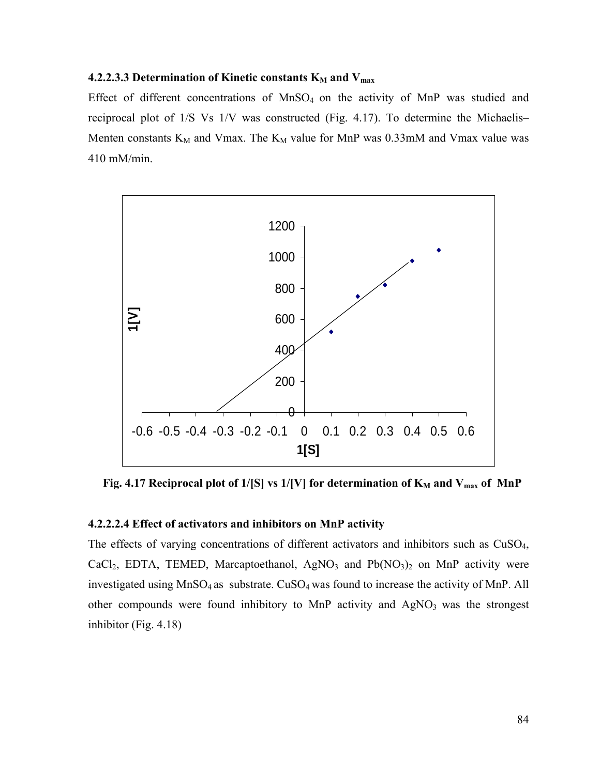#### **4.2.2.3.3 Determination of Kinetic constants K<sub>M</sub> and V<sub>max</sub>**

Effect of different concentrations of  $MnSO<sub>4</sub>$  on the activity of MnP was studied and reciprocal plot of 1/S Vs 1/V was constructed (Fig. 4.17). To determine the Michaelis– Menten constants  $K_M$  and Vmax. The  $K_M$  value for MnP was 0.33mM and Vmax value was 410 mM/min.



**Fig. 4.17 Reciprocal plot of 1/[S] vs 1/[V] for determination of**  $K_M$  **and**  $V_{max}$  **of MnP** 

## **4.2.2.2.4 Effect of activators and inhibitors on MnP activity**

The effects of varying concentrations of different activators and inhibitors such as CuSO4, CaCl<sub>2</sub>, EDTA, TEMED, Marcaptoethanol, AgNO<sub>3</sub> and Pb(NO<sub>3</sub>)<sub>2</sub> on MnP activity were investigated using  $MnSO_4$  as substrate.  $CuSO_4$  was found to increase the activity of MnP. All other compounds were found inhibitory to MnP activity and  $AgNO<sub>3</sub>$  was the strongest inhibitor (Fig. 4.18)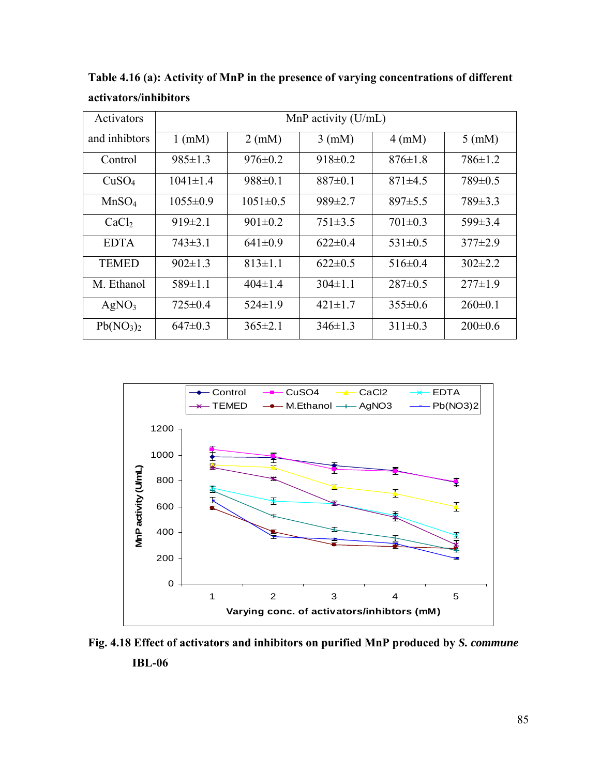| Activators                        | MnP activity $(U/mL)$ |                  |                  |                  |                  |  |  |
|-----------------------------------|-----------------------|------------------|------------------|------------------|------------------|--|--|
| and inhibtors                     | $1$ (mM)              | $2 \text{ (mM)}$ | $3 \text{ (mM)}$ | $4 \text{ (mM)}$ | $5 \text{ (mM)}$ |  |  |
| Control                           | $985 \pm 1.3$         | $976 \pm 0.2$    | $918 \pm 0.2$    | $876 \pm 1.8$    | $786 \pm 1.2$    |  |  |
| CuSO <sub>4</sub>                 | $1041 \pm 1.4$        | $988 \pm 0.1$    | $887 \pm 0.1$    | $871\pm4.5$      | $789 \pm 0.5$    |  |  |
| MnSO <sub>4</sub>                 | $1055 \pm 0.9$        | $1051 \pm 0.5$   | $989 \pm 2.7$    | 897±5.5          | $789 \pm 3.3$    |  |  |
| CaCl <sub>2</sub>                 | $919\pm2.1$           | $901 \pm 0.2$    | $751\pm3.5$      | $701 \pm 0.3$    | $599 \pm 3.4$    |  |  |
| <b>EDTA</b>                       | $743\pm3.1$           | $641\pm0.9$      | $622 \pm 0.4$    | $531 \pm 0.5$    | $377\pm2.9$      |  |  |
| <b>TEMED</b>                      | $902 \pm 1.3$         | $813 \pm 1.1$    | $622 \pm 0.5$    | $516 \pm 0.4$    | $302\pm2.2$      |  |  |
| M. Ethanol                        | $589 \pm 1.1$         | $404 \pm 1.4$    | $304 \pm 1.1$    | $287 \pm 0.5$    | $277\pm1.9$      |  |  |
| AgNO <sub>3</sub>                 | $725 \pm 0.4$         | $524 \pm 1.9$    | $421 \pm 1.7$    | $355 \pm 0.6$    | $260 \pm 0.1$    |  |  |
| Pb(NO <sub>3</sub> ) <sub>2</sub> | $647\pm0.3$           | $365 \pm 2.1$    | $346 \pm 1.3$    | $311\pm0.3$      | $200 \pm 0.6$    |  |  |

**Table 4.16 (a): Activity of MnP in the presence of varying concentrations of different activators/inhibitors** 



**Fig. 4.18 Effect of activators and inhibitors on purified MnP produced by** *S. commune*  **IBL-06**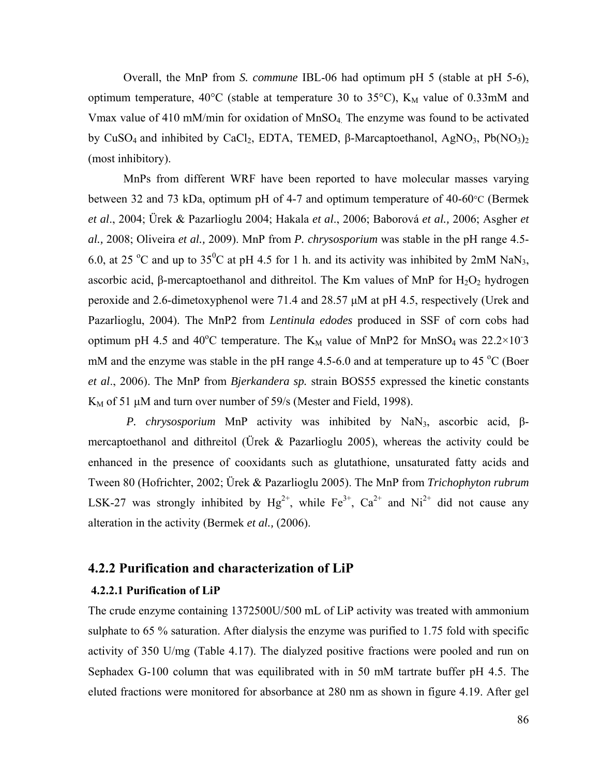Overall, the MnP from *S. commune* IBL-06 had optimum pH 5 (stable at pH 5-6), optimum temperature,  $40^{\circ}$ C (stable at temperature 30 to 35 $^{\circ}$ C), K<sub>M</sub> value of 0.33mM and Vmax value of 410 mM/min for oxidation of  $MnSO<sub>4</sub>$ . The enzyme was found to be activated by CuSO<sub>4</sub> and inhibited by CaCl<sub>2</sub>, EDTA, TEMED, β-Marcaptoethanol, AgNO<sub>3</sub>, Pb(NO<sub>3</sub>)<sub>2</sub> (most inhibitory).

MnPs from different WRF have been reported to have molecular masses varying between 32 and 73 kDa, optimum pH of 4-7 and optimum temperature of 40-60°C (Bermek *et al*., 2004; Ürek & Pazarlioglu 2004; Hakala *et al*., 2006; Baborová *et al.,* 2006; Asgher *et al.,* 2008; Oliveira *et al.,* 2009). MnP from *P. chrysosporium* was stable in the pH range 4.5- 6.0, at 25 °C and up to 35°C at pH 4.5 for 1 h. and its activity was inhibited by 2mM NaN<sub>3</sub>, ascorbic acid, β-mercaptoethanol and dithreitol. The Km values of MnP for  $H_2O_2$  hydrogen peroxide and 2.6-dimetoxyphenol were 71.4 and 28.57 μM at pH 4.5, respectively (Urek and Pazarlioglu, 2004). The MnP2 from *Lentinula edodes* produced in SSF of corn cobs had optimum pH 4.5 and 40<sup>o</sup>C temperature. The  $K_M$  value of MnP2 for MnSO<sub>4</sub> was 22.2×10<sup>-3</sup> mM and the enzyme was stable in the pH range  $4.5-6.0$  and at temperature up to  $45^{\circ}$ C (Boer *et al*., 2006). The MnP from *Bjerkandera sp.* strain BOS55 expressed the kinetic constants  $K_M$  of 51  $\mu$ M and turn over number of 59/s (Mester and Field, 1998).

*P. chrysosporium* MnP activity was inhibited by NaN<sub>3</sub>, ascorbic acid, βmercaptoethanol and dithreitol (Ürek  $\&$  Pazarlioglu 2005), whereas the activity could be enhanced in the presence of cooxidants such as glutathione, unsaturated fatty acids and Tween 80 (Hofrichter, 2002; Ürek & Pazarlioglu 2005). The MnP from *Trichophyton rubrum* LSK-27 was strongly inhibited by  $Hg^{2+}$ , while  $Fe^{3+}$ ,  $Ca^{2+}$  and  $Ni^{2+}$  did not cause any alteration in the activity (Bermek *et al.,* (2006).

## **4.2.2 Purification and characterization of LiP**

#### **4.2.2.1 Purification of LiP**

The crude enzyme containing 1372500U/500 mL of LiP activity was treated with ammonium sulphate to 65 % saturation. After dialysis the enzyme was purified to 1.75 fold with specific activity of 350 U/mg (Table 4.17). The dialyzed positive fractions were pooled and run on Sephadex G-100 column that was equilibrated with in 50 mM tartrate buffer pH 4.5. The eluted fractions were monitored for absorbance at 280 nm as shown in figure 4.19. After gel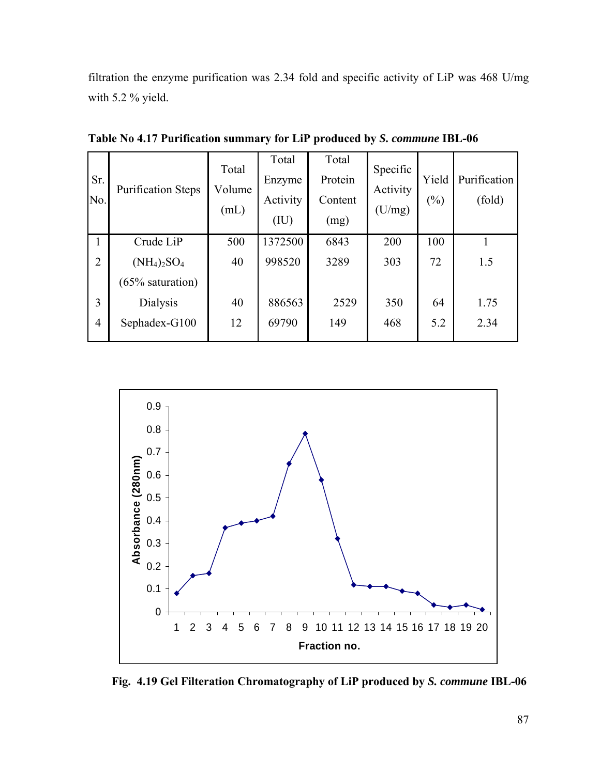filtration the enzyme purification was 2.34 fold and specific activity of LiP was 468 U/mg with 5.2 % yield.

| Sr.<br>No. | <b>Purification Steps</b> | Total<br>Volume<br>(mL) | Total<br>Enzyme<br>Activity<br>(IU) | Total<br>Protein<br>Content<br>(mg) | Specific<br>Activity<br>(U/mg) | Yield<br>$(\%)$ | Purification<br>(fold) |
|------------|---------------------------|-------------------------|-------------------------------------|-------------------------------------|--------------------------------|-----------------|------------------------|
| 1          | Crude LiP                 | 500                     | 1372500                             | 6843                                | 200                            | 100             |                        |
| 2          | $(NH_4)_2SO_4$            | 40                      | 998520                              | 3289                                | 303                            | 72              | 1.5                    |
|            | $(65\%$ saturation)       |                         |                                     |                                     |                                |                 |                        |
| 3          | <b>Dialysis</b>           | 40                      | 886563                              | 2529                                | 350                            | 64              | 1.75                   |
| 4          | Sephadex-G100             | 12                      | 69790                               | 149                                 | 468                            | 5.2             | 2.34                   |

**Table No 4.17 Purification summary for LiP produced by** *S. commune* **IBL-06** 



 **Fig. 4.19 Gel Filteration Chromatography of LiP produced by** *S. commune* **IBL-06**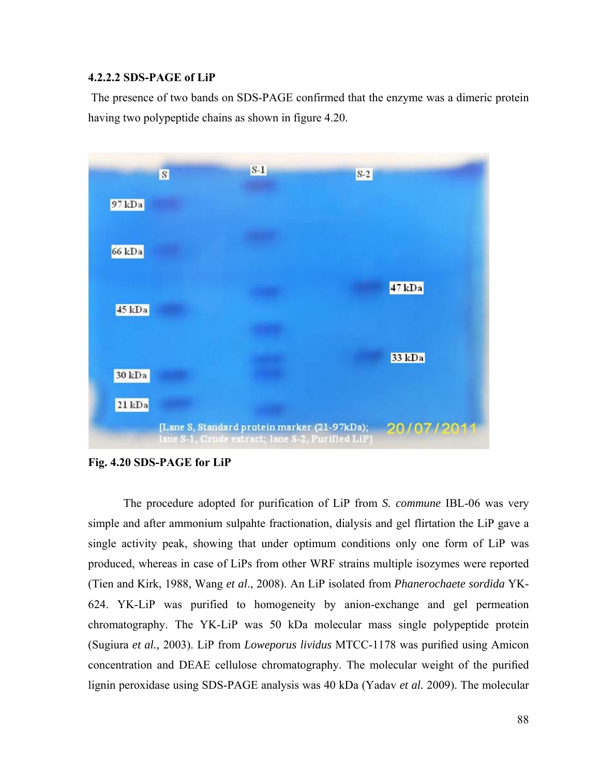### **4.2.2.2 SDS-PAGE of LiP**

 The presence of two bands on SDS-PAGE confirmed that the enzyme was a dimeric protein having two polypeptide chains as shown in figure 4.20.



**Fig. 4.20 SDS-PAGE for LiP**

 The procedure adopted for purification of LiP from *S. commune* IBL-06 was very simple and after ammonium sulpahte fractionation, dialysis and gel flirtation the LiP gave a single activity peak, showing that under optimum conditions only one form of LiP was produced, whereas in case of LiPs from other WRF strains multiple isozymes were reported (Tien and Kirk, 1988, Wang *et al*., 2008). An LiP isolated from *Phanerochaete sordida* YK-624. YK-LiP was purified to homogeneity by anion-exchange and gel permeation chromatography. The YK-LiP was 50 kDa molecular mass single polypeptide protein (Sugiura *et al.,* 2003). LiP from *Loweporus lividus* MTCC-1178 was purified using Amicon concentration and DEAE cellulose chromatography. The molecular weight of the purified lignin peroxidase using SDS-PAGE analysis was 40 kDa (Yadav *et al.* 2009). The molecular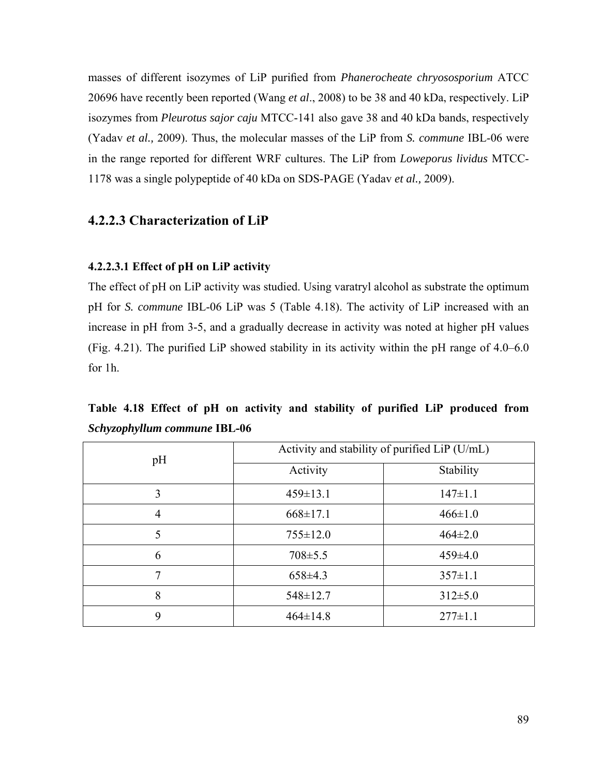masses of different isozymes of LiP purified from *Phanerocheate chryososporium* ATCC 20696 have recently been reported (Wang *et al*., 2008) to be 38 and 40 kDa, respectively. LiP isozymes from *Pleurotus sajor caju* MTCC-141 also gave 38 and 40 kDa bands, respectively (Yadav *et al.,* 2009). Thus, the molecular masses of the LiP from *S. commune* IBL-06 were in the range reported for different WRF cultures. The LiP from *Loweporus lividus* MTCC-1178 was a single polypeptide of 40 kDa on SDS-PAGE (Yadav *et al.,* 2009).

## **4.2.2.3 Characterization of LiP**

#### **4.2.2.3.1 Effect of рH on LiP activity**

The effect of pH on LiP activity was studied. Using varatryl alcohol as substrate the optimum pH for *S. commune* IBL-06 LiP was 5 (Table 4.18). The activity of LiP increased with an increase in pH from 3-5, and a gradually decrease in activity was noted at higher pH values (Fig. 4.21). The purified LiP showed stability in its activity within the pH range of 4.0–6.0 for 1h.

**Table 4.18 Effect of pH on activity and stability of purified LiP produced from**  *Schyzophyllum commune* **IBL-06** 

| pH             | Activity and stability of purified LiP (U/mL) |               |  |  |  |
|----------------|-----------------------------------------------|---------------|--|--|--|
|                | Activity                                      | Stability     |  |  |  |
| 3              | $459 \pm 13.1$                                | $147 \pm 1.1$ |  |  |  |
| $\overline{4}$ | $668 \pm 17.1$                                | $466 \pm 1.0$ |  |  |  |
| 5              | $755 \pm 12.0$                                | $464\pm2.0$   |  |  |  |
| 6              | $708 \pm 5.5$                                 | $459 \pm 4.0$ |  |  |  |
| 7              | $658\pm4.3$                                   | $357 \pm 1.1$ |  |  |  |
| 8              | $548 \pm 12.7$                                | $312 \pm 5.0$ |  |  |  |
| 9              | $464 \pm 14.8$                                | $277 \pm 1.1$ |  |  |  |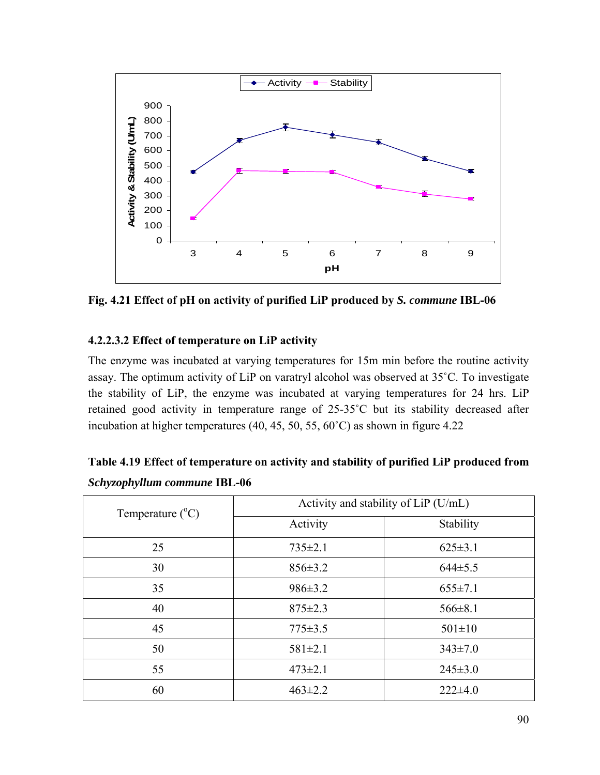

**Fig. 4.21 Effect of pH on activity of purified LiP produced by** *S. commune* **IBL-06** 

## **4.2.2.3.2 Effect of temperature on LiP activity**

The enzyme was incubated at varying temperatures for 15m min before the routine activity assay. The optimum activity of LiP on varatryl alcohol was observed at 35˚C. To investigate the stability of LiP, the enzyme was incubated at varying temperatures for 24 hrs. LiP retained good activity in temperature range of 25-35˚C but its stability decreased after incubation at higher temperatures (40, 45, 50, 55, 60˚C) as shown in figure 4.22

| Temperature $(^{\circ}C)$ | Activity and stability of LiP (U/mL) |               |  |  |
|---------------------------|--------------------------------------|---------------|--|--|
|                           | Activity                             | Stability     |  |  |
| 25                        | $735 \pm 2.1$                        | $625 \pm 3.1$ |  |  |
| 30                        | $856 \pm 3.2$                        | $644\pm5.5$   |  |  |
| 35                        | $986 \pm 3.2$                        | $655 \pm 7.1$ |  |  |
| 40                        | $875 \pm 2.3$                        | $566 \pm 8.1$ |  |  |
| 45                        | $775 \pm 3.5$                        | $501 \pm 10$  |  |  |
| 50                        | $581 \pm 2.1$                        | $343 \pm 7.0$ |  |  |
| 55                        | $473 \pm 2.1$                        | $245 \pm 3.0$ |  |  |
| 60                        | $463 \pm 2.2$                        | $222\pm4.0$   |  |  |

| Table 4.19 Effect of temperature on activity and stability of purified LiP produced from |  |
|------------------------------------------------------------------------------------------|--|
| Schyzophyllum commune IBL-06                                                             |  |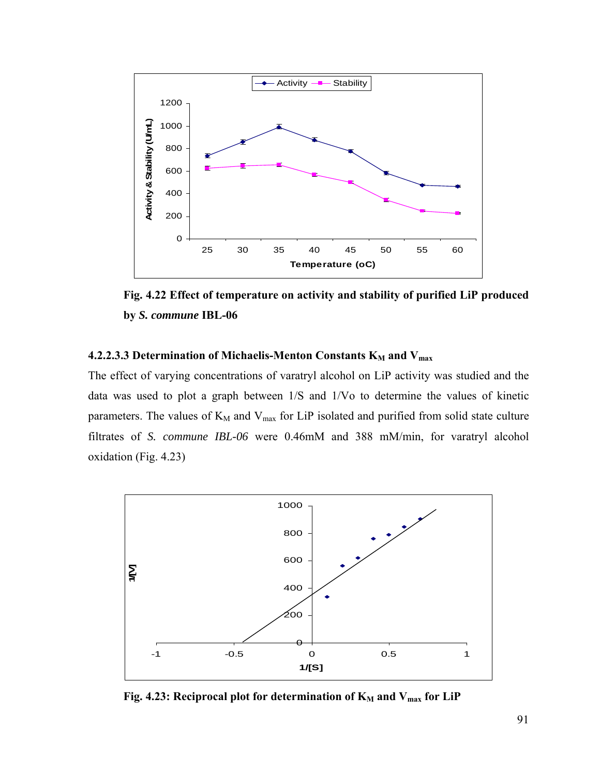

**Fig. 4.22 Effect of temperature on activity and stability of purified LiP produced by** *S. commune* **IBL-06** 

## **4.2.2.3.3 Determination of Michaelis-Menton Constants K<sub>M</sub> and V<sub>max</sub>**

The effect of varying concentrations of varatryl alcohol on LiP activity was studied and the data was used to plot a graph between 1/S and 1/Vo to determine the values of kinetic parameters. The values of  $K_M$  and  $V_{max}$  for LiP isolated and purified from solid state culture filtrates of *S. commune IBL-06* were 0.46mM and 388 mM/min, for varatryl alcohol oxidation (Fig. 4.23)



Fig. 4.23: Reciprocal plot for determination of K<sub>M</sub> and V<sub>max</sub> for LiP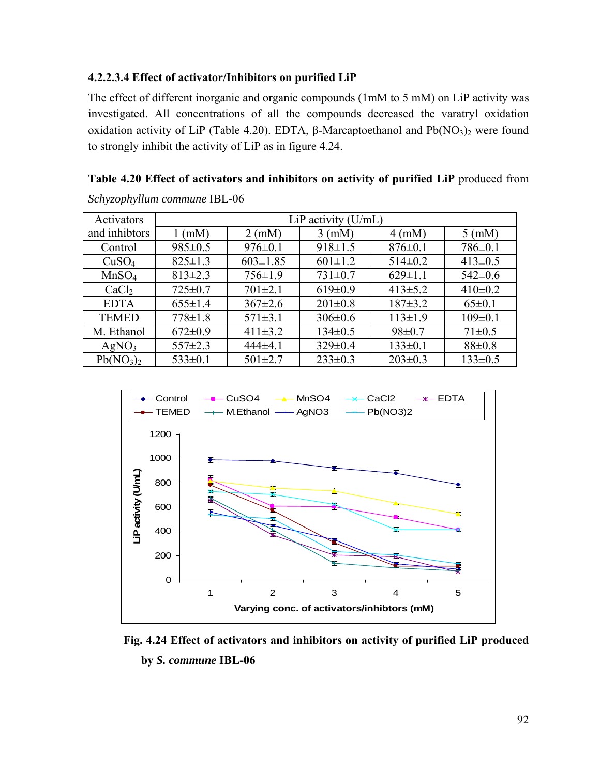## **4.2.2.3.4 Effect of activator/Inhibitors on purified LiP**

*Schyzophyllum commune* IBL-06

The effect of different inorganic and organic compounds (1mM to 5 mM) on LiP activity was investigated. All concentrations of all the compounds decreased the varatryl oxidation oxidation activity of LiP (Table 4.20). EDTA, β-Marcaptoethanol and  $Pb(NO<sub>3</sub>)<sub>2</sub>$  were found to strongly inhibit the activity of LiP as in figure 4.24.

| Activators                        | LiP activity $(U/mL)$ |                  |                  |                  |                  |  |
|-----------------------------------|-----------------------|------------------|------------------|------------------|------------------|--|
| and inhibtors                     | $1 \text{ (mM)}$      | $2 \text{ (mM)}$ | $3 \text{ (mM)}$ | $4 \text{ (mM)}$ | $5 \text{ (mM)}$ |  |
| Control                           | $985 \pm 0.5$         | $976 \pm 0.1$    | $918 \pm 1.5$    | $876 \pm 0.1$    | $786 \pm 0.1$    |  |
| CuSO <sub>4</sub>                 | $825 \pm 1.3$         | $603 \pm 1.85$   | $601 \pm 1.2$    | $514\pm0.2$      | $413 \pm 0.5$    |  |
| MnSO <sub>4</sub>                 | $813 \pm 2.3$         | $756 \pm 1.9$    | $731 \pm 0.7$    | $629 \pm 1.1$    | $542 \pm 0.6$    |  |
| CaCl <sub>2</sub>                 | $725 \pm 0.7$         | $701 \pm 2.1$    | $619 \pm 0.9$    | $413\pm5.2$      | $410\pm0.2$      |  |
| <b>EDTA</b>                       | $655 \pm 1.4$         | $367 \pm 2.6$    | $201 \pm 0.8$    | $187 \pm 3.2$    | $65 \pm 0.1$     |  |
| <b>TEMED</b>                      | $778 \pm 1.8$         | $571 \pm 3.1$    | $306 \pm 0.6$    | $113 \pm 1.9$    | $109 \pm 0.1$    |  |
| M. Ethanol                        | $672 \pm 0.9$         | $411\pm3.2$      | $134 \pm 0.5$    | $98 \pm 0.7$     | $71 \pm 0.5$     |  |
| AgNO <sub>3</sub>                 | $557 \pm 2.3$         | $444\pm4.1$      | $329 \pm 0.4$    | $133 \pm 0.1$    | 88±0.8           |  |
| Pb(NO <sub>3</sub> ) <sub>2</sub> | $533\pm0.1$           | $501 \pm 2.7$    | $233 \pm 0.3$    | $203 \pm 0.3$    | $133 \pm 0.5$    |  |

**Table 4.20 Effect of activators and inhibitors on activity of purified LiP** produced from



**Fig. 4.24 Effect of activators and inhibitors on activity of purified LiP produced by** *S. commune* **IBL-06**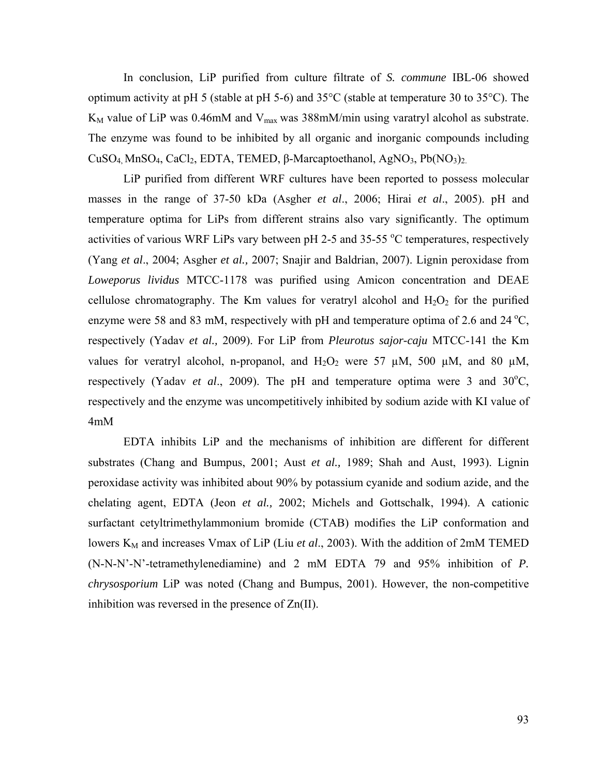In conclusion, LiP purified from culture filtrate of *S. commune* IBL-06 showed optimum activity at pH 5 (stable at pH 5-6) and  $35^{\circ}$ C (stable at temperature 30 to  $35^{\circ}$ C). The  $K_M$  value of LiP was 0.46mM and  $V_{max}$  was 388mM/min using varatryl alcohol as substrate. The enzyme was found to be inhibited by all organic and inorganic compounds including CuSO<sub>4</sub>, MnSO<sub>4</sub>, CaCl<sub>2</sub>, EDTA, TEMED, β-Marcaptoethanol, AgNO<sub>3</sub>, Pb(NO<sub>3</sub>)<sub>2.</sub>

LiP purified from different WRF cultures have been reported to possess molecular masses in the range of 37-50 kDa (Asgher *et al*., 2006; Hirai *et al*., 2005). pH and temperature optima for LiPs from different strains also vary significantly. The optimum activities of various WRF LiPs vary between pH 2-5 and 35-55 °C temperatures, respectively (Yang *et al*., 2004; Asgher *et al.,* 2007; Snajir and Baldrian, 2007). Lignin peroxidase from *Loweporus lividus* MTCC-1178 was purified using Amicon concentration and DEAE cellulose chromatography. The Km values for veratryl alcohol and  $H_2O_2$  for the purified enzyme were 58 and 83 mM, respectively with pH and temperature optima of 2.6 and 24  $^{\circ}$ C, respectively (Yadav *et al.,* 2009). For LiP from *Pleurotus sajor-caju* MTCC-141 the Km values for veratryl alcohol, n-propanol, and  $H_2O_2$  were 57  $\mu$ M, 500  $\mu$ M, and 80  $\mu$ M, respectively (Yadav *et al.*, 2009). The pH and temperature optima were 3 and  $30^{\circ}$ C, respectively and the enzyme was uncompetitively inhibited by sodium azide with KI value of 4mM

EDTA inhibits LiP and the mechanisms of inhibition are different for different substrates (Chang and Bumpus, 2001; Aust *et al.,* 1989; Shah and Aust, 1993). Lignin peroxidase activity was inhibited about 90% by potassium cyanide and sodium azide, and the chelating agent, EDTA (Jeon *et al.,* 2002; Michels and Gottschalk, 1994). A cationic surfactant cetyltrimethylammonium bromide (CTAB) modifies the LiP conformation and lowers K<sub>M</sub> and increases Vmax of LiP (Liu *et al.*, 2003). With the addition of 2mM TEMED (N-N-N'-N'-tetramethylenediamine) and 2 mM EDTA 79 and 95% inhibition of *P. chrysosporium* LiP was noted (Chang and Bumpus, 2001). However, the non-competitive inhibition was reversed in the presence of Zn(II).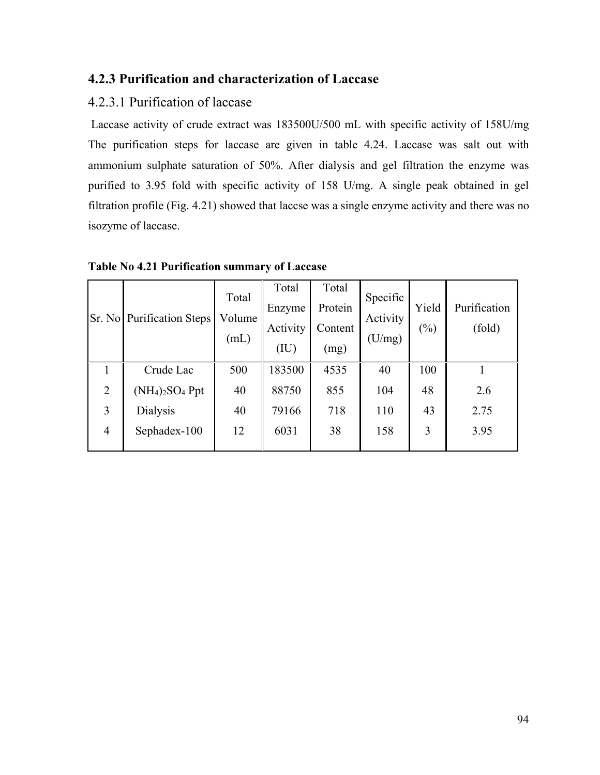# **4.2.3 Purification and characterization of Laccase**

# 4.2.3.1 Purification of laccase

 Laccase activity of crude extract was 183500U/500 mL with specific activity of 158U/mg The purification steps for laccase are given in table 4.24. Laccase was salt out with ammonium sulphate saturation of 50%. After dialysis and gel filtration the enzyme was purified to 3.95 fold with specific activity of 158 U/mg. A single peak obtained in gel filtration profile (Fig. 4.21) showed that laccse was a single enzyme activity and there was no isozyme of laccase.

| Sr. No         | <b>Purification Steps</b> | Total<br>Volume<br>(mL) | Total<br>Enzyme<br>Activity<br>(IU) | Total<br>Protein<br>Content<br>(mg) | Specific<br>Activity<br>(U/mg) | Yield<br>$(\%)$ | Purification<br>(fold) |
|----------------|---------------------------|-------------------------|-------------------------------------|-------------------------------------|--------------------------------|-----------------|------------------------|
|                | Crude Lac                 | 500                     | 183500                              | 4535                                | 40                             | 100             |                        |
| 2              | $(NH_4)_2SO_4$ Ppt        | 40                      | 88750                               | 855                                 | 104                            | 48              | 2.6                    |
| 3              | Dialysis                  | 40                      | 79166                               | 718                                 | 110                            | 43              | 2.75                   |
| $\overline{4}$ | Sephadex-100              | 12                      | 6031                                | 38                                  | 158                            | 3               | 3.95                   |

**Table No 4.21 Purification summary of Laccase**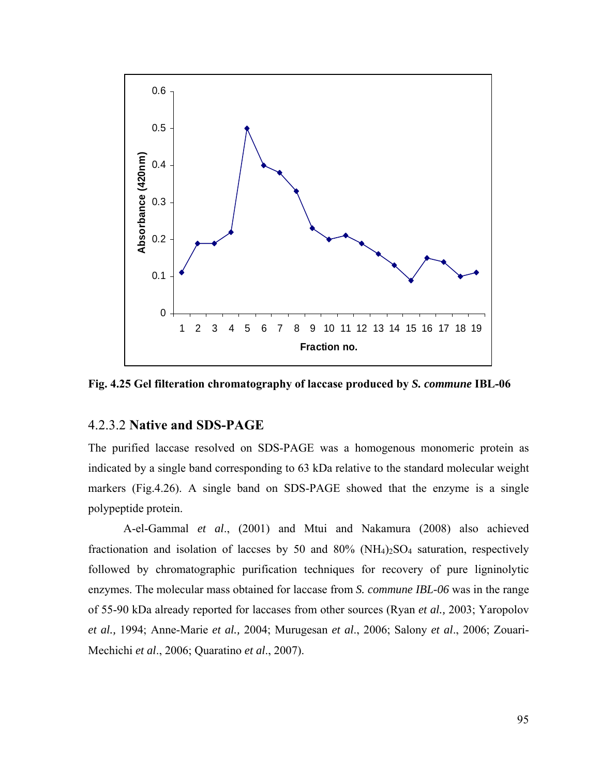

**Fig. 4.25 Gel filteration chromatography of laccase produced by** *S. commune* **IBL-06** 

## 4.2.3.2 **Native and SDS-PAGE**

The purified laccase resolved on SDS-PAGE was a homogenous monomeric protein as indicated by a single band corresponding to 63 kDa relative to the standard molecular weight markers (Fig.4.26). A single band on SDS-PAGE showed that the enzyme is a single polypeptide protein.

A-el-Gammal *et al*., (2001) and Mtui and Nakamura (2008) also achieved fractionation and isolation of laccses by 50 and 80% ( $NH<sub>4</sub>$ )<sub>2</sub>SO<sub>4</sub> saturation, respectively followed by chromatographic purification techniques for recovery of pure ligninolytic enzymes. The molecular mass obtained for laccase from *S. commune IBL-06* was in the range of 55-90 kDa already reported for laccases from other sources (Ryan *et al.,* 2003; Yaropolov *et al.,* 1994; Anne-Marie *et al.,* 2004; Murugesan *et al*., 2006; Salony *et al*., 2006; Zouari-Mechichi *et al*., 2006; Quaratino *et al*., 2007).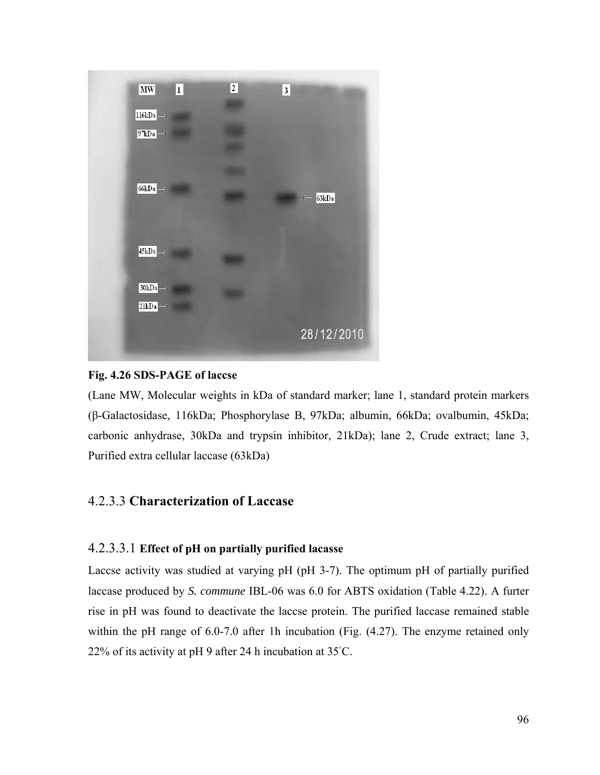

## **Fig. 4.26 SDS-PAGE of laccse**

(Lane MW, Molecular weights in kDa of standard marker; lane 1, standard protein markers (β-Galactosidase, 116kDa; Phosphorylase B, 97kDa; albumin, 66kDa; ovalbumin, 45kDa; carbonic anhydrase, 30kDa and trypsin inhibitor, 21kDa); lane 2, Crude extract; lane 3, Purified extra cellular laccase (63kDa)

## 4.2.3.3 **Characterization of Laccase**

## 4.2.3.3.1 **Effect of рH on partially purified lacasse**

Laccse activity was studied at varying pH (pH 3-7). The optimum pH of partially purified laccase produced by *S. commune* IBL-06 was 6.0 for ABTS oxidation (Table 4.22). A furter rise in pH was found to deactivate the laccse protein. The purified laccase remained stable within the pH range of 6.0-7.0 after 1h incubation (Fig.  $(4.27)$ ). The enzyme retained only 22% of its activity at pH 9 after 24 h incubation at 35°C.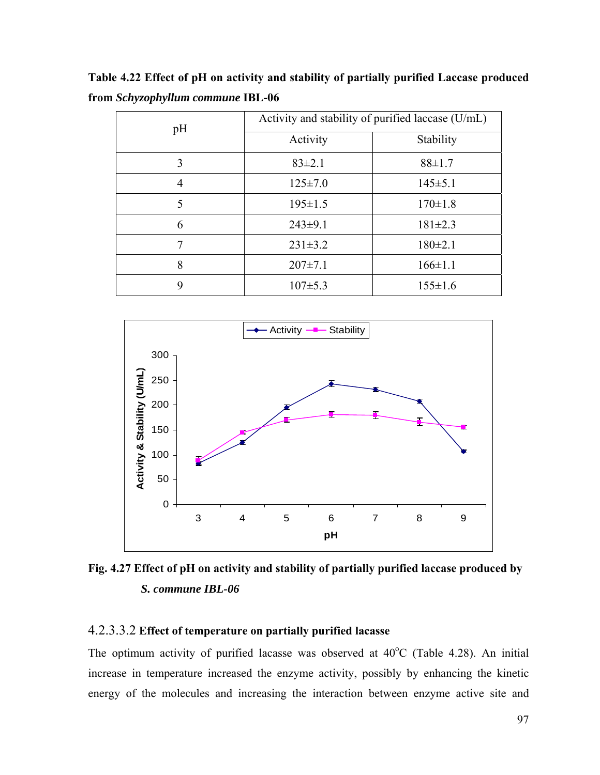**Table 4.22 Effect of pH on activity and stability of partially purified Laccase produced from** *Schyzophyllum commune* **IBL-06** 

| pH | Activity and stability of purified laccase (U/mL) |               |  |  |
|----|---------------------------------------------------|---------------|--|--|
|    | Activity                                          | Stability     |  |  |
| 3  | $83 \pm 2.1$                                      | $88 \pm 1.7$  |  |  |
| 4  | $125 \pm 7.0$                                     | $145 \pm 5.1$ |  |  |
| 5  | $195 \pm 1.5$                                     | $170 \pm 1.8$ |  |  |
| 6  | $243\pm9.1$                                       | $181 \pm 2.3$ |  |  |
| 7  | $231 \pm 3.2$                                     | $180 \pm 2.1$ |  |  |
| 8  | $207 \pm 7.1$                                     | $166 \pm 1.1$ |  |  |
| 9  | $107\pm5.3$                                       | $155 \pm 1.6$ |  |  |



Fig. 4.27 Effect of pH on activity and stability of partially purified laccase produced by *S. commune IBL-06*

#### 4.2.3.3.2 **Effect of temperature on partially purified lacasse**

The optimum activity of purified lacasse was observed at  $40^{\circ}$ C (Table 4.28). An initial increase in temperature increased the enzyme activity, possibly by enhancing the kinetic energy of the molecules and increasing the interaction between enzyme active site and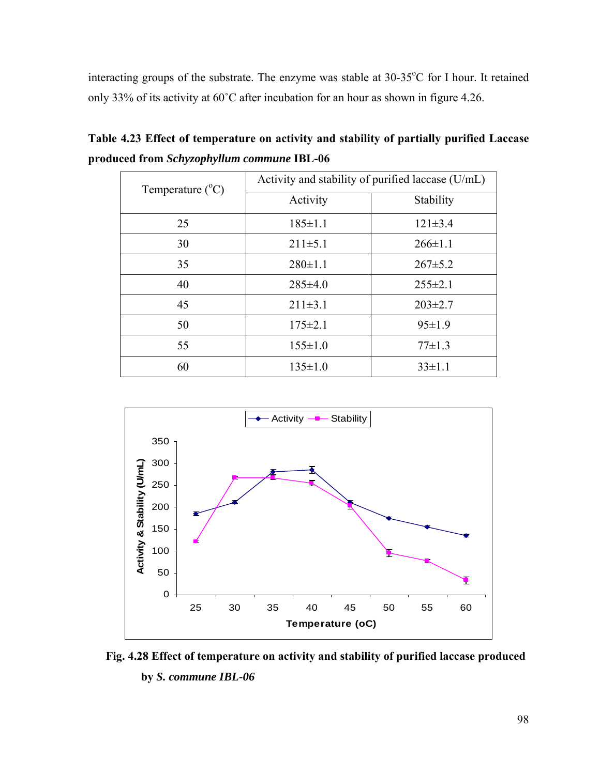interacting groups of the substrate. The enzyme was stable at 30-35°C for I hour. It retained only 33% of its activity at 60˚C after incubation for an hour as shown in figure 4.26.

| Temperature $(^{\circ}C)$ | Activity and stability of purified laccase (U/mL) |               |  |  |
|---------------------------|---------------------------------------------------|---------------|--|--|
|                           | Activity                                          | Stability     |  |  |
| 25                        | $185 \pm 1.1$                                     | $121 \pm 3.4$ |  |  |
| 30                        | $211\pm5.1$                                       | $266 \pm 1.1$ |  |  |
| 35                        | $280 \pm 1.1$                                     | $267 \pm 5.2$ |  |  |
| 40                        | $285 \pm 4.0$                                     | $255 \pm 2.1$ |  |  |
| 45                        | $211\pm3.1$                                       | $203 \pm 2.7$ |  |  |
| 50                        | $175 \pm 2.1$                                     | $95 \pm 1.9$  |  |  |
| 55                        | $155 \pm 1.0$                                     | $77\pm1.3$    |  |  |
| 60                        | $135 \pm 1.0$                                     | $33 \pm 1.1$  |  |  |

**Table 4.23 Effect of temperature on activity and stability of partially purified Laccase produced from** *Schyzophyllum commune* **IBL-06** 



 **Fig. 4.28 Effect of temperature on activity and stability of purified laccase produced by** *S. commune IBL-06*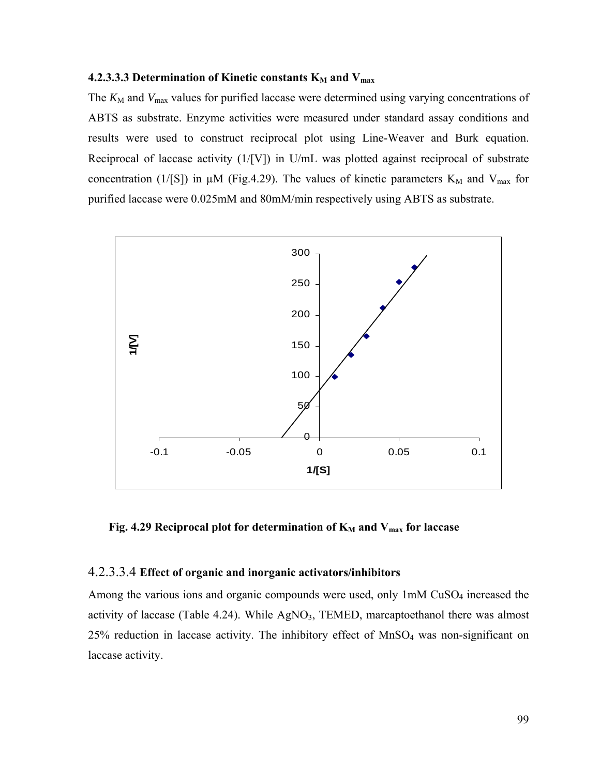#### **4.2.3.3.3 Determination of Kinetic constants K<sub>M</sub> and V<sub>max</sub>**

The  $K_{\text{M}}$  and  $V_{\text{max}}$  values for purified laccase were determined using varying concentrations of ABTS as substrate. Enzyme activities were measured under standard assay conditions and results were used to construct reciprocal plot using Line-Weaver and Burk equation. Reciprocal of laccase activity (1/[V]) in U/mL was plotted against reciprocal of substrate concentration (1/[S]) in  $\mu$ M (Fig.4.29). The values of kinetic parameters K<sub>M</sub> and V<sub>max</sub> for purified laccase were 0.025mM and 80mM/min respectively using ABTS as substrate.



Fig. 4.29 Reciprocal plot for determination of K<sub>M</sub> and V<sub>max</sub> for laccase

#### 4.2.3.3.4 **Effect of organic and inorganic activators/inhibitors**

Among the various ions and organic compounds were used, only 1mM CuSO<sub>4</sub> increased the activity of laccase (Table 4.24). While  $AgNO<sub>3</sub>$ , TEMED, marcaptoethanol there was almost  $25\%$  reduction in laccase activity. The inhibitory effect of MnSO<sub>4</sub> was non-significant on laccase activity.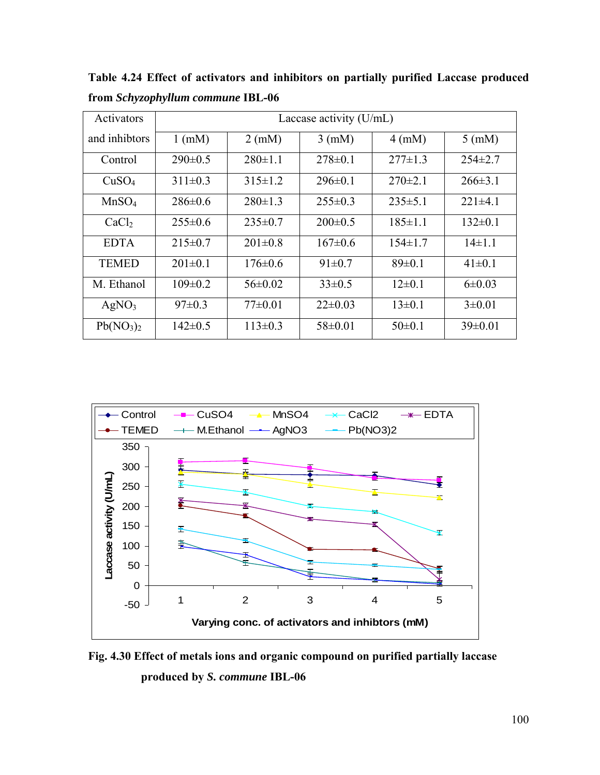| Activators                        | Laccase activity $(U/mL)$ |                  |                  |                  |                  |
|-----------------------------------|---------------------------|------------------|------------------|------------------|------------------|
| and inhibitors                    | $1$ (mM)                  | $2 \text{ (mM)}$ | $3 \text{ (mM)}$ | $4 \text{ (mM)}$ | $5 \text{ (mM)}$ |
| Control                           | $290 \pm 0.5$             | $280 \pm 1.1$    | $278 \pm 0.1$    | $277\pm1.3$      | $254\pm2.7$      |
| CuSO <sub>4</sub>                 | $311\pm0.3$               | $315 \pm 1.2$    | $296 \pm 0.1$    | $270\pm2.1$      | $266 \pm 3.1$    |
| MnSO <sub>4</sub>                 | $286 \pm 0.6$             | $280 \pm 1.3$    | $255 \pm 0.3$    | $235 \pm 5.1$    | $221\pm4.1$      |
| CaCl <sub>2</sub>                 | $255 \pm 0.6$             | $235 \pm 0.7$    | $200 \pm 0.5$    | $185 \pm 1.1$    | $132 \pm 0.1$    |
| <b>EDTA</b>                       | $215 \pm 0.7$             | $201 \pm 0.8$    | $167 \pm 0.6$    | $154 \pm 1.7$    | $14\pm1.1$       |
| <b>TEMED</b>                      | $201 \pm 0.1$             | $176 \pm 0.6$    | $91 \pm 0.7$     | $89 \pm 0.1$     | $41\pm0.1$       |
| M. Ethanol                        | $109 \pm 0.2$             | $56 \pm 0.02$    | $33\pm0.5$       | $12\pm0.1$       | $6\pm0.03$       |
| AgNO <sub>3</sub>                 | $97 \pm 0.3$              | $77\pm0.01$      | $22\pm0.03$      | $13\pm0.1$       | $3\pm0.01$       |
| Pb(NO <sub>3</sub> ) <sub>2</sub> | $142 \pm 0.5$             | $113\pm0.3$      | $58 \pm 0.01$    | $50\pm0.1$       | $39\pm0.01$      |

**Table 4.24 Effect of activators and inhibitors on partially purified Laccase produced from** *Schyzophyllum commune* **IBL-06** 



**Fig. 4.30 Effect of metals ions and organic compound on purified partially laccase produced by** *S. commune* **IBL-06**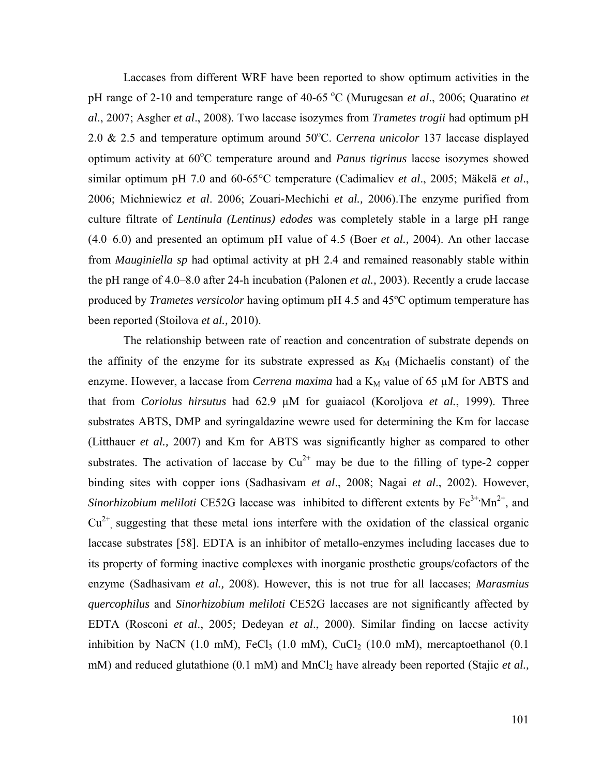Laccases from different WRF have been reported to show optimum activities in the pH range of 2-10 and temperature range of 40-65 °C (Murugesan *et al.*, 2006; Quaratino *et al*., 2007; Asgher *et al*., 2008). Two laccase isozymes from *Trametes trogii* had optimum pH 2.0 & 2.5 and temperature optimum around 50°C. *Cerrena unicolor* 137 laccase displayed optimum activity at 60°C temperature around and *Panus tigrinus* laccse isozymes showed similar optimum pH 7.0 and 60-65°C temperature (Cadimaliev *et al*., 2005; Mäkelä *et al*., 2006; Michniewicz *et al*. 2006; Zouari-Mechichi *et al.,* 2006).The enzyme purified from culture filtrate of *Lentinula (Lentinus) edodes* was completely stable in a large pH range (4.0–6.0) and presented an optimum pH value of 4.5 (Boer *et al.,* 2004). An other laccase from *Mauginiella sp* had optimal activity at pH 2.4 and remained reasonably stable within the pH range of 4.0–8.0 after 24-h incubation (Palonen *et al.,* 2003). Recently a crude laccase produced by *Trametes versicolor* having optimum pH 4.5 and 45ºC optimum temperature has been reported (Stoilova *et al.,* 2010).

The relationship between rate of reaction and concentration of substrate depends on the affinity of the enzyme for its substrate expressed as  $K_M$  (Michaelis constant) of the enzyme. However, a laccase from *Cerrena maxima* had a  $K_M$  value of 65  $\mu$ M for ABTS and that from *Coriolus hirsutus* had 62.9 µM for guaiacol (Koroljova *et al.*, 1999). Three substrates ABTS, DMP and syringaldazine wewre used for determining the Km for laccase (Litthauer *et al.,* 2007) and Km for ABTS was significantly higher as compared to other substrates. The activation of laccase by  $Cu^{2+}$  may be due to the filling of type-2 copper binding sites with copper ions (Sadhasivam *et al*., 2008; Nagai *et al*., 2002). However, *Sinorhizobium meliloti* CE52G laccase was inhibited to different extents by  $Fe^{3+}Mn^{2+}$ , and  $Cu<sup>2+</sup>$  suggesting that these metal ions interfere with the oxidation of the classical organic laccase substrates [58]. EDTA is an inhibitor of metallo-enzymes including laccases due to its property of forming inactive complexes with inorganic prosthetic groups/cofactors of the enzyme (Sadhasivam *et al.,* 2008). However, this is not true for all laccases; *Marasmius quercophilus* and *Sinorhizobium meliloti* CE52G laccases are not significantly affected by EDTA (Rosconi *et al*., 2005; Dedeyan *et al*., 2000). Similar finding on laccse activity inhibition by NaCN (1.0 mM), FeCl<sub>3</sub> (1.0 mM), CuCl<sub>2</sub> (10.0 mM), mercaptoethanol (0.1 mM) and reduced glutathione (0.1 mM) and MnCl<sub>2</sub> have already been reported (Stajic *et al.*,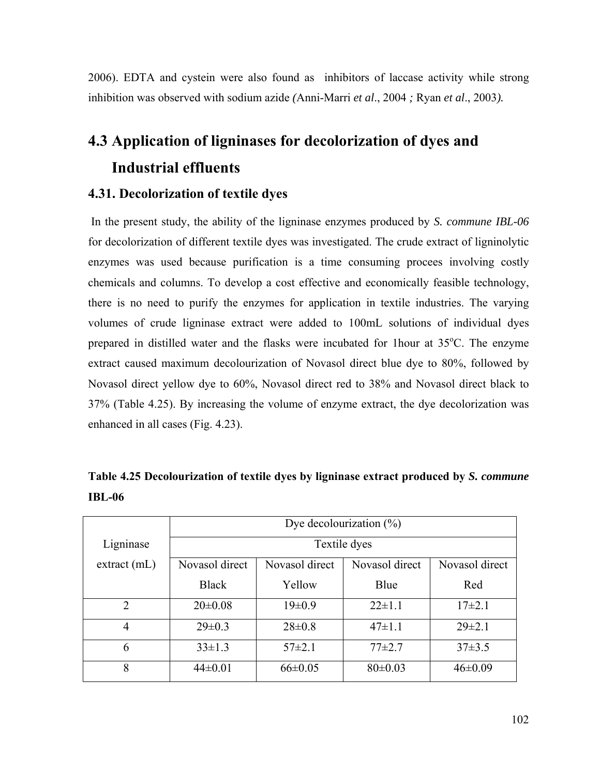2006). EDTA and cystein were also found as inhibitors of laccase activity while strong inhibition was observed with sodium azide *(*Anni-Marri *et al*., 2004 *;* Ryan *et al*., 2003*).* 

# **4.3 Application of ligninases for decolorization of dyes and Industrial effluents**

## **4.31. Decolorization of textile dyes**

 In the present study, the ability of the ligninase enzymes produced by *S. commune IBL-06* for decolorization of different textile dyes was investigated. The crude extract of ligninolytic enzymes was used because purification is a time consuming procees involving costly chemicals and columns. To develop a cost effective and economically feasible technology, there is no need to purify the enzymes for application in textile industries. The varying volumes of crude ligninase extract were added to 100mL solutions of individual dyes prepared in distilled water and the flasks were incubated for 1 hour at  $35^{\circ}$ C. The enzyme extract caused maximum decolourization of Novasol direct blue dye to 80%, followed by Novasol direct yellow dye to 60%, Novasol direct red to 38% and Novasol direct black to 37% (Table 4.25). By increasing the volume of enzyme extract, the dye decolorization was enhanced in all cases (Fig. 4.23).

**Table 4.25 Decolourization of textile dyes by ligninase extract produced by** *S. commune*  **IBL-06** 

|                | Dye decolourization $(\%)$            |                |                |                |  |  |
|----------------|---------------------------------------|----------------|----------------|----------------|--|--|
| Ligninase      | Textile dyes                          |                |                |                |  |  |
| extract(mL)    | Novasol direct                        | Novasol direct | Novasol direct | Novasol direct |  |  |
|                | <b>Black</b><br>Yellow<br>Blue<br>Red |                |                |                |  |  |
| $\overline{2}$ | $20 \pm 0.08$                         | $19 \pm 0.9$   | $22 \pm 1.1$   | $17\pm2.1$     |  |  |
| $\overline{4}$ | $29 \pm 0.3$                          | $28 \pm 0.8$   | $47 \pm 1.1$   | $29 \pm 2.1$   |  |  |
| 6              | $33 \pm 1.3$                          | $57\pm2.1$     | $77+2.7$       | $37\pm3.5$     |  |  |
| 8              | $44\pm0.01$                           | $66 \pm 0.05$  | $80 \pm 0.03$  | $46 \pm 0.09$  |  |  |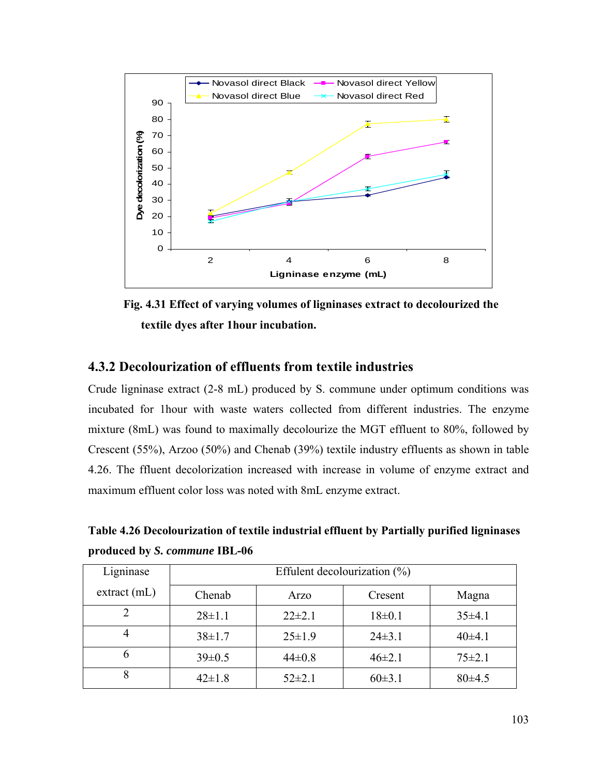

**Fig. 4.31 Effect of varying volumes of ligninases extract to decolourized the textile dyes after 1hour incubation.** 

## **4.3.2 Decolourization of effluents from textile industries**

Crude ligninase extract (2-8 mL) produced by S. commune under optimum conditions was incubated for 1hour with waste waters collected from different industries. The enzyme mixture (8mL) was found to maximally decolourize the MGT effluent to 80%, followed by Crescent (55%), Arzoo (50%) and Chenab (39%) textile industry effluents as shown in table 4.26. The ffluent decolorization increased with increase in volume of enzyme extract and maximum effluent color loss was noted with 8mL enzyme extract.

**Table 4.26 Decolourization of textile industrial effluent by Partially purified ligninases produced by** *S. commune* **IBL-06** 

| Ligninase   | Effulent decolourization $(\%)$ |              |            |              |  |
|-------------|---------------------------------|--------------|------------|--------------|--|
| extract(mL) | Chenab                          | Arzo         | Cresent    | Magna        |  |
|             | $28 \pm 1.1$                    | $22\pm2.1$   | 18±0.1     | 35±4.1       |  |
|             | $38 \pm 1.7$                    | $25 \pm 1.9$ | $24\pm3.1$ | $40\pm4.1$   |  |
| h           | $39 \pm 0.5$                    | $44\pm0.8$   | $46\pm2.1$ | $75 \pm 2.1$ |  |
| 8           | $42 \pm 1.8$                    | $52\pm2.1$   | $60\pm3.1$ | $80\pm4.5$   |  |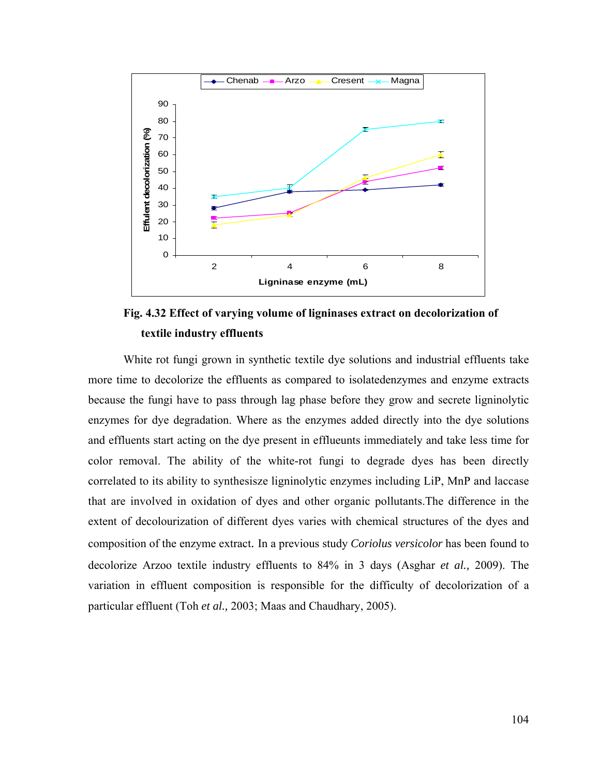

**Fig. 4.32 Effect of varying volume of ligninases extract on decolorization of textile industry effluents**

White rot fungi grown in synthetic textile dye solutions and industrial effluents take more time to decolorize the effluents as compared to isolatedenzymes and enzyme extracts because the fungi have to pass through lag phase before they grow and secrete ligninolytic enzymes for dye degradation. Where as the enzymes added directly into the dye solutions and effluents start acting on the dye present in efflueunts immediately and take less time for color removal. The ability of the white-rot fungi to degrade dyes has been directly correlated to its ability to synthesisze ligninolytic enzymes including LiP, MnP and laccase that are involved in oxidation of dyes and other organic pollutants.The difference in the extent of decolourization of different dyes varies with chemical structures of the dyes and composition of the enzyme extract. In a previous study *Coriolus versicolor* has been found to decolorize Arzoo textile industry effluents to 84% in 3 days (Asghar *et al.,* 2009). The variation in effluent composition is responsible for the difficulty of decolorization of a particular effluent (Toh *et al.,* 2003; Maas and Chaudhary, 2005).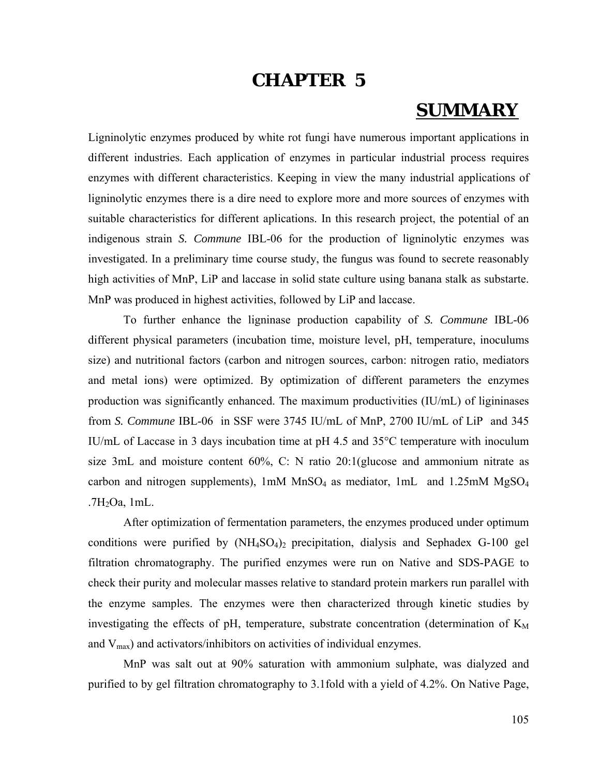# **CHAPTER 5**

# **SUMMARY**

Ligninolytic enzymes produced by white rot fungi have numerous important applications in different industries. Each application of enzymes in particular industrial process requires enzymes with different characteristics. Keeping in view the many industrial applications of ligninolytic enzymes there is a dire need to explore more and more sources of enzymes with suitable characteristics for different aplications. In this research project, the potential of an indigenous strain *S. Commune* IBL-06 for the production of ligninolytic enzymes was investigated. In a preliminary time course study, the fungus was found to secrete reasonably high activities of MnP, LiP and laccase in solid state culture using banana stalk as substarte. MnP was produced in highest activities, followed by LiP and laccase.

To further enhance the ligninase production capability of *S. Commune* IBL-06 different physical parameters (incubation time, moisture level, pH, temperature, inoculums size) and nutritional factors (carbon and nitrogen sources, carbon: nitrogen ratio, mediators and metal ions) were optimized. By optimization of different parameters the enzymes production was significantly enhanced. The maximum productivities (IU/mL) of ligininases from *S. Commune* IBL-06 in SSF were 3745 IU/mL of MnP, 2700 IU/mL of LiP and 345 IU/mL of Laccase in 3 days incubation time at рH 4.5 and 35°C temperature with inoculum size 3mL and moisture content 60%, C: N ratio 20:1(glucose and ammonium nitrate as carbon and nitrogen supplements),  $1 \text{m}$ M MnSO<sub>4</sub> as mediator,  $1 \text{m}$ L and  $1.25 \text{m}$ M MgSO<sub>4</sub>  $.7H<sub>2</sub>Oa$ , 1mL.

After optimization of fermentation parameters, the enzymes produced under optimum conditions were purified by  $(NH_4SO_4)_2$  precipitation, dialysis and Sephadex G-100 gel filtration chromatography. The purified enzymes were run on Native and SDS-PAGE to check their purity and molecular masses relative to standard protein markers run parallel with the enzyme samples. The enzymes were then characterized through kinetic studies by investigating the effects of pH, temperature, substrate concentration (determination of  $K_M$ and  $V_{\text{max}}$ ) and activators/inhibitors on activities of individual enzymes.

MnP was salt out at 90% saturation with ammonium sulphate, was dialyzed and purified to by gel filtration chromatography to 3.1fold with a yield of 4.2%. On Native Page,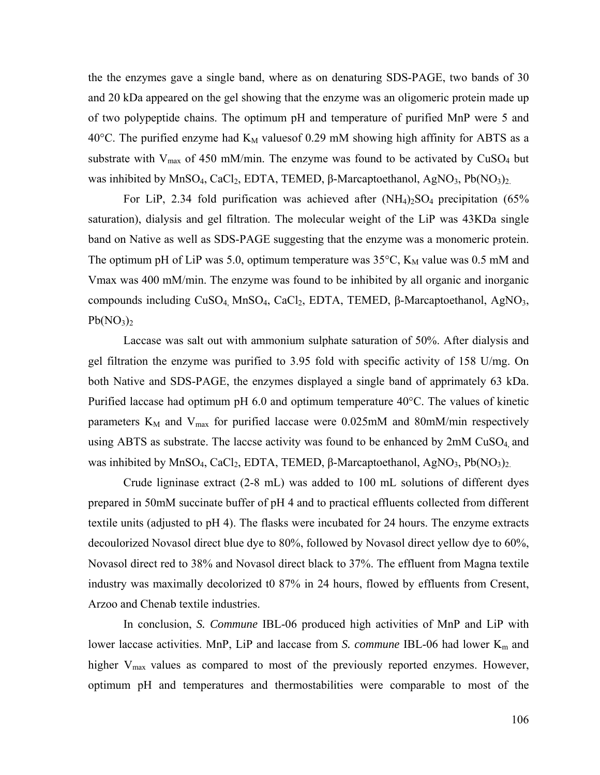the the enzymes gave a single band, where as on denaturing SDS-PAGE, two bands of 30 and 20 kDa appeared on the gel showing that the enzyme was an oligomeric protein made up of two polypeptide chains. The optimum pH and temperature of purified MnP were 5 and 40°C. The purified enzyme had  $K_M$  values of 0.29 mM showing high affinity for ABTS as a substrate with  $V_{\text{max}}$  of 450 mM/min. The enzyme was found to be activated by CuSO<sub>4</sub> but was inhibited by MnSO<sub>4</sub>, CaCl<sub>2</sub>, EDTA, TEMED, β-Marcaptoethanol, AgNO<sub>3</sub>, Pb(NO<sub>3</sub>)<sub>2.</sub>

For LiP, 2.34 fold purification was achieved after  $(NH_4)_2SO_4$  precipitation (65%) saturation), dialysis and gel filtration. The molecular weight of the LiP was 43KDa single band on Native as well as SDS-PAGE suggesting that the enzyme was a monomeric protein. The optimum pH of LiP was 5.0, optimum temperature was  $35^{\circ}$ C, K<sub>M</sub> value was 0.5 mM and Vmax was 400 mM/min. The enzyme was found to be inhibited by all organic and inorganic compounds including  $CuSO_4$ , Mn $SO_4$ , CaCl<sub>2</sub>, EDTA, TEMED, β-Marcaptoethanol, AgNO<sub>3</sub>,  $Pb(NO<sub>3</sub>)<sub>2</sub>$ 

Laccase was salt out with ammonium sulphate saturation of 50%. After dialysis and gel filtration the enzyme was purified to 3.95 fold with specific activity of 158 U/mg. On both Native and SDS-PAGE, the enzymes displayed a single band of apprimately 63 kDa. Purified laccase had optimum pH 6.0 and optimum temperature 40°C. The values of kinetic parameters  $K_M$  and  $V_{max}$  for purified laccase were 0.025mM and 80mM/min respectively using ABTS as substrate. The laccse activity was found to be enhanced by  $2mM CuSO<sub>4</sub>$  and was inhibited by MnSO<sub>4</sub>, CaCl<sub>2</sub>, EDTA, TEMED, β-Marcaptoethanol, AgNO<sub>3</sub>, Pb(NO<sub>3</sub>)<sub>2.</sub>

Crude ligninase extract (2-8 mL) was added to 100 mL solutions of different dyes prepared in 50mM succinate buffer of pH 4 and to practical effluents collected from different textile units (adjusted to pH 4). The flasks were incubated for 24 hours. The enzyme extracts decoulorized Novasol direct blue dye to 80%, followed by Novasol direct yellow dye to 60%, Novasol direct red to 38% and Novasol direct black to 37%. The effluent from Magna textile industry was maximally decolorized t0 87% in 24 hours, flowed by effluents from Cresent, Arzoo and Chenab textile industries.

In conclusion, *S. Commune* IBL-06 produced high activities of MnP and LiP with lower laccase activities. MnP, LiP and laccase from *S. commune* IBL-06 had lower K<sub>m</sub> and higher  $V_{\text{max}}$  values as compared to most of the previously reported enzymes. However, optimum pH and temperatures and thermostabilities were comparable to most of the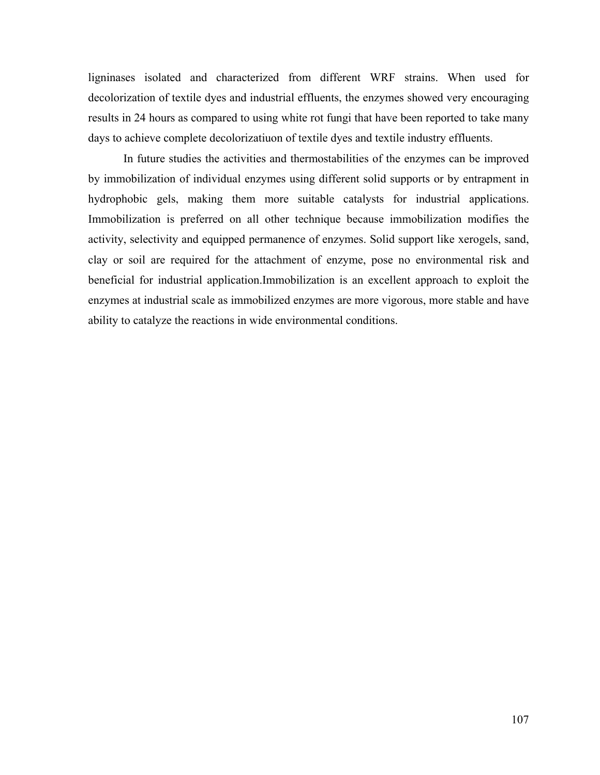ligninases isolated and characterized from different WRF strains. When used for decolorization of textile dyes and industrial effluents, the enzymes showed very encouraging results in 24 hours as compared to using white rot fungi that have been reported to take many days to achieve complete decolorizatiuon of textile dyes and textile industry effluents.

In future studies the activities and thermostabilities of the enzymes can be improved by immobilization of individual enzymes using different solid supports or by entrapment in hydrophobic gels, making them more suitable catalysts for industrial applications. Immobilization is preferred on all other technique because immobilization modifies the activity, selectivity and equipped permanence of enzymes. Solid support like xerogels, sand, clay or soil are required for the attachment of enzyme, pose no environmental risk and beneficial for industrial application.Immobilization is an excellent approach to exploit the enzymes at industrial scale as immobilized enzymes are more vigorous, more stable and have ability to catalyze the reactions in wide environmental conditions.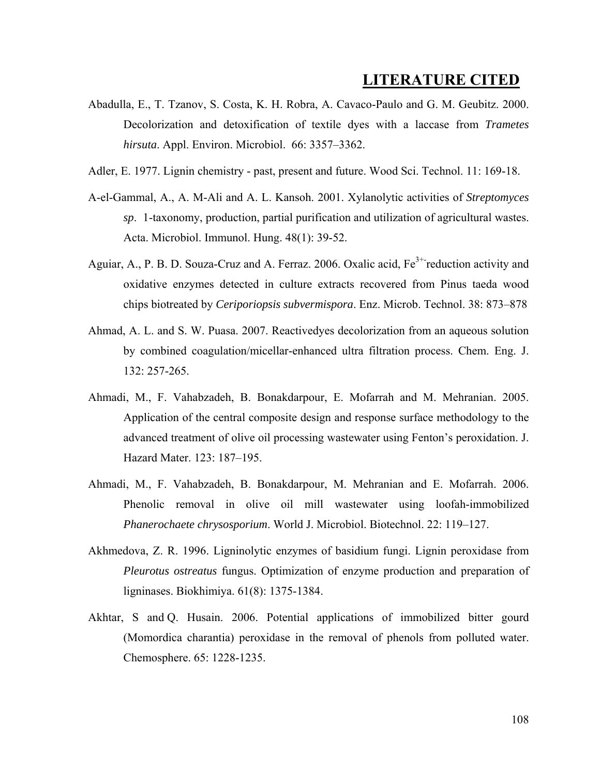# **LITERATURE CITED**

- Abadulla, E., T. Tzanov, S. Costa, K. H. Robra, A. Cavaco-Paulo and G. M. Geubitz. 2000. Decolorization and detoxification of textile dyes with a laccase from *Trametes hirsuta*. Appl. Environ. Microbiol. 66: 3357–3362.
- Adler, E. 1977. Lignin chemistry past, present and future. Wood Sci. Technol. 11: 169-18.
- A-el-Gammal, A., A. M-Ali and A. L. Kansoh. 2001. Xylanolytic activities of *Streptomyces sp*. 1-taxonomy, production, partial purification and utilization of agricultural wastes. Acta. Microbiol. Immunol. Hung. 48(1): 39-52.
- Aguiar, A., P. B. D. Souza-Cruz and A. Ferraz. 2006. Oxalic acid, Fe<sup>3+-</sup>reduction activity and oxidative enzymes detected in culture extracts recovered from Pinus taeda wood chips biotreated by *Ceriporiopsis subvermispora*. Enz. Microb. Technol. 38: 873–878
- Ahmad, A. L. and S. W. Puasa. 2007. Reactivedyes decolorization from an aqueous solution by combined coagulation/micellar-enhanced ultra filtration process. Chem. Eng. J. 132: 257-265.
- Ahmadi, M., F. Vahabzadeh, B. Bonakdarpour, E. Mofarrah and M. Mehranian. 2005. Application of the central composite design and response surface methodology to the advanced treatment of olive oil processing wastewater using Fenton's peroxidation. J. Hazard Mater. 123: 187–195.
- Ahmadi, M., F. Vahabzadeh, B. Bonakdarpour, M. Mehranian and E. Mofarrah. 2006. Phenolic removal in olive oil mill wastewater using loofah-immobilized *Phanerochaete chrysosporium*. World J. Microbiol. Biotechnol. 22: 119–127.
- Akhmedova, Z. R. 1996. Ligninolytic enzymes of basidium fungi. Lignin peroxidase from *Pleurotus ostreatus* fungus. Optimization of enzyme production and preparation of ligninases. Biokhimiya. 61(8): 1375-1384.
- Akhtar, S and Q. Husain. 2006. Potential applications of immobilized bitter gourd (Momordica charantia) peroxidase in the removal of phenols from polluted water. Chemosphere. 65: 1228-1235.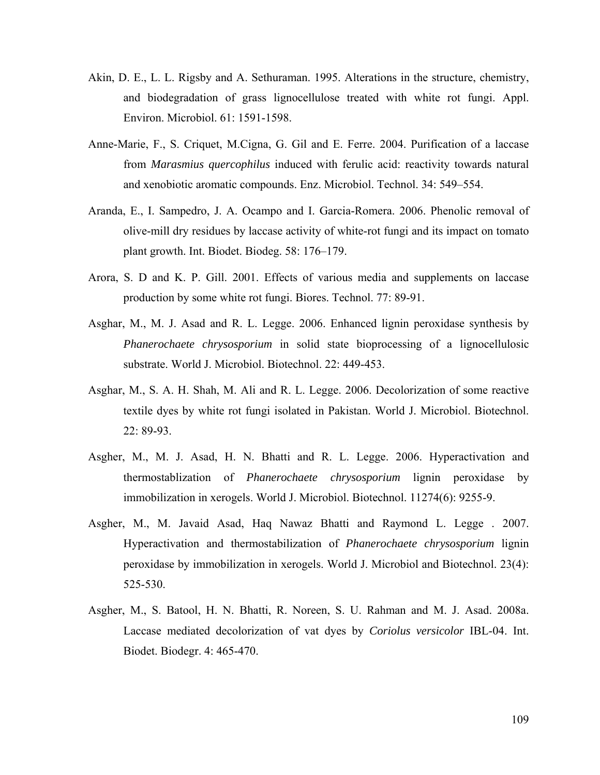- Akin, D. E., L. L. Rigsby and A. Sethuraman. 1995. Alterations in the structure, chemistry, and biodegradation of grass lignocellulose treated with white rot fungi. Appl. Environ. Microbiol. 61: 1591-1598.
- Anne-Marie, F., S. Criquet, M.Cigna, G. Gil and E. Ferre. 2004. Purification of a laccase from *Marasmius quercophilus* induced with ferulic acid: reactivity towards natural and xenobiotic aromatic compounds. Enz. Microbiol. Technol. 34: 549–554.
- Aranda, E., I. Sampedro, J. A. Ocampo and I. Garcia-Romera. 2006. Phenolic removal of olive-mill dry residues by laccase activity of white-rot fungi and its impact on tomato plant growth. Int. Biodet. Biodeg. 58: 176–179.
- Arora, S. D and K. P. Gill. 2001. Effects of various media and supplements on laccase production by some white rot fungi. Biores. Technol. 77: 89-91.
- Asghar, M., M. J. Asad and R. L. Legge. 2006. Enhanced lignin peroxidase synthesis by *Phanerochaete chrysosporium* in solid state bioprocessing of a lignocellulosic substrate. World J. Microbiol. Biotechnol. 22: 449-453.
- Asghar, M., S. A. H. Shah, M. Ali and R. L. Legge. 2006. Decolorization of some reactive textile dyes by white rot fungi isolated in Pakistan. World J. Microbiol. Biotechnol. 22: 89-93.
- Asgher, M., M. J. Asad, H. N. Bhatti and R. L. Legge. 2006. Hyperactivation and thermostablization of *Phanerochaete chrysosporium* lignin peroxidase by immobilization in xerogels. World J. Microbiol. Biotechnol. 11274(6): 9255-9.
- Asgher, M., M. Javaid Asad, Haq Nawaz Bhatti and Raymond L. Legge . 2007. Hyperactivation and thermostabilization of *Phanerochaete chrysosporium* lignin peroxidase by immobilization in xerogels. World J. Microbiol and Biotechnol. 23(4): 525-530.
- Asgher, M., S. Batool, H. N. Bhatti, R. Noreen, S. U. Rahman and M. J. Asad. 2008a. Laccase mediated decolorization of vat dyes by *Coriolus versicolor* IBL-04. Int. Biodet. Biodegr. 4: 465-470.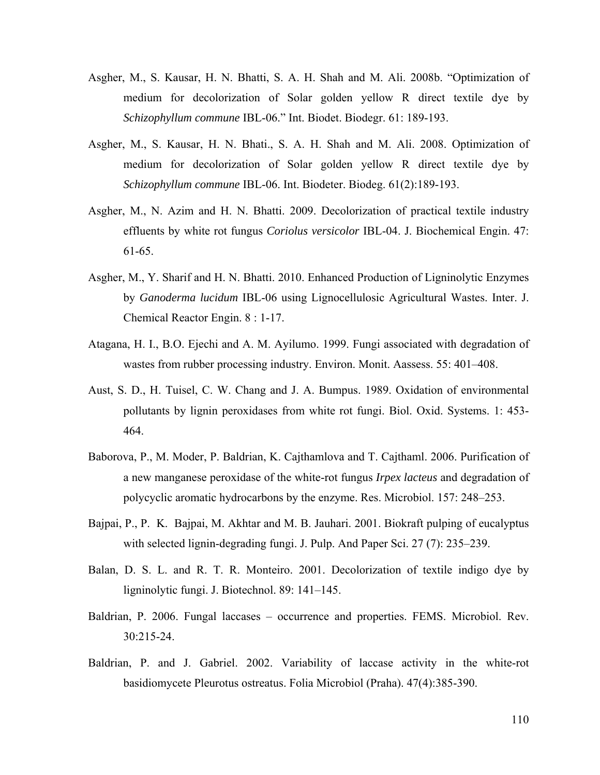- Asgher, M., S. Kausar, H. N. Bhatti, S. A. H. Shah and M. Ali. 2008b. "Optimization of medium for decolorization of Solar golden yellow R direct textile dye by *Schizophyllum commune* IBL-06." Int. Biodet. Biodegr. 61: 189-193.
- Asgher, M., S. Kausar, H. N. Bhati., S. A. H. Shah and M. Ali. 2008. Optimization of medium for decolorization of Solar golden yellow R direct textile dye by *Schizophyllum commune* IBL-06. Int. Biodeter. Biodeg. 61(2):189-193.
- Asgher, M., N. Azim and H. N. Bhatti. 2009. Decolorization of practical textile industry effluents by white rot fungus *Coriolus versicolor* IBL-04. J. Biochemical Engin. 47: 61-65.
- Asgher, M., Y. Sharif and H. N. Bhatti. 2010. Enhanced Production of Ligninolytic Enzymes by *Ganoderma lucidum* IBL-06 using Lignocellulosic Agricultural Wastes. Inter. J. Chemical Reactor Engin. 8 : 1-17.
- Atagana, H. I., B.O. Ejechi and A. M. Ayilumo. 1999. Fungi associated with degradation of wastes from rubber processing industry. Environ. Monit. Aassess. 55: 401–408.
- Aust, S. D., H. Tuisel, C. W. Chang and J. A. Bumpus. 1989. Oxidation of environmental pollutants by lignin peroxidases from white rot fungi. Biol. Oxid. Systems. 1: 453- 464.
- Baborova, P., M. Moder, P. Baldrian, K. Cajthamlova and T. Cajthaml. 2006. Purification of a new manganese peroxidase of the white-rot fungus *Irpex lacteus* and degradation of polycyclic aromatic hydrocarbons by the enzyme. Res. Microbiol. 157: 248–253.
- Bajpai, P., P. K. Bajpai, M. Akhtar and M. B. Jauhari. 2001. Biokraft pulping of eucalyptus with selected lignin-degrading fungi. J. Pulp. And Paper Sci. 27 (7): 235–239.
- Balan, D. S. L. and R. T. R. Monteiro. 2001. Decolorization of textile indigo dye by ligninolytic fungi. J. Biotechnol. 89: 141–145.
- Baldrian, P. 2006. Fungal laccases occurrence and properties. FEMS. Microbiol. Rev. 30:215-24.
- Baldrian, P. and J. Gabriel. 2002. Variability of laccase activity in the white-rot basidiomycete Pleurotus ostreatus. Folia Microbiol (Praha). 47(4):385-390.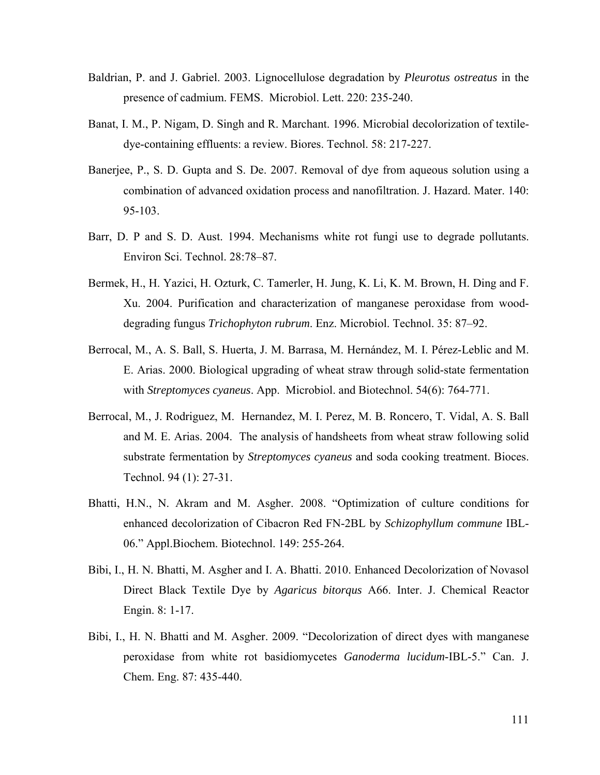- Baldrian, P. and J. Gabriel. 2003. Lignocellulose degradation by *Pleurotus ostreatus* in the presence of cadmium. FEMS. Microbiol. Lett. 220: 235-240.
- Banat, I. M., P. Nigam, D. Singh and R. Marchant. 1996. Microbial decolorization of textiledye-containing effluents: a review. Biores. Technol. 58: 217-227.
- Banerjee, P., S. D. Gupta and S. De. 2007. Removal of dye from aqueous solution using a combination of advanced oxidation process and nanofiltration. J. Hazard. Mater. 140: 95-103.
- Barr, D. P and S. D. Aust. 1994. Mechanisms white rot fungi use to degrade pollutants. Environ Sci. Technol. 28:78–87.
- Bermek, H., H. Yazici, H. Ozturk, C. Tamerler, H. Jung, K. Li, K. M. Brown, H. Ding and F. Xu. 2004. Purification and characterization of manganese peroxidase from wooddegrading fungus *Trichophyton rubrum*. Enz. Microbiol. Technol. 35: 87–92.
- Berrocal, M., A. S. Ball, S. Huerta, J. M. Barrasa, M. Hernández, M. I. Pérez-Leblic and M. E. Arias. 2000. Biological upgrading of wheat straw through solid-state fermentation with *Streptomyces cyaneus*. App. Microbiol. and Biotechnol. 54(6): 764-771.
- Berrocal, M., J. Rodriguez, M. Hernandez, M. I. Perez, M. B. Roncero, T. Vidal, A. S. Ball and M. E. Arias. 2004. The analysis of handsheets from wheat straw following solid substrate fermentation by *Streptomyces cyaneus* and soda cooking treatment. Bioces. Technol. 94 (1): 27-31.
- Bhatti, H.N., N. Akram and M. Asgher. 2008. "Optimization of culture conditions for enhanced decolorization of Cibacron Red FN-2BL by *Schizophyllum commune* IBL-06." Appl.Biochem. Biotechnol. 149: 255-264.
- Bibi, I., H. N. Bhatti, M. Asgher and I. A. Bhatti. 2010. Enhanced Decolorization of Novasol Direct Black Textile Dye by *Agaricus bitorqus* A66. Inter. J. Chemical Reactor Engin. 8: 1-17.
- Bibi, I., H. N. Bhatti and M. Asgher. 2009. "Decolorization of direct dyes with manganese peroxidase from white rot basidiomycetes *Ganoderma lucidum*-IBL-5." Can. J. Chem. Eng. 87: 435-440.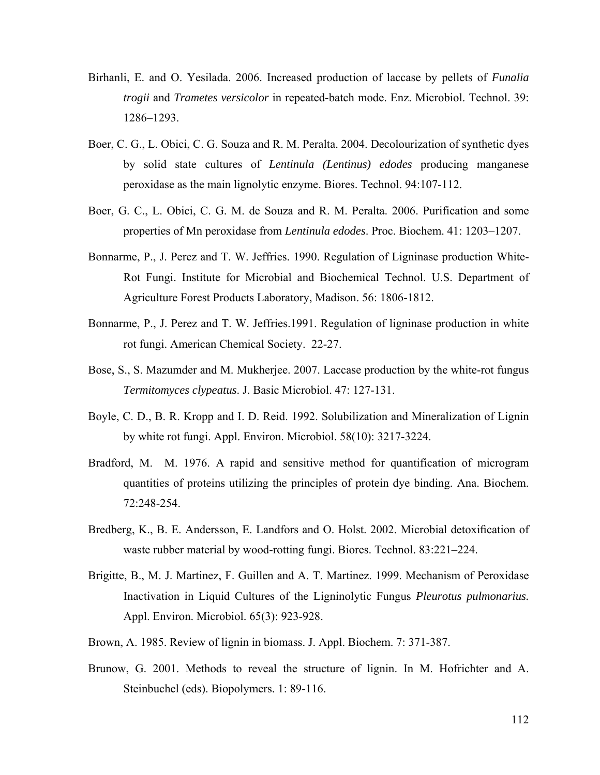- Birhanli, E. and O. Yesilada. 2006. Increased production of laccase by pellets of *Funalia trogii* and *Trametes versicolor* in repeated-batch mode. Enz. Microbiol. Technol. 39: 1286–1293.
- Boer, C. G., L. Obici, C. G. Souza and R. M. Peralta. 2004. Decolourization of synthetic dyes by solid state cultures of *Lentinula (Lentinus) edodes* producing manganese peroxidase as the main lignolytic enzyme. Biores. Technol. 94:107-112.
- Boer, G. C., L. Obici, C. G. M. de Souza and R. M. Peralta. 2006. Purification and some properties of Mn peroxidase from *Lentinula edodes*. Proc. Biochem. 41: 1203–1207.
- Bonnarme, P., J. Perez and T. W. Jeffries. 1990. Regulation of Ligninase production White-Rot Fungi. Institute for Microbial and Biochemical Technol. U.S. Department of Agriculture Forest Products Laboratory, Madison. 56: 1806-1812.
- Bonnarme, P., J. Perez and T. W. Jeffries.1991. Regulation of ligninase production in white rot fungi. American Chemical Society. 22-27.
- Bose, S., S. Mazumder and M. Mukherjee. 2007. Laccase production by the white-rot fungus *Termitomyces clypeatus*. J. Basic Microbiol. 47: 127-131.
- Boyle, C. D., B. R. Kropp and I. D. Reid. 1992. Solubilization and Mineralization of Lignin by white rot fungi. Appl. Environ. Microbiol. 58(10): 3217-3224.
- Bradford, M. M. 1976. A rapid and sensitive method for quantification of microgram quantities of proteins utilizing the principles of protein dye binding. Ana. Biochem. 72:248-254.
- Bredberg, K., B. E. Andersson, E. Landfors and O. Holst. 2002. Microbial detoxification of waste rubber material by wood-rotting fungi. Biores. Technol. 83:221–224.
- Brigitte, B., M. J. Martinez, F. Guillen and A. T. Martinez. 1999. Mechanism of Peroxidase Inactivation in Liquid Cultures of the Ligninolytic Fungus *Pleurotus pulmonarius.*  Appl. Environ. Microbiol. 65(3): 923-928.
- Brown, A. 1985. Review of lignin in biomass. J. Appl. Biochem. 7: 371-387.
- Brunow, G. 2001. Methods to reveal the structure of lignin. In M. Hofrichter and A. Steinbuchel (eds). Biopolymers. 1: 89-116.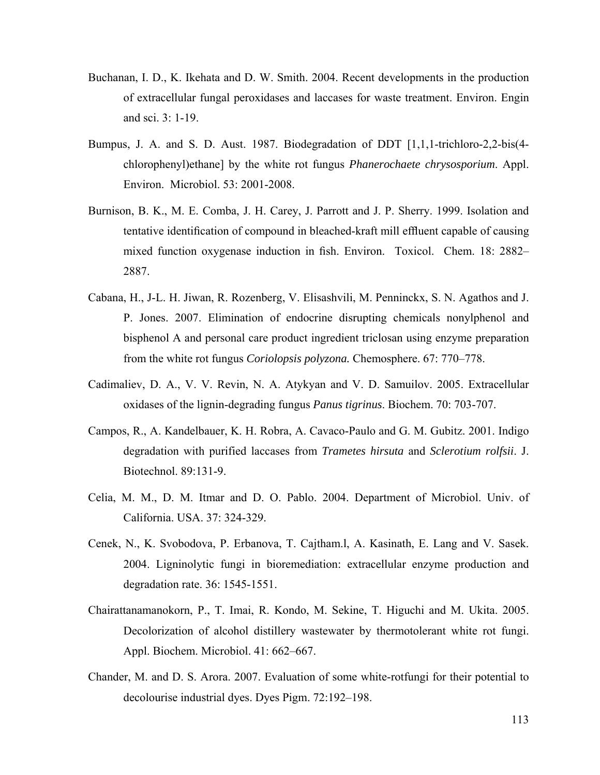- Buchanan, I. D., K. Ikehata and D. W. Smith. 2004. Recent developments in the production of extracellular fungal peroxidases and laccases for waste treatment. Environ. Engin and sci. 3: 1-19.
- Bumpus, J. A. and S. D. Aust. 1987. Biodegradation of DDT [1,1,1-trichloro-2,2-bis(4 chlorophenyl)ethane] by the white rot fungus *Phanerochaete chrysosporium*. Appl. Environ. Microbiol. 53: 2001-2008.
- Burnison, B. K., M. E. Comba, J. H. Carey, J. Parrott and J. P. Sherry. 1999. Isolation and tentative identification of compound in bleached-kraft mill effluent capable of causing mixed function oxygenase induction in fish. Environ. Toxicol. Chem. 18: 2882– 2887.
- Cabana, H., J-L. H. Jiwan, R. Rozenberg, V. Elisashvili, M. Penninckx, S. N. Agathos and J. P. Jones. 2007. Elimination of endocrine disrupting chemicals nonylphenol and bisphenol A and personal care product ingredient triclosan using enzyme preparation from the white rot fungus *Coriolopsis polyzona.* Chemosphere. 67: 770–778.
- Cadimaliev, D. A., V. V. Revin, N. A. Atykyan and V. D. Samuilov. 2005. Extracellular oxidases of the lignin-degrading fungus *Panus tigrinus*. Biochem. 70: 703-707.
- Campos, R., A. Kandelbauer, K. H. Robra, A. Cavaco-Paulo and G. M. Gubitz. 2001. Indigo degradation with purified laccases from *Trametes hirsuta* and *Sclerotium rolfsii*. J. Biotechnol. 89:131-9.
- Celia, M. M., D. M. Itmar and D. O. Pablo. 2004. Department of Microbiol. Univ. of California. USA. 37: 324-329.
- Cenek, N., K. Svobodova, P. Erbanova, T. Cajtham.l, A. Kasinath, E. Lang and V. Sasek. 2004. Ligninolytic fungi in bioremediation: extracellular enzyme production and degradation rate. 36: 1545-1551.
- Chairattanamanokorn, P., T. Imai, R. Kondo, M. Sekine, T. Higuchi and M. Ukita. 2005. Decolorization of alcohol distillery wastewater by thermotolerant white rot fungi. Appl. Biochem. Microbiol. 41: 662–667.
- Chander, M. and D. S. Arora. 2007. Evaluation of some white-rotfungi for their potential to decolourise industrial dyes. Dyes Pigm. 72:192–198.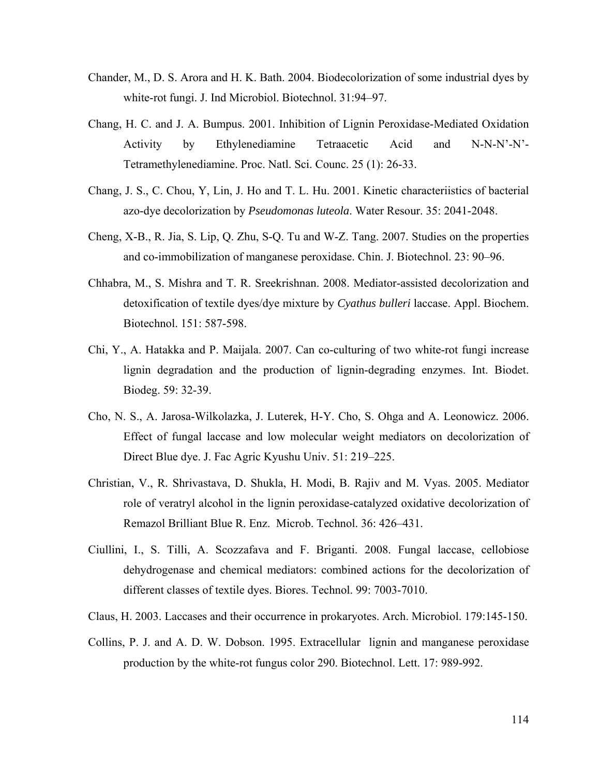- Chander, M., D. S. Arora and H. K. Bath. 2004. Biodecolorization of some industrial dyes by white-rot fungi. J. Ind Microbiol. Biotechnol. 31:94–97.
- Chang, H. C. and J. A. Bumpus. 2001. Inhibition of Lignin Peroxidase-Mediated Oxidation Activity by Ethylenediamine Tetraacetic Acid and N-N-N'-N'- Tetramethylenediamine. Proc. Natl. Sci. Counc. 25 (1): 26-33.
- Chang, J. S., C. Chou, Y, Lin, J. Ho and T. L. Hu. 2001. Kinetic characteriistics of bacterial azo-dye decolorization by *Pseudomonas luteola*. Water Resour. 35: 2041-2048.
- Cheng, X-B., R. Jia, S. Lip, Q. Zhu, S-Q. Tu and W-Z. Tang. 2007. Studies on the properties and co-immobilization of manganese peroxidase. Chin. J. Biotechnol. 23: 90–96.
- Chhabra, M., S. Mishra and T. R. Sreekrishnan. 2008. Mediator-assisted decolorization and detoxification of textile dyes/dye mixture by *Cyathus bulleri* laccase. Appl. Biochem. Biotechnol. 151: 587-598.
- Chi, Y., A. Hatakka and P. Maijala. 2007. Can co-culturing of two white-rot fungi increase lignin degradation and the production of lignin-degrading enzymes. Int. Biodet. Biodeg. 59: 32-39.
- Cho, N. S., A. Jarosa-Wilkolazka, J. Luterek, H-Y. Cho, S. Ohga and A. Leonowicz. 2006. Effect of fungal laccase and low molecular weight mediators on decolorization of Direct Blue dye. J. Fac Agric Kyushu Univ. 51: 219–225.
- Christian, V., R. Shrivastava, D. Shukla, H. Modi, B. Rajiv and M. Vyas. 2005. Mediator role of veratryl alcohol in the lignin peroxidase-catalyzed oxidative decolorization of Remazol Brilliant Blue R. Enz. Microb. Technol. 36: 426–431.
- Ciullini, I., S. Tilli, A. Scozzafava and F. Briganti. 2008. Fungal laccase, cellobiose dehydrogenase and chemical mediators: combined actions for the decolorization of different classes of textile dyes. Biores. Technol. 99: 7003-7010.
- Claus, H. 2003. Laccases and their occurrence in prokaryotes. Arch. Microbiol. 179:145-150.
- Collins, P. J. and A. D. W. Dobson. 1995. Extracellular lignin and manganese peroxidase production by the white-rot fungus color 290. Biotechnol. Lett. 17: 989-992.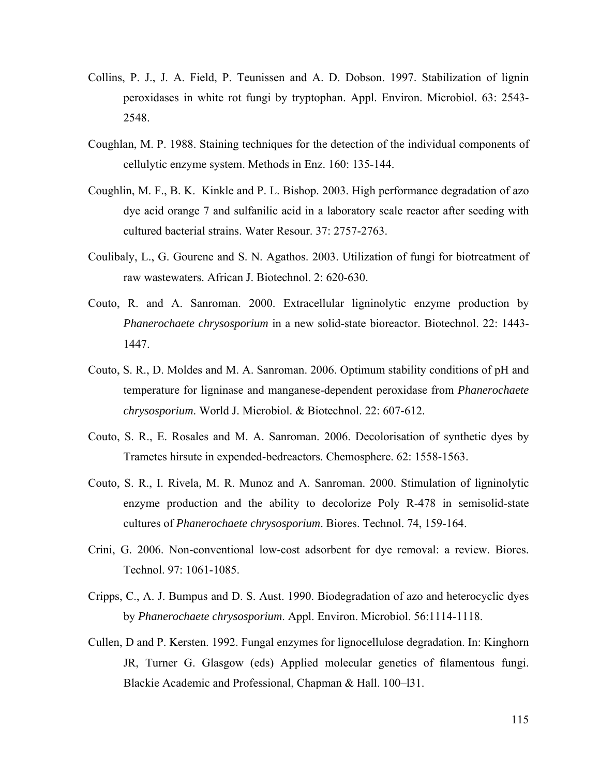- Collins, P. J., J. A. Field, P. Teunissen and A. D. Dobson. 1997. Stabilization of lignin peroxidases in white rot fungi by tryptophan. Appl. Environ. Microbiol. 63: 2543- 2548.
- Coughlan, M. P. 1988. Staining techniques for the detection of the individual components of cellulytic enzyme system. Methods in Enz. 160: 135-144.
- Coughlin, M. F., B. K. Kinkle and P. L. Bishop. 2003. High performance degradation of azo dye acid orange 7 and sulfanilic acid in a laboratory scale reactor after seeding with cultured bacterial strains. Water Resour. 37: 2757-2763.
- Coulibaly, L., G. Gourene and S. N. Agathos. 2003. Utilization of fungi for biotreatment of raw wastewaters. African J. Biotechnol. 2: 620-630.
- Couto, R. and A. Sanroman. 2000. Extracellular ligninolytic enzyme production by *Phanerochaete chrysosporium* in a new solid-state bioreactor. Biotechnol. 22: 1443- 1447.
- Couto, S. R., D. Moldes and M. A. Sanroman. 2006. Optimum stability conditions of pH and temperature for ligninase and manganese-dependent peroxidase from *Phanerochaete chrysosporium*. World J. Microbiol. & Biotechnol. 22: 607-612.
- Couto, S. R., E. Rosales and M. A. Sanroman. 2006. Decolorisation of synthetic dyes by Trametes hirsute in expended-bedreactors. Chemosphere. 62: 1558-1563.
- Couto, S. R., I. Rivela, M. R. Munoz and A. Sanroman. 2000. Stimulation of ligninolytic enzyme production and the ability to decolorize Poly R-478 in semisolid-state cultures of *Phanerochaete chrysosporium*. Biores. Technol. 74, 159-164.
- Crini, G. 2006. Non-conventional low-cost adsorbent for dye removal: a review. Biores. Technol. 97: 1061-1085.
- Cripps, C., A. J. Bumpus and D. S. Aust. 1990. Biodegradation of azo and heterocyclic dyes by *Phanerochaete chrysosporium*. Appl. Environ. Microbiol. 56:1114-1118.
- Cullen, D and P. Kersten. 1992. Fungal enzymes for lignocellulose degradation. In: Kinghorn JR, Turner G. Glasgow (eds) Applied molecular genetics of filamentous fungi. Blackie Academic and Professional, Chapman & Hall. 100–l31.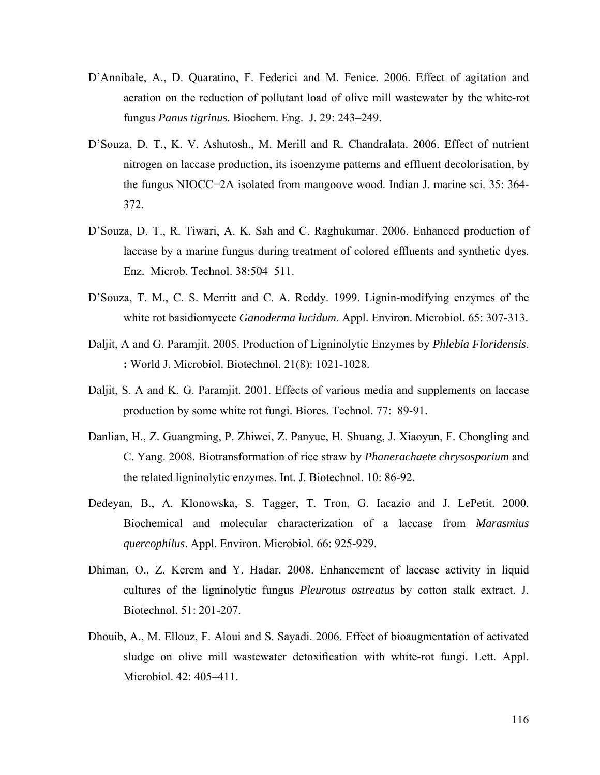- D'Annibale, A., D. Quaratino, F. Federici and M. Fenice. 2006. Effect of agitation and aeration on the reduction of pollutant load of olive mill wastewater by the white-rot fungus *Panus tigrinus.* Biochem. Eng. J. 29: 243–249.
- D'Souza, D. T., K. V. Ashutosh., M. Merill and R. Chandralata. 2006. Effect of nutrient nitrogen on laccase production, its isoenzyme patterns and effluent decolorisation, by the fungus NIOCC=2A isolated from mangoove wood. Indian J. marine sci. 35: 364- 372.
- D'Souza, D. T., R. Tiwari, A. K. Sah and C. Raghukumar. 2006. Enhanced production of laccase by a marine fungus during treatment of colored effluents and synthetic dyes. Enz. Microb. Technol. 38:504–511.
- D'Souza, T. M., C. S. Merritt and C. A. Reddy. 1999. Lignin-modifying enzymes of the white rot basidiomycete *Ganoderma lucidum*. Appl. Environ. Microbiol. 65: 307-313.
- Daljit, A and G. Paramjit. 2005. Production of Ligninolytic Enzymes by *Phlebia Floridensis*. **:** World J. Microbiol. Biotechnol. 21(8): 1021-1028.
- Daljit, S. A and K. G. Paramjit. 2001. Effects of various media and supplements on laccase production by some white rot fungi. Biores. Technol. 77: 89-91.
- Danlian, H., Z. Guangming, P. Zhiwei, Z. Panyue, H. Shuang, J. Xiaoyun, F. Chongling and C. Yang. 2008. Biotransformation of rice straw by *Phanerachaete chrysosporium* and the related ligninolytic enzymes. Int. J. Biotechnol. 10: 86-92.
- Dedeyan, B., A. Klonowska, S. Tagger, T. Tron, G. Iacazio and J. LePetit. 2000. Biochemical and molecular characterization of a laccase from *Marasmius quercophilus*. Appl. Environ. Microbiol. 66: 925-929.
- Dhiman, O., Z. Kerem and Y. Hadar. 2008. Enhancement of laccase activity in liquid cultures of the ligninolytic fungus *Pleurotus ostreatus* by cotton stalk extract. J. Biotechnol. 51: 201-207.
- Dhouib, A., M. Ellouz, F. Aloui and S. Sayadi. 2006. Effect of bioaugmentation of activated sludge on olive mill wastewater detoxification with white-rot fungi. Lett. Appl. Microbiol. 42: 405–411.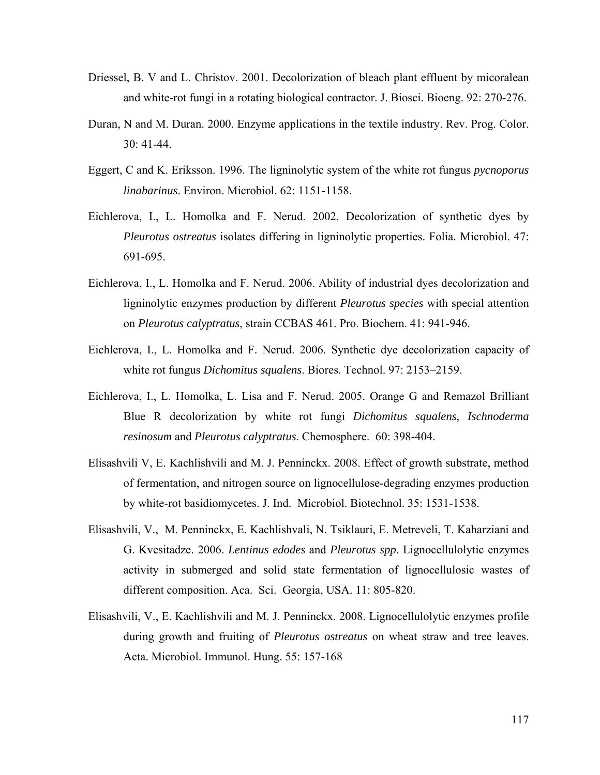- Driessel, B. V and L. Christov. 2001. Decolorization of bleach plant effluent by micoralean and white-rot fungi in a rotating biological contractor. J. Biosci. Bioeng. 92: 270-276.
- Duran, N and M. Duran. 2000. Enzyme applications in the textile industry. Rev. Prog. Color. 30: 41-44.
- Eggert, C and K. Eriksson. 1996. The ligninolytic system of the white rot fungus *pycnoporus linabarinus*. Environ. Microbiol. 62: 1151-1158.
- Eichlerova, I., L. Homolka and F. Nerud. 2002. Decolorization of synthetic dyes by *Pleurotus ostreatus* isolates differing in ligninolytic properties. Folia. Microbiol. 47: 691-695.
- Eichlerova, I., L. Homolka and F. Nerud. 2006. Ability of industrial dyes decolorization and ligninolytic enzymes production by different *Pleurotus species* with special attention on *Pleurotus calyptratus*, strain CCBAS 461. Pro. Biochem. 41: 941-946.
- Eichlerova, I., L. Homolka and F. Nerud. 2006. Synthetic dye decolorization capacity of white rot fungus *Dichomitus squalens*. Biores. Technol. 97: 2153–2159.
- Eichlerova, I., L. Homolka, L. Lisa and F. Nerud. 2005. Orange G and Remazol Brilliant Blue R decolorization by white rot fungi *Dichomitus squalens, Ischnoderma resinosum* and *Pleurotus calyptratus*. Chemosphere. 60: 398-404.
- Elisashvili V, E. Kachlishvili and M. J. Penninckx. 2008. Effect of growth substrate, method of fermentation, and nitrogen source on lignocellulose-degrading enzymes production by white-rot basidiomycetes. J. Ind. Microbiol. Biotechnol. 35: 1531-1538.
- Elisashvili, V., M. Penninckx, E. Kachlishvali, N. Tsiklauri, E. Metreveli, T. Kaharziani and G. Kvesitadze. 2006. *Lentinus edodes* and *Pleurotus spp*. Lignocellulolytic enzymes activity in submerged and solid state fermentation of lignocellulosic wastes of different composition. Aca. Sci. Georgia, USA. 11: 805-820.
- Elisashvili, V., E. Kachlishvili and M. J. Penninckx. 2008. Lignocellulolytic enzymes profile during growth and fruiting of *Pleurotus ostreatus* on wheat straw and tree leaves. Acta. Microbiol. Immunol. Hung. 55: 157-168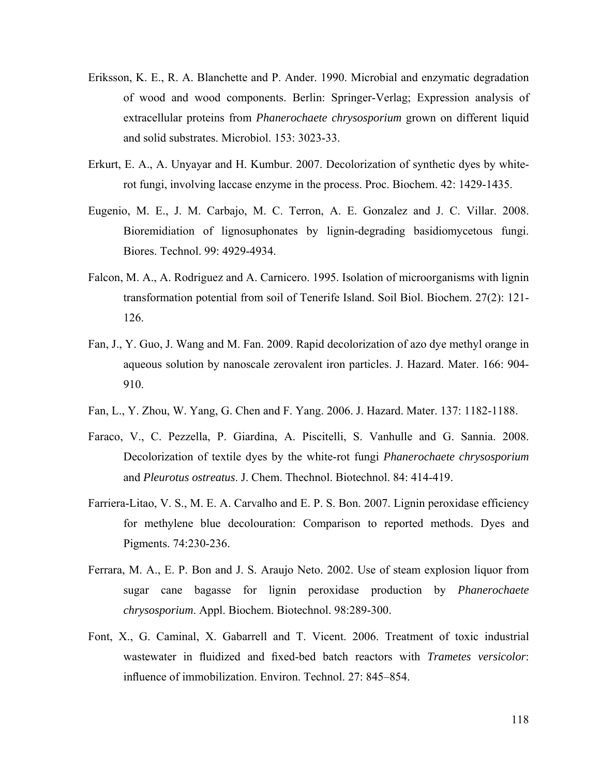- Eriksson, K. E., R. A. Blanchette and P. Ander. 1990. Microbial and enzymatic degradation of wood and wood components. Berlin: Springer-Verlag; Expression analysis of extracellular proteins from *Phanerochaete chrysosporium* grown on different liquid and solid substrates. Microbiol. 153: 3023-33.
- Erkurt, E. A., A. Unyayar and H. Kumbur. 2007. Decolorization of synthetic dyes by whiterot fungi, involving laccase enzyme in the process. Proc. Biochem. 42: 1429-1435.
- Eugenio, M. E., J. M. Carbajo, M. C. Terron, A. E. Gonzalez and J. C. Villar. 2008. Bioremidiation of lignosuphonates by lignin-degrading basidiomycetous fungi. Biores. Technol. 99: 4929-4934.
- Falcon, M. A., A. Rodriguez and A. Carnicero. 1995. Isolation of microorganisms with lignin transformation potential from soil of Tenerife Island. Soil Biol. Biochem. 27(2): 121- 126.
- Fan, J., Y. Guo, J. Wang and M. Fan. 2009. Rapid decolorization of azo dye methyl orange in aqueous solution by nanoscale zerovalent iron particles. J. Hazard. Mater. 166: 904- 910.
- Fan, L., Y. Zhou, W. Yang, G. Chen and F. Yang. 2006. J. Hazard. Mater. 137: 1182-1188.
- Faraco, V., C. Pezzella, P. Giardina, A. Piscitelli, S. Vanhulle and G. Sannia. 2008. Decolorization of textile dyes by the white-rot fungi *Phanerochaete chrysosporium* and *Pleurotus ostreatus*. J. Chem. Thechnol. Biotechnol. 84: 414-419.
- Farriera-Litao, V. S., M. E. A. Carvalho and E. P. S. Bon. 2007. Lignin peroxidase efficiency for methylene blue decolouration: Comparison to reported methods. Dyes and Pigments. 74:230-236.
- Ferrara, M. A., E. P. Bon and J. S. Araujo Neto. 2002. Use of steam explosion liquor from sugar cane bagasse for lignin peroxidase production by *Phanerochaete chrysosporium*. Appl. Biochem. Biotechnol. 98:289-300.
- Font, X., G. Caminal, X. Gabarrell and T. Vicent. 2006. Treatment of toxic industrial wastewater in fluidized and fixed-bed batch reactors with *Trametes versicolor*: influence of immobilization. Environ. Technol. 27: 845–854.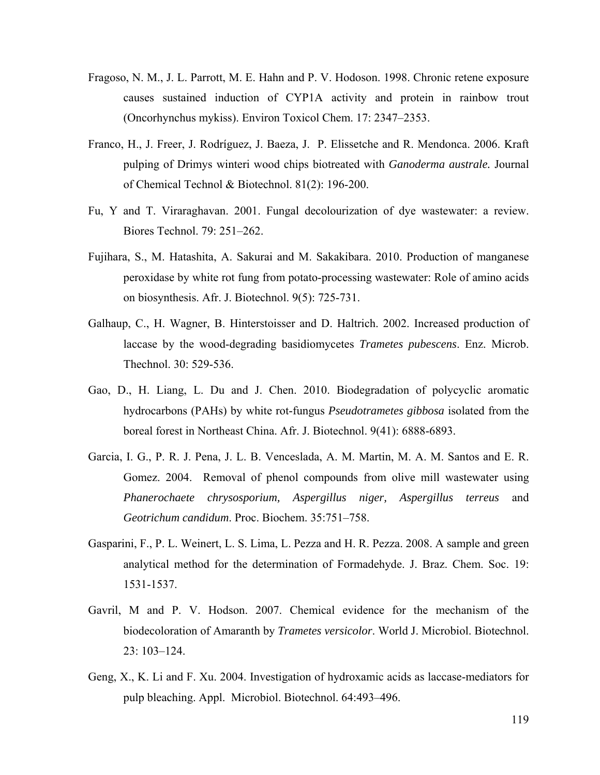- Fragoso, N. M., J. L. Parrott, M. E. Hahn and P. V. Hodoson. 1998. Chronic retene exposure causes sustained induction of CYP1A activity and protein in rainbow trout (Oncorhynchus mykiss). Environ Toxicol Chem. 17: 2347–2353.
- Franco, H., J. Freer, J. Rodríguez, J. Baeza, J. P. Elissetche and R. Mendonca. 2006. Kraft pulping of Drimys winteri wood chips biotreated with *Ganoderma australe.* Journal of Chemical Technol & Biotechnol. 81(2): 196-200.
- Fu, Y and T. Viraraghavan. 2001. Fungal decolourization of dye wastewater: a review. Biores Technol. 79: 251–262.
- Fujihara, S., M. Hatashita, A. Sakurai and M. Sakakibara. 2010. Production of manganese peroxidase by white rot fung from potato-processing wastewater: Role of amino acids on biosynthesis. Afr. J. Biotechnol. 9(5): 725-731.
- Galhaup, C., H. Wagner, B. Hinterstoisser and D. Haltrich. 2002. Increased production of laccase by the wood-degrading basidiomycetes *Trametes pubescens*. Enz. Microb. Thechnol. 30: 529-536.
- Gao, D., H. Liang, L. Du and J. Chen. 2010. Biodegradation of polycyclic aromatic hydrocarbons (PAHs) by white rot-fungus *Pseudotrametes gibbosa* isolated from the boreal forest in Northeast China. Afr. J. Biotechnol. 9(41): 6888-6893.
- Garcia, I. G., P. R. J. Pena, J. L. B. Venceslada, A. M. Martin, M. A. M. Santos and E. R. Gomez. 2004. Removal of phenol compounds from olive mill wastewater using *Phanerochaete chrysosporium, Aspergillus niger, Aspergillus terreus* and *Geotrichum candidum*. Proc. Biochem. 35:751–758.
- Gasparini, F., P. L. Weinert, L. S. Lima, L. Pezza and H. R. Pezza. 2008. A sample and green analytical method for the determination of Formadehyde. J. Braz. Chem. Soc. 19: 1531-1537.
- Gavril, M and P. V. Hodson. 2007. Chemical evidence for the mechanism of the biodecoloration of Amaranth by *Trametes versicolor*. World J. Microbiol. Biotechnol. 23: 103–124.
- Geng, X., K. Li and F. Xu. 2004. Investigation of hydroxamic acids as laccase-mediators for pulp bleaching. Appl. Microbiol. Biotechnol. 64:493–496.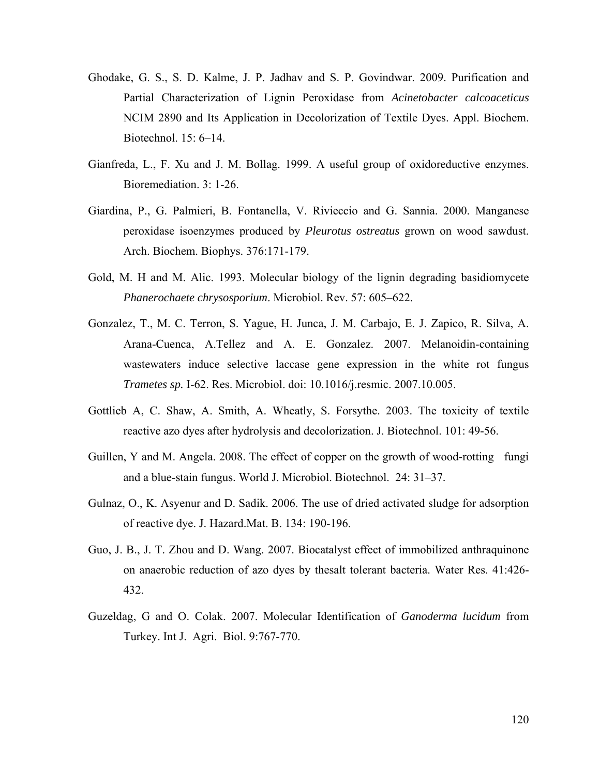- Ghodake, G. S., S. D. Kalme, J. P. Jadhav and S. P. Govindwar. 2009. Purification and Partial Characterization of Lignin Peroxidase from *Acinetobacter calcoaceticus* NCIM 2890 and Its Application in Decolorization of Textile Dyes. Appl. Biochem. Biotechnol. 15: 6–14.
- Gianfreda, L., F. Xu and J. M. Bollag. 1999. A useful group of oxidoreductive enzymes. Bioremediation. 3: 1-26.
- Giardina, P., G. Palmieri, B. Fontanella, V. Rivieccio and G. Sannia. 2000. Manganese peroxidase isoenzymes produced by *Pleurotus ostreatus* grown on wood sawdust. Arch. Biochem. Biophys. 376:171-179.
- Gold, M. H and M. Alic. 1993. Molecular biology of the lignin degrading basidiomycete *Phanerochaete chrysosporium*. Microbiol. Rev. 57: 605–622.
- Gonzalez, T., M. C. Terron, S. Yague, H. Junca, J. M. Carbajo, E. J. Zapico, R. Silva, A. Arana-Cuenca, A.Tellez and A. E. Gonzalez. 2007. Melanoidin-containing wastewaters induce selective laccase gene expression in the white rot fungus *Trametes sp.* I-62. Res. Microbiol. doi: 10.1016/j.resmic. 2007.10.005.
- Gottlieb A, C. Shaw, A. Smith, A. Wheatly, S. Forsythe. 2003. The toxicity of textile reactive azo dyes after hydrolysis and decolorization. J. Biotechnol. 101: 49-56.
- Guillen, Y and M. Angela. 2008. The effect of copper on the growth of wood-rotting fungi and a blue-stain fungus. World J. Microbiol. Biotechnol. 24: 31–37.
- Gulnaz, O., K. Asyenur and D. Sadik. 2006. The use of dried activated sludge for adsorption of reactive dye. J. Hazard.Mat. B. 134: 190-196.
- Guo, J. B., J. T. Zhou and D. Wang. 2007. Biocatalyst effect of immobilized anthraquinone on anaerobic reduction of azo dyes by thesalt tolerant bacteria. Water Res. 41:426- 432.
- Guzeldag, G and O. Colak. 2007. Molecular Identification of *Ganoderma lucidum* from Turkey. Int J. Agri. Biol. 9:767-770.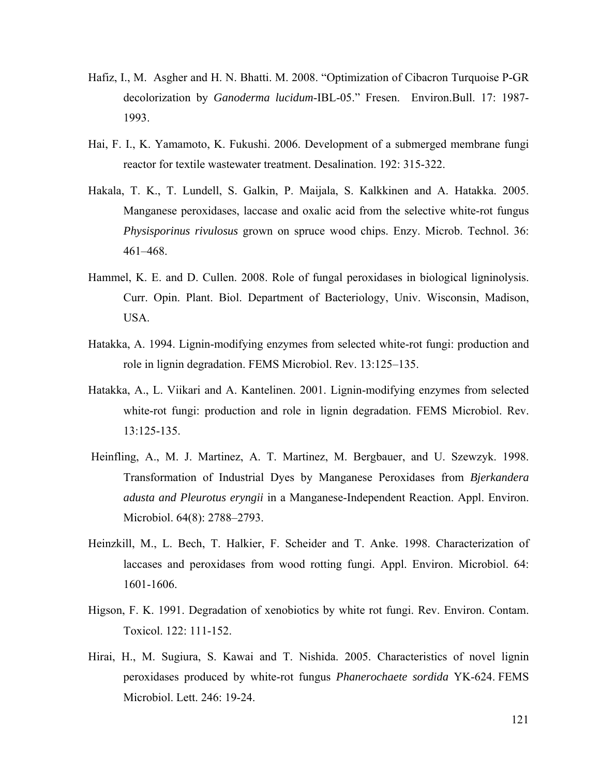- Hafiz, I., M. Asgher and H. N. Bhatti. M. 2008. "Optimization of Cibacron Turquoise P-GR decolorization by *Ganoderma lucidum*-IBL-05." Fresen. Environ.Bull. 17: 1987- 1993.
- Hai, F. I., K. Yamamoto, K. Fukushi. 2006. Development of a submerged membrane fungi reactor for textile wastewater treatment. Desalination. 192: 315-322.
- Hakala, T. K., T. Lundell, S. Galkin, P. Maijala, S. Kalkkinen and A. Hatakka. 2005. Manganese peroxidases, laccase and oxalic acid from the selective white-rot fungus *Physisporinus rivulosus* grown on spruce wood chips. Enzy. Microb. Technol. 36: 461–468.
- Hammel, K. E. and D. Cullen. 2008. Role of fungal peroxidases in biological ligninolysis. Curr. Opin. Plant. Biol. Department of Bacteriology, Univ. Wisconsin, Madison, USA.
- Hatakka, A. 1994. Lignin-modifying enzymes from selected white-rot fungi: production and role in lignin degradation. FEMS Microbiol. Rev. 13:125–135.
- Hatakka, A., L. Viikari and A. Kantelinen. 2001. Lignin-modifying enzymes from selected white-rot fungi: production and role in lignin degradation. FEMS Microbiol. Rev. 13:125-135.
- Heinfling, A., M. J. Martinez, A. T. Martinez, M. Bergbauer, and U. Szewzyk. 1998. Transformation of Industrial Dyes by Manganese Peroxidases from *Bjerkandera adusta and Pleurotus eryngii* in a Manganese-Independent Reaction. Appl. Environ. Microbiol. 64(8): 2788–2793.
- Heinzkill, M., L. Bech, T. Halkier, F. Scheider and T. Anke. 1998. Characterization of laccases and peroxidases from wood rotting fungi. Appl. Environ. Microbiol. 64: 1601-1606.
- Higson, F. K. 1991. Degradation of xenobiotics by white rot fungi. Rev. Environ. Contam. Toxicol. 122: 111-152.
- Hirai, H., M. Sugiura, S. Kawai and T. Nishida. 2005. Characteristics of novel lignin peroxidases produced by white-rot fungus *Phanerochaete sordida* YK-624. FEMS Microbiol. Lett. 246: 19-24.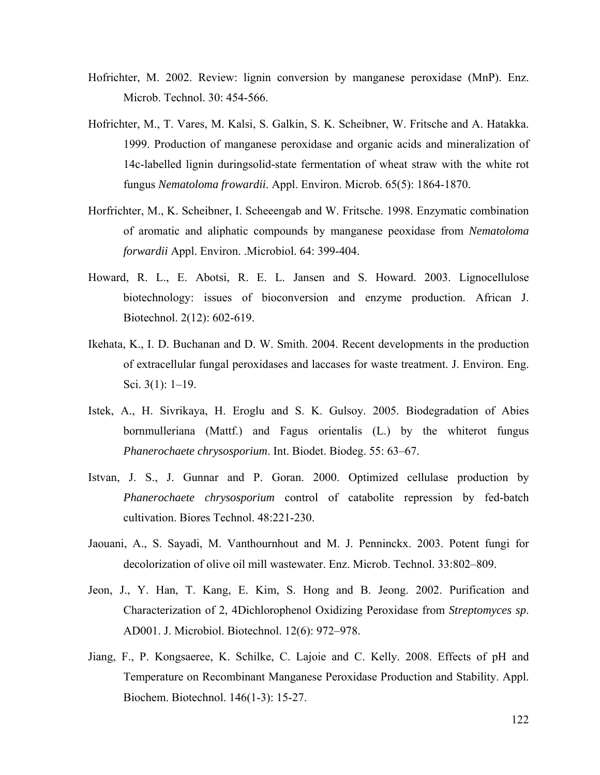- Hofrichter, M. 2002. Review: lignin conversion by manganese peroxidase (MnP). Enz. Microb. Technol. 30: 454-566.
- Hofrichter, M., T. Vares, M. Kalsi, S. Galkin, S. K. Scheibner, W. Fritsche and A. Hatakka. 1999. Production of manganese peroxidase and organic acids and mineralization of 14c-labelled lignin duringsolid-state fermentation of wheat straw with the white rot fungus *Nematoloma frowardii*. Appl. Environ. Microb. 65(5): 1864-1870.
- Horfrichter, M., K. Scheibner, I. Scheeengab and W. Fritsche. 1998. Enzymatic combination of aromatic and aliphatic compounds by manganese peoxidase from *Nematoloma forwardii* Appl. Environ. .Microbiol. 64: 399-404.
- Howard, R. L., E. Abotsi, R. E. L. Jansen and S. Howard. 2003. Lignocellulose biotechnology: issues of bioconversion and enzyme production. African J. Biotechnol. 2(12): 602-619.
- Ikehata, K., I. D. Buchanan and D. W. Smith. 2004. Recent developments in the production of extracellular fungal peroxidases and laccases for waste treatment. J. Environ. Eng. Sci. 3(1): 1–19.
- Istek, A., H. Sivrikaya, H. Eroglu and S. K. Gulsoy. 2005. Biodegradation of Abies bornmulleriana (Mattf.) and Fagus orientalis (L.) by the whiterot fungus *Phanerochaete chrysosporium*. Int. Biodet. Biodeg. 55: 63–67.
- Istvan, J. S., J. Gunnar and P. Goran. 2000. Optimized cellulase production by *Phanerochaete chrysosporium* control of catabolite repression by fed-batch cultivation. Biores Technol. 48:221-230.
- Jaouani, A., S. Sayadi, M. Vanthournhout and M. J. Penninckx. 2003. Potent fungi for decolorization of olive oil mill wastewater. Enz. Microb. Technol. 33:802–809.
- Jeon, J., Y. Han, T. Kang, E. Kim, S. Hong and B. Jeong. 2002. Purification and Characterization of 2, 4Dichlorophenol Oxidizing Peroxidase from *Streptomyces sp*. AD001. J. Microbiol. Biotechnol. 12(6): 972–978.
- Jiang, F., P. Kongsaeree, K. Schilke, C. Lajoie and C. Kelly. 2008. Effects of pH and Temperature on Recombinant Manganese Peroxidase Production and Stability. Appl. Biochem. Biotechnol. 146(1-3): 15-27.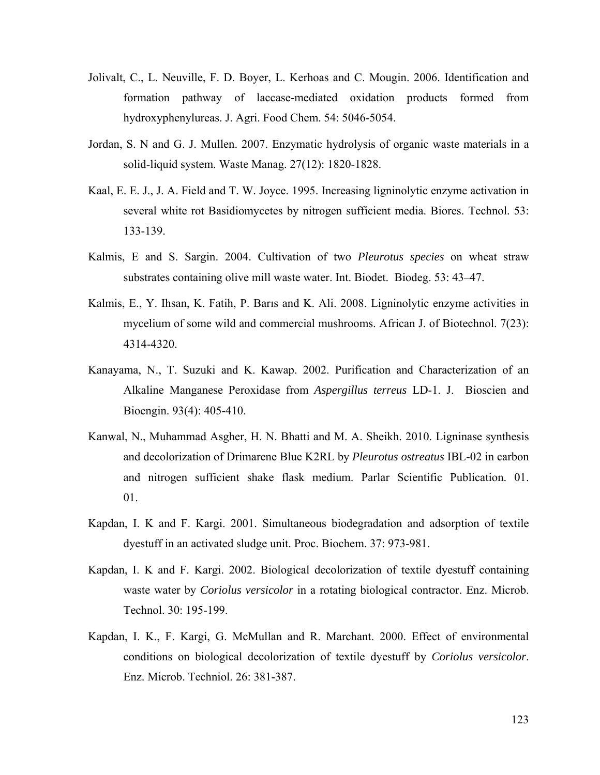- Jolivalt, C., L. Neuville, F. D. Boyer, L. Kerhoas and C. Mougin. 2006. Identification and formation pathway of laccase-mediated oxidation products formed from hydroxyphenylureas. J. Agri. Food Chem. 54: 5046-5054.
- Jordan, S. N and G. J. Mullen. 2007. Enzymatic hydrolysis of organic waste materials in a solid-liquid system. Waste Manag. 27(12): 1820-1828.
- Kaal, E. E. J., J. A. Field and T. W. Joyce. 1995. Increasing ligninolytic enzyme activation in several white rot Basidiomycetes by nitrogen sufficient media. Biores. Technol. 53: 133-139.
- Kalmis, E and S. Sargin. 2004. Cultivation of two *Pleurotus species* on wheat straw substrates containing olive mill waste water. Int. Biodet. Biodeg. 53: 43–47.
- Kalmis, E., Y. Ihsan, K. Fatih, P. Barıs and K. Ali. 2008. Ligninolytic enzyme activities in mycelium of some wild and commercial mushrooms. African J. of Biotechnol. 7(23): 4314-4320.
- Kanayama, N., T. Suzuki and K. Kawap. 2002. Purification and Characterization of an Alkaline Manganese Peroxidase from *Aspergillus terreus* LD-1. J. Bioscien and Bioengin. 93(4): 405-410.
- Kanwal, N., Muhammad Asgher, H. N. Bhatti and M. A. Sheikh. 2010. Ligninase synthesis and decolorization of Drimarene Blue K2RL by *Pleurotus ostreatus* IBL-02 in carbon and nitrogen sufficient shake flask medium. Parlar Scientific Publication. 01. 01.**carbon**
- Kapdan, I. K and F. Kargi. 2001. Simultaneous biodegradation and adsorption of textile dyestuff in an activated sludge unit. Proc. Biochem. 37: 973-981.
- Kapdan, I. K and F. Kargi. 2002. Biological decolorization of textile dyestuff containing waste water by *Coriolus versicolor* in a rotating biological contractor. Enz. Microb. Technol. 30: 195-199.
- Kapdan, I. K., F. Kargi, G. McMullan and R. Marchant. 2000. Effect of environmental conditions on biological decolorization of textile dyestuff by *Coriolus versicolor*. Enz. Microb. Techniol. 26: 381-387.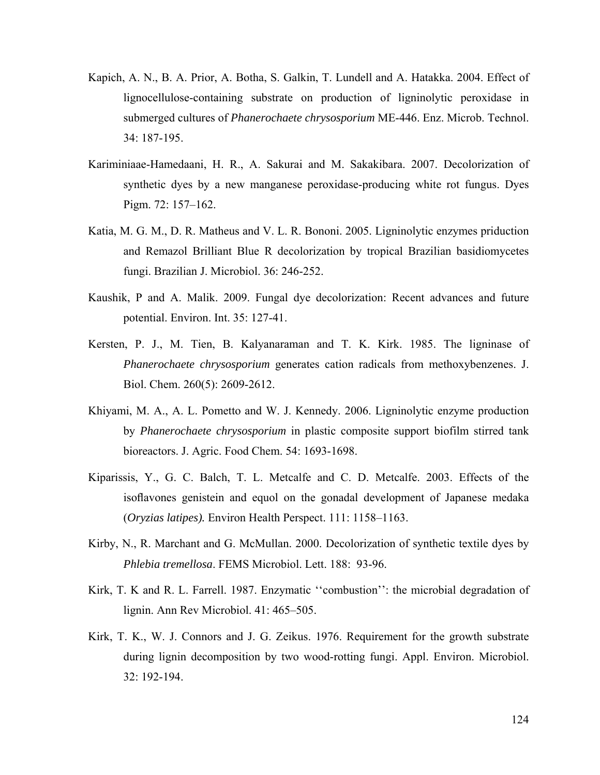- Kapich, A. N., B. A. Prior, A. Botha, S. Galkin, T. Lundell and A. Hatakka. 2004. Effect of lignocellulose-containing substrate on production of ligninolytic peroxidase in submerged cultures of *Phanerochaete chrysosporium* ME-446. Enz. Microb. Technol. 34: 187-195.
- Kariminiaae-Hamedaani, H. R., A. Sakurai and M. Sakakibara. 2007. Decolorization of synthetic dyes by a new manganese peroxidase-producing white rot fungus. Dyes Pigm. 72: 157–162.
- Katia, M. G. M., D. R. Matheus and V. L. R. Bononi. 2005. Ligninolytic enzymes priduction and Remazol Brilliant Blue R decolorization by tropical Brazilian basidiomycetes fungi. Brazilian J. Microbiol. 36: 246-252.
- Kaushik, P and A. Malik. 2009. Fungal dye decolorization: Recent advances and future potential. Environ. Int. 35: 127-41.
- Kersten, P. J., M. Tien, B. Kalyanaraman and T. K. Kirk. 1985. The ligninase of *Phanerochaete chrysosporium* generates cation radicals from methoxybenzenes. J. Biol. Chem. 260(5): 2609-2612.
- Khiyami, M. A., A. L. Pometto and W. J. Kennedy. 2006. Ligninolytic enzyme production by *Phanerochaete chrysosporium* in plastic composite support biofilm stirred tank bioreactors. J. Agric. Food Chem. 54: 1693-1698.
- Kiparissis, Y., G. C. Balch, T. L. Metcalfe and C. D. Metcalfe. 2003. Effects of the isoflavones genistein and equol on the gonadal development of Japanese medaka (*Oryzias latipes).* Environ Health Perspect. 111: 1158–1163.
- Kirby, N., R. Marchant and G. McMullan. 2000. Decolorization of synthetic textile dyes by *Phlebia tremellosa*. FEMS Microbiol. Lett. 188: 93-96.
- Kirk, T. K and R. L. Farrell. 1987. Enzymatic ''combustion'': the microbial degradation of lignin. Ann Rev Microbiol. 41: 465–505.
- Kirk, T. K., W. J. Connors and J. G. Zeikus. 1976. Requirement for the growth substrate during lignin decomposition by two wood-rotting fungi. Appl. Environ. Microbiol. 32: 192-194.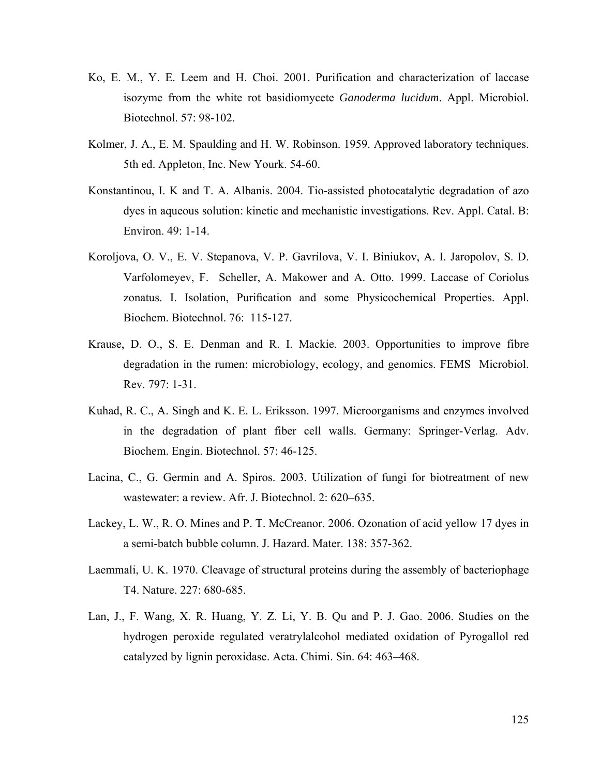- Ko, E. M., Y. E. Leem and H. Choi. 2001. Purification and characterization of laccase isozyme from the white rot basidiomycete *Ganoderma lucidum*. Appl. Microbiol. Biotechnol. 57: 98-102.
- Kolmer, J. A., E. M. Spaulding and H. W. Robinson. 1959. Approved laboratory techniques. 5th ed. Appleton, Inc. New Yourk. 54-60.
- Konstantinou, I. K and T. A. Albanis. 2004. Tio-assisted photocatalytic degradation of azo dyes in aqueous solution: kinetic and mechanistic investigations. Rev. Appl. Catal. B: Environ. 49: 1-14.
- Koroljova, O. V., E. V. Stepanova, V. P. Gavrilova, V. I. Biniukov, A. I. Jaropolov, S. D. Varfolomeyev, F. Scheller, A. Makower and A. Otto. 1999. Laccase of Coriolus zonatus. I. Isolation, Purification and some Physicochemical Properties. Appl. Biochem. Biotechnol. 76: 115-127.
- Krause, D. O., S. E. Denman and R. I. Mackie. 2003. Opportunities to improve fibre degradation in the rumen: microbiology, ecology, and genomics. FEMS Microbiol. Rev. 797: 1-31.
- Kuhad, R. C., A. Singh and K. E. L. Eriksson. 1997. Microorganisms and enzymes involved in the degradation of plant fiber cell walls. Germany: Springer-Verlag. Adv. Biochem. Engin. Biotechnol. 57: 46-125.
- Lacina, C., G. Germin and A. Spiros. 2003. Utilization of fungi for biotreatment of new wastewater: a review. Afr. J. Biotechnol. 2: 620–635.
- Lackey, L. W., R. O. Mines and P. T. McCreanor. 2006. Ozonation of acid yellow 17 dyes in a semi-batch bubble column. J. Hazard. Mater. 138: 357-362.
- Laemmali, U. K. 1970. Cleavage of structural proteins during the assembly of bacteriophage T4. Nature. 227: 680-685.
- Lan, J., F. Wang, X. R. Huang, Y. Z. Li, Y. B. Qu and P. J. Gao. 2006. Studies on the hydrogen peroxide regulated veratrylalcohol mediated oxidation of Pyrogallol red catalyzed by lignin peroxidase. Acta. Chimi. Sin. 64: 463–468.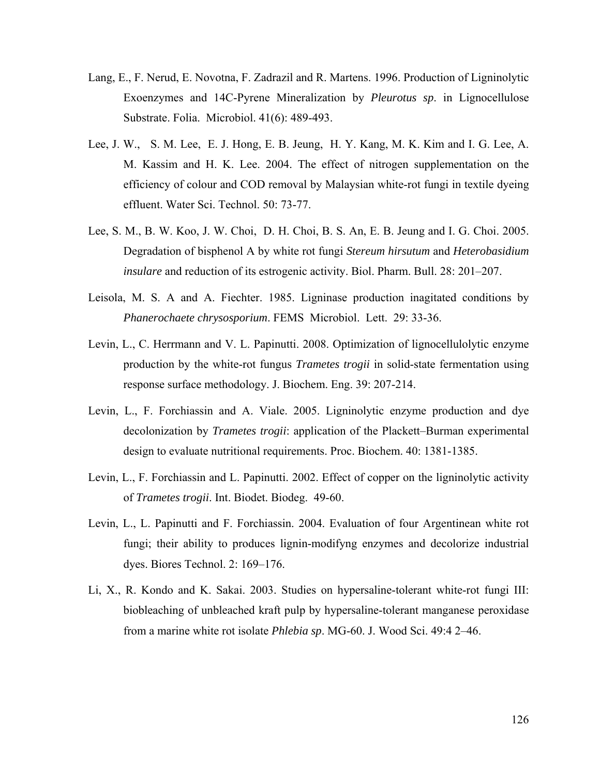- Lang, E., F. Nerud, E. Novotna, F. Zadrazil and R. Martens. 1996. Production of Ligninolytic Exoenzymes and 14C-Pyrene Mineralization by *Pleurotus sp*. in Lignocellulose Substrate. Folia. Microbiol. 41(6): 489-493.
- Lee, J. W., S. M. Lee, E. J. Hong, E. B. Jeung, H. Y. Kang, M. K. Kim and I. G. Lee, A. M. Kassim and H. K. Lee. 2004. The effect of nitrogen supplementation on the efficiency of colour and COD removal by Malaysian white-rot fungi in textile dyeing effluent. Water Sci. Technol. 50: 73-77.
- Lee, S. M., B. W. Koo, J. W. Choi, D. H. Choi, B. S. An, E. B. Jeung and I. G. Choi. 2005. Degradation of bisphenol A by white rot fungi *Stereum hirsutum* and *Heterobasidium insulare* and reduction of its estrogenic activity. Biol. Pharm. Bull. 28: 201–207.
- Leisola, M. S. A and A. Fiechter. 1985. Ligninase production inagitated conditions by *Phanerochaete chrysosporium*. FEMS Microbiol. Lett. 29: 33-36.
- Levin, L., C. Herrmann and V. L. Papinutti. 2008. Optimization of lignocellulolytic enzyme production by the white-rot fungus *Trametes trogii* in solid-state fermentation using response surface methodology. J. Biochem. Eng. 39: 207-214.
- Levin, L., F. Forchiassin and A. Viale. 2005. Ligninolytic enzyme production and dye decolonization by *Trametes trogii*: application of the Plackett–Burman experimental design to evaluate nutritional requirements. Proc. Biochem. 40: 1381-1385.
- Levin, L., F. Forchiassin and L. Papinutti. 2002. Effect of copper on the ligninolytic activity of *Trametes trogii*. Int. Biodet. Biodeg. 49-60.
- Levin, L., L. Papinutti and F. Forchiassin. 2004. Evaluation of four Argentinean white rot fungi; their ability to produces lignin-modifyng enzymes and decolorize industrial dyes. Biores Technol. 2: 169–176.
- Li, X., R. Kondo and K. Sakai. 2003. Studies on hypersaline-tolerant white-rot fungi III: biobleaching of unbleached kraft pulp by hypersaline-tolerant manganese peroxidase from a marine white rot isolate *Phlebia sp*. MG-60. J. Wood Sci. 49:4 2–46.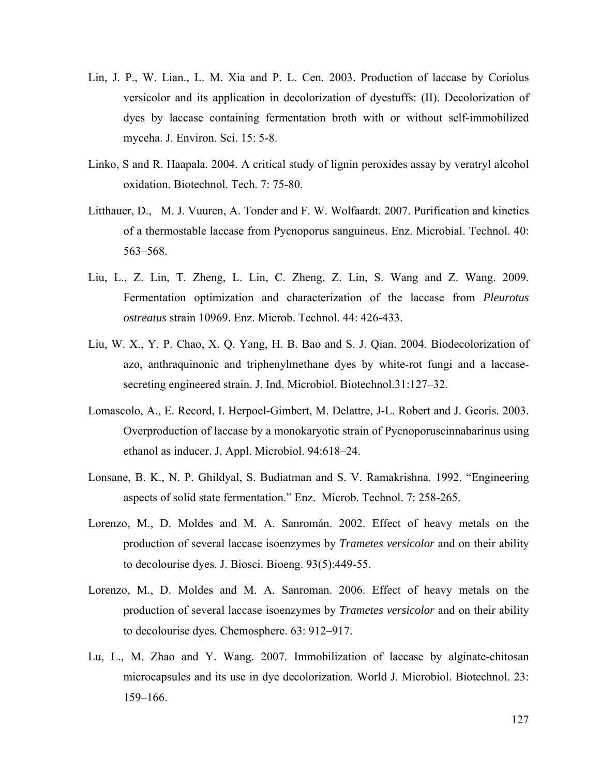- Lin, J. P., W. Lian., L. M. Xia and P. L. Cen. 2003. Production of laccase by Coriolus versicolor and its application in decolorization of dyestuffs: (II). Decolorization of dyes by laccase containing fermentation broth with or without self-immobilized myceha. J. Environ. Sci. 15: 5-8.
- Linko, S and R. Haapala. 2004. A critical study of lignin peroxides assay by veratryl alcohol oxidation. Biotechnol. Tech. 7: 75-80.
- Litthauer, D., M. J. Vuuren, A. Tonder and F. W. Wolfaardt. 2007. Purification and kinetics of a thermostable laccase from Pycnoporus sanguineus. Enz. Microbial. Technol. 40: 563–568.
- Liu, L., Z. Lin, T. Zheng, L. Lin, C. Zheng, Z. Lin, S. Wang and Z. Wang. 2009. Fermentation optimization and characterization of the laccase from *Pleurotus ostreatus* strain 10969. Enz. Microb. Technol. 44: 426-433.
- Liu, W. X., Y. P. Chao, X. Q. Yang, H. B. Bao and S. J. Qian. 2004. Biodecolorization of azo, anthraquinonic and triphenylmethane dyes by white-rot fungi and a laccasesecreting engineered strain. J. Ind. Microbiol. Biotechnol.31:127–32.
- Lomascolo, A., E. Record, I. Herpoel-Gimbert, M. Delattre, J-L. Robert and J. Georis. 2003. Overproduction of laccase by a monokaryotic strain of Pycnoporuscinnabarinus using ethanol as inducer. J. Appl. Microbiol. 94:618–24.
- Lonsane, B. K., N. P. Ghildyal, S. Budiatman and S. V. Ramakrishna. 1992. "Engineering aspects of solid state fermentation." Enz. Microb. Technol. 7: 258-265.
- Lorenzo, M., D. Moldes and M. A. Sanromán. 2002. Effect of heavy metals on the production of several laccase isoenzymes by *Trametes versicolor* and on their ability to decolourise dyes. J. Biosci. Bioeng. 93(5):449-55.
- Lorenzo, M., D. Moldes and M. A. Sanroman. 2006. Effect of heavy metals on the production of several laccase isoenzymes by *Trametes versicolor* and on their ability to decolourise dyes. Chemosphere. 63: 912–917.
- Lu, L., M. Zhao and Y. Wang. 2007. Immobilization of laccase by alginate-chitosan microcapsules and its use in dye decolorization. World J. Microbiol. Biotechnol. 23: 159–166.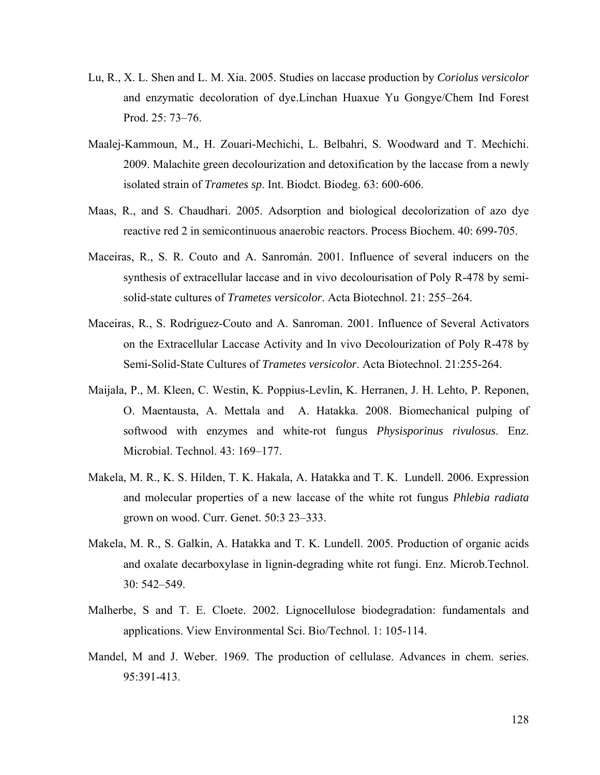- Lu, R., X. L. Shen and L. M. Xia. 2005. Studies on laccase production by *Coriolus versicolor* and enzymatic decoloration of dye.Linchan Huaxue Yu Gongye/Chem Ind Forest Prod. 25: 73–76.
- Maalej-Kammoun, M., H. Zouari-Mechichi, L. Belbahri, S. Woodward and T. Mechichi. 2009. Malachite green decolourization and detoxification by the laccase from a newly isolated strain of *Trametes sp*. Int. Biodct. Biodeg. 63: 600-606.
- Maas, R., and S. Chaudhari. 2005. Adsorption and biological decolorization of azo dye reactive red 2 in semicontinuous anaerobic reactors. Process Biochem. 40: 699-705.
- Maceiras, R., S. R. Couto and A. Sanromán. 2001. Influence of several inducers on the synthesis of extracellular laccase and in vivo decolourisation of Poly R-478 by semisolid-state cultures of *Trametes versicolor*. Acta Biotechnol. 21: 255–264.
- Maceiras, R., S. Rodriguez-Couto and A. Sanroman. 2001. Influence of Several Activators on the Extracellular Laccase Activity and In vivo Decolourization of Poly R-478 by Semi-Solid-State Cultures of *Trametes versicolor*. Acta Biotechnol. 21:255-264.
- Maijala, P., M. Kleen, C. Westin, K. Poppius-Levlin, K. Herranen, J. H. Lehto, P. Reponen, O. Maentausta, A. Mettala and A. Hatakka. 2008. Biomechanical pulping of softwood with enzymes and white-rot fungus *Physisporinus rivulosus*. Enz. Microbial. Technol. 43: 169–177.
- Makela, M. R., K. S. Hilden, T. K. Hakala, A. Hatakka and T. K. Lundell. 2006. Expression and molecular properties of a new laccase of the white rot fungus *Phlebia radiata* grown on wood. Curr. Genet. 50:3 23–333.
- Makela, M. R., S. Galkin, A. Hatakka and T. K. Lundell. 2005. Production of organic acids and oxalate decarboxylase in lignin-degrading white rot fungi. Enz. Microb.Technol. 30: 542–549.
- Malherbe, S and T. E. Cloete. 2002. Lignocellulose biodegradation: fundamentals and applications. View Environmental Sci. Bio/Technol. 1: 105-114.
- Mandel, M and J. Weber. 1969. The production of cellulase. Advances in chem. series. 95:391-413.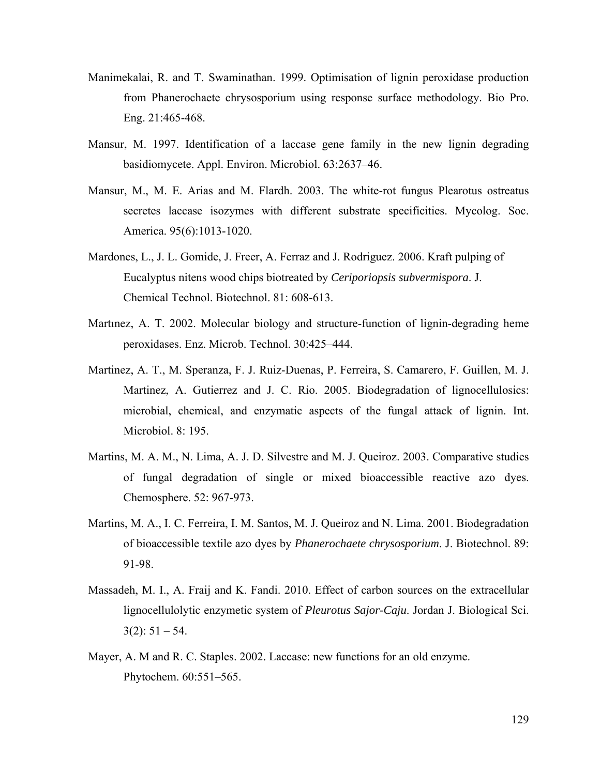- Manimekalai, R. and T. Swaminathan. 1999. Optimisation of lignin peroxidase production from Phanerochaete chrysosporium using response surface methodology. Bio Pro. Eng. 21:465-468.
- Mansur, M. 1997. Identification of a laccase gene family in the new lignin degrading basidiomycete. Appl. Environ. Microbiol. 63:2637–46.
- Mansur, M., M. E. Arias and M. Flardh. 2003. The white-rot fungus Plearotus ostreatus secretes laccase isozymes with different substrate specificities. Mycolog. Soc. America. 95(6):1013-1020.
- Mardones, L., J. L. Gomide, J. Freer, A. Ferraz and J. Rodriguez. 2006. Kraft pulping of Eucalyptus nitens wood chips biotreated by *Ceriporiopsis subvermispora*. J. Chemical Technol. Biotechnol. 81: 608-613.
- Martınez, A. T. 2002. Molecular biology and structure-function of lignin-degrading heme peroxidases. Enz. Microb. Technol. 30:425–444.
- Martinez, A. T., M. Speranza, F. J. Ruiz-Duenas, P. Ferreira, S. Camarero, F. Guillen, M. J. Martinez, A. Gutierrez and J. C. Rio. 2005. Biodegradation of lignocellulosics: microbial, chemical, and enzymatic aspects of the fungal attack of lignin. Int. Microbiol. 8: 195.
- Martins, M. A. M., N. Lima, A. J. D. Silvestre and M. J. Queiroz. 2003. Comparative studies of fungal degradation of single or mixed bioaccessible reactive azo dyes. Chemosphere. 52: 967-973.
- Martins, M. A., I. C. Ferreira, I. M. Santos, M. J. Queiroz and N. Lima. 2001. Biodegradation of bioaccessible textile azo dyes by *Phanerochaete chrysosporium*. J. Biotechnol. 89: 91-98.
- Massadeh, M. I., A. Fraij and K. Fandi. 2010. Effect of carbon sources on the extracellular lignocellulolytic enzymetic system of *Pleurotus Sajor-Caju*. Jordan J. Biological Sci.  $3(2): 51 - 54.$
- Mayer, A. M and R. C. Staples. 2002. Laccase: new functions for an old enzyme. Phytochem. 60:551–565.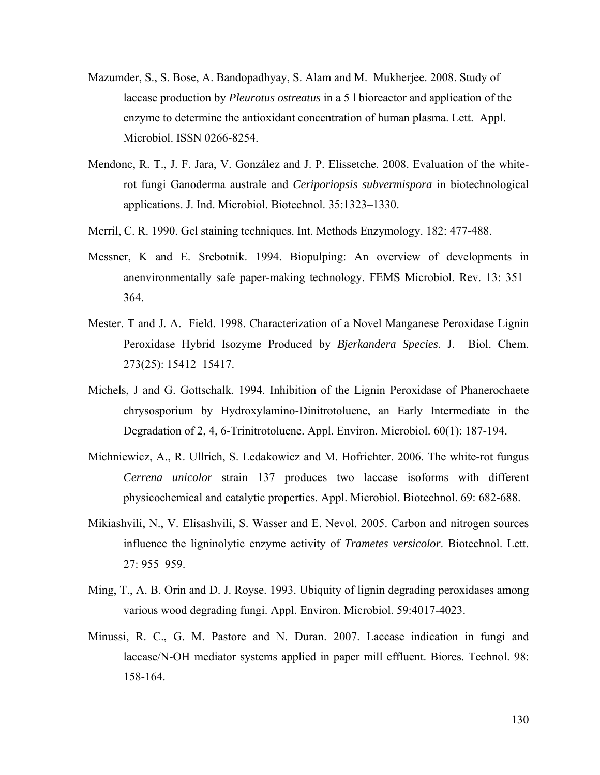- Mazumder, S., S. Bose, A. Bandopadhyay, S. Alam and M. Mukherjee. 2008. Study of laccase production by *Pleurotus ostreatus* in a 5 l bioreactor and application of the enzyme to determine the antioxidant concentration of human plasma. Lett. Appl. Microbiol. ISSN 0266-8254.
- Mendonc, R. T., J. F. Jara, V. González and J. P. Elissetche. 2008. Evaluation of the whiterot fungi Ganoderma australe and *Ceriporiopsis subvermispora* in biotechnological applications. J. Ind. Microbiol. Biotechnol. 35:1323–1330.
- Merril, C. R. 1990. Gel staining techniques. Int. Methods Enzymology. 182: 477-488.
- Messner, K and E. Srebotnik. 1994. Biopulping: An overview of developments in anenvironmentally safe paper-making technology. FEMS Microbiol. Rev. 13: 351– 364.
- Mester. T and J. A. Field. 1998. Characterization of a Novel Manganese Peroxidase Lignin Peroxidase Hybrid Isozyme Produced by *Bjerkandera Species*. J. Biol. Chem. 273(25): 15412–15417.
- Michels, J and G. Gottschalk. 1994. Inhibition of the Lignin Peroxidase of Phanerochaete chrysosporium by Hydroxylamino-Dinitrotoluene, an Early Intermediate in the Degradation of 2, 4, 6-Trinitrotoluene. Appl. Environ. Microbiol. 60(1): 187-194.
- Michniewicz, A., R. Ullrich, S. Ledakowicz and M. Hofrichter. 2006. The white-rot fungus *Cerrena unicolor* strain 137 produces two laccase isoforms with different physicochemical and catalytic properties. Appl. Microbiol. Biotechnol. 69: 682-688.
- Mikiashvili, N., V. Elisashvili, S. Wasser and E. Nevol. 2005. Carbon and nitrogen sources influence the ligninolytic enzyme activity of *Trametes versicolor*. Biotechnol. Lett. 27: 955–959.
- Ming, T., A. B. Orin and D. J. Royse. 1993. Ubiquity of lignin degrading peroxidases among various wood degrading fungi. Appl. Environ. Microbiol. 59:4017-4023.
- Minussi, R. C., G. M. Pastore and N. Duran. 2007. Laccase indication in fungi and laccase/N-OH mediator systems applied in paper mill effluent. Biores. Technol. 98: 158-164.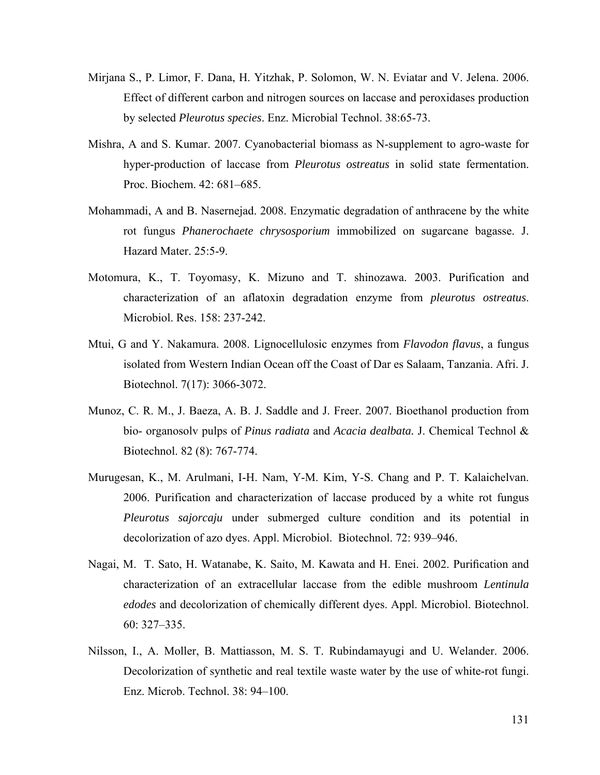- Mirjana S., P. Limor, F. Dana, H. Yitzhak, P. Solomon, W. N. Eviatar and V. Jelena. 2006. Effect of different carbon and nitrogen sources on laccase and peroxidases production by selected *Pleurotus species*. Enz. Microbial Technol. 38:65-73.
- Mishra, A and S. Kumar. 2007. Cyanobacterial biomass as N-supplement to agro-waste for hyper-production of laccase from *Pleurotus ostreatus* in solid state fermentation. Proc. Biochem. 42: 681–685.
- Mohammadi, A and B. Nasernejad. 2008. Enzymatic degradation of anthracene by the white rot fungus *Phanerochaete chrysosporium* immobilized on sugarcane bagasse. J. Hazard Mater. 25:5-9.
- Motomura, K., T. Toyomasy, K. Mizuno and T. shinozawa. 2003. Purification and characterization of an aflatoxin degradation enzyme from *pleurotus ostreatus*. Microbiol. Res. 158: 237-242.
- Mtui, G and Y. Nakamura. 2008. Lignocellulosic enzymes from *Flavodon flavus*, a fungus isolated from Western Indian Ocean off the Coast of Dar es Salaam, Tanzania. Afri. J. Biotechnol. 7(17): 3066-3072.
- Munoz, C. R. M., J. Baeza, A. B. J. Saddle and J. Freer. 2007. Bioethanol production from bio- organosolv pulps of *Pinus radiata* and *Acacia dealbata.* J. Chemical Technol & Biotechnol. 82 (8): 767-774.
- Murugesan, K., M. Arulmani, I-H. Nam, Y-M. Kim, Y-S. Chang and P. T. Kalaichelvan. 2006. Purification and characterization of laccase produced by a white rot fungus *Pleurotus sajorcaju* under submerged culture condition and its potential in decolorization of azo dyes. Appl. Microbiol. Biotechnol. 72: 939–946.
- Nagai, M. T. Sato, H. Watanabe, K. Saito, M. Kawata and H. Enei. 2002. Purification and characterization of an extracellular laccase from the edible mushroom *Lentinula edodes* and decolorization of chemically different dyes. Appl. Microbiol. Biotechnol. 60: 327–335.
- Nilsson, I., A. Moller, B. Mattiasson, M. S. T. Rubindamayugi and U. Welander. 2006. Decolorization of synthetic and real textile waste water by the use of white-rot fungi. Enz. Microb. Technol. 38: 94–100.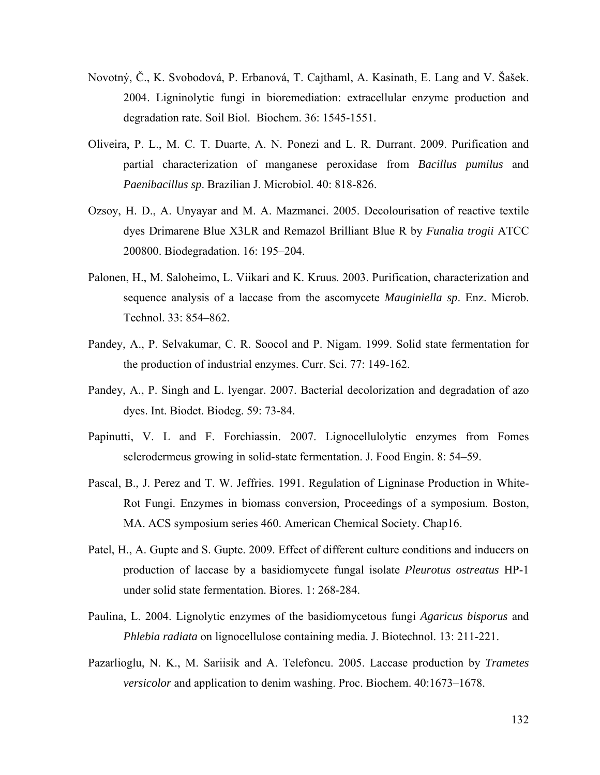- Novotný, Č., K. Svobodová, P. Erbanová, T. Cajthaml, A. Kasinath, E. Lang and V. Šašek. 2004. Ligninolytic fungi in bioremediation: extracellular enzyme production and degradation rate. Soil Biol. Biochem. 36: 1545-1551.
- Oliveira, P. L., M. C. T. Duarte, A. N. Ponezi and L. R. Durrant. 2009. Purification and partial characterization of manganese peroxidase from *Bacillus pumilus* and *Paenibacillus sp*. Brazilian J. Microbiol. 40: 818-826.
- Ozsoy, H. D., A. Unyayar and M. A. Mazmanci. 2005. Decolourisation of reactive textile dyes Drimarene Blue X3LR and Remazol Brilliant Blue R by *Funalia trogii* ATCC 200800. Biodegradation. 16: 195–204.
- Palonen, H., M. Saloheimo, L. Viikari and K. Kruus. 2003. Purification, characterization and sequence analysis of a laccase from the ascomycete *Mauginiella sp*. Enz. Microb. Technol. 33: 854–862.
- Pandey, A., P. Selvakumar, C. R. Soocol and P. Nigam. 1999. Solid state fermentation for the production of industrial enzymes. Curr. Sci. 77: 149-162.
- Pandey, A., P. Singh and L. lyengar. 2007. Bacterial decolorization and degradation of azo dyes. Int. Biodet. Biodeg. 59: 73-84.
- Papinutti, V. L and F. Forchiassin. 2007. Lignocellulolytic enzymes from Fomes sclerodermeus growing in solid-state fermentation. J. Food Engin. 8: 54–59.
- Pascal, B., J. Perez and T. W. Jeffries. 1991. Regulation of Ligninase Production in White-Rot Fungi. Enzymes in biomass conversion, Proceedings of a symposium. Boston, MA. ACS symposium series 460. American Chemical Society. Chap16.
- Patel, H., A. Gupte and S. Gupte. 2009. Effect of different culture conditions and inducers on production of laccase by a basidiomycete fungal isolate *Pleurotus ostreatus* HP-1 under solid state fermentation. Biores. 1: 268-284.
- Paulina, L. 2004. Lignolytic enzymes of the basidiomycetous fungi *Agaricus bisporus* and *Phlebia radiata* on lignocellulose containing media. J. Biotechnol. 13: 211-221.
- Pazarlioglu, N. K., M. Sariisik and A. Telefoncu. 2005. Laccase production by *Trametes versicolor* and application to denim washing. Proc. Biochem. 40:1673–1678.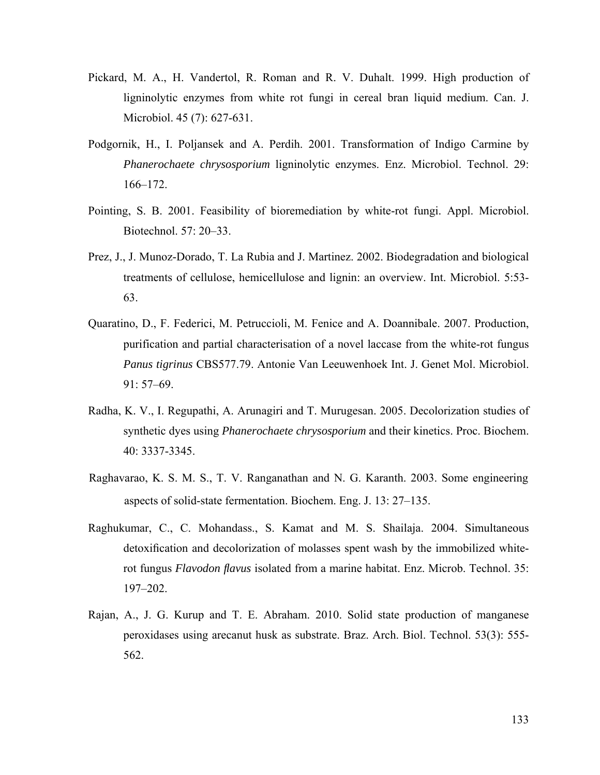- Pickard, M. A., H. Vandertol, R. Roman and R. V. Duhalt. 1999. High production of ligninolytic enzymes from white rot fungi in cereal bran liquid medium. Can. J. Microbiol. 45 (7): 627-631.
- Podgornik, H., I. Poljansek and A. Perdih. 2001. Transformation of Indigo Carmine by *Phanerochaete chrysosporium* ligninolytic enzymes. Enz. Microbiol. Technol. 29: 166–172.
- Pointing, S. B. 2001. Feasibility of bioremediation by white-rot fungi. Appl. Microbiol. Biotechnol. 57: 20–33.
- Prez, J., J. Munoz-Dorado, T. La Rubia and J. Martinez. 2002. Biodegradation and biological treatments of cellulose, hemicellulose and lignin: an overview. Int. Microbiol. 5:53- 63.
- Quaratino, D., F. Federici, M. Petruccioli, M. Fenice and A. Doannibale. 2007. Production, purification and partial characterisation of a novel laccase from the white-rot fungus *Panus tigrinus* CBS577.79. Antonie Van Leeuwenhoek Int. J. Genet Mol. Microbiol. 91: 57–69.
- Radha, K. V., I. Regupathi, A. Arunagiri and T. Murugesan. 2005. Decolorization studies of synthetic dyes using *Phanerochaete chrysosporium* and their kinetics. Proc. Biochem. 40: 3337-3345.
- Raghavarao, K. S. M. S., T. V. Ranganathan and N. G. Karanth. 2003. Some engineering aspects of solid-state fermentation. Biochem. Eng. J. 13: 27–135.
- Raghukumar, C., C. Mohandass., S. Kamat and M. S. Shailaja. 2004. Simultaneous detoxification and decolorization of molasses spent wash by the immobilized whiterot fungus *Flavodon flavus* isolated from a marine habitat. Enz. Microb. Technol. 35: 197–202.
- Rajan, A., J. G. Kurup and T. E. Abraham. 2010. Solid state production of manganese peroxidases using arecanut husk as substrate. Braz. Arch. Biol. Technol. 53(3): 555- 562.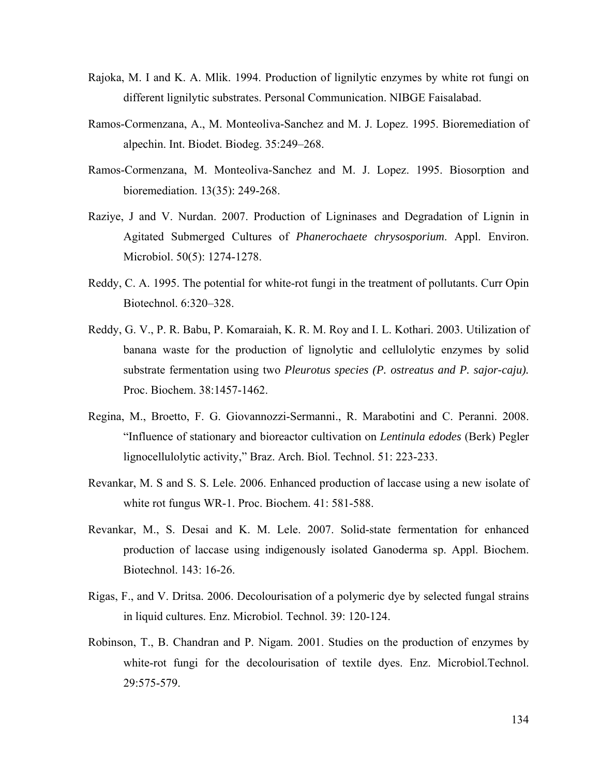- Rajoka, M. I and K. A. Mlik. 1994. Production of lignilytic enzymes by white rot fungi on different lignilytic substrates. Personal Communication. NIBGE Faisalabad.
- Ramos-Cormenzana, A., M. Monteoliva-Sanchez and M. J. Lopez. 1995. Bioremediation of alpechin. Int. Biodet. Biodeg. 35:249–268.
- Ramos-Cormenzana, M. Monteoliva-Sanchez and M. J. Lopez. 1995. Biosorption and bioremediation. 13(35): 249-268.
- Raziye, J and V. Nurdan. 2007. Production of Ligninases and Degradation of Lignin in Agitated Submerged Cultures of *Phanerochaete chrysosporium*. Appl. Environ. Microbiol. 50(5): 1274-1278.
- Reddy, C. A. 1995. The potential for white-rot fungi in the treatment of pollutants. Curr Opin Biotechnol. 6:320–328.
- Reddy, G. V., P. R. Babu, P. Komaraiah, K. R. M. Roy and I. L. Kothari. 2003. Utilization of banana waste for the production of lignolytic and cellulolytic enzymes by solid substrate fermentation using two *Pleurotus species (P. ostreatus and P. sajor-caju).* Proc. Biochem. 38:1457-1462.
- Regina, M., Broetto, F. G. Giovannozzi-Sermanni., R. Marabotini and C. Peranni. 2008. "Influence of stationary and bioreactor cultivation on *Lentinula edodes* (Berk) Pegler lignocellulolytic activity," Braz. Arch. Biol. Technol. 51: 223-233.
- Revankar, M. S and S. S. Lele. 2006. Enhanced production of laccase using a new isolate of white rot fungus WR-1. Proc. Biochem. 41: 581-588.
- Revankar, M., S. Desai and K. M. Lele. 2007. Solid-state fermentation for enhanced production of laccase using indigenously isolated Ganoderma sp. Appl. Biochem. Biotechnol. 143: 16-26.
- Rigas, F., and V. Dritsa. 2006. Decolourisation of a polymeric dye by selected fungal strains in liquid cultures. Enz. Microbiol. Technol. 39: 120-124.
- Robinson, T., B. Chandran and P. Nigam. 2001. Studies on the production of enzymes by white-rot fungi for the decolourisation of textile dyes. Enz. Microbiol.Technol. 29:575-579.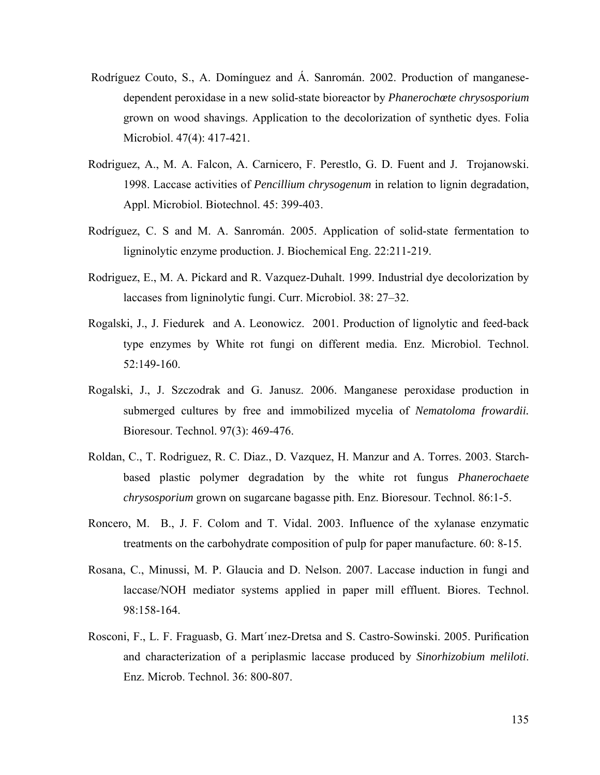- Rodríguez Couto, S., A. Domínguez and Á. Sanromán. 2002. Production of manganesedependent peroxidase in a new solid-state bioreactor by *Phanerochœte chrysosporium* grown on wood shavings. Application to the decolorization of synthetic dyes. Folia Microbiol. 47(4): 417-421.
- Rodriguez, A., M. A. Falcon, A. Carnicero, F. Perestlo, G. D. Fuent and J. Trojanowski. 1998. Laccase activities of *Pencillium chrysogenum* in relation to lignin degradation, Appl. Microbiol. Biotechnol. 45: 399-403.
- Rodríguez, C. S and M. A. Sanromán. 2005. Application of solid-state fermentation to ligninolytic enzyme production. J. Biochemical Eng. 22:211-219.
- Rodriguez, E., M. A. Pickard and R. Vazquez-Duhalt. 1999. Industrial dye decolorization by laccases from ligninolytic fungi. Curr. Microbiol. 38: 27–32.
- Rogalski, J., J. Fiedurek and A. Leonowicz. 2001. Production of lignolytic and feed-back type enzymes by White rot fungi on different media. Enz. Microbiol. Technol. 52:149-160.
- Rogalski, J., J. Szczodrak and G. Janusz. 2006. Manganese peroxidase production in submerged cultures by free and immobilized mycelia of *Nematoloma frowardii.* Bioresour. Technol. 97(3): 469-476.
- Roldan, C., T. Rodriguez, R. C. Diaz., D. Vazquez, H. Manzur and A. Torres. 2003. Starchbased plastic polymer degradation by the white rot fungus *Phanerochaete chrysosporium* grown on sugarcane bagasse pith. Enz. Bioresour. Technol. 86:1-5.
- Roncero, M. B., J. F. Colom and T. Vidal. 2003. Influence of the xylanase enzymatic treatments on the carbohydrate composition of pulp for paper manufacture. 60: 8-15.
- Rosana, C., Minussi, M. P. Glaucia and D. Nelson. 2007. Laccase induction in fungi and laccase/NOH mediator systems applied in paper mill effluent. Biores. Technol. 98:158-164.
- Rosconi, F., L. F. Fraguasb, G. Mart´ınez-Dretsa and S. Castro-Sowinski. 2005. Purification and characterization of a periplasmic laccase produced by *Sinorhizobium meliloti*. Enz. Microb. Technol. 36: 800-807.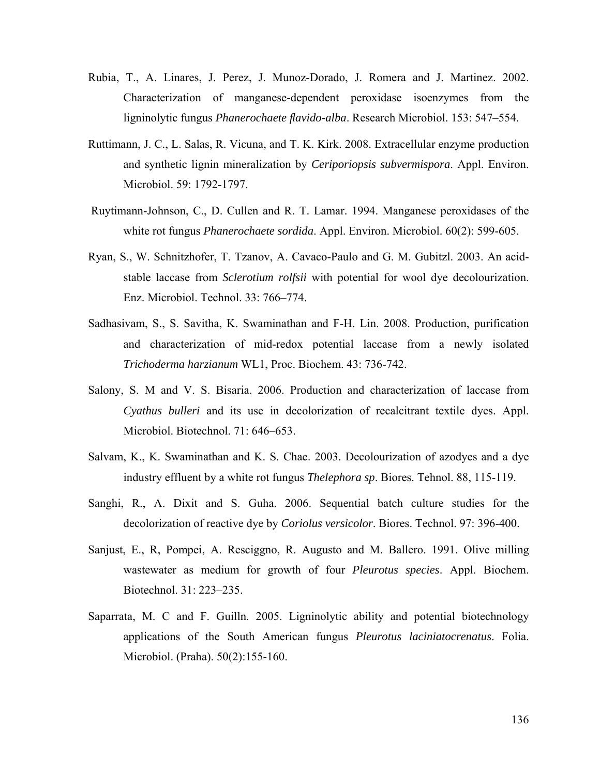- Rubia, T., A. Linares, J. Perez, J. Munoz-Dorado, J. Romera and J. Martinez. 2002. Characterization of manganese-dependent peroxidase isoenzymes from the ligninolytic fungus *Phanerochaete flavido-alba*. Research Microbiol. 153: 547–554.
- Ruttimann, J. C., L. Salas, R. Vicuna, and T. K. Kirk. 2008. Extracellular enzyme production and synthetic lignin mineralization by *Ceriporiopsis subvermispora*. Appl. Environ. Microbiol. 59: 1792-1797.
- Ruytimann-Johnson, C., D. Cullen and R. T. Lamar. 1994. Manganese peroxidases of the white rot fungus *Phanerochaete sordida*. Appl. Environ. Microbiol. 60(2): 599-605.
- Ryan, S., W. Schnitzhofer, T. Tzanov, A. Cavaco-Paulo and G. M. Gubitzl. 2003. An acidstable laccase from *Sclerotium rolfsii* with potential for wool dye decolourization. Enz. Microbiol. Technol. 33: 766–774.
- Sadhasivam, S., S. Savitha, K. Swaminathan and F-H. Lin. 2008. Production, purification and characterization of mid-redox potential laccase from a newly isolated *Trichoderma harzianum* WL1, Proc. Biochem. 43: 736-742.
- Salony, S. M and V. S. Bisaria. 2006. Production and characterization of laccase from *Cyathus bulleri* and its use in decolorization of recalcitrant textile dyes. Appl. Microbiol. Biotechnol. 71: 646–653.
- Salvam, K., K. Swaminathan and K. S. Chae. 2003. Decolourization of azodyes and a dye industry effluent by a white rot fungus *Thelephora sp*. Biores. Tehnol. 88, 115-119.
- Sanghi, R., A. Dixit and S. Guha. 2006. Sequential batch culture studies for the decolorization of reactive dye by *Coriolus versicolor*. Biores. Technol. 97: 396-400.
- Sanjust, E., R, Pompei, A. Resciggno, R. Augusto and M. Ballero. 1991. Olive milling wastewater as medium for growth of four *Pleurotus species*. Appl. Biochem. Biotechnol. 31: 223–235.
- Saparrata, M. C and F. Guilln. 2005. Ligninolytic ability and potential biotechnology applications of the South American fungus *Pleurotus laciniatocrenatus*. Folia. Microbiol. (Praha). 50(2):155-160.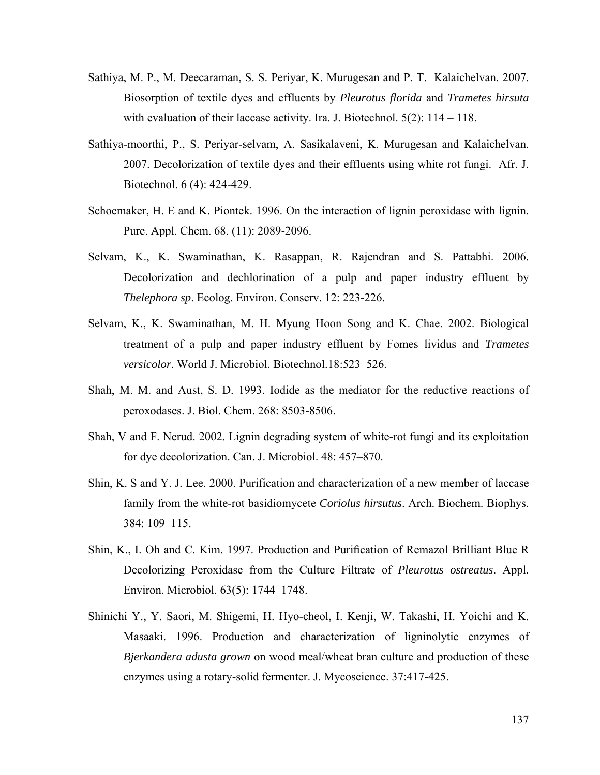- Sathiya, M. P., M. Deecaraman, S. S. Periyar, K. Murugesan and P. T. Kalaichelvan. 2007. Biosorption of textile dyes and effluents by *Pleurotus florida* and *Trametes hirsuta* with evaluation of their laccase activity. Ira. J. Biotechnol. 5(2): 114 – 118.
- Sathiya-moorthi, P., S. Periyar-selvam, A. Sasikalaveni, K. Murugesan and Kalaichelvan. 2007. Decolorization of textile dyes and their effluents using white rot fungi. Afr. J. Biotechnol. 6 (4): 424-429.
- Schoemaker, H. E and K. Piontek. 1996. On the interaction of lignin peroxidase with lignin. Pure. Appl. Chem. 68. (11): 2089-2096.
- Selvam, K., K. Swaminathan, K. Rasappan, R. Rajendran and S. Pattabhi. 2006. Decolorization and dechlorination of a pulp and paper industry effluent by *Thelephora sp*. Ecolog. Environ. Conserv. 12: 223-226.
- Selvam, K., K. Swaminathan, M. H. Myung Hoon Song and K. Chae. 2002. Biological treatment of a pulp and paper industry effluent by Fomes lividus and *Trametes versicolor*. World J. Microbiol. Biotechnol.18:523–526.
- Shah, M. M. and Aust, S. D. 1993. Iodide as the mediator for the reductive reactions of peroxodases. J. Biol. Chem. 268: 8503-8506.
- Shah, V and F. Nerud. 2002. Lignin degrading system of white-rot fungi and its exploitation for dye decolorization. Can. J. Microbiol. 48: 457–870.
- Shin, K. S and Y. J. Lee. 2000. Purification and characterization of a new member of laccase family from the white-rot basidiomycete *Coriolus hirsutus*. Arch. Biochem. Biophys. 384: 109–115.
- Shin, K., I. Oh and C. Kim. 1997. Production and Purification of Remazol Brilliant Blue R Decolorizing Peroxidase from the Culture Filtrate of *Pleurotus ostreatus*. Appl. Environ. Microbiol. 63(5): 1744–1748.
- Shinichi Y., Y. Saori, M. Shigemi, H. Hyo-cheol, I. Kenji, W. Takashi, H. Yoichi and K. Masaaki. 1996. Production and characterization of ligninolytic enzymes of *Bjerkandera adusta grown* on wood meal/wheat bran culture and production of these enzymes using a rotary-solid fermenter. J. Mycoscience. 37:417-425.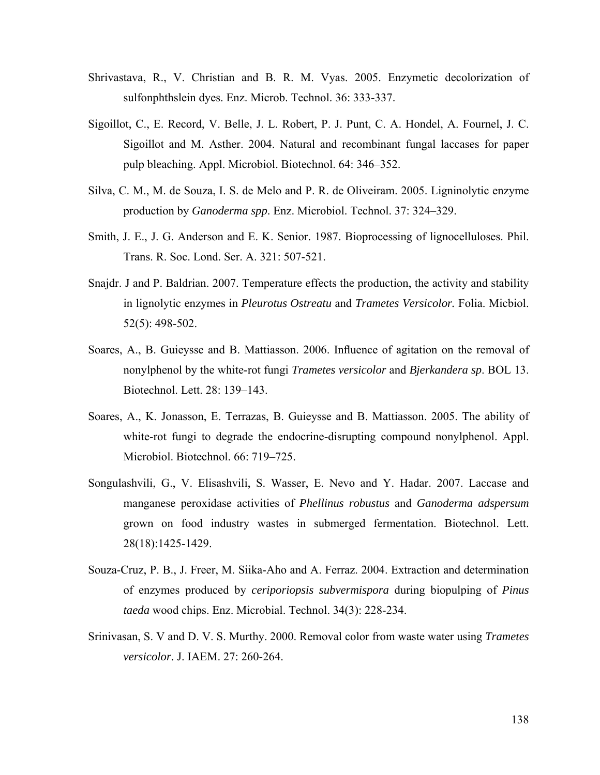- Shrivastava, R., V. Christian and B. R. M. Vyas. 2005. Enzymetic decolorization of sulfonphthslein dyes. Enz. Microb. Technol. 36: 333-337.
- Sigoillot, C., E. Record, V. Belle, J. L. Robert, P. J. Punt, C. A. Hondel, A. Fournel, J. C. Sigoillot and M. Asther. 2004. Natural and recombinant fungal laccases for paper pulp bleaching. Appl. Microbiol. Biotechnol. 64: 346–352.
- Silva, C. M., M. de Souza, I. S. de Melo and P. R. de Oliveiram. 2005. Ligninolytic enzyme production by *Ganoderma spp*. Enz. Microbiol. Technol. 37: 324–329.
- Smith, J. E., J. G. Anderson and E. K. Senior. 1987. Bioprocessing of lignocelluloses. Phil. Trans. R. Soc. Lond. Ser. A. 321: 507-521.
- Snajdr. J and P. Baldrian. 2007. Temperature effects the production, the activity and stability in lignolytic enzymes in *Pleurotus Ostreatu* and *Trametes Versicolor.* Folia. Micbiol. 52(5): 498-502.
- Soares, A., B. Guieysse and B. Mattiasson. 2006. Influence of agitation on the removal of nonylphenol by the white-rot fungi *Trametes versicolor* and *Bjerkandera sp*. BOL 13. Biotechnol. Lett. 28: 139–143.
- Soares, A., K. Jonasson, E. Terrazas, B. Guieysse and B. Mattiasson. 2005. The ability of white-rot fungi to degrade the endocrine-disrupting compound nonylphenol. Appl. Microbiol. Biotechnol. 66: 719–725.
- Songulashvili, G., V. Elisashvili, S. Wasser, E. Nevo and Y. Hadar. 2007. Laccase and manganese peroxidase activities of *Phellinus robustus* and *Ganoderma adspersum* grown on food industry wastes in submerged fermentation. Biotechnol. Lett. 28(18):1425-1429.
- Souza-Cruz, P. B., J. Freer, M. Siika-Aho and A. Ferraz. 2004. Extraction and determination of enzymes produced by *ceriporiopsis subvermispora* during biopulping of *Pinus taeda* wood chips. Enz. Microbial. Technol. 34(3): 228-234.
- Srinivasan, S. V and D. V. S. Murthy. 2000. Removal color from waste water using *Trametes versicolor*. J. IAEM. 27: 260-264.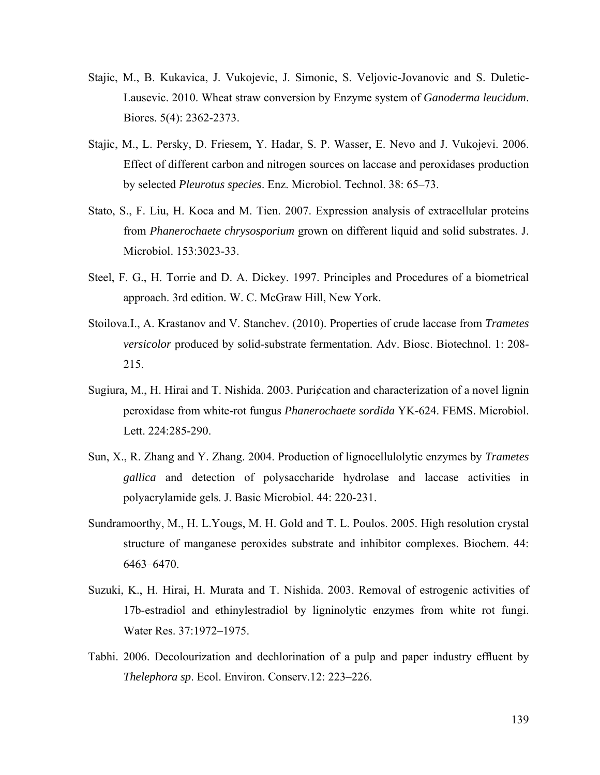- Stajic, M., B. Kukavica, J. Vukojevic, J. Simonic, S. Veljovic-Jovanovic and S. Duletic-Lausevic. 2010. Wheat straw conversion by Enzyme system of *Ganoderma leucidum*. Biores. 5(4): 2362-2373.
- Stajic, M., L. Persky, D. Friesem, Y. Hadar, S. P. Wasser, E. Nevo and J. Vukojevi. 2006. Effect of different carbon and nitrogen sources on laccase and peroxidases production by selected *Pleurotus species*. Enz. Microbiol. Technol. 38: 65–73.
- Stato, S., F. Liu, H. Koca and M. Tien. 2007. Expression analysis of extracellular proteins from *Phanerochaete chrysosporium* grown on different liquid and solid substrates. J. Microbiol. 153:3023-33.
- Steel, F. G., H. Torrie and D. A. Dickey. 1997. Principles and Procedures of a biometrical approach. 3rd edition. W. C. McGraw Hill, New York.
- Stoilova.I., A. Krastanov and V. Stanchev. (2010). Properties of crude laccase from *Trametes versicolor* produced by solid-substrate fermentation. Adv. Biosc. Biotechnol. 1: 208- 215.
- Sugiura, M., H. Hirai and T. Nishida. 2003. Puri¢cation and characterization of a novel lignin peroxidase from white-rot fungus *Phanerochaete sordida* YK-624. FEMS. Microbiol. Lett. 224:285-290.
- Sun, X., R. Zhang and Y. Zhang. 2004. Production of lignocellulolytic enzymes by *Trametes gallica* and detection of polysaccharide hydrolase and laccase activities in polyacrylamide gels. J. Basic Microbiol. 44: 220-231.
- Sundramoorthy, M., H. L.Yougs, M. H. Gold and T. L. Poulos. 2005. High resolution crystal structure of manganese peroxides substrate and inhibitor complexes. Biochem. 44: 6463–6470.
- Suzuki, K., H. Hirai, H. Murata and T. Nishida. 2003. Removal of estrogenic activities of 17b-estradiol and ethinylestradiol by ligninolytic enzymes from white rot fungi. Water Res. 37:1972–1975.
- Tabhi. 2006. Decolourization and dechlorination of a pulp and paper industry effluent by *Thelephora sp*. Ecol. Environ. Conserv.12: 223–226.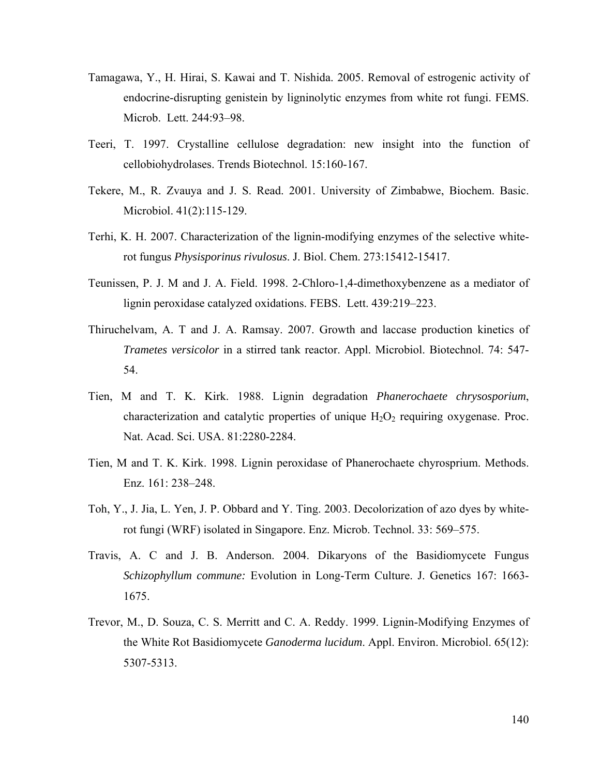- Tamagawa, Y., H. Hirai, S. Kawai and T. Nishida. 2005. Removal of estrogenic activity of endocrine-disrupting genistein by ligninolytic enzymes from white rot fungi. FEMS. Microb. Lett. 244:93–98.
- Teeri, T. 1997. Crystalline cellulose degradation: new insight into the function of cellobiohydrolases. Trends Biotechnol. 15:160-167.
- Tekere, M., R. Zvauya and J. S. Read. 2001. University of Zimbabwe, Biochem. Basic. Microbiol. 41(2):115-129.
- Terhi, K. H. 2007. Characterization of the lignin-modifying enzymes of the selective whiterot fungus *Physisporinus rivulosus*. J. Biol. Chem. 273:15412-15417.
- Teunissen, P. J. M and J. A. Field. 1998. 2-Chloro-1,4-dimethoxybenzene as a mediator of lignin peroxidase catalyzed oxidations. FEBS. Lett. 439:219–223.
- Thiruchelvam, A. T and J. A. Ramsay. 2007. Growth and laccase production kinetics of *Trametes versicolor* in a stirred tank reactor. Appl. Microbiol. Biotechnol. 74: 547- 54.
- Tien, M and T. K. Kirk. 1988. Lignin degradation *Phanerochaete chrysosporium*, characterization and catalytic properties of unique  $H_2O_2$  requiring oxygenase. Proc. Nat. Acad. Sci. USA. 81:2280-2284.
- Tien, M and T. K. Kirk. 1998. Lignin peroxidase of Phanerochaete chyrosprium. Methods. Enz. 161: 238–248.
- Toh, Y., J. Jia, L. Yen, J. P. Obbard and Y. Ting. 2003. Decolorization of azo dyes by whiterot fungi (WRF) isolated in Singapore. Enz. Microb. Technol. 33: 569–575.
- Travis, A. C and J. B. Anderson. 2004. Dikaryons of the Basidiomycete Fungus *Schizophyllum commune:* Evolution in Long-Term Culture. J. Genetics 167: 1663- 1675.
- Trevor, M., D. Souza, C. S. Merritt and C. A. Reddy. 1999. Lignin-Modifying Enzymes of the White Rot Basidiomycete *Ganoderma lucidum*. Appl. Environ. Microbiol. 65(12): 5307-5313.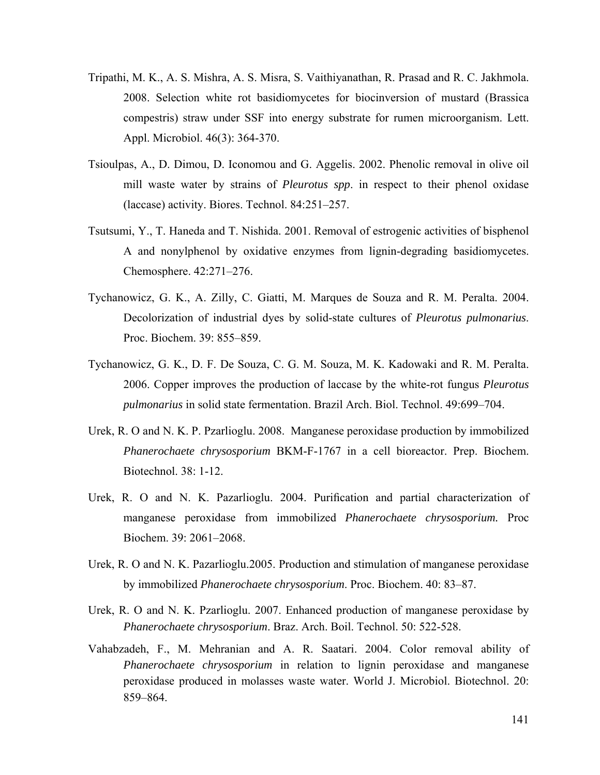- Tripathi, M. K., A. S. Mishra, A. S. Misra, S. Vaithiyanathan, R. Prasad and R. C. Jakhmola. 2008. Selection white rot basidiomycetes for biocinversion of mustard (Brassica compestris) straw under SSF into energy substrate for rumen microorganism. Lett. Appl. Microbiol. 46(3): 364-370.
- Tsioulpas, A., D. Dimou, D. Iconomou and G. Aggelis. 2002. Phenolic removal in olive oil mill waste water by strains of *Pleurotus spp*. in respect to their phenol oxidase (laccase) activity. Biores. Technol. 84:251–257.
- Tsutsumi, Y., T. Haneda and T. Nishida. 2001. Removal of estrogenic activities of bisphenol A and nonylphenol by oxidative enzymes from lignin-degrading basidiomycetes. Chemosphere. 42:271–276.
- Tychanowicz, G. K., A. Zilly, C. Giatti, M. Marques de Souza and R. M. Peralta. 2004. Decolorization of industrial dyes by solid-state cultures of *Pleurotus pulmonarius*. Proc. Biochem. 39: 855–859.
- Tychanowicz, G. K., D. F. De Souza, C. G. M. Souza, M. K. Kadowaki and R. M. Peralta. 2006. Copper improves the production of laccase by the white-rot fungus *Pleurotus pulmonarius* in solid state fermentation. Brazil Arch. Biol. Technol. 49:699–704.
- Urek, R. O and N. K. P. Pzarlioglu. 2008. Manganese peroxidase production by immobilized *Phanerochaete chrysosporium* BKM-F-1767 in a cell bioreactor. Prep. Biochem. Biotechnol. 38: 1-12.
- Urek, R. O and N. K. Pazarlioglu. 2004. Purification and partial characterization of manganese peroxidase from immobilized *Phanerochaete chrysosporium.* Proc Biochem. 39: 2061–2068.
- Urek, R. O and N. K. Pazarlioglu.2005. Production and stimulation of manganese peroxidase by immobilized *Phanerochaete chrysosporium*. Proc. Biochem. 40: 83–87.
- Urek, R. O and N. K. Pzarlioglu. 2007. Enhanced production of manganese peroxidase by *Phanerochaete chrysosporium*. Braz. Arch. Boil. Technol. 50: 522-528.
- Vahabzadeh, F., M. Mehranian and A. R. Saatari. 2004. Color removal ability of *Phanerochaete chrysosporium* in relation to lignin peroxidase and manganese peroxidase produced in molasses waste water. World J. Microbiol. Biotechnol. 20: 859–864.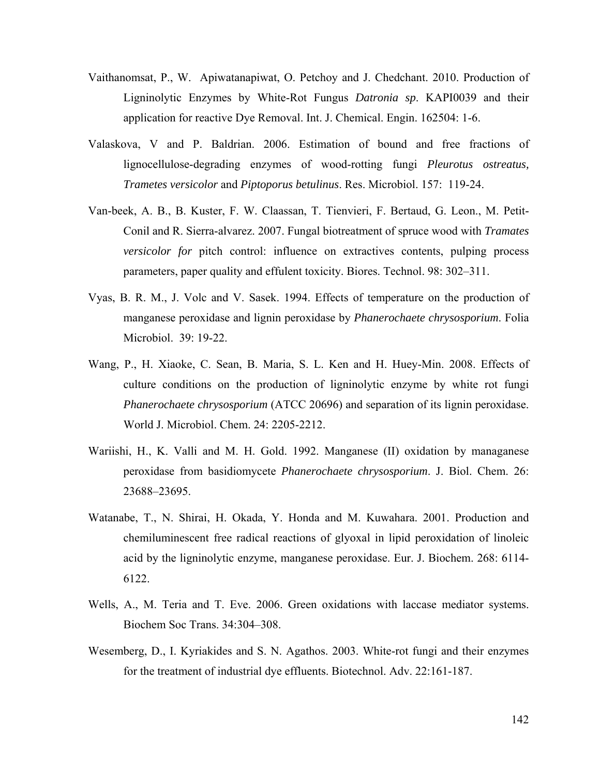- Vaithanomsat, P., W. Apiwatanapiwat, O. Petchoy and J. Chedchant. 2010. Production of Ligninolytic Enzymes by White-Rot Fungus *Datronia sp*. KAPI0039 and their application for reactive Dye Removal. Int. J. Chemical. Engin. 162504: 1-6.
- Valaskova, V and P. Baldrian. 2006. Estimation of bound and free fractions of lignocellulose-degrading enzymes of wood-rotting fungi *Pleurotus ostreatus, Trametes versicolor* and *Piptoporus betulinus*. Res. Microbiol. 157: 119-24.
- Van-beek, A. B., B. Kuster, F. W. Claassan, T. Tienvieri, F. Bertaud, G. Leon., M. Petit-Conil and R. Sierra-alvarez. 2007. Fungal biotreatment of spruce wood with *Tramates versicolor for* pitch control: influence on extractives contents, pulping process parameters, paper quality and effulent toxicity. Biores. Technol. 98: 302–311.
- Vyas, B. R. M., J. Volc and V. Sasek. 1994. Effects of temperature on the production of manganese peroxidase and lignin peroxidase by *Phanerochaete chrysosporium*. Folia Microbiol. 39: 19-22.
- Wang, P., H. Xiaoke, C. Sean, B. Maria, S. L. Ken and H. Huey-Min. 2008. Effects of culture conditions on the production of ligninolytic enzyme by white rot fungi *Phanerochaete chrysosporium* (ATCC 20696) and separation of its lignin peroxidase. World J. Microbiol. Chem. 24: 2205-2212.
- Wariishi, H., K. Valli and M. H. Gold. 1992. Manganese (II) oxidation by managanese peroxidase from basidiomycete *Phanerochaete chrysosporium*. J. Biol. Chem. 26: 23688–23695.
- Watanabe, T., N. Shirai, H. Okada, Y. Honda and M. Kuwahara. 2001. Production and chemiluminescent free radical reactions of glyoxal in lipid peroxidation of linoleic acid by the ligninolytic enzyme, manganese peroxidase. Eur. J. Biochem. 268: 6114- 6122.
- Wells, A., M. Teria and T. Eve. 2006. Green oxidations with laccase mediator systems. Biochem Soc Trans. 34:304–308.
- Wesemberg, D., I. Kyriakides and S. N. Agathos. 2003. White-rot fungi and their enzymes for the treatment of industrial dye effluents. Biotechnol. Adv. 22:161-187.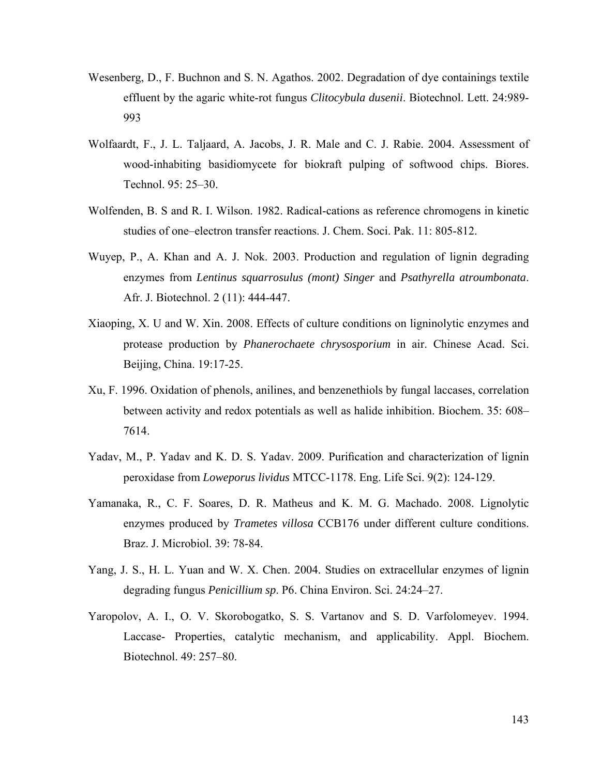- Wesenberg, D., F. Buchnon and S. N. Agathos. 2002. Degradation of dye containings textile effluent by the agaric white-rot fungus *Clitocybula dusenii*. Biotechnol. Lett. 24:989- 993
- Wolfaardt, F., J. L. Taljaard, A. Jacobs, J. R. Male and C. J. Rabie. 2004. Assessment of wood-inhabiting basidiomycete for biokraft pulping of softwood chips. Biores. Technol. 95: 25–30.
- Wolfenden, B. S and R. I. Wilson. 1982. Radical-cations as reference chromogens in kinetic studies of one–electron transfer reactions. J. Chem. Soci. Pak. 11: 805-812.
- Wuyep, P., A. Khan and A. J. Nok. 2003. Production and regulation of lignin degrading enzymes from *Lentinus squarrosulus (mont) Singer* and *Psathyrella atroumbonata*. Afr. J. Biotechnol. 2 (11): 444-447.
- Xiaoping, X. U and W. Xin. 2008. Effects of culture conditions on ligninolytic enzymes and protease production by *Phanerochaete chrysosporium* in air. Chinese Acad. Sci. Beijing, China. 19:17-25.
- Xu, F. 1996. Oxidation of phenols, anilines, and benzenethiols by fungal laccases, correlation between activity and redox potentials as well as halide inhibition. Biochem. 35: 608– 7614.
- Yadav, M., P. Yadav and K. D. S. Yadav. 2009. Purification and characterization of lignin peroxidase from *Loweporus lividus* MTCC-1178. Eng. Life Sci. 9(2): 124-129.
- Yamanaka, R., C. F. Soares, D. R. Matheus and K. M. G. Machado. 2008. Lignolytic enzymes produced by *Trametes villosa* CCB176 under different culture conditions. Braz. J. Microbiol. 39: 78-84.
- Yang, J. S., H. L. Yuan and W. X. Chen. 2004. Studies on extracellular enzymes of lignin degrading fungus *Penicillium sp*. P6. China Environ. Sci. 24:24–27.
- Yaropolov, A. I., O. V. Skorobogatko, S. S. Vartanov and S. D. Varfolomeyev. 1994. Laccase- Properties, catalytic mechanism, and applicability. Appl. Biochem. Biotechnol. 49: 257–80.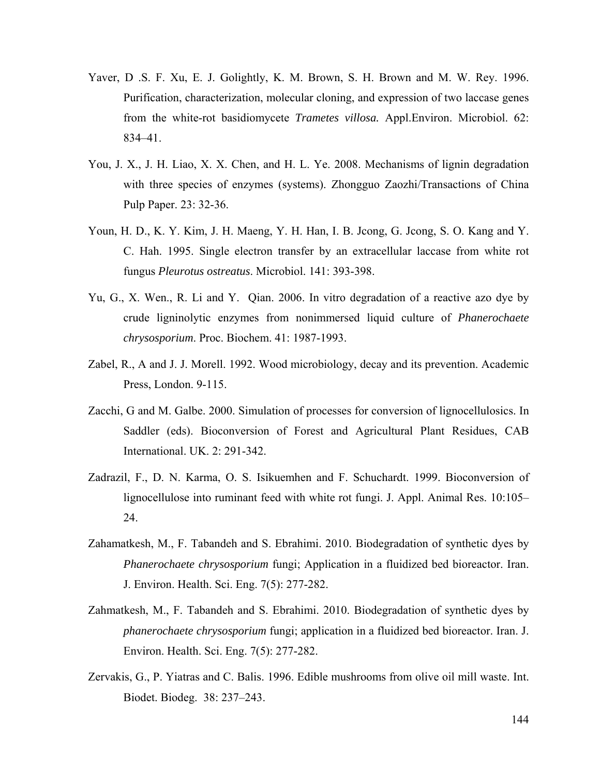- Yaver, D .S. F. Xu, E. J. Golightly, K. M. Brown, S. H. Brown and M. W. Rey. 1996. Purification, characterization, molecular cloning, and expression of two laccase genes from the white-rot basidiomycete *Trametes villosa.* Appl.Environ. Microbiol. 62: 834–41.
- You, J. X., J. H. Liao, X. X. Chen, and H. L. Ye. 2008. Mechanisms of lignin degradation with three species of enzymes (systems). Zhongguo Zaozhi/Transactions of China Pulp Paper. 23: 32-36.
- Youn, H. D., K. Y. Kim, J. H. Maeng, Y. H. Han, I. B. Jcong, G. Jcong, S. O. Kang and Y. C. Hah. 1995. Single electron transfer by an extracellular laccase from white rot fungus *Pleurotus ostreatus*. Microbiol. 141: 393-398.
- Yu, G., X. Wen., R. Li and Y. Qian. 2006. In vitro degradation of a reactive azo dye by crude ligninolytic enzymes from nonimmersed liquid culture of *Phanerochaete chrysosporium*. Proc. Biochem. 41: 1987-1993.
- Zabel, R., A and J. J. Morell. 1992. Wood microbiology, decay and its prevention. Academic Press, London. 9-115.
- Zacchi, G and M. Galbe. 2000. Simulation of processes for conversion of lignocellulosics. In Saddler (eds). Bioconversion of Forest and Agricultural Plant Residues, CAB International. UK. 2: 291-342.
- Zadrazil, F., D. N. Karma, O. S. Isikuemhen and F. Schuchardt. 1999. Bioconversion of lignocellulose into ruminant feed with white rot fungi. J. Appl. Animal Res. 10:105– 24.
- Zahamatkesh, M., F. Tabandeh and S. Ebrahimi. 2010. Biodegradation of synthetic dyes by *Phanerochaete chrysosporium* fungi; Application in a fluidized bed bioreactor. Iran. J. Environ. Health. Sci. Eng. 7(5): 277-282.
- Zahmatkesh, M., F. Tabandeh and S. Ebrahimi. 2010. Biodegradation of synthetic dyes by *phanerochaete chrysosporium* fungi; application in a fluidized bed bioreactor. Iran. J. Environ. Health. Sci. Eng. 7(5): 277-282.
- Zervakis, G., P. Yiatras and C. Balis. 1996. Edible mushrooms from olive oil mill waste. Int. Biodet. Biodeg. 38: 237–243.